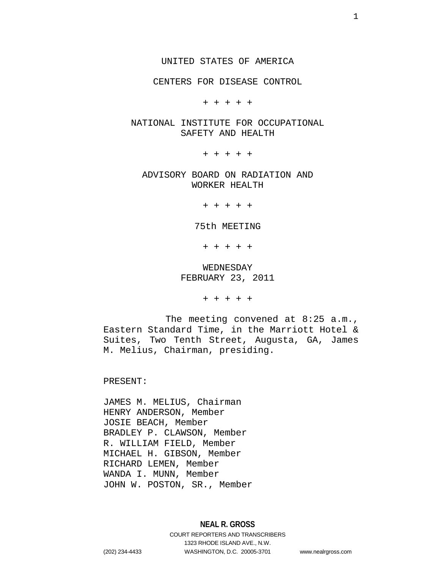CENTERS FOR DISEASE CONTROL

+ + + + +

### NATIONAL INSTITUTE FOR OCCUPATIONAL SAFETY AND HEALTH

+ + + + +

ADVISORY BOARD ON RADIATION AND WORKER HEALTH

+ + + + +

75th MEETING

+ + + + +

## WEDNESDAY FEBRUARY 23, 2011

+ + + + +

The meeting convened at 8:25 a.m., Eastern Standard Time, in the Marriott Hotel & Suites, Two Tenth Street, Augusta, GA, James M. Melius, Chairman, presiding.

PRESENT:

JAMES M. MELIUS, Chairman HENRY ANDERSON, Member JOSIE BEACH, Member BRADLEY P. CLAWSON, Member R. WILLIAM FIELD, Member MICHAEL H. GIBSON, Member RICHARD LEMEN, Member WANDA I. MUNN, Member JOHN W. POSTON, SR., Member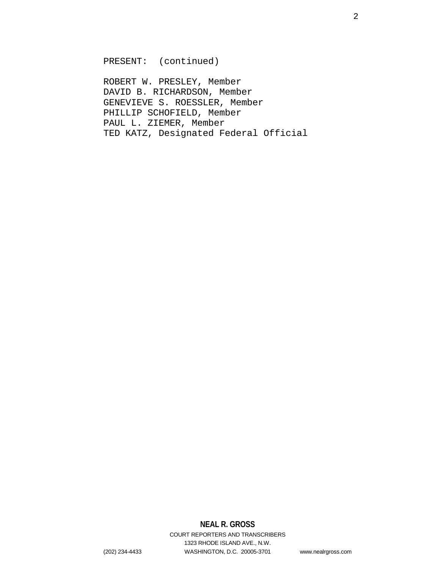PRESENT: (continued)

ROBERT W. PRESLEY, Member DAVID B. RICHARDSON, Member GENEVIEVE S. ROESSLER, Member PHILLIP SCHOFIELD, Member PAUL L. ZIEMER, Member TED KATZ, Designated Federal Official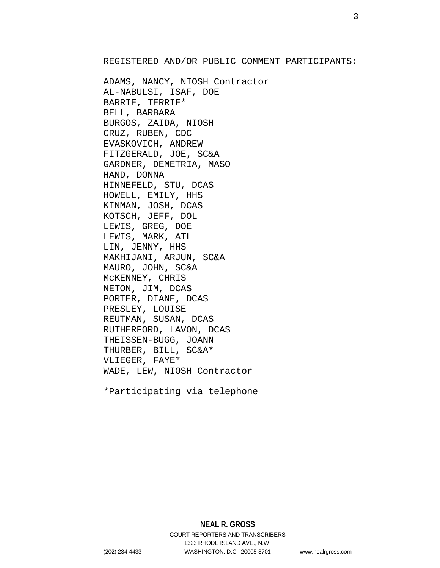REGISTERED AND/OR PUBLIC COMMENT PARTICIPANTS:

ADAMS, NANCY, NIOSH Contractor AL-NABULSI, ISAF, DOE BARRIE, TERRIE\* BELL, BARBARA BURGOS, ZAIDA, NIOSH CRUZ, RUBEN, CDC EVASKOVICH, ANDREW FITZGERALD, JOE, SC&A GARDNER, DEMETRIA, MASO HAND, DONNA HINNEFELD, STU, DCAS HOWELL, EMILY, HHS KINMAN, JOSH, DCAS KOTSCH, JEFF, DOL LEWIS, GREG, DOE LEWIS, MARK, ATL LIN, JENNY, HHS MAKHIJANI, ARJUN, SC&A MAURO, JOHN, SC&A McKENNEY, CHRIS NETON, JIM, DCAS PORTER, DIANE, DCAS PRESLEY, LOUISE REUTMAN, SUSAN, DCAS RUTHERFORD, LAVON, DCAS THEISSEN-BUGG, JOANN THURBER, BILL, SC&A\* VLIEGER, FAYE\* WADE, LEW, NIOSH Contractor

\*Participating via telephone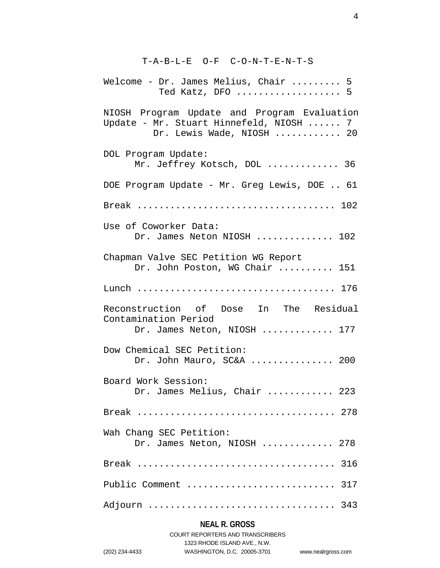# T-A-B-L-E O-F C-O-N-T-E-N-T-S

| Welcome - Dr. James Melius, Chair  5<br>Ted Katz, DFO  5                                                            |
|---------------------------------------------------------------------------------------------------------------------|
| NIOSH Program Update and Program Evaluation<br>Update - Mr. Stuart Hinnefeld, NIOSH  7<br>Dr. Lewis Wade, NIOSH  20 |
| DOL Program Update:<br>Mr. Jeffrey Kotsch, DOL  36                                                                  |
| DOE Program Update - Mr. Greg Lewis, DOE  61                                                                        |
|                                                                                                                     |
| Use of Coworker Data:<br>Dr. James Neton NIOSH  102                                                                 |
| Chapman Valve SEC Petition WG Report<br>Dr. John Poston, WG Chair  151                                              |
|                                                                                                                     |
| Reconstruction of Dose In The Residual<br>Contamination Period<br>Dr. James Neton, NIOSH  177                       |
| Dow Chemical SEC Petition:<br>Dr. John Mauro, SC&A  200                                                             |
| Board Work Session:<br>Dr. James Melius, Chair  223                                                                 |
|                                                                                                                     |
| Wah Chang SEC Petition:<br>Dr. James Neton, NIOSH  278                                                              |
|                                                                                                                     |
| Public Comment  317                                                                                                 |
| Adjourn  343                                                                                                        |

# **NEAL R. GROSS**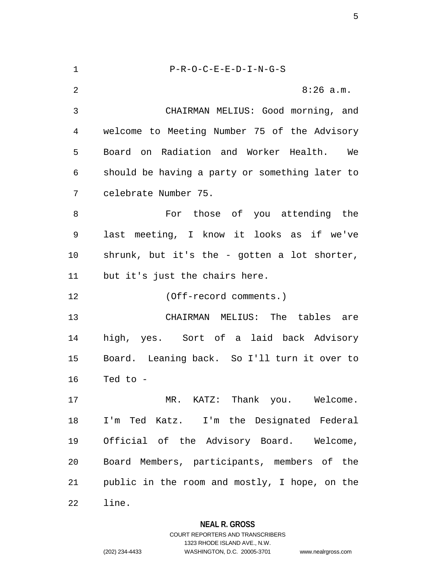| 1  | $P-R-O-C-E-E-D-I-N-G-S$                        |
|----|------------------------------------------------|
| 2  | $8:26$ a.m.                                    |
| 3  | CHAIRMAN MELIUS: Good morning, and             |
| 4  | welcome to Meeting Number 75 of the Advisory   |
| 5  | Board on Radiation and Worker Health. We       |
| 6  | should be having a party or something later to |
| 7  | celebrate Number 75.                           |
| 8  | For those of you attending the                 |
| 9  | last meeting, I know it looks as if we've      |
| 10 | shrunk, but it's the - gotten a lot shorter,   |
| 11 | but it's just the chairs here.                 |
| 12 | (Off-record comments.)                         |
| 13 | CHAIRMAN MELIUS: The tables are                |
| 14 | high, yes. Sort of a laid back Advisory        |
| 15 | Board. Leaning back. So I'll turn it over to   |
| 16 | Ted to -                                       |
| 17 | MR. KATZ: Thank you. Welcome.                  |
| 18 | I'm Ted Katz. I'm the Designated Federal       |
| 19 | Official of the Advisory Board. Welcome,       |
| 20 | Board Members, participants, members of the    |
| 21 | public in the room and mostly, I hope, on the  |
| 22 | line.                                          |

**NEAL R. GROSS** COURT REPORTERS AND TRANSCRIBERS

1323 RHODE ISLAND AVE., N.W.

(202) 234-4433 WASHINGTON, D.C. 20005-3701 www.nealrgross.com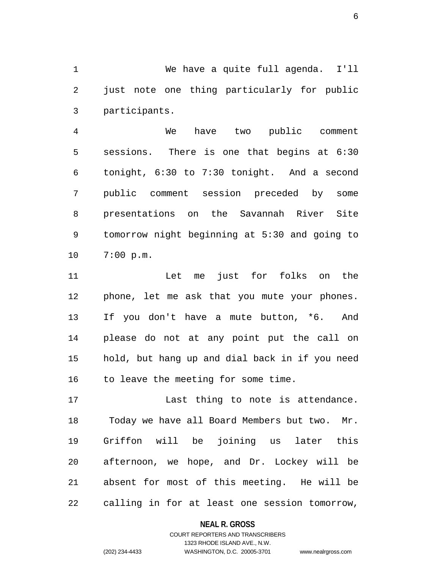1 We have a quite full agenda. I'll 2 just note one thing particularly for public 3 participants.

4 We have two public comment 5 sessions. There is one that begins at 6:30 6 tonight, 6:30 to 7:30 tonight. And a second 7 public comment session preceded by some 8 presentations on the Savannah River Site 9 tomorrow night beginning at 5:30 and going to 10 7:00 p.m.

11 Let me just for folks on the 12 phone, let me ask that you mute your phones. 13 If you don't have a mute button, \*6. And 14 please do not at any point put the call on 15 hold, but hang up and dial back in if you need 16 to leave the meeting for some time.

17 Last thing to note is attendance. 18 Today we have all Board Members but two. Mr. 19 Griffon will be joining us later this 20 afternoon, we hope, and Dr. Lockey will be 21 absent for most of this meeting. He will be 22 calling in for at least one session tomorrow,

**NEAL R. GROSS**

COURT REPORTERS AND TRANSCRIBERS 1323 RHODE ISLAND AVE., N.W. (202) 234-4433 WASHINGTON, D.C. 20005-3701 www.nealrgross.com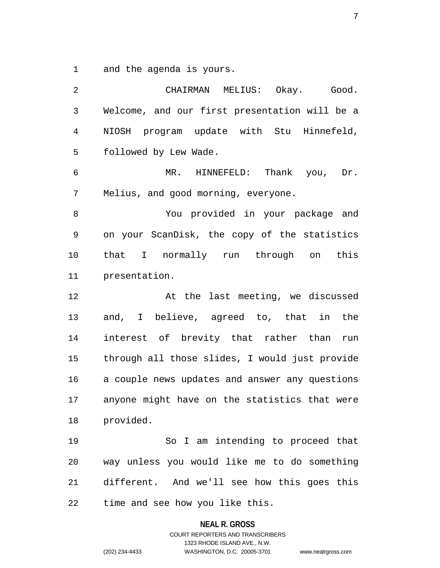1 and the agenda is yours.

2 CHAIRMAN MELIUS: Okay. Good. 3 Welcome, and our first presentation will be a 4 NIOSH program update with Stu Hinnefeld, 5 followed by Lew Wade. 6 MR. HINNEFELD: Thank you, Dr. 7 Melius, and good morning, everyone. 8 You provided in your package and 9 on your ScanDisk, the copy of the statistics 10 that I normally run through on this 11 presentation. 12 At the last meeting, we discussed 13 and, I believe, agreed to, that in the 14 interest of brevity that rather than run 15 through all those slides, I would just provide 16 a couple news updates and answer any questions 17 anyone might have on the statistics that were 18 provided. 19 So I am intending to proceed that 20 way unless you would like me to do something 21 different. And we'll see how this goes this 22 time and see how you like this.

**NEAL R. GROSS**

COURT REPORTERS AND TRANSCRIBERS 1323 RHODE ISLAND AVE., N.W. (202) 234-4433 WASHINGTON, D.C. 20005-3701 www.nealrgross.com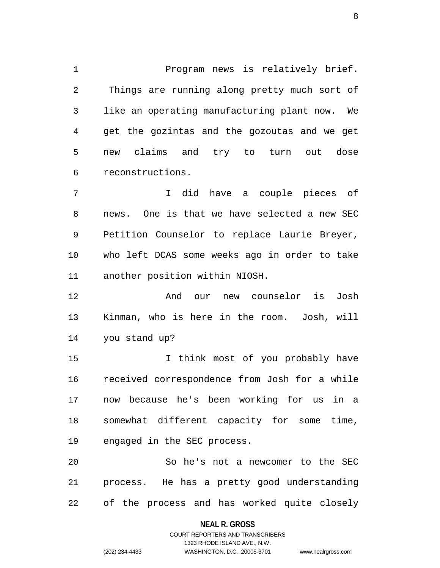1 Program news is relatively brief. 2 Things are running along pretty much sort of 3 like an operating manufacturing plant now. We 4 get the gozintas and the gozoutas and we get 5 new claims and try to turn out dose 6 reconstructions.

7 I did have a couple pieces of 8 news. One is that we have selected a new SEC 9 Petition Counselor to replace Laurie Breyer, 10 who left DCAS some weeks ago in order to take 11 another position within NIOSH.

12 And our new counselor is Josh 13 Kinman, who is here in the room. Josh, will 14 you stand up?

15 I think most of you probably have 16 received correspondence from Josh for a while 17 now because he's been working for us in a 18 somewhat different capacity for some time, 19 engaged in the SEC process.

20 So he's not a newcomer to the SEC 21 process. He has a pretty good understanding 22 of the process and has worked quite closely

#### **NEAL R. GROSS**

### COURT REPORTERS AND TRANSCRIBERS 1323 RHODE ISLAND AVE., N.W. (202) 234-4433 WASHINGTON, D.C. 20005-3701 www.nealrgross.com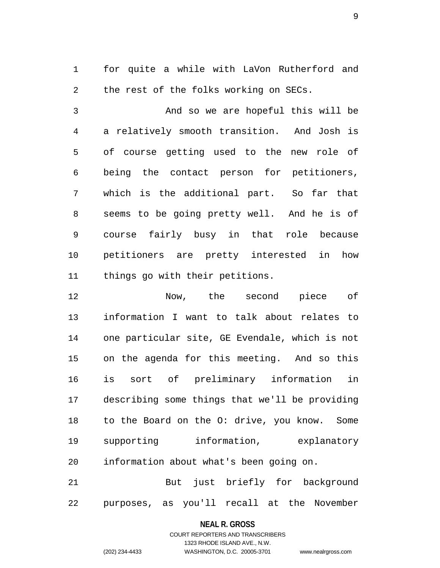1 for quite a while with LaVon Rutherford and 2 the rest of the folks working on SECs.

3 And so we are hopeful this will be 4 a relatively smooth transition. And Josh is 5 of course getting used to the new role of 6 being the contact person for petitioners, 7 which is the additional part. So far that 8 seems to be going pretty well. And he is of 9 course fairly busy in that role because 10 petitioners are pretty interested in how 11 things go with their petitions.

12 Now, the second piece of 13 information I want to talk about relates to 14 one particular site, GE Evendale, which is not 15 on the agenda for this meeting. And so this 16 is sort of preliminary information in 17 describing some things that we'll be providing 18 to the Board on the O: drive, you know. Some 19 supporting information, explanatory 20 information about what's been going on.

21 But just briefly for background 22 purposes, as you'll recall at the November

#### **NEAL R. GROSS**

COURT REPORTERS AND TRANSCRIBERS 1323 RHODE ISLAND AVE., N.W. (202) 234-4433 WASHINGTON, D.C. 20005-3701 www.nealrgross.com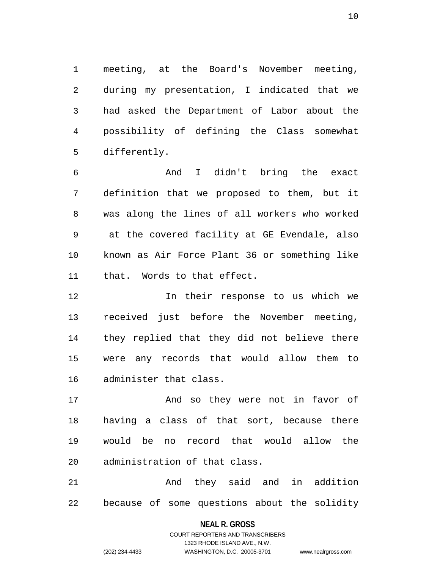1 meeting, at the Board's November meeting, 2 during my presentation, I indicated that we 3 had asked the Department of Labor about the 4 possibility of defining the Class somewhat 5 differently.

6 And I didn't bring the exact 7 definition that we proposed to them, but it 8 was along the lines of all workers who worked 9 at the covered facility at GE Evendale, also 10 known as Air Force Plant 36 or something like 11 that. Words to that effect.

12 In their response to us which we 13 received just before the November meeting, 14 they replied that they did not believe there 15 were any records that would allow them to 16 administer that class.

17 And so they were not in favor of 18 having a class of that sort, because there 19 would be no record that would allow the 20 administration of that class.

21 And they said and in addition 22 because of some questions about the solidity

> **NEAL R. GROSS** COURT REPORTERS AND TRANSCRIBERS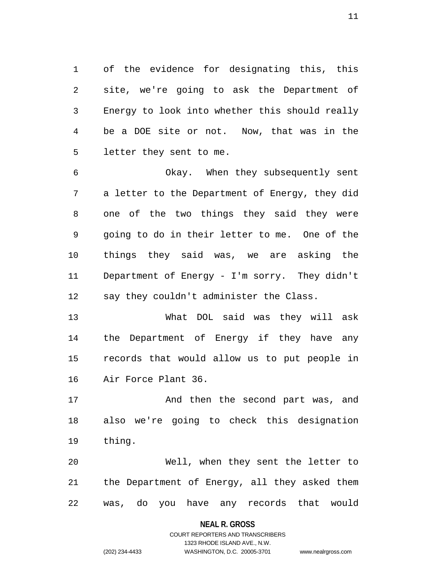1 of the evidence for designating this, this 2 site, we're going to ask the Department of 3 Energy to look into whether this should really 4 be a DOE site or not. Now, that was in the 5 letter they sent to me.

6 Okay. When they subsequently sent 7 a letter to the Department of Energy, they did 8 one of the two things they said they were 9 going to do in their letter to me. One of the 10 things they said was, we are asking the 11 Department of Energy - I'm sorry. They didn't 12 say they couldn't administer the Class.

13 What DOL said was they will ask 14 the Department of Energy if they have any 15 records that would allow us to put people in 16 Air Force Plant 36.

17 And then the second part was, and 18 also we're going to check this designation 19 thing.

20 Well, when they sent the letter to 21 the Department of Energy, all they asked them 22 was, do you have any records that would

#### **NEAL R. GROSS**

COURT REPORTERS AND TRANSCRIBERS 1323 RHODE ISLAND AVE., N.W. (202) 234-4433 WASHINGTON, D.C. 20005-3701 www.nealrgross.com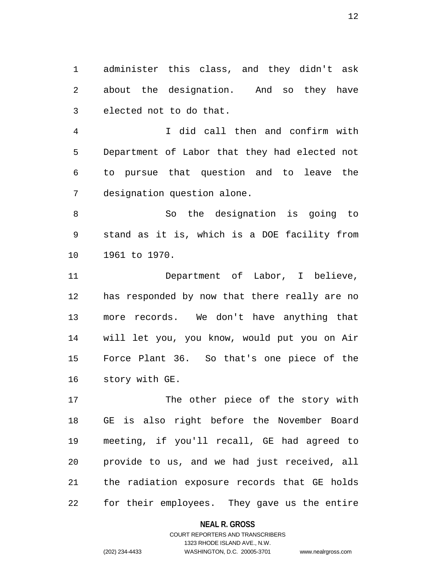1 administer this class, and they didn't ask 2 about the designation. And so they have 3 elected not to do that.

4 I did call then and confirm with 5 Department of Labor that they had elected not 6 to pursue that question and to leave the 7 designation question alone.

8 So the designation is going to 9 stand as it is, which is a DOE facility from 10 1961 to 1970.

11 Department of Labor, I believe, 12 has responded by now that there really are no 13 more records. We don't have anything that 14 will let you, you know, would put you on Air 15 Force Plant 36. So that's one piece of the 16 story with GE.

17 The other piece of the story with 18 GE is also right before the November Board 19 meeting, if you'll recall, GE had agreed to 20 provide to us, and we had just received, all 21 the radiation exposure records that GE holds 22 for their employees. They gave us the entire

#### **NEAL R. GROSS**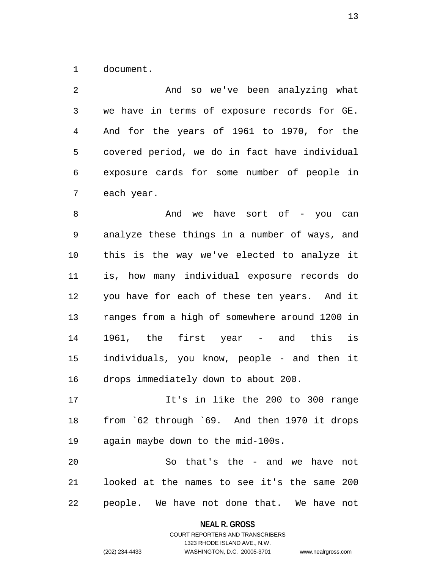1 document.

2 And so we've been analyzing what 3 we have in terms of exposure records for GE. 4 And for the years of 1961 to 1970, for the 5 covered period, we do in fact have individual 6 exposure cards for some number of people in 7 each year.

8 And we have sort of - you can 9 analyze these things in a number of ways, and 10 this is the way we've elected to analyze it 11 is, how many individual exposure records do 12 you have for each of these ten years. And it 13 ranges from a high of somewhere around 1200 in 14 1961, the first year - and this is 15 individuals, you know, people - and then it 16 drops immediately down to about 200.

17 It's in like the 200 to 300 range 18 from `62 through `69. And then 1970 it drops 19 again maybe down to the mid-100s.

20 So that's the - and we have not 21 looked at the names to see it's the same 200 22 people. We have not done that. We have not

> **NEAL R. GROSS** COURT REPORTERS AND TRANSCRIBERS 1323 RHODE ISLAND AVE., N.W.

(202) 234-4433 WASHINGTON, D.C. 20005-3701 www.nealrgross.com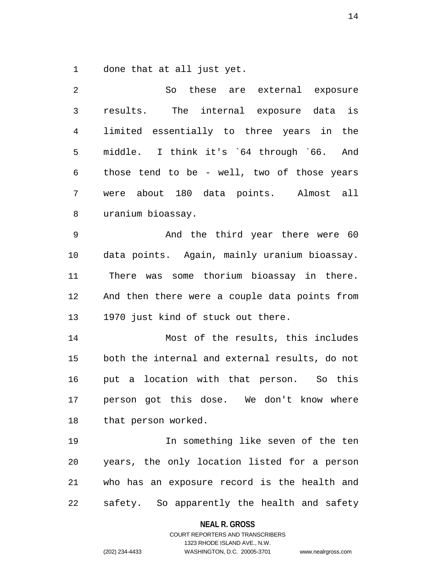1 done that at all just yet.

| 2  | So these are external exposure                 |
|----|------------------------------------------------|
| 3  | The internal exposure data is<br>results.      |
| 4  | limited essentially to three years in the      |
| 5  | middle. I think it's `64 through `66. And      |
| 6  | those tend to be - well, two of those years    |
| 7  | were about 180 data points. Almost all         |
| 8  | uranium bioassay.                              |
| 9  | And the third year there were 60               |
| 10 | data points. Again, mainly uranium bioassay.   |
| 11 | There was some thorium bioassay in there.      |
| 12 | And then there were a couple data points from  |
| 13 | 1970 just kind of stuck out there.             |
| 14 | Most of the results, this includes             |
| 15 | both the internal and external results, do not |
| 16 | put a location with that person. So this       |
| 17 | person got this dose. We don't know where      |
| 18 | that person worked.                            |
| 19 | In something like seven of the ten             |
| 20 | years, the only location listed for a person   |
| 21 | who has an exposure record is the health and   |
| 22 | safety. So apparently the health and safety    |

**NEAL R. GROSS**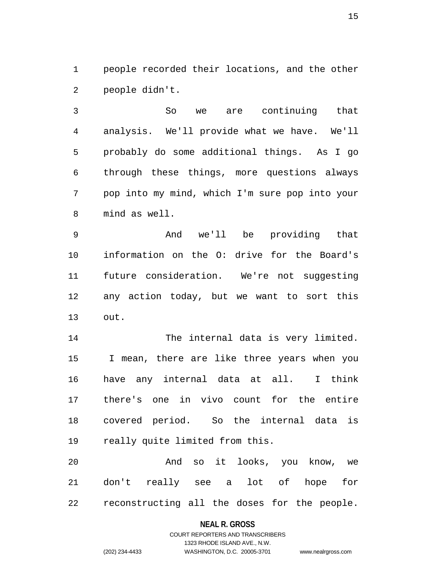1 people recorded their locations, and the other 2 people didn't.

3 So we are continuing that 4 analysis. We'll provide what we have. We'll 5 probably do some additional things. As I go 6 through these things, more questions always 7 pop into my mind, which I'm sure pop into your 8 mind as well.

9 And we'll be providing that 10 information on the O: drive for the Board's 11 future consideration. We're not suggesting 12 any action today, but we want to sort this 13 out.

14 The internal data is very limited. 15 I mean, there are like three years when you 16 have any internal data at all. I think 17 there's one in vivo count for the entire 18 covered period. So the internal data is 19 really quite limited from this.

20 And so it looks, you know, we 21 don't really see a lot of hope for 22 reconstructing all the doses for the people.

### **NEAL R. GROSS** COURT REPORTERS AND TRANSCRIBERS 1323 RHODE ISLAND AVE., N.W.

(202) 234-4433 WASHINGTON, D.C. 20005-3701 www.nealrgross.com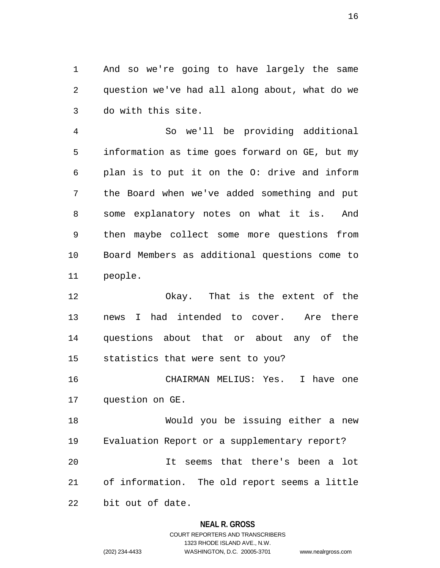1 And so we're going to have largely the same 2 question we've had all along about, what do we 3 do with this site.

4 So we'll be providing additional 5 information as time goes forward on GE, but my 6 plan is to put it on the O: drive and inform 7 the Board when we've added something and put 8 some explanatory notes on what it is. And 9 then maybe collect some more questions from 10 Board Members as additional questions come to 11 people.

12 Okay. That is the extent of the 13 news I had intended to cover. Are there 14 questions about that or about any of the 15 statistics that were sent to you?

16 CHAIRMAN MELIUS: Yes. I have one 17 question on GE.

18 Would you be issuing either a new 19 Evaluation Report or a supplementary report? 20 It seems that there's been a lot 21 of information. The old report seems a little 22 bit out of date.

#### **NEAL R. GROSS**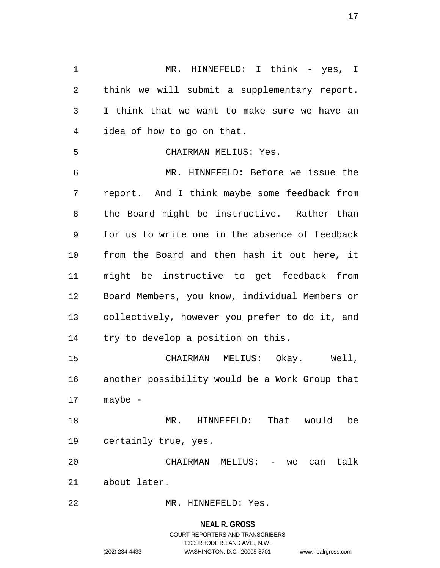1 MR. HINNEFELD: I think - yes, I 2 think we will submit a supplementary report. 3 I think that we want to make sure we have an 4 idea of how to go on that. 5 CHAIRMAN MELIUS: Yes. 6 MR. HINNEFELD: Before we issue the 7 report. And I think maybe some feedback from 8 the Board might be instructive. Rather than 9 for us to write one in the absence of feedback 10 from the Board and then hash it out here, it 11 might be instructive to get feedback from 12 Board Members, you know, individual Members or 13 collectively, however you prefer to do it, and 14 try to develop a position on this. 15 CHAIRMAN MELIUS: Okay. Well, 16 another possibility would be a Work Group that 17 maybe - 18 MR. HINNEFELD: That would be 19 certainly true, yes. 20 CHAIRMAN MELIUS: - we can talk 21 about later. 22 MR. HINNEFELD: Yes.

#### **NEAL R. GROSS**

### COURT REPORTERS AND TRANSCRIBERS 1323 RHODE ISLAND AVE., N.W. (202) 234-4433 WASHINGTON, D.C. 20005-3701 www.nealrgross.com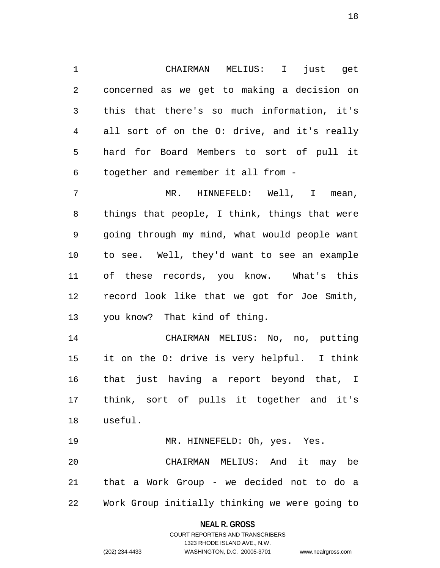1 CHAIRMAN MELIUS: I just get 2 concerned as we get to making a decision on 3 this that there's so much information, it's 4 all sort of on the O: drive, and it's really 5 hard for Board Members to sort of pull it 6 together and remember it all from -

7 MR. HINNEFELD: Well, I mean, 8 things that people, I think, things that were 9 going through my mind, what would people want 10 to see. Well, they'd want to see an example 11 of these records, you know. What's this 12 record look like that we got for Joe Smith, 13 you know? That kind of thing.

14 CHAIRMAN MELIUS: No, no, putting 15 it on the O: drive is very helpful. I think 16 that just having a report beyond that, I 17 think, sort of pulls it together and it's 18 useful.

19 MR. HINNEFELD: Oh, yes. Yes. 20 CHAIRMAN MELIUS: And it may be 21 that a Work Group - we decided not to do a 22 Work Group initially thinking we were going to

#### **NEAL R. GROSS**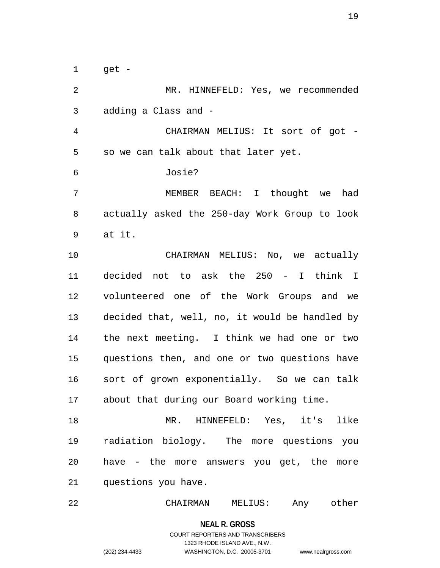$1$  qet -

2 MR. HINNEFELD: Yes, we recommended 3 adding a Class and - 4 CHAIRMAN MELIUS: It sort of got - 5 so we can talk about that later yet. 6 Josie? 7 MEMBER BEACH: I thought we had 8 actually asked the 250-day Work Group to look 9 at it. 10 CHAIRMAN MELIUS: No, we actually 11 decided not to ask the 250 - I think I 12 volunteered one of the Work Groups and we 13 decided that, well, no, it would be handled by 14 the next meeting. I think we had one or two 15 questions then, and one or two questions have 16 sort of grown exponentially. So we can talk 17 about that during our Board working time.

18 MR. HINNEFELD: Yes, it's like 19 radiation biology. The more questions you 20 have - the more answers you get, the more 21 questions you have.

22 CHAIRMAN MELIUS: Any other

**NEAL R. GROSS**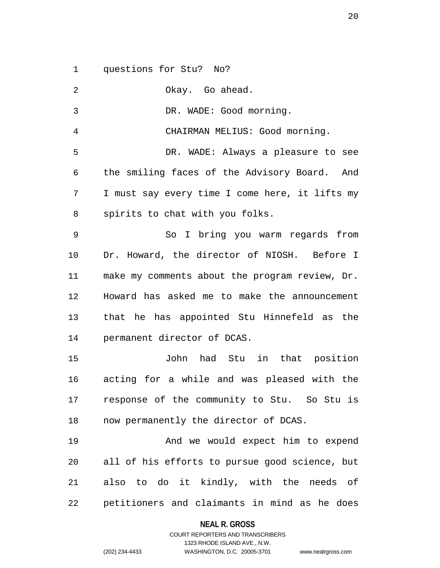1 questions for Stu? No?

2 Okay. Go ahead. 3 DR. WADE: Good morning. 4 CHAIRMAN MELIUS: Good morning. 5 DR. WADE: Always a pleasure to see 6 the smiling faces of the Advisory Board. And 7 I must say every time I come here, it lifts my 8 spirits to chat with you folks. 9 So I bring you warm regards from 10 Dr. Howard, the director of NIOSH. Before I 11 make my comments about the program review, Dr. 12 Howard has asked me to make the announcement 13 that he has appointed Stu Hinnefeld as the 14 permanent director of DCAS. 15 John had Stu in that position 16 acting for a while and was pleased with the 17 response of the community to Stu. So Stu is 18 now permanently the director of DCAS. 19 And we would expect him to expend 20 all of his efforts to pursue good science, but 21 also to do it kindly, with the needs of 22 petitioners and claimants in mind as he does

**NEAL R. GROSS**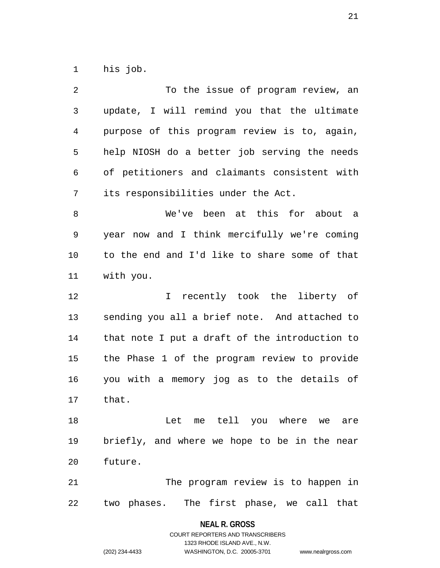1 his job.

| 2  | To the issue of program review, an             |
|----|------------------------------------------------|
| 3  | update, I will remind you that the ultimate    |
| 4  | purpose of this program review is to, again,   |
| 5  | help NIOSH do a better job serving the needs   |
| 6  | of petitioners and claimants consistent with   |
| 7  | its responsibilities under the Act.            |
| 8  | We've been at this for about<br>a a            |
| 9  | year now and I think mercifully we're coming   |
| 10 | to the end and I'd like to share some of that  |
| 11 | with you.                                      |
| 12 | $\mathbf{I}$<br>recently took the liberty of   |
| 13 | sending you all a brief note. And attached to  |
| 14 | that note I put a draft of the introduction to |
| 15 | the Phase 1 of the program review to provide   |
| 16 | you with a memory jog as to the details of     |
| 17 | that.                                          |
| 18 | Let me tell you where we are                   |
| 19 | briefly, and where we hope to be in the near   |
| 20 | future.                                        |
| 21 | The program review is to happen in             |
| 22 | two phases. The first phase, we call that      |

**NEAL R. GROSS** COURT REPORTERS AND TRANSCRIBERS

1323 RHODE ISLAND AVE., N.W.

(202) 234-4433 WASHINGTON, D.C. 20005-3701 www.nealrgross.com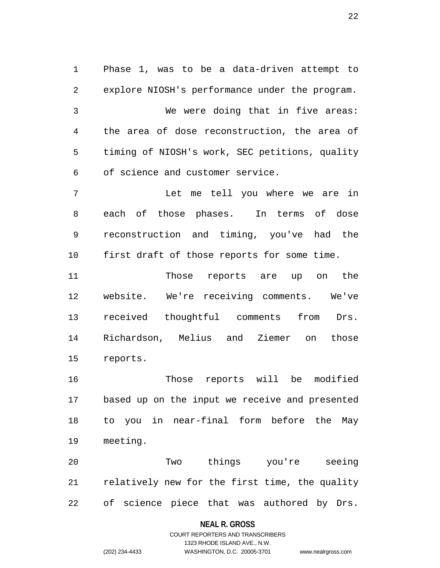1 Phase 1, was to be a data-driven attempt to 2 explore NIOSH's performance under the program. 3 We were doing that in five areas: 4 the area of dose reconstruction, the area of 5 timing of NIOSH's work, SEC petitions, quality 6 of science and customer service. 7 Let me tell you where we are in 8 each of those phases. In terms of dose

9 reconstruction and timing, you've had the 10 first draft of those reports for some time.

11 Those reports are up on the 12 website. We're receiving comments. We've 13 received thoughtful comments from Drs. 14 Richardson, Melius and Ziemer on those 15 reports.

16 Those reports will be modified 17 based up on the input we receive and presented 18 to you in near-final form before the May 19 meeting.

20 Two things you're seeing 21 relatively new for the first time, the quality 22 of science piece that was authored by Drs.

#### **NEAL R. GROSS**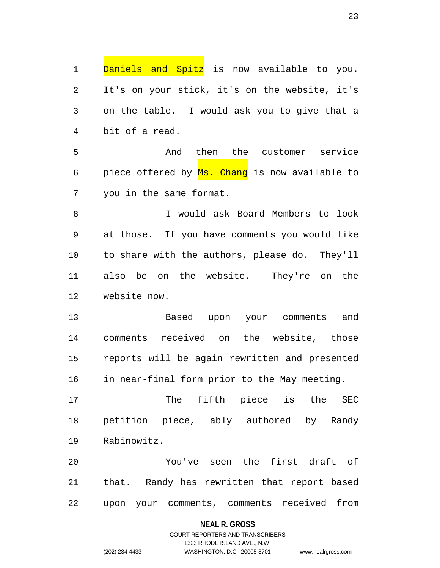1 Daniels and Spitz is now available to you. 2 It's on your stick, it's on the website, it's 3 on the table. I would ask you to give that a 4 bit of a read.

5 And then the customer service 6 piece offered by Ms. Chang is now available to 7 you in the same format.

8 I would ask Board Members to look 9 at those. If you have comments you would like 10 to share with the authors, please do. They'll 11 also be on the website. They're on the 12 website now.

13 Based upon your comments and 14 comments received on the website, those 15 reports will be again rewritten and presented 16 in near-final form prior to the May meeting.

17 The fifth piece is the SEC 18 petition piece, ably authored by Randy 19 Rabinowitz.

20 You've seen the first draft of 21 that. Randy has rewritten that report based 22 upon your comments, comments received from

#### **NEAL R. GROSS**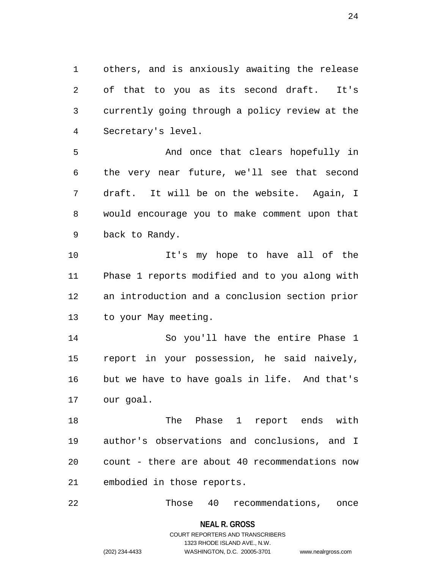1 others, and is anxiously awaiting the release 2 of that to you as its second draft. It's 3 currently going through a policy review at the 4 Secretary's level.

5 And once that clears hopefully in 6 the very near future, we'll see that second 7 draft. It will be on the website. Again, I 8 would encourage you to make comment upon that 9 back to Randy.

10 It's my hope to have all of the 11 Phase 1 reports modified and to you along with 12 an introduction and a conclusion section prior 13 to your May meeting.

14 So you'll have the entire Phase 1 15 report in your possession, he said naively, 16 but we have to have goals in life. And that's 17 our goal.

18 The Phase 1 report ends with 19 author's observations and conclusions, and I 20 count - there are about 40 recommendations now 21 embodied in those reports.

22 Those 40 recommendations, once

**NEAL R. GROSS**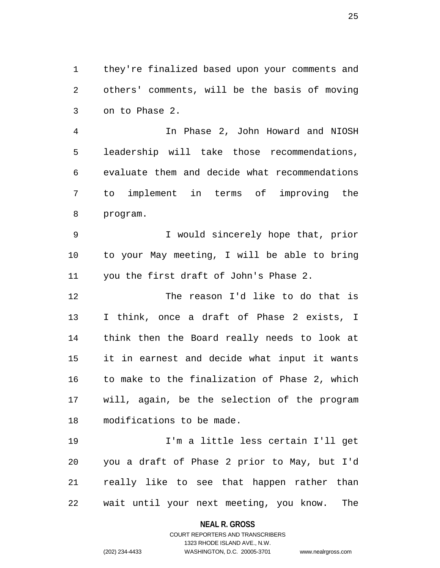1 they're finalized based upon your comments and 2 others' comments, will be the basis of moving 3 on to Phase 2.

4 In Phase 2, John Howard and NIOSH 5 leadership will take those recommendations, 6 evaluate them and decide what recommendations 7 to implement in terms of improving the 8 program.

9 I would sincerely hope that, prior 10 to your May meeting, I will be able to bring 11 you the first draft of John's Phase 2.

12 The reason I'd like to do that is 13 I think, once a draft of Phase 2 exists, I 14 think then the Board really needs to look at 15 it in earnest and decide what input it wants 16 to make to the finalization of Phase 2, which 17 will, again, be the selection of the program 18 modifications to be made.

19 I'm a little less certain I'll get 20 you a draft of Phase 2 prior to May, but I'd 21 really like to see that happen rather than 22 wait until your next meeting, you know. The

**NEAL R. GROSS**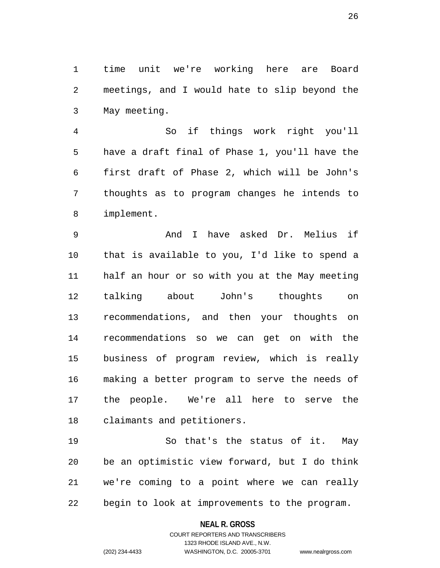1 time unit we're working here are Board 2 meetings, and I would hate to slip beyond the 3 May meeting.

4 So if things work right you'll 5 have a draft final of Phase 1, you'll have the 6 first draft of Phase 2, which will be John's 7 thoughts as to program changes he intends to 8 implement.

9 And I have asked Dr. Melius if 10 that is available to you, I'd like to spend a 11 half an hour or so with you at the May meeting 12 talking about John's thoughts on 13 recommendations, and then your thoughts on 14 recommendations so we can get on with the 15 business of program review, which is really 16 making a better program to serve the needs of 17 the people. We're all here to serve the 18 claimants and petitioners.

19 So that's the status of it. May 20 be an optimistic view forward, but I do think 21 we're coming to a point where we can really 22 begin to look at improvements to the program.

#### **NEAL R. GROSS**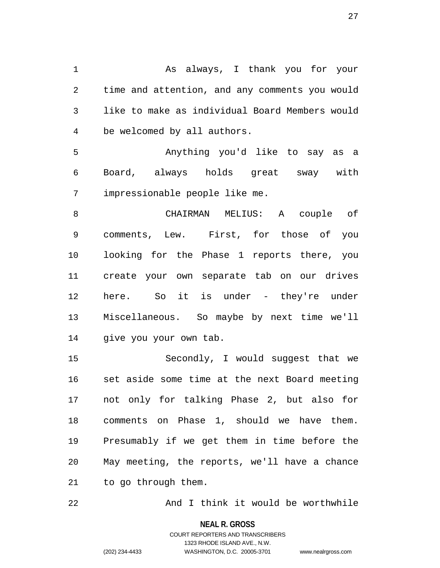1 As always, I thank you for your 2 time and attention, and any comments you would 3 like to make as individual Board Members would 4 be welcomed by all authors.

5 Anything you'd like to say as a 6 Board, always holds great sway with 7 impressionable people like me.

8 CHAIRMAN MELIUS: A couple of 9 comments, Lew. First, for those of you 10 looking for the Phase 1 reports there, you 11 create your own separate tab on our drives 12 here. So it is under - they're under 13 Miscellaneous. So maybe by next time we'll 14 give you your own tab.

15 Secondly, I would suggest that we 16 set aside some time at the next Board meeting 17 not only for talking Phase 2, but also for 18 comments on Phase 1, should we have them. 19 Presumably if we get them in time before the 20 May meeting, the reports, we'll have a chance 21 to go through them.

22 And I think it would be worthwhile

**NEAL R. GROSS**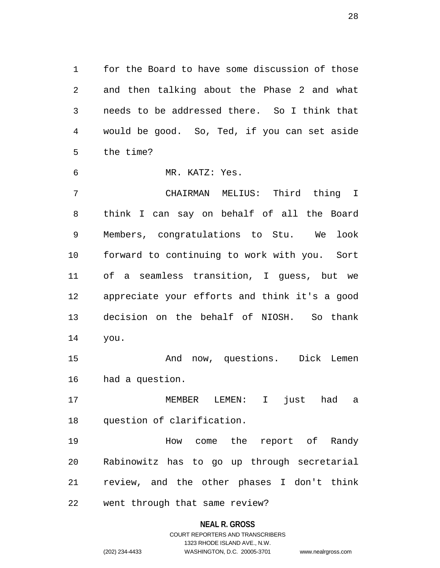1 for the Board to have some discussion of those 2 and then talking about the Phase 2 and what 3 needs to be addressed there. So I think that 4 would be good. So, Ted, if you can set aside 5 the time?

6 MR. KATZ: Yes.

7 CHAIRMAN MELIUS: Third thing I 8 think I can say on behalf of all the Board 9 Members, congratulations to Stu. We look 10 forward to continuing to work with you. Sort 11 of a seamless transition, I guess, but we 12 appreciate your efforts and think it's a good 13 decision on the behalf of NIOSH. So thank 14 you.

15 And now, questions. Dick Lemen 16 had a question.

17 MEMBER LEMEN: I just had a 18 question of clarification.

19 **How come the report of Randy** 20 Rabinowitz has to go up through secretarial 21 review, and the other phases I don't think

22 went through that same review?

#### **NEAL R. GROSS**

COURT REPORTERS AND TRANSCRIBERS 1323 RHODE ISLAND AVE., N.W. (202) 234-4433 WASHINGTON, D.C. 20005-3701 www.nealrgross.com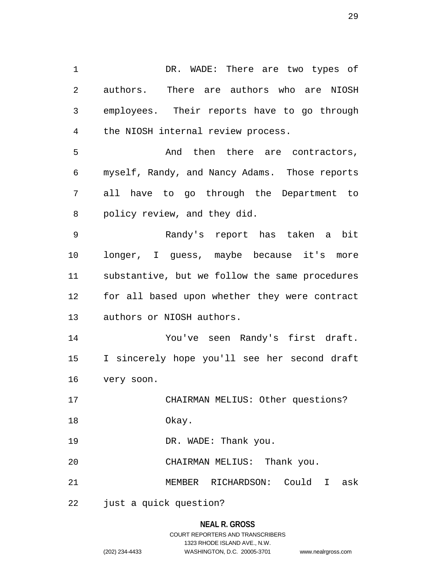1 DR. WADE: There are two types of 2 authors. There are authors who are NIOSH 3 employees. Their reports have to go through 4 the NIOSH internal review process.

5 And then there are contractors, 6 myself, Randy, and Nancy Adams. Those reports 7 all have to go through the Department to 8 policy review, and they did.

9 Randy's report has taken a bit 10 longer, I guess, maybe because it's more 11 substantive, but we follow the same procedures 12 for all based upon whether they were contract 13 authors or NIOSH authors.

14 You've seen Randy's first draft. 15 I sincerely hope you'll see her second draft 16 very soon.

17 CHAIRMAN MELIUS: Other questions?

18 Okay.

19 DR. WADE: Thank you.

20 CHAIRMAN MELIUS: Thank you.

21 MEMBER RICHARDSON: Could I ask

22 just a quick question?

# **NEAL R. GROSS**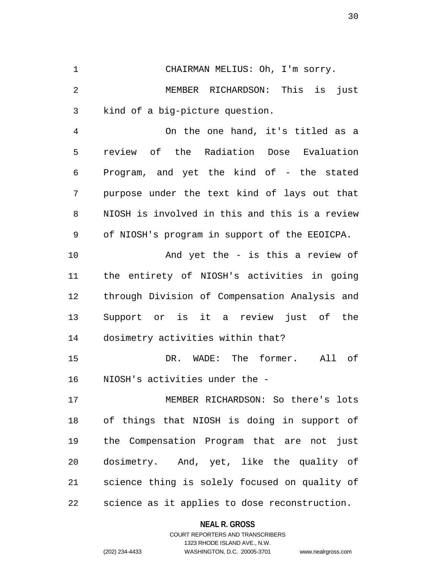1 CHAIRMAN MELIUS: Oh, I'm sorry.

2 MEMBER RICHARDSON: This is just 3 kind of a big-picture question.

4 On the one hand, it's titled as a 5 review of the Radiation Dose Evaluation 6 Program, and yet the kind of - the stated 7 purpose under the text kind of lays out that 8 NIOSH is involved in this and this is a review 9 of NIOSH's program in support of the EEOICPA.

10 And yet the - is this a review of 11 the entirety of NIOSH's activities in going 12 through Division of Compensation Analysis and 13 Support or is it a review just of the 14 dosimetry activities within that?

15 DR. WADE: The former. All of 16 NIOSH's activities under the -

17 MEMBER RICHARDSON: So there's lots 18 of things that NIOSH is doing in support of 19 the Compensation Program that are not just 20 dosimetry. And, yet, like the quality of 21 science thing is solely focused on quality of 22 science as it applies to dose reconstruction.

#### **NEAL R. GROSS**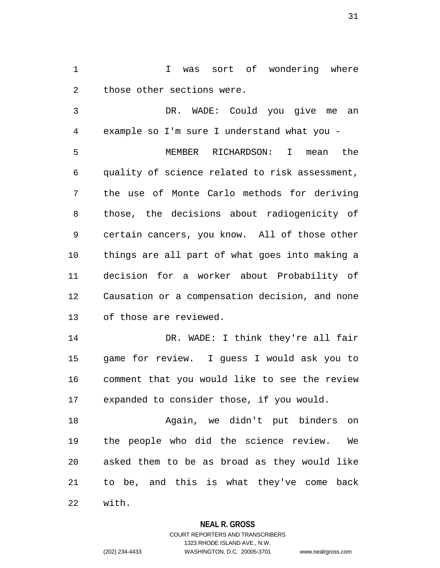1 I was sort of wondering where 2 those other sections were.

3 DR. WADE: Could you give me an 4 example so I'm sure I understand what you - 5 MEMBER RICHARDSON: I mean the 6 quality of science related to risk assessment, 7 the use of Monte Carlo methods for deriving 8 those, the decisions about radiogenicity of 9 certain cancers, you know. All of those other 10 things are all part of what goes into making a 11 decision for a worker about Probability of 12 Causation or a compensation decision, and none 13 of those are reviewed. 14 DR. WADE: I think they're all fair

15 game for review. I guess I would ask you to 16 comment that you would like to see the review 17 expanded to consider those, if you would.

18 Again, we didn't put binders on 19 the people who did the science review. We 20 asked them to be as broad as they would like 21 to be, and this is what they've come back 22 with.

### **NEAL R. GROSS**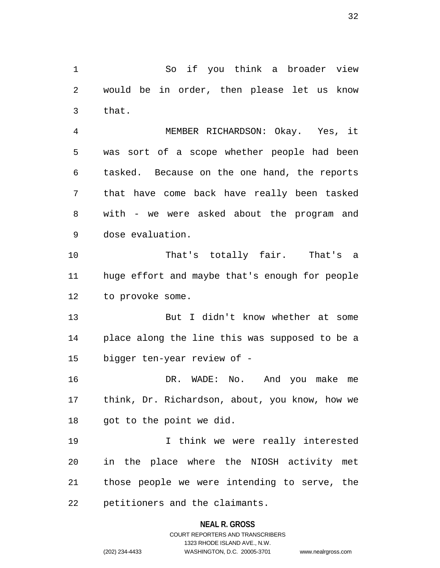1 So if you think a broader view 2 would be in order, then please let us know 3 that.

4 MEMBER RICHARDSON: Okay. Yes, it 5 was sort of a scope whether people had been 6 tasked. Because on the one hand, the reports 7 that have come back have really been tasked 8 with - we were asked about the program and 9 dose evaluation.

10 That's totally fair. That's a 11 huge effort and maybe that's enough for people 12 to provoke some.

13 But I didn't know whether at some 14 place along the line this was supposed to be a 15 bigger ten-year review of -

16 DR. WADE: No. And you make me 17 think, Dr. Richardson, about, you know, how we 18 got to the point we did.

19 I think we were really interested 20 in the place where the NIOSH activity met 21 those people we were intending to serve, the 22 petitioners and the claimants.

#### **NEAL R. GROSS**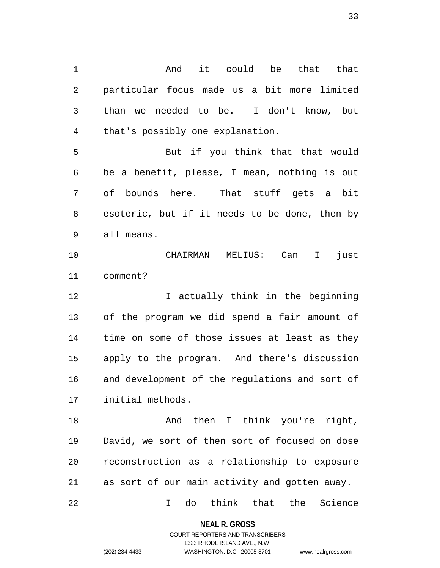1 and it could be that that 2 particular focus made us a bit more limited 3 than we needed to be. I don't know, but 4 that's possibly one explanation.

5 But if you think that that would 6 be a benefit, please, I mean, nothing is out 7 of bounds here. That stuff gets a bit 8 esoteric, but if it needs to be done, then by 9 all means.

10 CHAIRMAN MELIUS: Can I just 11 comment?

12 I actually think in the beginning 13 of the program we did spend a fair amount of 14 time on some of those issues at least as they 15 apply to the program. And there's discussion 16 and development of the regulations and sort of 17 initial methods.

18 And then I think you're right, 19 David, we sort of then sort of focused on dose 20 reconstruction as a relationship to exposure 21 as sort of our main activity and gotten away.

22 I do think that the Science

**NEAL R. GROSS** COURT REPORTERS AND TRANSCRIBERS

1323 RHODE ISLAND AVE., N.W.

(202) 234-4433 WASHINGTON, D.C. 20005-3701 www.nealrgross.com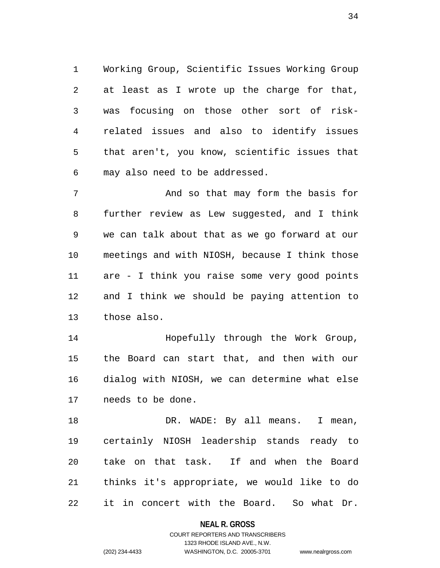1 Working Group, Scientific Issues Working Group 2 at least as I wrote up the charge for that, 3 was focusing on those other sort of risk-4 related issues and also to identify issues 5 that aren't, you know, scientific issues that 6 may also need to be addressed.

7 And so that may form the basis for 8 further review as Lew suggested, and I think 9 we can talk about that as we go forward at our 10 meetings and with NIOSH, because I think those 11 are - I think you raise some very good points 12 and I think we should be paying attention to 13 those also.

14 Hopefully through the Work Group, 15 the Board can start that, and then with our 16 dialog with NIOSH, we can determine what else 17 needs to be done.

18 DR. WADE: By all means. I mean, 19 certainly NIOSH leadership stands ready to 20 take on that task. If and when the Board 21 thinks it's appropriate, we would like to do 22 it in concert with the Board. So what Dr.

**NEAL R. GROSS**

COURT REPORTERS AND TRANSCRIBERS 1323 RHODE ISLAND AVE., N.W. (202) 234-4433 WASHINGTON, D.C. 20005-3701 www.nealrgross.com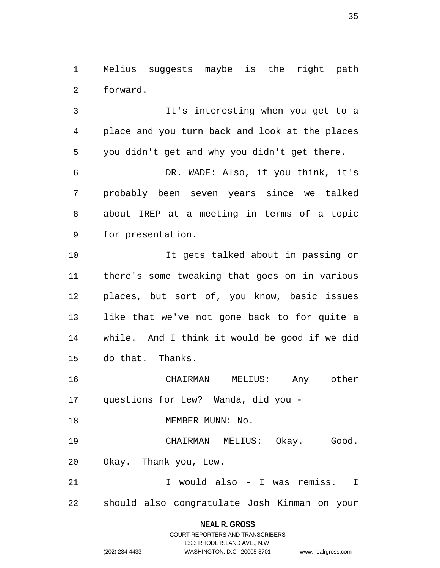1 Melius suggests maybe is the right path 2 forward.

3 It's interesting when you get to a 4 place and you turn back and look at the places 5 you didn't get and why you didn't get there. 6 DR. WADE: Also, if you think, it's 7 probably been seven years since we talked 8 about IREP at a meeting in terms of a topic 9 for presentation.

10 It gets talked about in passing or 11 there's some tweaking that goes on in various 12 places, but sort of, you know, basic issues 13 like that we've not gone back to for quite a 14 while. And I think it would be good if we did 15 do that. Thanks.

16 CHAIRMAN MELIUS: Any other 17 questions for Lew? Wanda, did you -

18 MEMBER MUNN: No.

19 CHAIRMAN MELIUS: Okay. Good. 20 Okay. Thank you, Lew.

21 I would also - I was remiss. I 22 should also congratulate Josh Kinman on your

#### **NEAL R. GROSS**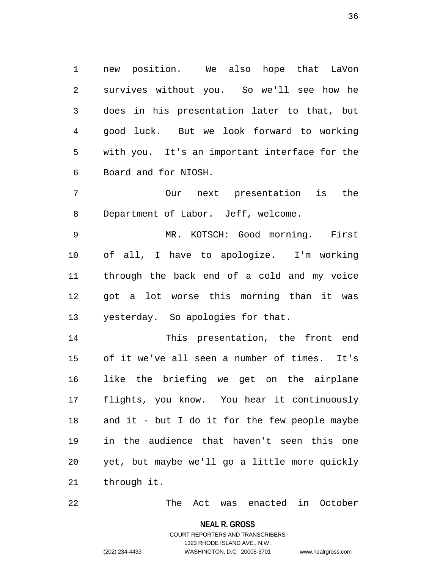1 new position. We also hope that LaVon 2 survives without you. So we'll see how he 3 does in his presentation later to that, but 4 good luck. But we look forward to working 5 with you. It's an important interface for the 6 Board and for NIOSH.

7 Our next presentation is the 8 Department of Labor. Jeff, welcome.

9 MR. KOTSCH: Good morning. First 10 of all, I have to apologize. I'm working 11 through the back end of a cold and my voice 12 got a lot worse this morning than it was 13 yesterday. So apologies for that.

14 This presentation, the front end 15 of it we've all seen a number of times. It's 16 like the briefing we get on the airplane 17 flights, you know. You hear it continuously 18 and it - but I do it for the few people maybe 19 in the audience that haven't seen this one 20 yet, but maybe we'll go a little more quickly 21 through it.

22 The Act was enacted in October

**NEAL R. GROSS**

## COURT REPORTERS AND TRANSCRIBERS 1323 RHODE ISLAND AVE., N.W. (202) 234-4433 WASHINGTON, D.C. 20005-3701 www.nealrgross.com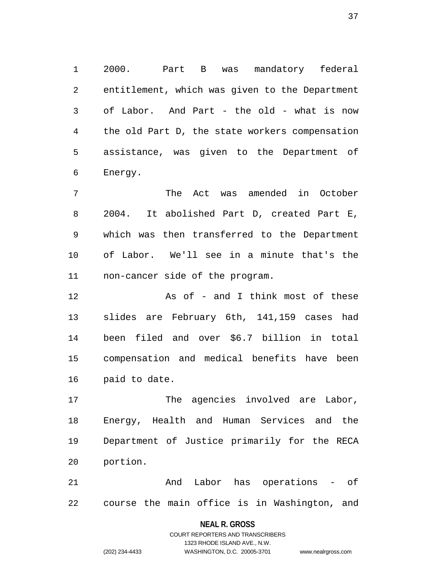1 2000. Part B was mandatory federal 2 entitlement, which was given to the Department 3 of Labor. And Part - the old - what is now 4 the old Part D, the state workers compensation 5 assistance, was given to the Department of 6 Energy.

7 The Act was amended in October 8 2004. It abolished Part D, created Part E, 9 which was then transferred to the Department 10 of Labor. We'll see in a minute that's the 11 non-cancer side of the program.

12 As of - and I think most of these 13 slides are February 6th, 141,159 cases had 14 been filed and over \$6.7 billion in total 15 compensation and medical benefits have been 16 paid to date.

17 The agencies involved are Labor, 18 Energy, Health and Human Services and the 19 Department of Justice primarily for the RECA 20 portion.

21 And Labor has operations - of 22 course the main office is in Washington, and

### **NEAL R. GROSS**

COURT REPORTERS AND TRANSCRIBERS 1323 RHODE ISLAND AVE., N.W. (202) 234-4433 WASHINGTON, D.C. 20005-3701 www.nealrgross.com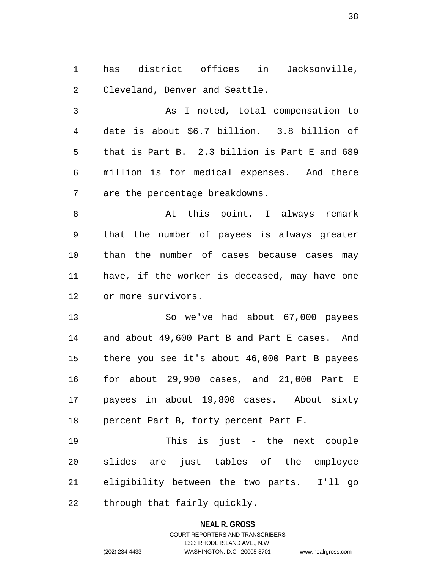1 has district offices in Jacksonville, 2 Cleveland, Denver and Seattle.

3 As I noted, total compensation to 4 date is about \$6.7 billion. 3.8 billion of 5 that is Part B. 2.3 billion is Part E and 689 6 million is for medical expenses. And there 7 are the percentage breakdowns.

8 At this point, I always remark 9 that the number of payees is always greater 10 than the number of cases because cases may 11 have, if the worker is deceased, may have one 12 or more survivors.

13 So we've had about 67,000 payees 14 and about 49,600 Part B and Part E cases. And 15 there you see it's about 46,000 Part B payees 16 for about 29,900 cases, and 21,000 Part E 17 payees in about 19,800 cases. About sixty 18 percent Part B, forty percent Part E.

19 This is just - the next couple 20 slides are just tables of the employee 21 eligibility between the two parts. I'll go 22 through that fairly quickly.

### **NEAL R. GROSS**

## COURT REPORTERS AND TRANSCRIBERS 1323 RHODE ISLAND AVE., N.W. (202) 234-4433 WASHINGTON, D.C. 20005-3701 www.nealrgross.com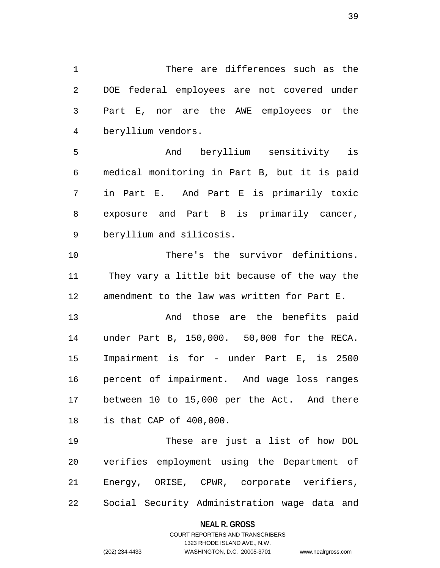1 There are differences such as the 2 DOE federal employees are not covered under 3 Part E, nor are the AWE employees or the 4 beryllium vendors.

5 And beryllium sensitivity is 6 medical monitoring in Part B, but it is paid 7 in Part E. And Part E is primarily toxic 8 exposure and Part B is primarily cancer, 9 beryllium and silicosis.

10 There's the survivor definitions. 11 They vary a little bit because of the way the 12 amendment to the law was written for Part E.

13 And those are the benefits paid 14 under Part B, 150,000. 50,000 for the RECA. 15 Impairment is for - under Part E, is 2500 16 percent of impairment. And wage loss ranges 17 between 10 to 15,000 per the Act. And there 18 is that CAP of 400,000.

19 These are just a list of how DOL 20 verifies employment using the Department of 21 Energy, ORISE, CPWR, corporate verifiers, 22 Social Security Administration wage data and

### **NEAL R. GROSS**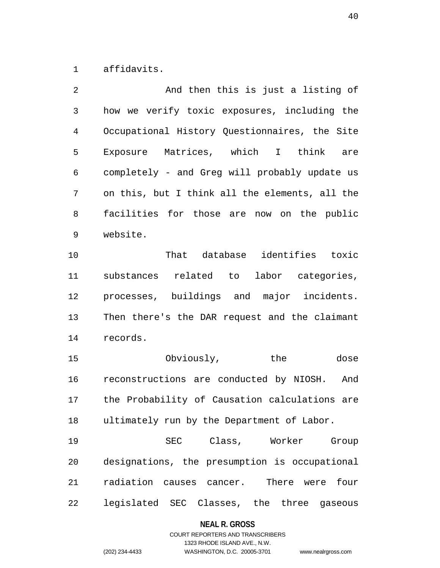1 affidavits.

| $\mathfrak{D}$ | And then this is just a listing of             |
|----------------|------------------------------------------------|
| 3              | how we verify toxic exposures, including the   |
| 4              | Occupational History Questionnaires, the Site  |
| 5              | Exposure Matrices, which I think are           |
| 6              | completely - and Greg will probably update us  |
| 7              | on this, but I think all the elements, all the |
| 8              | facilities for those are now on the public     |
| 9              | website.                                       |

10 That database identifies toxic 11 substances related to labor categories, 12 processes, buildings and major incidents. 13 Then there's the DAR request and the claimant 14 records.

15 Obviously, the dose 16 reconstructions are conducted by NIOSH. And 17 the Probability of Causation calculations are 18 ultimately run by the Department of Labor.

19 SEC Class, Worker Group 20 designations, the presumption is occupational 21 radiation causes cancer. There were four 22 legislated SEC Classes, the three gaseous

### **NEAL R. GROSS**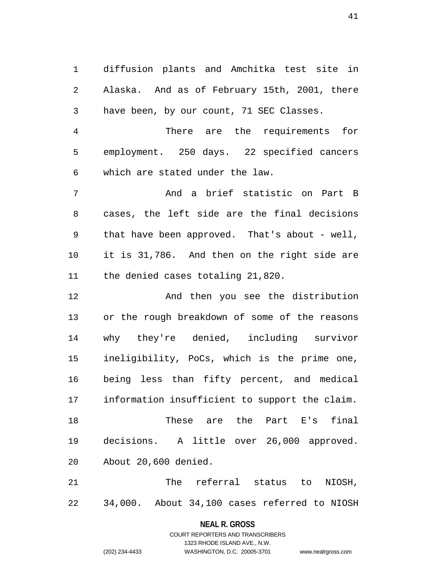1 diffusion plants and Amchitka test site in 2 Alaska. And as of February 15th, 2001, there 3 have been, by our count, 71 SEC Classes.

4 There are the requirements for 5 employment. 250 days. 22 specified cancers 6 which are stated under the law.

7 And a brief statistic on Part B 8 cases, the left side are the final decisions 9 that have been approved. That's about - well, 10 it is 31,786. And then on the right side are 11 the denied cases totaling 21,820.

12 And then you see the distribution 13 or the rough breakdown of some of the reasons 14 why they're denied, including survivor 15 ineligibility, PoCs, which is the prime one, 16 being less than fifty percent, and medical 17 information insufficient to support the claim. 18 These are the Part E's final 19 decisions. A little over 26,000 approved. 20 About 20,600 denied.

21 The referral status to NIOSH, 22 34,000. About 34,100 cases referred to NIOSH

> **NEAL R. GROSS** COURT REPORTERS AND TRANSCRIBERS

> > 1323 RHODE ISLAND AVE., N.W.

(202) 234-4433 WASHINGTON, D.C. 20005-3701 www.nealrgross.com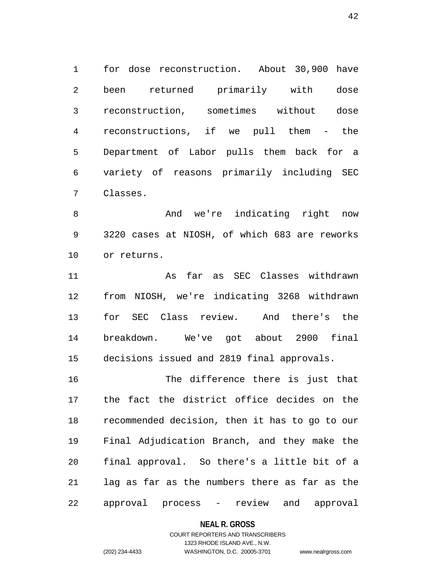1 for dose reconstruction. About 30,900 have 2 been returned primarily with dose 3 reconstruction, sometimes without dose 4 reconstructions, if we pull them - the 5 Department of Labor pulls them back for a 6 variety of reasons primarily including SEC 7 Classes.

8 And we're indicating right now 9 3220 cases at NIOSH, of which 683 are reworks 10 or returns.

11 As far as SEC Classes withdrawn 12 from NIOSH, we're indicating 3268 withdrawn 13 for SEC Class review. And there's the 14 breakdown. We've got about 2900 final 15 decisions issued and 2819 final approvals.

16 The difference there is just that 17 the fact the district office decides on the 18 recommended decision, then it has to go to our 19 Final Adjudication Branch, and they make the 20 final approval. So there's a little bit of a 21 lag as far as the numbers there as far as the 22 approval process - review and approval

**NEAL R. GROSS**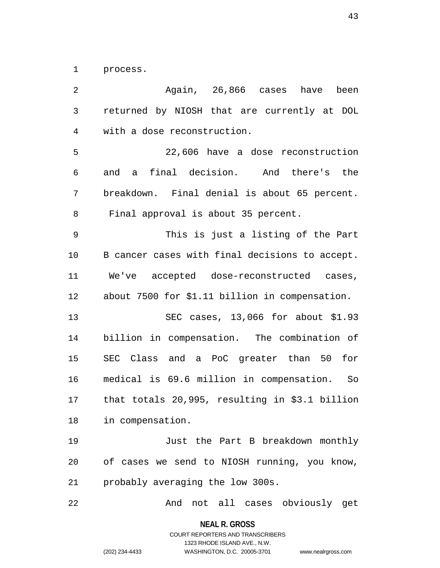1 process.

2 Again, 26,866 cases have been 3 returned by NIOSH that are currently at DOL 4 with a dose reconstruction. 5 22,606 have a dose reconstruction 6 and a final decision. And there's the 7 breakdown. Final denial is about 65 percent. 8 Final approval is about 35 percent. 9 This is just a listing of the Part 10 B cancer cases with final decisions to accept. 11 We've accepted dose-reconstructed cases, 12 about 7500 for \$1.11 billion in compensation. 13 SEC cases, 13,066 for about \$1.93 14 billion in compensation. The combination of 15 SEC Class and a PoC greater than 50 for 16 medical is 69.6 million in compensation. So 17 that totals 20,995, resulting in \$3.1 billion 18 in compensation. 19 Just the Part B breakdown monthly 20 of cases we send to NIOSH running, you know, 21 probably averaging the low 300s. 22 And not all cases obviously get

**NEAL R. GROSS**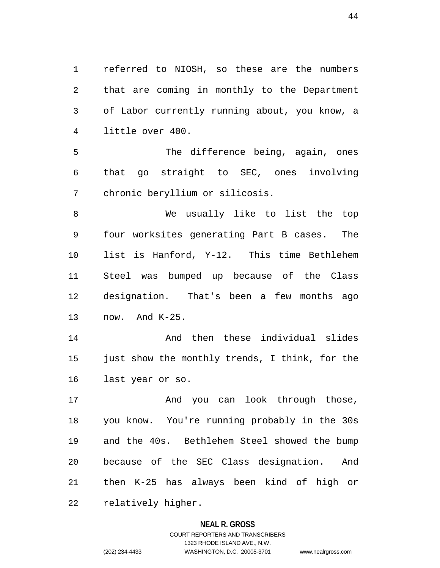1 referred to NIOSH, so these are the numbers 2 that are coming in monthly to the Department 3 of Labor currently running about, you know, a 4 little over 400.

5 The difference being, again, ones 6 that go straight to SEC, ones involving 7 chronic beryllium or silicosis.

8 We usually like to list the top 9 four worksites generating Part B cases. The 10 list is Hanford, Y-12. This time Bethlehem 11 Steel was bumped up because of the Class 12 designation. That's been a few months ago 13 now. And K-25.

14 And then these individual slides 15 just show the monthly trends, I think, for the 16 last year or so.

17 And you can look through those, 18 you know. You're running probably in the 30s 19 and the 40s. Bethlehem Steel showed the bump 20 because of the SEC Class designation. And 21 then K-25 has always been kind of high or 22 relatively higher.

### **NEAL R. GROSS**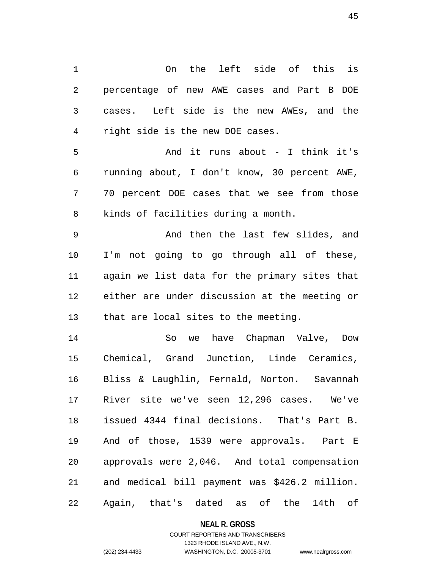1 On the left side of this is 2 percentage of new AWE cases and Part B DOE 3 cases. Left side is the new AWEs, and the 4 right side is the new DOE cases.

5 And it runs about - I think it's 6 running about, I don't know, 30 percent AWE, 7 70 percent DOE cases that we see from those 8 kinds of facilities during a month.

9 And then the last few slides, and 10 I'm not going to go through all of these, 11 again we list data for the primary sites that 12 either are under discussion at the meeting or 13 that are local sites to the meeting.

14 So we have Chapman Valve, Dow 15 Chemical, Grand Junction, Linde Ceramics, 16 Bliss & Laughlin, Fernald, Norton. Savannah 17 River site we've seen 12,296 cases. We've 18 issued 4344 final decisions. That's Part B. 19 And of those, 1539 were approvals. Part E 20 approvals were 2,046. And total compensation 21 and medical bill payment was \$426.2 million. 22 Again, that's dated as of the 14th of

### **NEAL R. GROSS**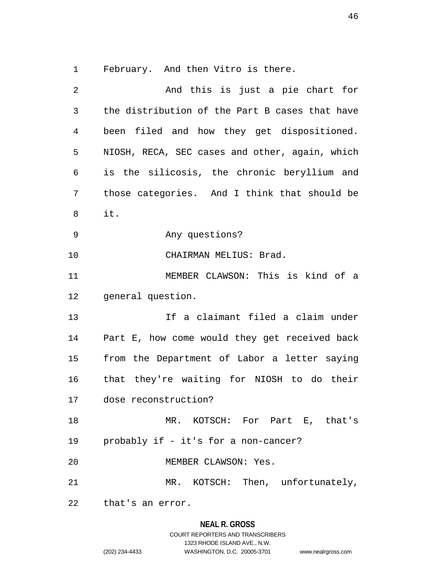1 February. And then Vitro is there.

2 And this is just a pie chart for 3 the distribution of the Part B cases that have 4 been filed and how they get dispositioned. 5 NIOSH, RECA, SEC cases and other, again, which 6 is the silicosis, the chronic beryllium and 7 those categories. And I think that should be 8 it. 9 Any questions? 10 CHAIRMAN MELIUS: Brad. 11 MEMBER CLAWSON: This is kind of a 12 general question. 13 If a claimant filed a claim under 14 Part E, how come would they get received back 15 from the Department of Labor a letter saying 16 that they're waiting for NIOSH to do their 17 dose reconstruction? 18 MR. KOTSCH: For Part E, that's 19 probably if - it's for a non-cancer? 20 MEMBER CLAWSON: Yes. 21 MR. KOTSCH: Then, unfortunately, 22 that's an error.

### **NEAL R. GROSS**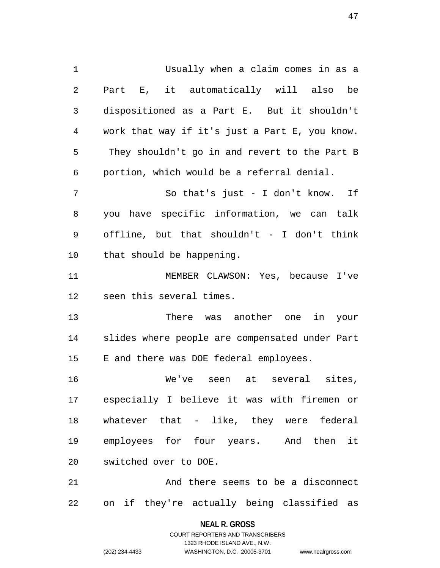1 Usually when a claim comes in as a 2 Part E, it automatically will also be 3 dispositioned as a Part E. But it shouldn't 4 work that way if it's just a Part E, you know. 5 They shouldn't go in and revert to the Part B 6 portion, which would be a referral denial. 7 So that's just - I don't know. If 8 you have specific information, we can talk 9 offline, but that shouldn't - I don't think 10 that should be happening. 11 MEMBER CLAWSON: Yes, because I've 12 seen this several times. 13 There was another one in your 14 slides where people are compensated under Part 15 E and there was DOE federal employees. 16 We've seen at several sites, 17 especially I believe it was with firemen or 18 whatever that - like, they were federal 19 employees for four years. And then it 20 switched over to DOE. 21 And there seems to be a disconnect

22 on if they're actually being classified as

**NEAL R. GROSS** COURT REPORTERS AND TRANSCRIBERS

1323 RHODE ISLAND AVE., N.W.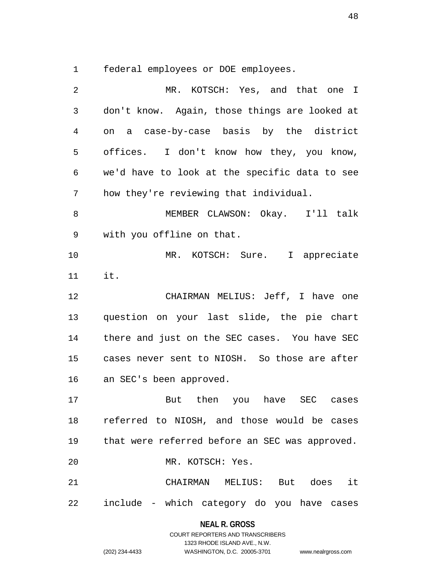1 federal employees or DOE employees.

| 2              | MR. KOTSCH: Yes, and that one I                   |
|----------------|---------------------------------------------------|
| $\mathfrak{Z}$ | don't know. Again, those things are looked at     |
| 4              | on a case-by-case basis by the district           |
| 5              | offices. I don't know how they, you know,         |
| 6              | we'd have to look at the specific data to see     |
| 7              | how they're reviewing that individual.            |
| 8              | MEMBER CLAWSON: Okay. I'll talk                   |
| 9              | with you offline on that.                         |
| 10             | MR. KOTSCH: Sure. I appreciate                    |
| 11             | it.                                               |
| 12             | CHAIRMAN MELIUS: Jeff, I have one                 |
| 13             | question on your last slide, the pie chart        |
| 14             | there and just on the SEC cases. You have SEC     |
| 15             | cases never sent to NIOSH. So those are after     |
| 16             | an SEC's been approved.                           |
| 17             | But then you have SEC cases                       |
|                | 18 referred to NIOSH, and those would be cases    |
|                | 19 that were referred before an SEC was approved. |
| 20             | MR. KOTSCH: Yes.                                  |
| 21             | CHAIRMAN MELIUS: But does it                      |
|                | 22 include - which category do you have cases     |

**NEAL R. GROSS** COURT REPORTERS AND TRANSCRIBERS

1323 RHODE ISLAND AVE., N.W.

(202) 234-4433 WASHINGTON, D.C. 20005-3701 www.nealrgross.com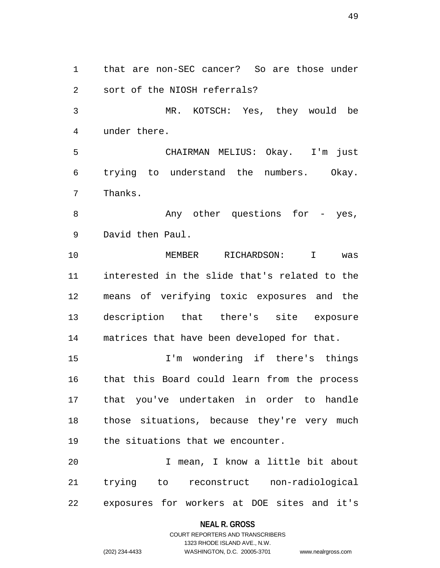1 that are non-SEC cancer? So are those under 2 sort of the NIOSH referrals? 3 MR. KOTSCH: Yes, they would be 4 under there. 5 CHAIRMAN MELIUS: Okay. I'm just 6 trying to understand the numbers. Okay. 7 Thanks. 8 Any other questions for - yes, 9 David then Paul. 10 MEMBER RICHARDSON: I was 11 interested in the slide that's related to the 12 means of verifying toxic exposures and the 13 description that there's site exposure 14 matrices that have been developed for that. 15 I'm wondering if there's things 16 that this Board could learn from the process 17 that you've undertaken in order to handle 18 those situations, because they're very much 19 the situations that we encounter. 20 I mean, I know a little bit about

21 trying to reconstruct non-radiological 22 exposures for workers at DOE sites and it's

### **NEAL R. GROSS**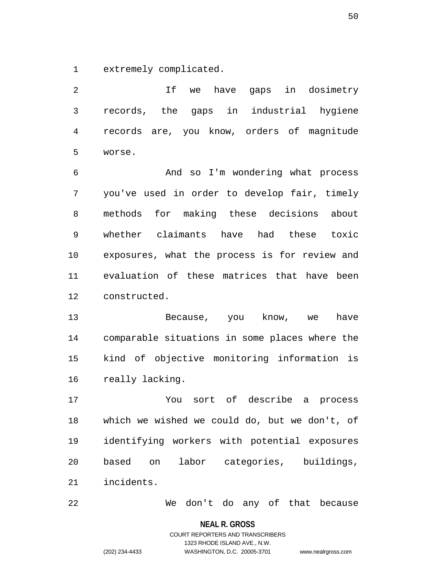1 extremely complicated.

2 If we have gaps in dosimetry 3 records, the gaps in industrial hygiene 4 records are, you know, orders of magnitude 5 worse.

6 And so I'm wondering what process 7 you've used in order to develop fair, timely 8 methods for making these decisions about 9 whether claimants have had these toxic 10 exposures, what the process is for review and 11 evaluation of these matrices that have been 12 constructed.

13 Because, you know, we have 14 comparable situations in some places where the 15 kind of objective monitoring information is 16 really lacking.

17 You sort of describe a process 18 which we wished we could do, but we don't, of 19 identifying workers with potential exposures 20 based on labor categories, buildings, 21 incidents.

22 We don't do any of that because

**NEAL R. GROSS** COURT REPORTERS AND TRANSCRIBERS

1323 RHODE ISLAND AVE., N.W.

(202) 234-4433 WASHINGTON, D.C. 20005-3701 www.nealrgross.com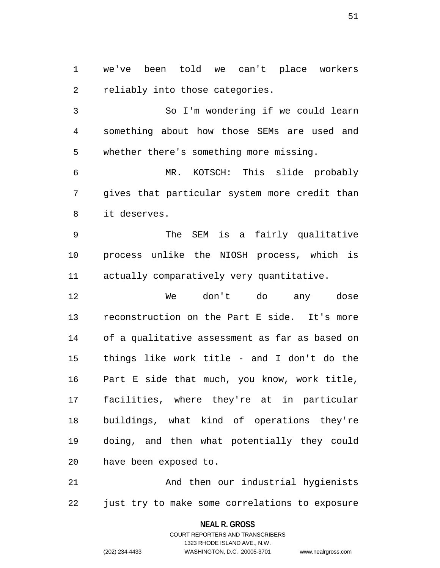1 we've been told we can't place workers 2 reliably into those categories.

3 So I'm wondering if we could learn 4 something about how those SEMs are used and 5 whether there's something more missing.

6 MR. KOTSCH: This slide probably 7 gives that particular system more credit than 8 it deserves.

9 The SEM is a fairly qualitative 10 process unlike the NIOSH process, which is 11 actually comparatively very quantitative.

12 We don't do any dose 13 reconstruction on the Part E side. It's more 14 of a qualitative assessment as far as based on 15 things like work title - and I don't do the 16 Part E side that much, you know, work title, 17 facilities, where they're at in particular 18 buildings, what kind of operations they're 19 doing, and then what potentially they could 20 have been exposed to.

21 And then our industrial hygienists 22 just try to make some correlations to exposure

**NEAL R. GROSS**

COURT REPORTERS AND TRANSCRIBERS 1323 RHODE ISLAND AVE., N.W. (202) 234-4433 WASHINGTON, D.C. 20005-3701 www.nealrgross.com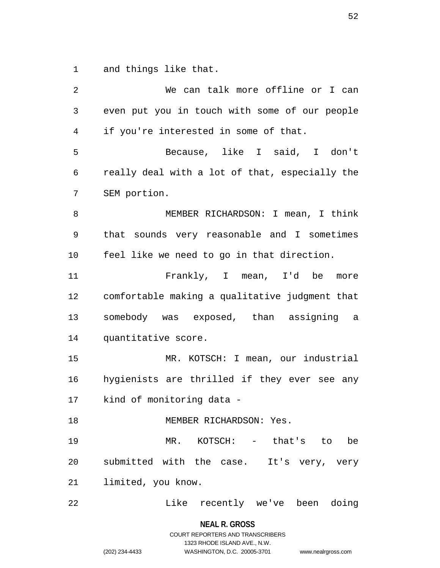1 and things like that.

2 We can talk more offline or I can 3 even put you in touch with some of our people 4 if you're interested in some of that. 5 Because, like I said, I don't 6 really deal with a lot of that, especially the 7 SEM portion. 8 MEMBER RICHARDSON: I mean, I think 9 that sounds very reasonable and I sometimes 10 feel like we need to go in that direction. 11 Frankly, I mean, I'd be more 12 comfortable making a qualitative judgment that 13 somebody was exposed, than assigning a 14 quantitative score. 15 MR. KOTSCH: I mean, our industrial 16 hygienists are thrilled if they ever see any 17 kind of monitoring data - 18 MEMBER RICHARDSON: Yes. 19 MR. KOTSCH: - that's to be 20 submitted with the case. It's very, very 21 limited, you know. 22 Like recently we've been doing

**NEAL R. GROSS**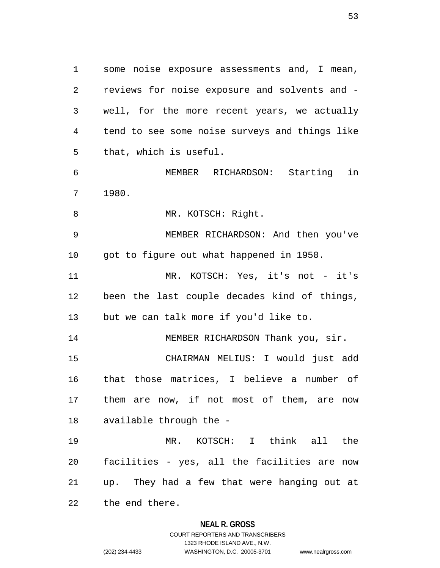1 some noise exposure assessments and, I mean, 2 reviews for noise exposure and solvents and - 3 well, for the more recent years, we actually 4 tend to see some noise surveys and things like 5 that, which is useful.

6 MEMBER RICHARDSON: Starting in 7 1980.

8 MR. KOTSCH: Right.

9 MEMBER RICHARDSON: And then you've 10 got to figure out what happened in 1950.

11 MR. KOTSCH: Yes, it's not - it's 12 been the last couple decades kind of things, 13 but we can talk more if you'd like to.

14 MEMBER RICHARDSON Thank you, sir. 15 CHAIRMAN MELIUS: I would just add 16 that those matrices, I believe a number of 17 them are now, if not most of them, are now 18 available through the -

19 MR. KOTSCH: I think all the 20 facilities - yes, all the facilities are now 21 up. They had a few that were hanging out at 22 the end there.

### **NEAL R. GROSS**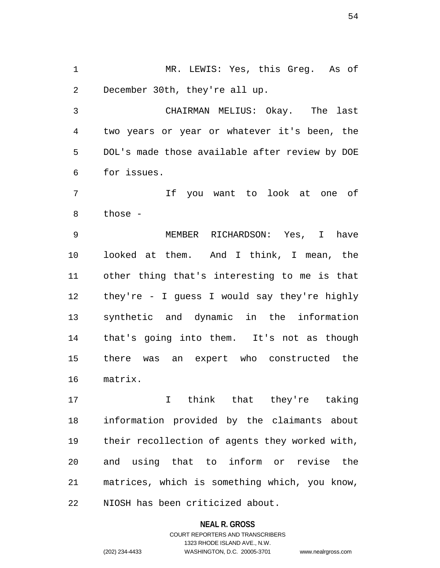1 MR. LEWIS: Yes, this Greg. As of 2 December 30th, they're all up.

3 CHAIRMAN MELIUS: Okay. The last 4 two years or year or whatever it's been, the 5 DOL's made those available after review by DOE 6 for issues.

7 If you want to look at one of 8 those -

9 MEMBER RICHARDSON: Yes, I have 10 looked at them. And I think, I mean, the 11 other thing that's interesting to me is that 12 they're - I guess I would say they're highly 13 synthetic and dynamic in the information 14 that's going into them. It's not as though 15 there was an expert who constructed the 16 matrix.

17 I think that they're taking 18 information provided by the claimants about 19 their recollection of agents they worked with, 20 and using that to inform or revise the 21 matrices, which is something which, you know, 22 NIOSH has been criticized about.

#### **NEAL R. GROSS**

COURT REPORTERS AND TRANSCRIBERS 1323 RHODE ISLAND AVE., N.W. (202) 234-4433 WASHINGTON, D.C. 20005-3701 www.nealrgross.com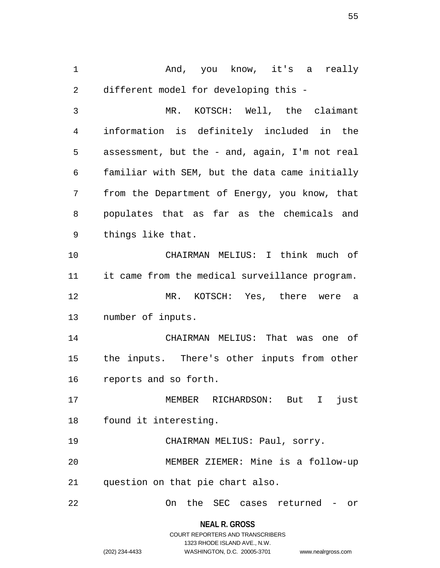1 And, you know, it's a really 2 different model for developing this -

3 MR. KOTSCH: Well, the claimant 4 information is definitely included in the 5 assessment, but the - and, again, I'm not real 6 familiar with SEM, but the data came initially 7 from the Department of Energy, you know, that 8 populates that as far as the chemicals and 9 things like that.

10 CHAIRMAN MELIUS: I think much of 11 it came from the medical surveillance program. 12 MR. KOTSCH: Yes, there were a 13 number of inputs.

14 CHAIRMAN MELIUS: That was one of 15 the inputs. There's other inputs from other 16 reports and so forth.

17 MEMBER RICHARDSON: But I just 18 found it interesting.

19 CHAIRMAN MELIUS: Paul, sorry.

20 MEMBER ZIEMER: Mine is a follow-up 21 question on that pie chart also.

22 On the SEC cases returned - or

**NEAL R. GROSS**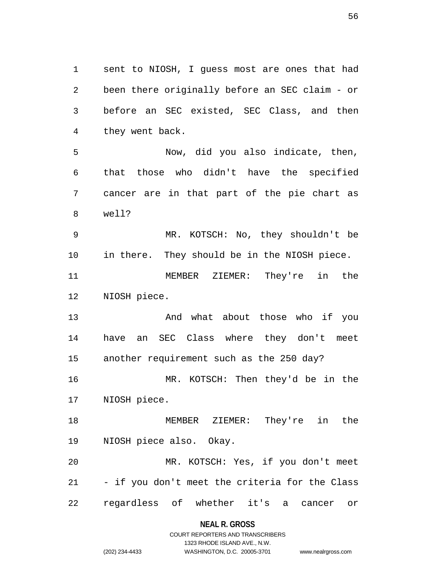1 sent to NIOSH, I guess most are ones that had 2 been there originally before an SEC claim - or 3 before an SEC existed, SEC Class, and then 4 they went back.

5 Now, did you also indicate, then, 6 that those who didn't have the specified 7 cancer are in that part of the pie chart as 8 well?

9 MR. KOTSCH: No, they shouldn't be 10 in there. They should be in the NIOSH piece.

11 MEMBER ZIEMER: They're in the 12 NIOSH piece.

13 And what about those who if you 14 have an SEC Class where they don't meet 15 another requirement such as the 250 day?

16 MR. KOTSCH: Then they'd be in the 17 NIOSH piece.

18 MEMBER ZIEMER: They're in the 19 NIOSH piece also. Okay.

20 MR. KOTSCH: Yes, if you don't meet 21 - if you don't meet the criteria for the Class 22 regardless of whether it's a cancer or

**NEAL R. GROSS**

## COURT REPORTERS AND TRANSCRIBERS 1323 RHODE ISLAND AVE., N.W. (202) 234-4433 WASHINGTON, D.C. 20005-3701 www.nealrgross.com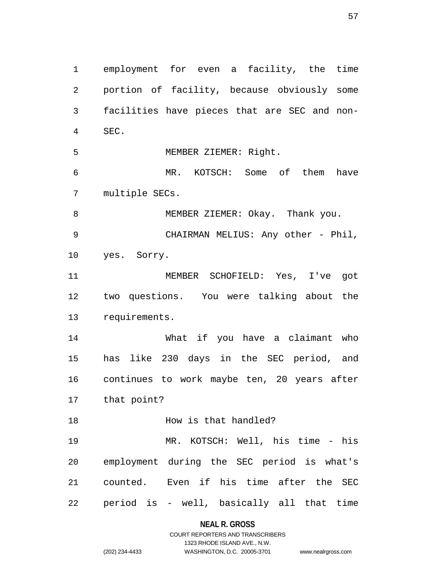1 employment for even a facility, the time 2 portion of facility, because obviously some 3 facilities have pieces that are SEC and non-4 SEC. 5 MEMBER ZIEMER: Right. 6 MR. KOTSCH: Some of them have 7 multiple SECs. 8 MEMBER ZIEMER: Okay. Thank you. 9 CHAIRMAN MELIUS: Any other - Phil, 10 yes. Sorry. 11 MEMBER SCHOFIELD: Yes, I've got 12 two questions. You were talking about the 13 requirements. 14 What if you have a claimant who 15 has like 230 days in the SEC period, and 16 continues to work maybe ten, 20 years after 17 that point? 18 **How is that handled?** 19 MR. KOTSCH: Well, his time - his 20 employment during the SEC period is what's 21 counted. Even if his time after the SEC 22 period is - well, basically all that time

> **NEAL R. GROSS** COURT REPORTERS AND TRANSCRIBERS

1323 RHODE ISLAND AVE., N.W. (202) 234-4433 WASHINGTON, D.C. 20005-3701 www.nealrgross.com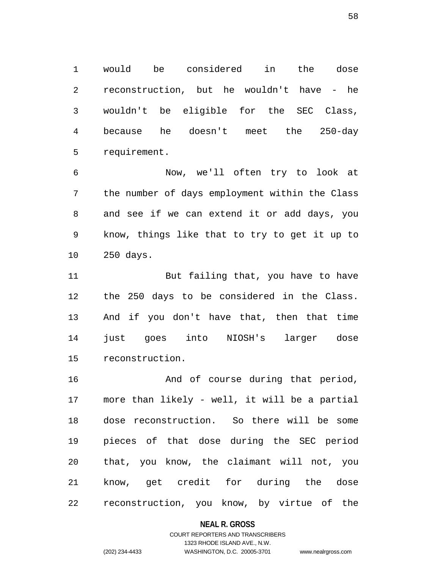1 would be considered in the dose 2 reconstruction, but he wouldn't have - he 3 wouldn't be eligible for the SEC Class, 4 because he doesn't meet the 250-day 5 requirement.

6 Now, we'll often try to look at 7 the number of days employment within the Class 8 and see if we can extend it or add days, you 9 know, things like that to try to get it up to 10 250 days.

11 But failing that, you have to have 12 the 250 days to be considered in the Class. 13 And if you don't have that, then that time 14 just goes into NIOSH's larger dose 15 reconstruction.

16 **And of course during that period,** 17 more than likely - well, it will be a partial 18 dose reconstruction. So there will be some 19 pieces of that dose during the SEC period 20 that, you know, the claimant will not, you 21 know, get credit for during the dose 22 reconstruction, you know, by virtue of the

**NEAL R. GROSS**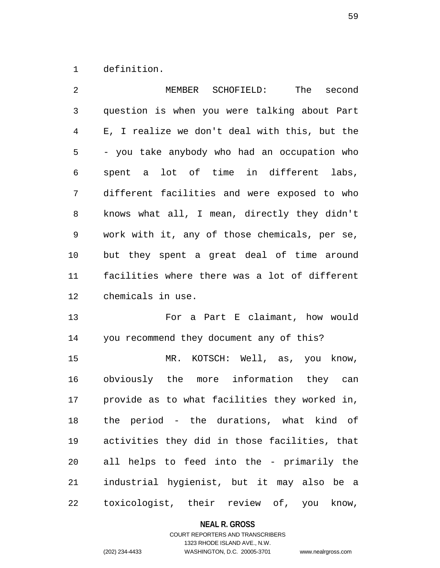1 definition.

| 2            | MEMBER SCHOFIELD:<br>The second               |
|--------------|-----------------------------------------------|
| $\mathsf{3}$ | question is when you were talking about Part  |
| 4            | E, I realize we don't deal with this, but the |
| 5            | - you take anybody who had an occupation who  |
| 6            | spent a lot of time in different labs,        |
| 7            | different facilities and were exposed to who  |
| 8            | knows what all, I mean, directly they didn't  |
| 9            | work with it, any of those chemicals, per se, |
| 10           | but they spent a great deal of time around    |
| 11           | facilities where there was a lot of different |
| 12           | chemicals in use.                             |
| 13           | For a Part E claimant, how would              |
| 14           | you recommend they document any of this?      |
| 15           | MR. KOTSCH: Well, as, you know,               |
| 16           | obviously the more information they can       |
| 17           | provide as to what facilities they worked in, |
| 18           | the period - the durations, what kind of      |
| 19           | activities they did in those facilities, that |
| 20           | all helps to feed into the - primarily the    |
| 21           | industrial hygienist, but it may also be a    |
| 22           | toxicologist, their review of, you know,      |

# **NEAL R. GROSS**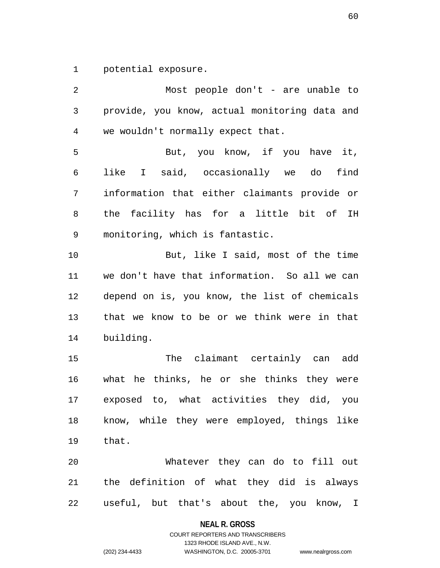1 potential exposure.

2 Most people don't - are unable to 3 provide, you know, actual monitoring data and 4 we wouldn't normally expect that. 5 But, you know, if you have it, 6 like I said, occasionally we do find 7 information that either claimants provide or 8 the facility has for a little bit of IH 9 monitoring, which is fantastic. 10 But, like I said, most of the time 11 we don't have that information. So all we can 12 depend on is, you know, the list of chemicals 13 that we know to be or we think were in that 14 building. 15 The claimant certainly can add 16 what he thinks, he or she thinks they were 17 exposed to, what activities they did, you 18 know, while they were employed, things like 19 that. 20 Whatever they can do to fill out 21 the definition of what they did is always 22 useful, but that's about the, you know, I

**NEAL R. GROSS**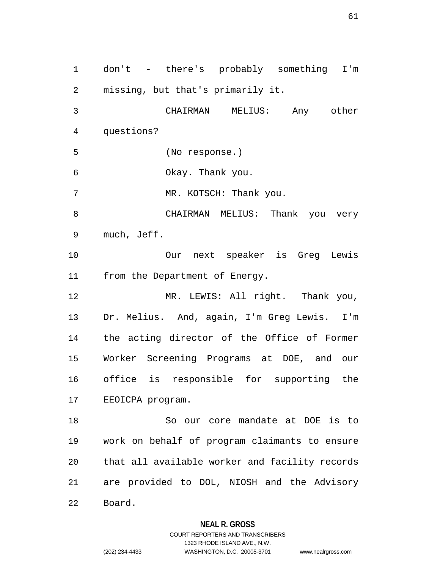1 don't - there's probably something I'm 2 missing, but that's primarily it. 3 CHAIRMAN MELIUS: Any other 4 questions? 5 (No response.) 6 Okay. Thank you. 7 MR. KOTSCH: Thank you. 8 CHAIRMAN MELIUS: Thank you very 9 much, Jeff. 10 Our next speaker is Greg Lewis 11 from the Department of Energy. 12 MR. LEWIS: All right. Thank you, 13 Dr. Melius. And, again, I'm Greg Lewis. I'm 14 the acting director of the Office of Former 15 Worker Screening Programs at DOE, and our 16 office is responsible for supporting the 17 EEOICPA program. 18 So our core mandate at DOE is to 19 work on behalf of program claimants to ensure 20 that all available worker and facility records 21 are provided to DOL, NIOSH and the Advisory 22 Board.

### **NEAL R. GROSS**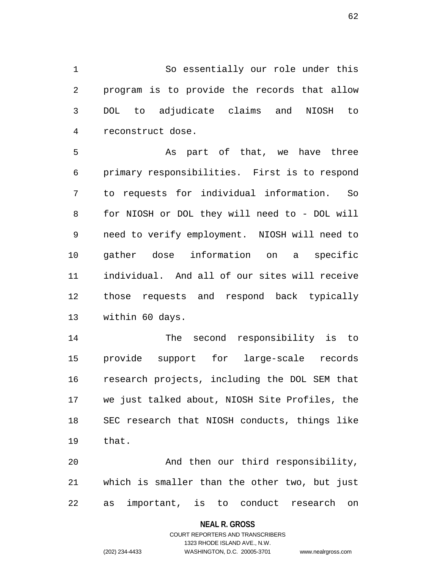1 So essentially our role under this 2 program is to provide the records that allow 3 DOL to adjudicate claims and NIOSH to 4 reconstruct dose.

5 As part of that, we have three 6 primary responsibilities. First is to respond 7 to requests for individual information. So 8 for NIOSH or DOL they will need to - DOL will 9 need to verify employment. NIOSH will need to 10 gather dose information on a specific 11 individual. And all of our sites will receive 12 those requests and respond back typically 13 within 60 days.

14 The second responsibility is to 15 provide support for large-scale records 16 research projects, including the DOL SEM that 17 we just talked about, NIOSH Site Profiles, the 18 SEC research that NIOSH conducts, things like 19 that.

20 And then our third responsibility, 21 which is smaller than the other two, but just 22 as important, is to conduct research on

### **NEAL R. GROSS**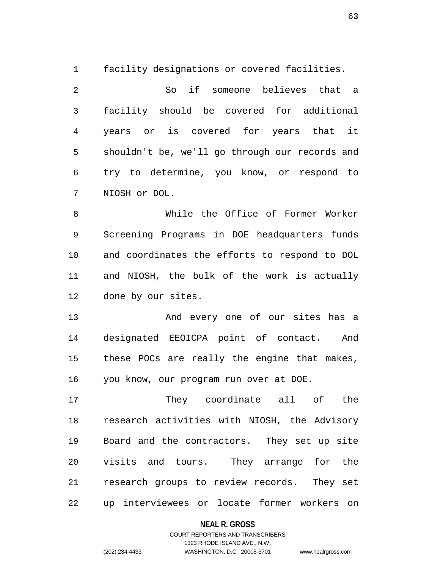1 facility designations or covered facilities.

2 So if someone believes that a 3 facility should be covered for additional 4 years or is covered for years that it 5 shouldn't be, we'll go through our records and 6 try to determine, you know, or respond to 7 NIOSH or DOL.

8 While the Office of Former Worker 9 Screening Programs in DOE headquarters funds 10 and coordinates the efforts to respond to DOL 11 and NIOSH, the bulk of the work is actually 12 done by our sites.

13 And every one of our sites has a 14 designated EEOICPA point of contact. And 15 these POCs are really the engine that makes, 16 you know, our program run over at DOE.

17 They coordinate all of the 18 research activities with NIOSH, the Advisory 19 Board and the contractors. They set up site 20 visits and tours. They arrange for the 21 research groups to review records. They set 22 up interviewees or locate former workers on

### **NEAL R. GROSS**

### COURT REPORTERS AND TRANSCRIBERS 1323 RHODE ISLAND AVE., N.W. (202) 234-4433 WASHINGTON, D.C. 20005-3701 www.nealrgross.com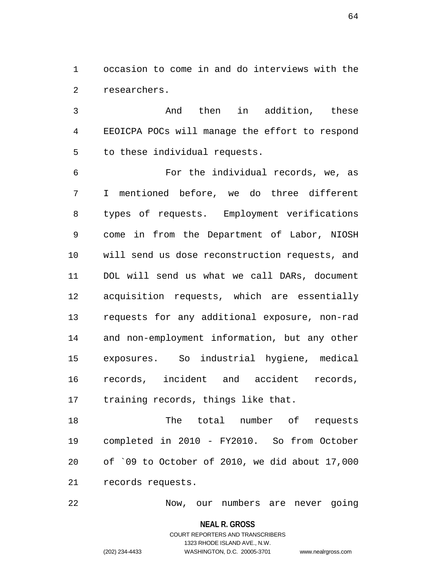1 occasion to come in and do interviews with the 2 researchers.

3 And then in addition, these 4 EEOICPA POCs will manage the effort to respond 5 to these individual requests.

6 For the individual records, we, as 7 I mentioned before, we do three different 8 types of requests. Employment verifications 9 come in from the Department of Labor, NIOSH 10 will send us dose reconstruction requests, and 11 DOL will send us what we call DARs, document 12 acquisition requests, which are essentially 13 requests for any additional exposure, non-rad 14 and non-employment information, but any other 15 exposures. So industrial hygiene, medical 16 records, incident and accident records, 17 training records, things like that.

18 The total number of requests 19 completed in 2010 - FY2010. So from October 20 of `09 to October of 2010, we did about 17,000 21 records requests.

22 Now, our numbers are never going

**NEAL R. GROSS** COURT REPORTERS AND TRANSCRIBERS 1323 RHODE ISLAND AVE., N.W.

(202) 234-4433 WASHINGTON, D.C. 20005-3701 www.nealrgross.com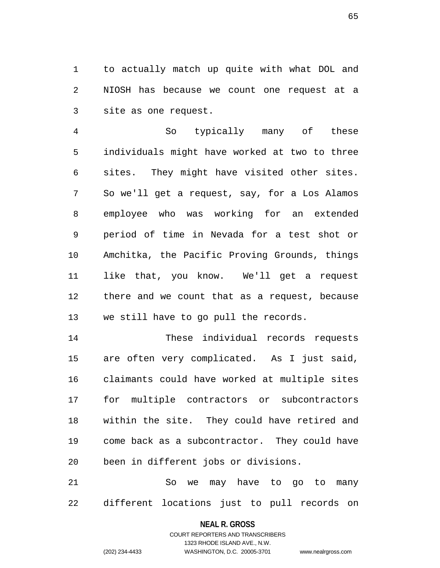1 to actually match up quite with what DOL and 2 NIOSH has because we count one request at a 3 site as one request.

4 So typically many of these 5 individuals might have worked at two to three 6 sites. They might have visited other sites. 7 So we'll get a request, say, for a Los Alamos 8 employee who was working for an extended 9 period of time in Nevada for a test shot or 10 Amchitka, the Pacific Proving Grounds, things 11 like that, you know. We'll get a request 12 there and we count that as a request, because 13 we still have to go pull the records.

14 These individual records requests 15 are often very complicated. As I just said, 16 claimants could have worked at multiple sites 17 for multiple contractors or subcontractors 18 within the site. They could have retired and 19 come back as a subcontractor. They could have 20 been in different jobs or divisions.

21 So we may have to go to many 22 different locations just to pull records on

### **NEAL R. GROSS** COURT REPORTERS AND TRANSCRIBERS

1323 RHODE ISLAND AVE., N.W.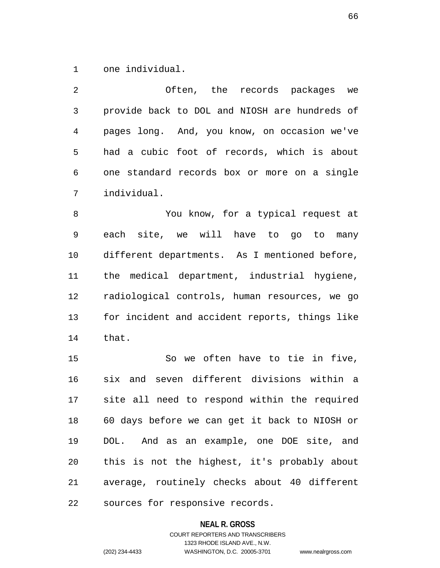1 one individual.

2 Often, the records packages we 3 provide back to DOL and NIOSH are hundreds of 4 pages long. And, you know, on occasion we've 5 had a cubic foot of records, which is about 6 one standard records box or more on a single 7 individual.

8 You know, for a typical request at 9 each site, we will have to go to many 10 different departments. As I mentioned before, 11 the medical department, industrial hygiene, 12 radiological controls, human resources, we go 13 for incident and accident reports, things like 14 that.

15 So we often have to tie in five, 16 six and seven different divisions within a 17 site all need to respond within the required 18 60 days before we can get it back to NIOSH or 19 DOL. And as an example, one DOE site, and 20 this is not the highest, it's probably about 21 average, routinely checks about 40 different 22 sources for responsive records.

### **NEAL R. GROSS**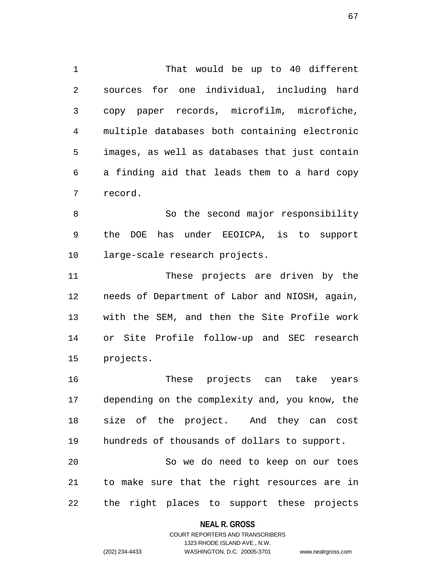1 That would be up to 40 different 2 sources for one individual, including hard 3 copy paper records, microfilm, microfiche, 4 multiple databases both containing electronic 5 images, as well as databases that just contain 6 a finding aid that leads them to a hard copy 7 record.

8 So the second major responsibility 9 the DOE has under EEOICPA, is to support 10 large-scale research projects.

11 These projects are driven by the 12 needs of Department of Labor and NIOSH, again, 13 with the SEM, and then the Site Profile work 14 or Site Profile follow-up and SEC research 15 projects.

16 These projects can take years 17 depending on the complexity and, you know, the 18 size of the project. And they can cost 19 hundreds of thousands of dollars to support. 20 So we do need to keep on our toes

21 to make sure that the right resources are in 22 the right places to support these projects

### **NEAL R. GROSS**

COURT REPORTERS AND TRANSCRIBERS 1323 RHODE ISLAND AVE., N.W. (202) 234-4433 WASHINGTON, D.C. 20005-3701 www.nealrgross.com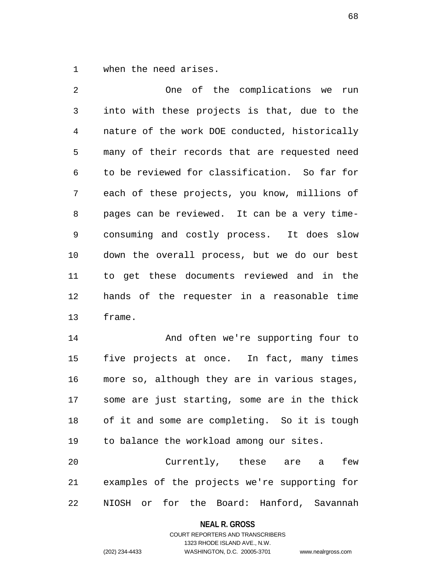1 when the need arises.

2 One of the complications we run 3 into with these projects is that, due to the 4 nature of the work DOE conducted, historically 5 many of their records that are requested need 6 to be reviewed for classification. So far for 7 each of these projects, you know, millions of 8 pages can be reviewed. It can be a very time-9 consuming and costly process. It does slow 10 down the overall process, but we do our best 11 to get these documents reviewed and in the 12 hands of the requester in a reasonable time 13 frame.

14 And often we're supporting four to 15 five projects at once. In fact, many times 16 more so, although they are in various stages, 17 some are just starting, some are in the thick 18 of it and some are completing. So it is tough 19 to balance the workload among our sites.

20 Currently, these are a few 21 examples of the projects we're supporting for 22 NIOSH or for the Board: Hanford, Savannah

**NEAL R. GROSS**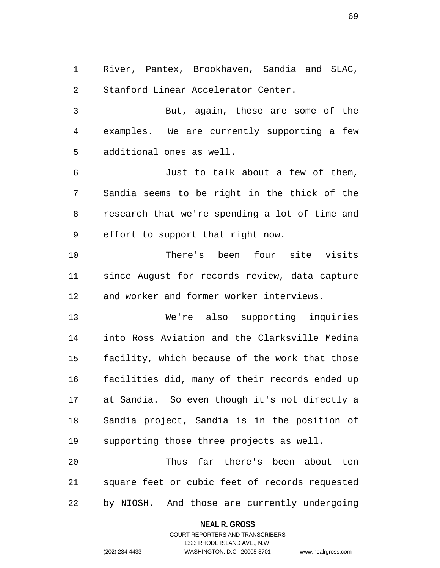1 River, Pantex, Brookhaven, Sandia and SLAC, 2 Stanford Linear Accelerator Center.

3 But, again, these are some of the 4 examples. We are currently supporting a few 5 additional ones as well.

6 Just to talk about a few of them, 7 Sandia seems to be right in the thick of the 8 research that we're spending a lot of time and 9 effort to support that right now.

10 There's been four site visits 11 since August for records review, data capture 12 and worker and former worker interviews.

13 We're also supporting inquiries 14 into Ross Aviation and the Clarksville Medina 15 facility, which because of the work that those 16 facilities did, many of their records ended up 17 at Sandia. So even though it's not directly a 18 Sandia project, Sandia is in the position of 19 supporting those three projects as well.

20 Thus far there's been about ten 21 square feet or cubic feet of records requested 22 by NIOSH. And those are currently undergoing

### **NEAL R. GROSS**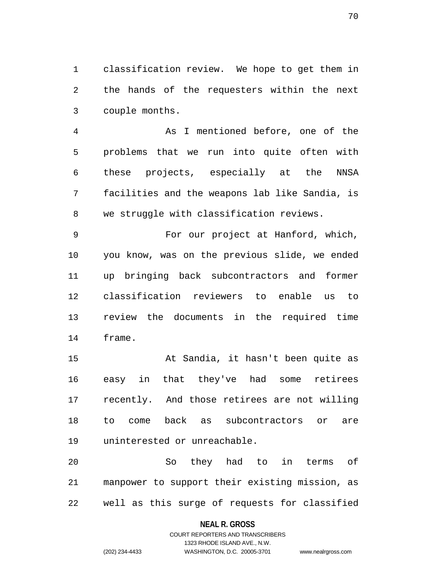1 classification review. We hope to get them in 2 the hands of the requesters within the next 3 couple months.

4 As I mentioned before, one of the 5 problems that we run into quite often with 6 these projects, especially at the NNSA 7 facilities and the weapons lab like Sandia, is 8 we struggle with classification reviews.

9 For our project at Hanford, which, 10 you know, was on the previous slide, we ended 11 up bringing back subcontractors and former 12 classification reviewers to enable us to 13 review the documents in the required time 14 frame.

15 At Sandia, it hasn't been quite as 16 easy in that they've had some retirees 17 recently. And those retirees are not willing 18 to come back as subcontractors or are 19 uninterested or unreachable.

20 So they had to in terms of 21 manpower to support their existing mission, as 22 well as this surge of requests for classified

### **NEAL R. GROSS**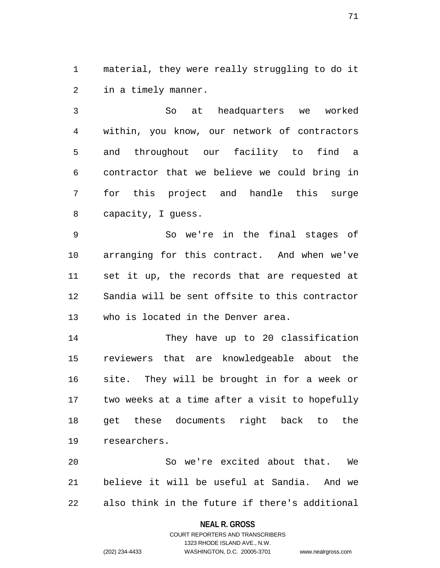1 material, they were really struggling to do it 2 in a timely manner.

3 So at headquarters we worked 4 within, you know, our network of contractors 5 and throughout our facility to find a 6 contractor that we believe we could bring in 7 for this project and handle this surge 8 capacity, I guess.

9 So we're in the final stages of 10 arranging for this contract. And when we've 11 set it up, the records that are requested at 12 Sandia will be sent offsite to this contractor 13 who is located in the Denver area.

14 They have up to 20 classification 15 reviewers that are knowledgeable about the 16 site. They will be brought in for a week or 17 two weeks at a time after a visit to hopefully 18 get these documents right back to the 19 researchers.

20 So we're excited about that. We 21 believe it will be useful at Sandia. And we 22 also think in the future if there's additional

### **NEAL R. GROSS**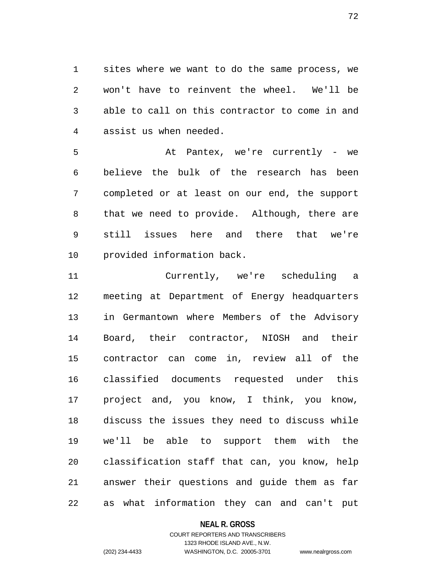1 sites where we want to do the same process, we 2 won't have to reinvent the wheel. We'll be 3 able to call on this contractor to come in and 4 assist us when needed.

5 At Pantex, we're currently - we 6 believe the bulk of the research has been 7 completed or at least on our end, the support 8 that we need to provide. Although, there are 9 still issues here and there that we're 10 provided information back.

11 Currently, we're scheduling a 12 meeting at Department of Energy headquarters 13 in Germantown where Members of the Advisory 14 Board, their contractor, NIOSH and their 15 contractor can come in, review all of the 16 classified documents requested under this 17 project and, you know, I think, you know, 18 discuss the issues they need to discuss while 19 we'll be able to support them with the 20 classification staff that can, you know, help 21 answer their questions and guide them as far 22 as what information they can and can't put

### **NEAL R. GROSS**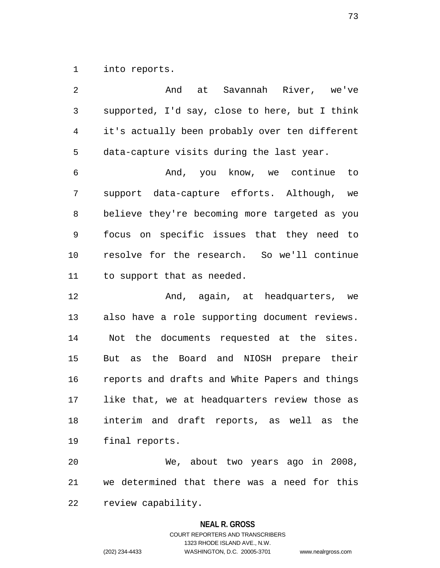1 into reports.

2 And at Savannah River, we've 3 supported, I'd say, close to here, but I think 4 it's actually been probably over ten different 5 data-capture visits during the last year. 6 And, you know, we continue to 7 support data-capture efforts. Although, we 8 believe they're becoming more targeted as you 9 focus on specific issues that they need to 10 resolve for the research. So we'll continue 11 to support that as needed. 12 **And, again, at headquarters, we** 13 also have a role supporting document reviews. 14 Not the documents requested at the sites. 15 But as the Board and NIOSH prepare their 16 reports and drafts and White Papers and things 17 like that, we at headquarters review those as 18 interim and draft reports, as well as the 19 final reports. 20 We, about two years ago in 2008, 21 we determined that there was a need for this

**NEAL R. GROSS**

COURT REPORTERS AND TRANSCRIBERS 1323 RHODE ISLAND AVE., N.W. (202) 234-4433 WASHINGTON, D.C. 20005-3701 www.nealrgross.com

22 review capability.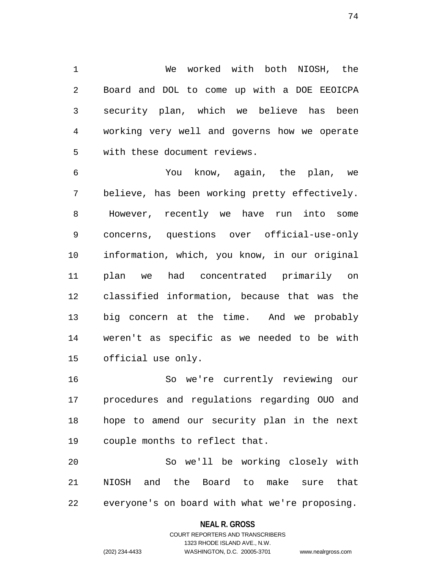1 We worked with both NIOSH, the 2 Board and DOL to come up with a DOE EEOICPA 3 security plan, which we believe has been 4 working very well and governs how we operate 5 with these document reviews.

6 You know, again, the plan, we 7 believe, has been working pretty effectively. 8 However, recently we have run into some 9 concerns, questions over official-use-only 10 information, which, you know, in our original 11 plan we had concentrated primarily on 12 classified information, because that was the 13 big concern at the time. And we probably 14 weren't as specific as we needed to be with 15 official use only.

16 So we're currently reviewing our 17 procedures and regulations regarding OUO and 18 hope to amend our security plan in the next 19 couple months to reflect that.

20 So we'll be working closely with 21 NIOSH and the Board to make sure that 22 everyone's on board with what we're proposing.

#### **NEAL R. GROSS**

## COURT REPORTERS AND TRANSCRIBERS 1323 RHODE ISLAND AVE., N.W. (202) 234-4433 WASHINGTON, D.C. 20005-3701 www.nealrgross.com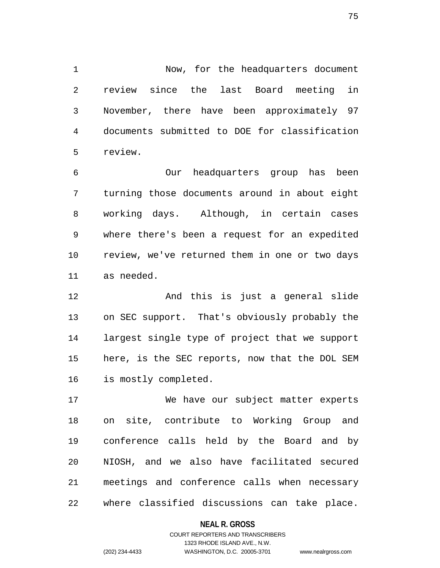1 Now, for the headquarters document 2 review since the last Board meeting in 3 November, there have been approximately 97 4 documents submitted to DOE for classification 5 review.

6 Our headquarters group has been 7 turning those documents around in about eight 8 working days. Although, in certain cases 9 where there's been a request for an expedited 10 review, we've returned them in one or two days 11 as needed.

12 And this is just a general slide 13 on SEC support. That's obviously probably the 14 largest single type of project that we support 15 here, is the SEC reports, now that the DOL SEM 16 is mostly completed.

17 We have our subject matter experts 18 on site, contribute to Working Group and 19 conference calls held by the Board and by 20 NIOSH, and we also have facilitated secured 21 meetings and conference calls when necessary 22 where classified discussions can take place.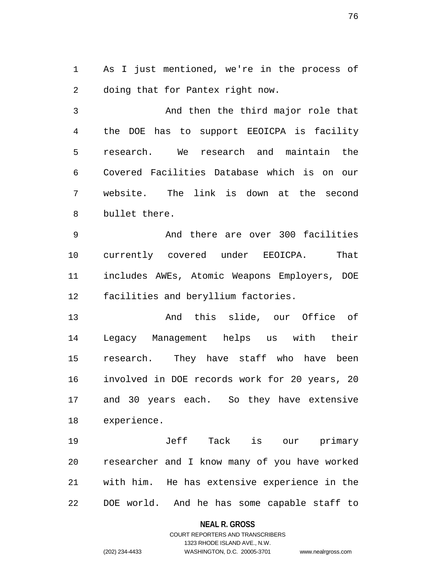1 As I just mentioned, we're in the process of 2 doing that for Pantex right now.

3 And then the third major role that 4 the DOE has to support EEOICPA is facility 5 research. We research and maintain the 6 Covered Facilities Database which is on our 7 website. The link is down at the second 8 bullet there.

9 And there are over 300 facilities 10 currently covered under EEOICPA. That 11 includes AWEs, Atomic Weapons Employers, DOE 12 facilities and beryllium factories.

13 And this slide, our Office of 14 Legacy Management helps us with their 15 research. They have staff who have been 16 involved in DOE records work for 20 years, 20 17 and 30 years each. So they have extensive 18 experience.

19 Jeff Tack is our primary 20 researcher and I know many of you have worked 21 with him. He has extensive experience in the 22 DOE world. And he has some capable staff to

#### **NEAL R. GROSS**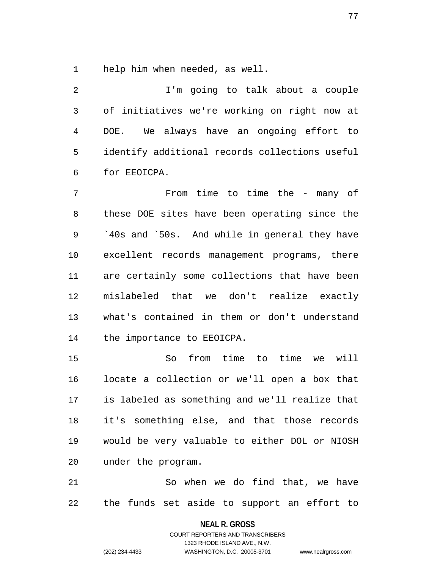1 help him when needed, as well.

2 I'm going to talk about a couple 3 of initiatives we're working on right now at 4 DOE. We always have an ongoing effort to 5 identify additional records collections useful 6 for EEOICPA.

7 From time to time the - many of 8 these DOE sites have been operating since the 9 `40s and `50s. And while in general they have 10 excellent records management programs, there 11 are certainly some collections that have been 12 mislabeled that we don't realize exactly 13 what's contained in them or don't understand 14 the importance to EEOICPA.

15 So from time to time we will 16 locate a collection or we'll open a box that 17 is labeled as something and we'll realize that 18 it's something else, and that those records 19 would be very valuable to either DOL or NIOSH 20 under the program.

21 So when we do find that, we have 22 the funds set aside to support an effort to

**NEAL R. GROSS**

COURT REPORTERS AND TRANSCRIBERS 1323 RHODE ISLAND AVE., N.W. (202) 234-4433 WASHINGTON, D.C. 20005-3701 www.nealrgross.com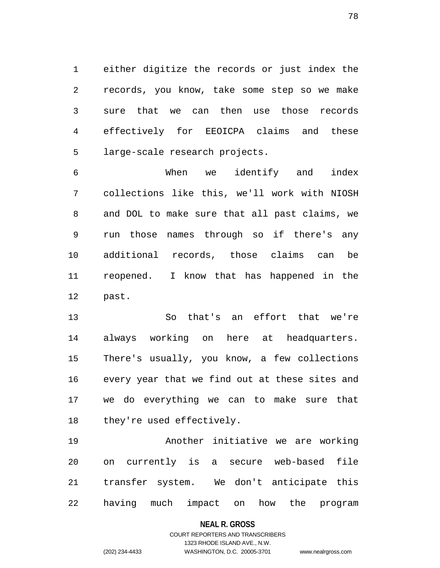1 either digitize the records or just index the 2 records, you know, take some step so we make 3 sure that we can then use those records 4 effectively for EEOICPA claims and these 5 large-scale research projects.

6 When we identify and index 7 collections like this, we'll work with NIOSH 8 and DOL to make sure that all past claims, we 9 run those names through so if there's any 10 additional records, those claims can be 11 reopened. I know that has happened in the 12 past.

13 So that's an effort that we're 14 always working on here at headquarters. 15 There's usually, you know, a few collections 16 every year that we find out at these sites and 17 we do everything we can to make sure that 18 they're used effectively.

19 Another initiative we are working 20 on currently is a secure web-based file 21 transfer system. We don't anticipate this 22 having much impact on how the program

**NEAL R. GROSS**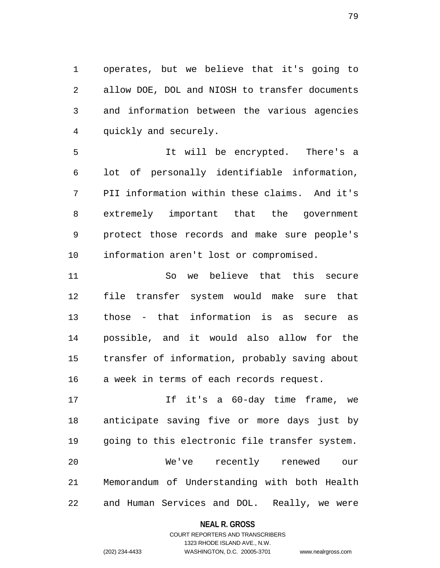1 operates, but we believe that it's going to 2 allow DOE, DOL and NIOSH to transfer documents 3 and information between the various agencies 4 quickly and securely.

5 It will be encrypted. There's a 6 lot of personally identifiable information, 7 PII information within these claims. And it's 8 extremely important that the government 9 protect those records and make sure people's 10 information aren't lost or compromised.

11 So we believe that this secure 12 file transfer system would make sure that 13 those - that information is as secure as 14 possible, and it would also allow for the 15 transfer of information, probably saving about 16 a week in terms of each records request.

17 If it's a 60-day time frame, we 18 anticipate saving five or more days just by 19 going to this electronic file transfer system. 20 We've recently renewed our 21 Memorandum of Understanding with both Health 22 and Human Services and DOL. Really, we were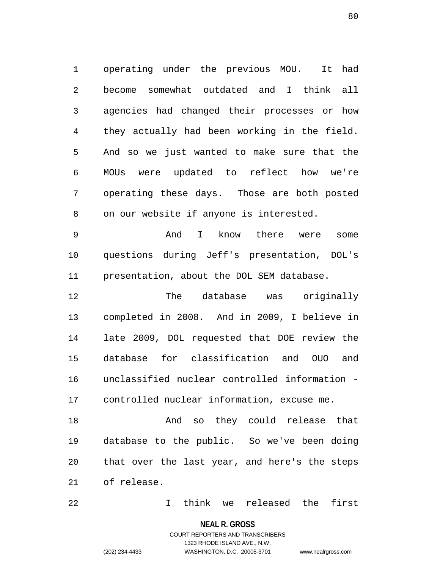1 operating under the previous MOU. It had 2 become somewhat outdated and I think all 3 agencies had changed their processes or how 4 they actually had been working in the field. 5 And so we just wanted to make sure that the 6 MOUs were updated to reflect how we're 7 operating these days. Those are both posted 8 on our website if anyone is interested.

9 And I know there were some 10 questions during Jeff's presentation, DOL's 11 presentation, about the DOL SEM database.

12 The database was originally 13 completed in 2008. And in 2009, I believe in 14 late 2009, DOL requested that DOE review the 15 database for classification and OUO and 16 unclassified nuclear controlled information - 17 controlled nuclear information, excuse me.

18 And so they could release that 19 database to the public. So we've been doing 20 that over the last year, and here's the steps 21 of release.

22 I think we released the first

#### **NEAL R. GROSS**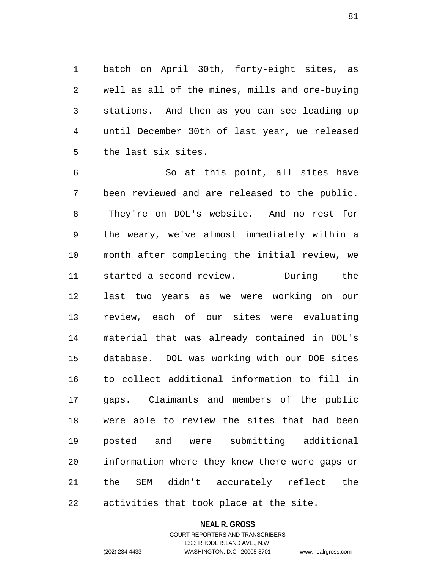1 batch on April 30th, forty-eight sites, as 2 well as all of the mines, mills and ore-buying 3 stations. And then as you can see leading up 4 until December 30th of last year, we released 5 the last six sites.

6 So at this point, all sites have 7 been reviewed and are released to the public. 8 They're on DOL's website. And no rest for 9 the weary, we've almost immediately within a 10 month after completing the initial review, we 11 started a second review. During the 12 last two years as we were working on our 13 review, each of our sites were evaluating 14 material that was already contained in DOL's 15 database. DOL was working with our DOE sites 16 to collect additional information to fill in 17 gaps. Claimants and members of the public 18 were able to review the sites that had been 19 posted and were submitting additional 20 information where they knew there were gaps or 21 the SEM didn't accurately reflect the 22 activities that took place at the site.

#### **NEAL R. GROSS**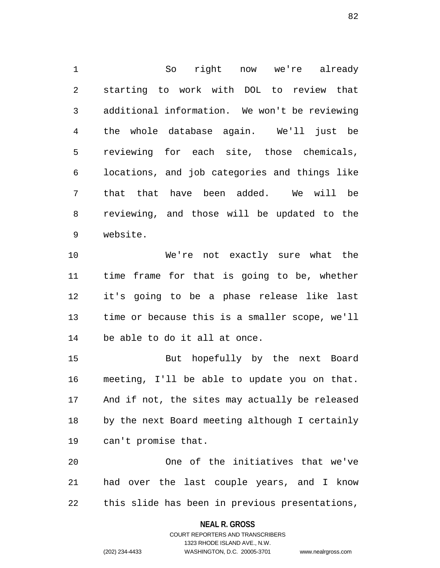1 So right now we're already 2 starting to work with DOL to review that 3 additional information. We won't be reviewing 4 the whole database again. We'll just be 5 reviewing for each site, those chemicals, 6 locations, and job categories and things like 7 that that have been added. We will be 8 reviewing, and those will be updated to the 9 website.

10 We're not exactly sure what the 11 time frame for that is going to be, whether 12 it's going to be a phase release like last 13 time or because this is a smaller scope, we'll 14 be able to do it all at once.

15 But hopefully by the next Board 16 meeting, I'll be able to update you on that. 17 And if not, the sites may actually be released 18 by the next Board meeting although I certainly 19 can't promise that.

20 One of the initiatives that we've 21 had over the last couple years, and I know 22 this slide has been in previous presentations,

#### **NEAL R. GROSS**

COURT REPORTERS AND TRANSCRIBERS 1323 RHODE ISLAND AVE., N.W. (202) 234-4433 WASHINGTON, D.C. 20005-3701 www.nealrgross.com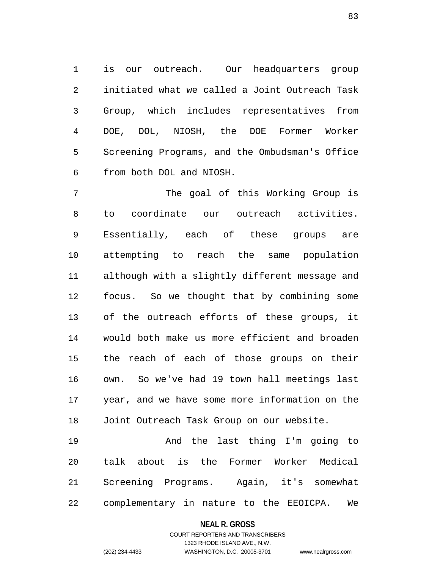1 is our outreach. Our headquarters group 2 initiated what we called a Joint Outreach Task 3 Group, which includes representatives from 4 DOE, DOL, NIOSH, the DOE Former Worker 5 Screening Programs, and the Ombudsman's Office 6 from both DOL and NIOSH.

7 The goal of this Working Group is 8 to coordinate our outreach activities. 9 Essentially, each of these groups are 10 attempting to reach the same population 11 although with a slightly different message and 12 focus. So we thought that by combining some 13 of the outreach efforts of these groups, it 14 would both make us more efficient and broaden 15 the reach of each of those groups on their 16 own. So we've had 19 town hall meetings last 17 year, and we have some more information on the 18 Joint Outreach Task Group on our website.

19 And the last thing I'm going to 20 talk about is the Former Worker Medical 21 Screening Programs. Again, it's somewhat 22 complementary in nature to the EEOICPA. We

#### **NEAL R. GROSS**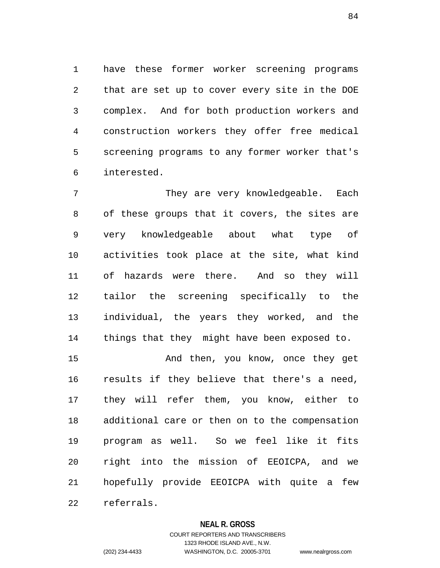1 have these former worker screening programs 2 that are set up to cover every site in the DOE 3 complex. And for both production workers and 4 construction workers they offer free medical 5 screening programs to any former worker that's 6 interested.

7 They are very knowledgeable. Each 8 of these groups that it covers, the sites are 9 very knowledgeable about what type of 10 activities took place at the site, what kind 11 of hazards were there. And so they will 12 tailor the screening specifically to the 13 individual, the years they worked, and the 14 things that they might have been exposed to.

15 And then, you know, once they get 16 results if they believe that there's a need, 17 they will refer them, you know, either to 18 additional care or then on to the compensation 19 program as well. So we feel like it fits 20 right into the mission of EEOICPA, and we 21 hopefully provide EEOICPA with quite a few 22 referrals.

#### **NEAL R. GROSS**

COURT REPORTERS AND TRANSCRIBERS 1323 RHODE ISLAND AVE., N.W. (202) 234-4433 WASHINGTON, D.C. 20005-3701 www.nealrgross.com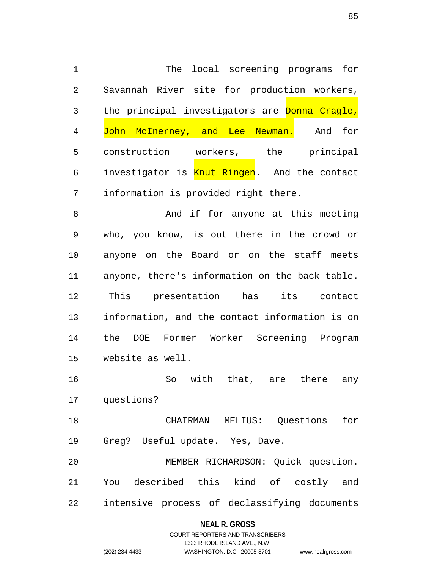1 The local screening programs for 2 Savannah River site for production workers, 3 the principal investigators are Donna Cragle, 4 John McInerney, and Lee Newman. And for 5 construction workers, the principal 6 investigator is Knut Ringen. And the contact 7 information is provided right there.

8 And if for anyone at this meeting 9 who, you know, is out there in the crowd or 10 anyone on the Board or on the staff meets 11 anyone, there's information on the back table. 12 This presentation has its contact 13 information, and the contact information is on 14 the DOE Former Worker Screening Program 15 website as well.

16 So with that, are there any 17 questions?

18 CHAIRMAN MELIUS: Questions for 19 Greg? Useful update. Yes, Dave.

20 MEMBER RICHARDSON: Quick question. 21 You described this kind of costly and 22 intensive process of declassifying documents

## **NEAL R. GROSS**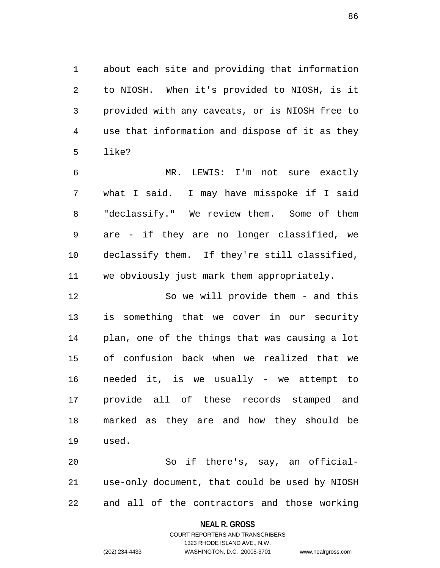1 about each site and providing that information 2 to NIOSH. When it's provided to NIOSH, is it 3 provided with any caveats, or is NIOSH free to 4 use that information and dispose of it as they 5 like?

6 MR. LEWIS: I'm not sure exactly 7 what I said. I may have misspoke if I said 8 "declassify." We review them. Some of them 9 are - if they are no longer classified, we 10 declassify them. If they're still classified, 11 we obviously just mark them appropriately.

12 So we will provide them - and this 13 is something that we cover in our security 14 plan, one of the things that was causing a lot 15 of confusion back when we realized that we 16 needed it, is we usually - we attempt to 17 provide all of these records stamped and 18 marked as they are and how they should be 19 used.

20 So if there's, say, an official-21 use-only document, that could be used by NIOSH 22 and all of the contractors and those working

#### **NEAL R. GROSS**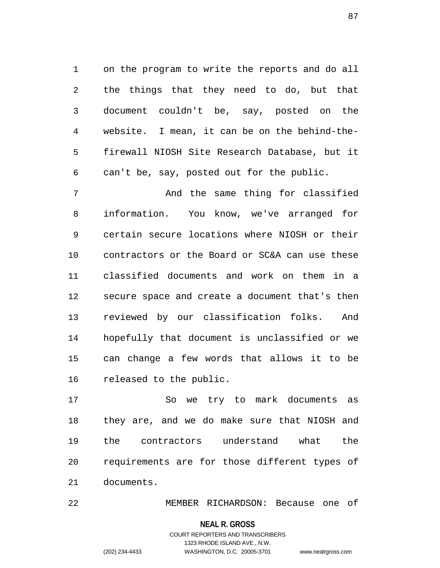1 on the program to write the reports and do all 2 the things that they need to do, but that 3 document couldn't be, say, posted on the 4 website. I mean, it can be on the behind-the-5 firewall NIOSH Site Research Database, but it 6 can't be, say, posted out for the public.

7 And the same thing for classified 8 information. You know, we've arranged for 9 certain secure locations where NIOSH or their 10 contractors or the Board or SC&A can use these 11 classified documents and work on them in a 12 secure space and create a document that's then 13 reviewed by our classification folks. And 14 hopefully that document is unclassified or we 15 can change a few words that allows it to be 16 released to the public.

17 So we try to mark documents as 18 they are, and we do make sure that NIOSH and 19 the contractors understand what the 20 requirements are for those different types of 21 documents.

22 MEMBER RICHARDSON: Because one of

#### **NEAL R. GROSS**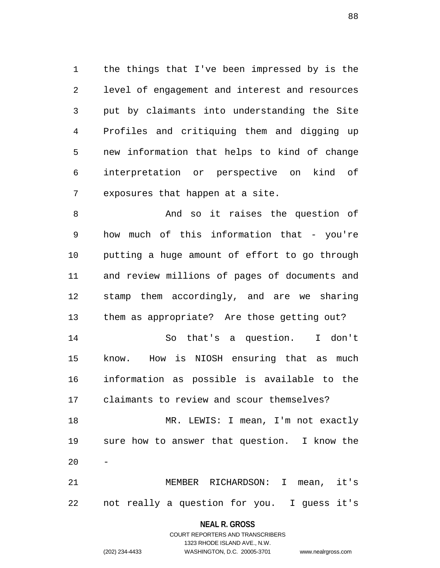1 the things that I've been impressed by is the 2 level of engagement and interest and resources 3 put by claimants into understanding the Site 4 Profiles and critiquing them and digging up 5 new information that helps to kind of change 6 interpretation or perspective on kind of 7 exposures that happen at a site.

8 And so it raises the question of 9 how much of this information that - you're 10 putting a huge amount of effort to go through 11 and review millions of pages of documents and 12 stamp them accordingly, and are we sharing 13 them as appropriate? Are those getting out? 14 So that's a question. I don't 15 know. How is NIOSH ensuring that as much 16 information as possible is available to the 17 claimants to review and scour themselves? 18 MR. LEWIS: I mean, I'm not exactly 19 sure how to answer that question. I know the  $20$ 21 MEMBER RICHARDSON: I mean, it's

22 not really a question for you. I guess it's

**NEAL R. GROSS**

COURT REPORTERS AND TRANSCRIBERS 1323 RHODE ISLAND AVE., N.W. (202) 234-4433 WASHINGTON, D.C. 20005-3701 www.nealrgross.com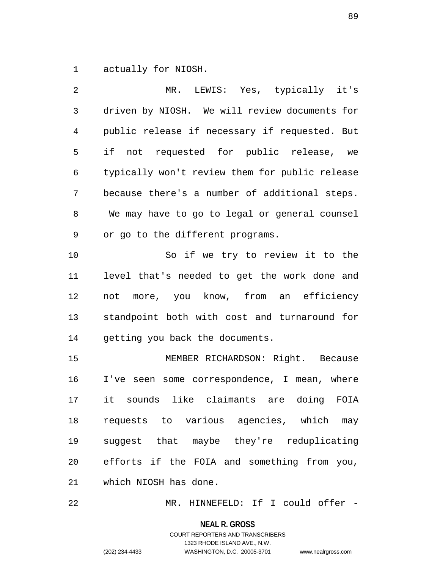1 actually for NIOSH.

2 MR. LEWIS: Yes, typically it's 3 driven by NIOSH. We will review documents for 4 public release if necessary if requested. But 5 if not requested for public release, we 6 typically won't review them for public release 7 because there's a number of additional steps. 8 We may have to go to legal or general counsel 9 or go to the different programs. 10 So if we try to review it to the 11 level that's needed to get the work done and 12 not more, you know, from an efficiency 13 standpoint both with cost and turnaround for 14 getting you back the documents. 15 MEMBER RICHARDSON: Right. Because 16 I've seen some correspondence, I mean, where 17 it sounds like claimants are doing FOIA 18 requests to various agencies, which may 19 suggest that maybe they're reduplicating 20 efforts if the FOIA and something from you, 21 which NIOSH has done.

22 MR. HINNEFELD: If I could offer -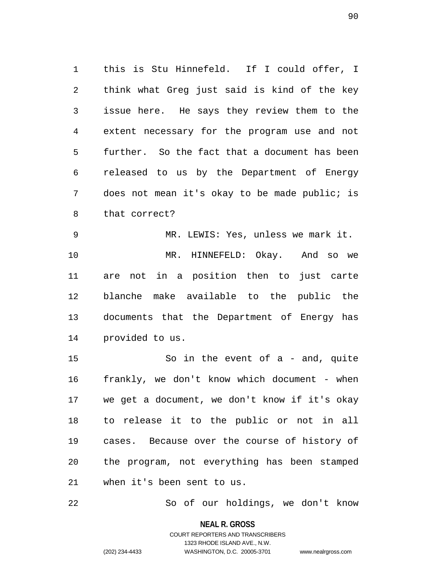1 this is Stu Hinnefeld. If I could offer, I 2 think what Greg just said is kind of the key 3 issue here. He says they review them to the 4 extent necessary for the program use and not 5 further. So the fact that a document has been 6 released to us by the Department of Energy 7 does not mean it's okay to be made public; is 8 that correct?

9 MR. LEWIS: Yes, unless we mark it. 10 MR. HINNEFELD: Okay. And so we 11 are not in a position then to just carte 12 blanche make available to the public the 13 documents that the Department of Energy has 14 provided to us.

15 So in the event of a - and, quite 16 frankly, we don't know which document - when 17 we get a document, we don't know if it's okay 18 to release it to the public or not in all 19 cases. Because over the course of history of 20 the program, not everything has been stamped 21 when it's been sent to us.

22 So of our holdings, we don't know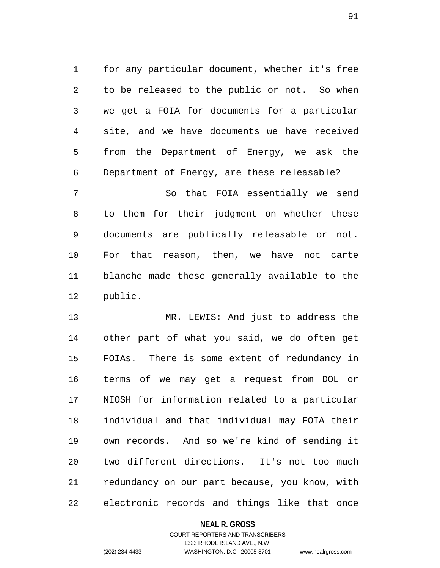1 for any particular document, whether it's free 2 to be released to the public or not. So when 3 we get a FOIA for documents for a particular 4 site, and we have documents we have received 5 from the Department of Energy, we ask the 6 Department of Energy, are these releasable?

7 So that FOIA essentially we send 8 to them for their judgment on whether these 9 documents are publically releasable or not. 10 For that reason, then, we have not carte 11 blanche made these generally available to the 12 public.

13 MR. LEWIS: And just to address the 14 other part of what you said, we do often get 15 FOIAs. There is some extent of redundancy in 16 terms of we may get a request from DOL or 17 NIOSH for information related to a particular 18 individual and that individual may FOIA their 19 own records. And so we're kind of sending it 20 two different directions. It's not too much 21 redundancy on our part because, you know, with 22 electronic records and things like that once

**NEAL R. GROSS**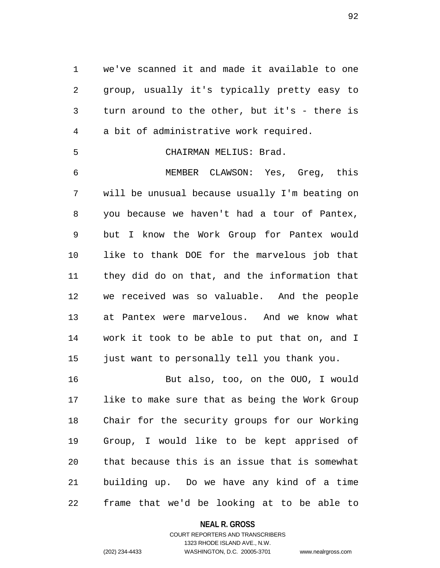1 we've scanned it and made it available to one 2 group, usually it's typically pretty easy to 3 turn around to the other, but it's - there is 4 a bit of administrative work required.

### 5 CHAIRMAN MELIUS: Brad.

6 MEMBER CLAWSON: Yes, Greg, this 7 will be unusual because usually I'm beating on 8 you because we haven't had a tour of Pantex, 9 but I know the Work Group for Pantex would 10 like to thank DOE for the marvelous job that 11 they did do on that, and the information that 12 we received was so valuable. And the people 13 at Pantex were marvelous. And we know what 14 work it took to be able to put that on, and I 15 just want to personally tell you thank you.

16 But also, too, on the OUO, I would 17 like to make sure that as being the Work Group 18 Chair for the security groups for our Working 19 Group, I would like to be kept apprised of 20 that because this is an issue that is somewhat 21 building up. Do we have any kind of a time 22 frame that we'd be looking at to be able to

#### **NEAL R. GROSS**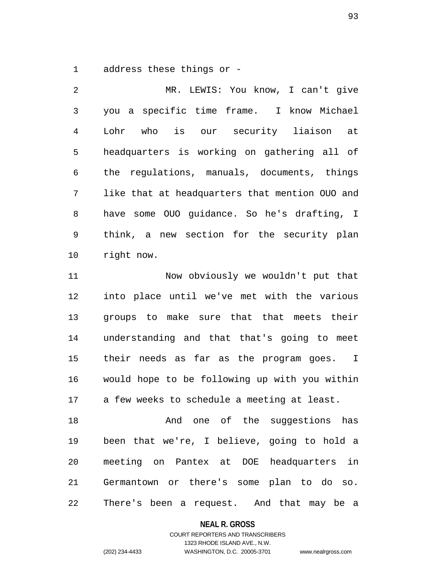1 address these things or -

2 MR. LEWIS: You know, I can't give 3 you a specific time frame. I know Michael 4 Lohr who is our security liaison at 5 headquarters is working on gathering all of 6 the regulations, manuals, documents, things 7 like that at headquarters that mention OUO and 8 have some OUO guidance. So he's drafting, I 9 think, a new section for the security plan 10 right now. 11 Now obviously we wouldn't put that

12 into place until we've met with the various 13 groups to make sure that that meets their 14 understanding and that that's going to meet 15 their needs as far as the program goes. I 16 would hope to be following up with you within 17 a few weeks to schedule a meeting at least.

18 And one of the suggestions has 19 been that we're, I believe, going to hold a 20 meeting on Pantex at DOE headquarters in 21 Germantown or there's some plan to do so. 22 There's been a request. And that may be a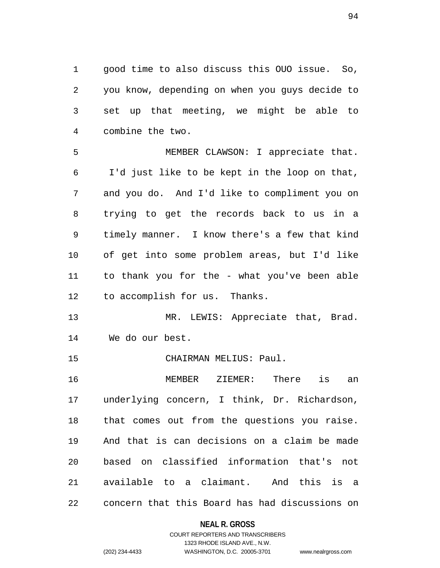1 good time to also discuss this OUO issue. So, 2 you know, depending on when you guys decide to 3 set up that meeting, we might be able to 4 combine the two.

5 MEMBER CLAWSON: I appreciate that. 6 I'd just like to be kept in the loop on that, 7 and you do. And I'd like to compliment you on 8 trying to get the records back to us in a 9 timely manner. I know there's a few that kind 10 of get into some problem areas, but I'd like 11 to thank you for the - what you've been able 12 to accomplish for us. Thanks.

13 MR. LEWIS: Appreciate that, Brad. 14 We do our best.

15 CHAIRMAN MELIUS: Paul.

16 MEMBER ZIEMER: There is an 17 underlying concern, I think, Dr. Richardson, 18 that comes out from the questions you raise. 19 And that is can decisions on a claim be made 20 based on classified information that's not 21 available to a claimant. And this is a 22 concern that this Board has had discussions on

#### **NEAL R. GROSS**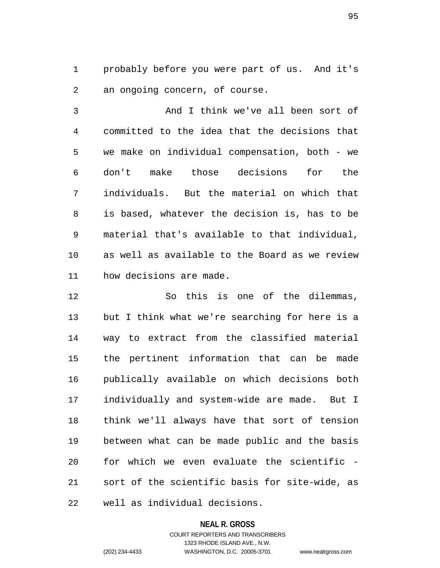1 probably before you were part of us. And it's 2 an ongoing concern, of course.

3 And I think we've all been sort of 4 committed to the idea that the decisions that 5 we make on individual compensation, both - we 6 don't make those decisions for the 7 individuals. But the material on which that 8 is based, whatever the decision is, has to be 9 material that's available to that individual, 10 as well as available to the Board as we review 11 how decisions are made.

12 So this is one of the dilemmas, 13 but I think what we're searching for here is a 14 way to extract from the classified material 15 the pertinent information that can be made 16 publically available on which decisions both 17 individually and system-wide are made. But I 18 think we'll always have that sort of tension 19 between what can be made public and the basis 20 for which we even evaluate the scientific - 21 sort of the scientific basis for site-wide, as 22 well as individual decisions.

#### **NEAL R. GROSS**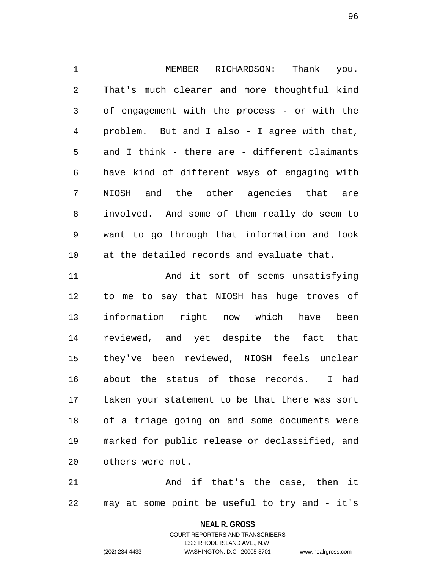1 MEMBER RICHARDSON: Thank you. 2 That's much clearer and more thoughtful kind 3 of engagement with the process - or with the 4 problem. But and I also - I agree with that, 5 and I think - there are - different claimants 6 have kind of different ways of engaging with 7 NIOSH and the other agencies that are 8 involved. And some of them really do seem to 9 want to go through that information and look 10 at the detailed records and evaluate that. 11 And it sort of seems unsatisfying

12 to me to say that NIOSH has huge troves of 13 information right now which have been 14 reviewed, and yet despite the fact that 15 they've been reviewed, NIOSH feels unclear 16 about the status of those records. I had 17 taken your statement to be that there was sort 18 of a triage going on and some documents were 19 marked for public release or declassified, and 20 others were not.

21 And if that's the case, then it 22 may at some point be useful to try and - it's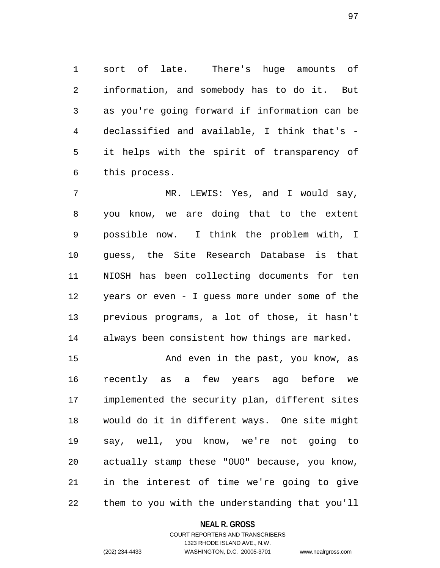1 sort of late. There's huge amounts of 2 information, and somebody has to do it. But 3 as you're going forward if information can be 4 declassified and available, I think that's - 5 it helps with the spirit of transparency of 6 this process.

7 MR. LEWIS: Yes, and I would say, 8 you know, we are doing that to the extent 9 possible now. I think the problem with, I 10 guess, the Site Research Database is that 11 NIOSH has been collecting documents for ten 12 years or even - I guess more under some of the 13 previous programs, a lot of those, it hasn't 14 always been consistent how things are marked.

15 And even in the past, you know, as 16 recently as a few years ago before we 17 implemented the security plan, different sites 18 would do it in different ways. One site might 19 say, well, you know, we're not going to 20 actually stamp these "OUO" because, you know, 21 in the interest of time we're going to give 22 them to you with the understanding that you'll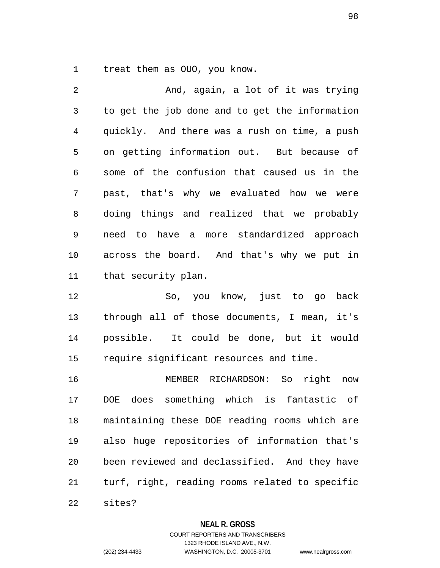1 treat them as OUO, you know.

| $\overline{2}$ | And, again, a lot of it was trying             |
|----------------|------------------------------------------------|
| 3              | to get the job done and to get the information |
| 4              | quickly. And there was a rush on time, a push  |
| 5              | on getting information out. But because of     |
| 6              | some of the confusion that caused us in the    |
| 7              | past, that's why we evaluated how we were      |
| 8              | doing things and realized that we probably     |
| 9              | need to have a more standardized approach      |
| 10             | across the board. And that's why we put in     |
| 11             | that security plan.                            |
|                |                                                |

12 So, you know, just to go back 13 through all of those documents, I mean, it's 14 possible. It could be done, but it would 15 require significant resources and time.

16 MEMBER RICHARDSON: So right now 17 DOE does something which is fantastic of 18 maintaining these DOE reading rooms which are 19 also huge repositories of information that's 20 been reviewed and declassified. And they have 21 turf, right, reading rooms related to specific

22 sites?

#### **NEAL R. GROSS**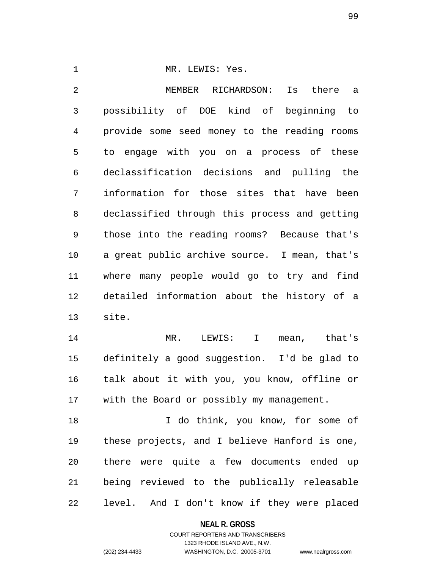1 MR. LEWIS: Yes. 2 MEMBER RICHARDSON: Is there a 3 possibility of DOE kind of beginning to 4 provide some seed money to the reading rooms 5 to engage with you on a process of these 6 declassification decisions and pulling the 7 information for those sites that have been 8 declassified through this process and getting 9 those into the reading rooms? Because that's 10 a great public archive source. I mean, that's 11 where many people would go to try and find 12 detailed information about the history of a 13 site.

14 MR. LEWIS: I mean, that's 15 definitely a good suggestion. I'd be glad to 16 talk about it with you, you know, offline or 17 with the Board or possibly my management.

18 I do think, you know, for some of 19 these projects, and I believe Hanford is one, 20 there were quite a few documents ended up 21 being reviewed to the publically releasable 22 level. And I don't know if they were placed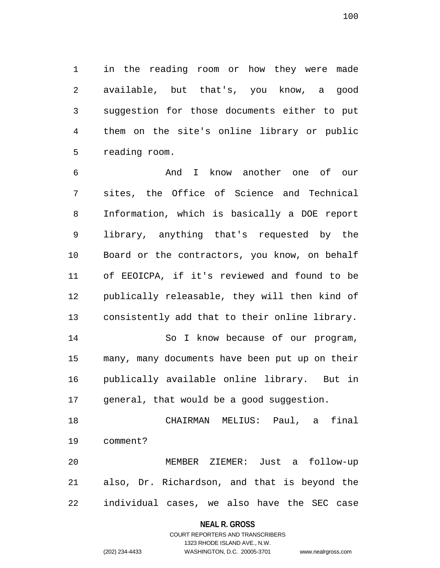1 in the reading room or how they were made 2 available, but that's, you know, a good 3 suggestion for those documents either to put 4 them on the site's online library or public 5 reading room.

6 And I know another one of our 7 sites, the Office of Science and Technical 8 Information, which is basically a DOE report 9 library, anything that's requested by the 10 Board or the contractors, you know, on behalf 11 of EEOICPA, if it's reviewed and found to be 12 publically releasable, they will then kind of 13 consistently add that to their online library. 14 So I know because of our program, 15 many, many documents have been put up on their 16 publically available online library. But in 17 general, that would be a good suggestion.

18 CHAIRMAN MELIUS: Paul, a final 19 comment?

20 MEMBER ZIEMER: Just a follow-up 21 also, Dr. Richardson, and that is beyond the 22 individual cases, we also have the SEC case

#### **NEAL R. GROSS**

## COURT REPORTERS AND TRANSCRIBERS 1323 RHODE ISLAND AVE., N.W. (202) 234-4433 WASHINGTON, D.C. 20005-3701 www.nealrgross.com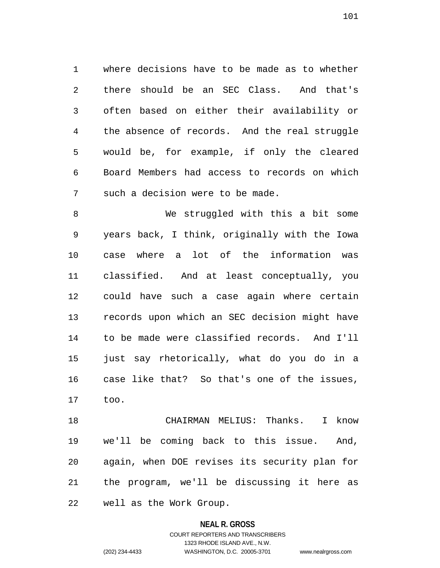1 where decisions have to be made as to whether 2 there should be an SEC Class. And that's 3 often based on either their availability or 4 the absence of records. And the real struggle 5 would be, for example, if only the cleared 6 Board Members had access to records on which 7 such a decision were to be made.

8 We struggled with this a bit some 9 years back, I think, originally with the Iowa 10 case where a lot of the information was 11 classified. And at least conceptually, you 12 could have such a case again where certain 13 records upon which an SEC decision might have 14 to be made were classified records. And I'll 15 just say rhetorically, what do you do in a 16 case like that? So that's one of the issues, 17 too.

18 CHAIRMAN MELIUS: Thanks. I know 19 we'll be coming back to this issue. And, 20 again, when DOE revises its security plan for 21 the program, we'll be discussing it here as 22 well as the Work Group.

### **NEAL R. GROSS**

COURT REPORTERS AND TRANSCRIBERS 1323 RHODE ISLAND AVE., N.W. (202) 234-4433 WASHINGTON, D.C. 20005-3701 www.nealrgross.com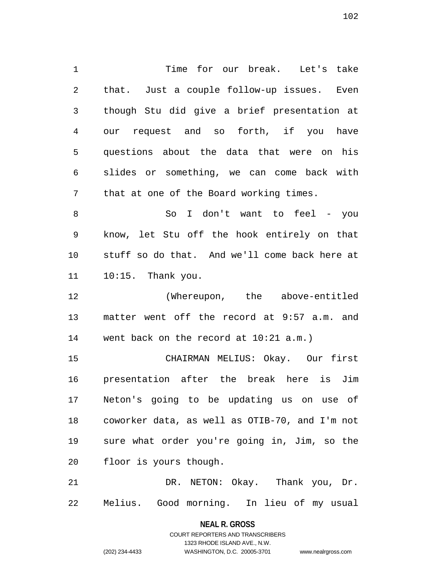1 Time for our break. Let's take 2 that. Just a couple follow-up issues. Even 3 though Stu did give a brief presentation at 4 our request and so forth, if you have 5 questions about the data that were on his 6 slides or something, we can come back with 7 that at one of the Board working times.

8 So I don't want to feel - you 9 know, let Stu off the hook entirely on that 10 stuff so do that. And we'll come back here at 11 10:15. Thank you.

12 (Whereupon, the above-entitled 13 matter went off the record at 9:57 a.m. and 14 went back on the record at 10:21 a.m.)

15 CHAIRMAN MELIUS: Okay. Our first 16 presentation after the break here is Jim 17 Neton's going to be updating us on use of 18 coworker data, as well as OTIB-70, and I'm not 19 sure what order you're going in, Jim, so the 20 floor is yours though.

21 DR. NETON: Okay. Thank you, Dr. 22 Melius. Good morning. In lieu of my usual

> **NEAL R. GROSS** COURT REPORTERS AND TRANSCRIBERS

> > 1323 RHODE ISLAND AVE., N.W.

(202) 234-4433 WASHINGTON, D.C. 20005-3701 www.nealrgross.com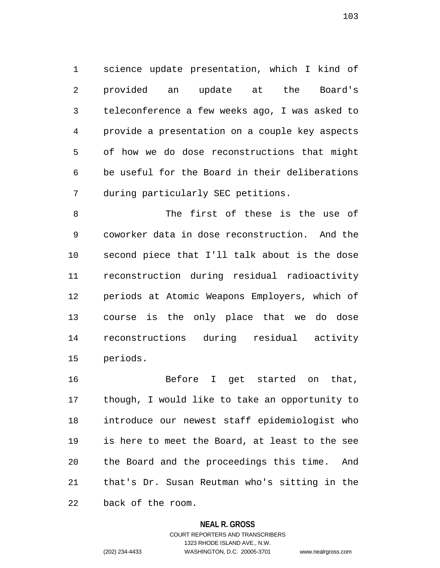1 science update presentation, which I kind of 2 provided an update at the Board's 3 teleconference a few weeks ago, I was asked to 4 provide a presentation on a couple key aspects 5 of how we do dose reconstructions that might 6 be useful for the Board in their deliberations 7 during particularly SEC petitions.

8 The first of these is the use of 9 coworker data in dose reconstruction. And the 10 second piece that I'll talk about is the dose 11 reconstruction during residual radioactivity 12 periods at Atomic Weapons Employers, which of 13 course is the only place that we do dose 14 reconstructions during residual activity 15 periods.

16 Before I get started on that, 17 though, I would like to take an opportunity to 18 introduce our newest staff epidemiologist who 19 is here to meet the Board, at least to the see 20 the Board and the proceedings this time. And 21 that's Dr. Susan Reutman who's sitting in the 22 back of the room.

#### **NEAL R. GROSS**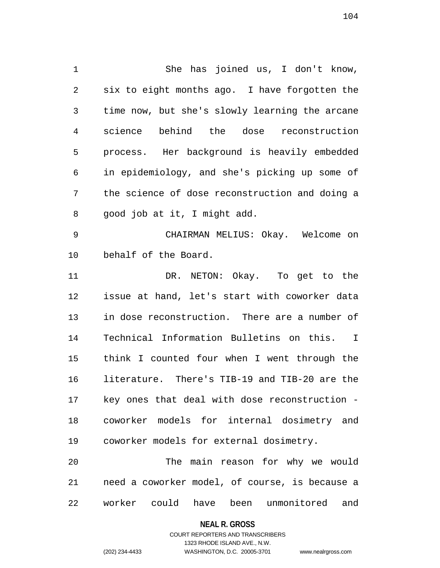1 She has joined us, I don't know, 2 six to eight months ago. I have forgotten the 3 time now, but she's slowly learning the arcane 4 science behind the dose reconstruction 5 process. Her background is heavily embedded 6 in epidemiology, and she's picking up some of 7 the science of dose reconstruction and doing a 8 good job at it, I might add. 9 CHAIRMAN MELIUS: Okay. Welcome on 10 behalf of the Board. 11 DR. NETON: Okay. To get to the 12 issue at hand, let's start with coworker data 13 in dose reconstruction. There are a number of 14 Technical Information Bulletins on this. I 15 think I counted four when I went through the 16 literature. There's TIB-19 and TIB-20 are the 17 key ones that deal with dose reconstruction - 18 coworker models for internal dosimetry and

20 The main reason for why we would 21 need a coworker model, of course, is because a 22 worker could have been unmonitored and

19 coworker models for external dosimetry.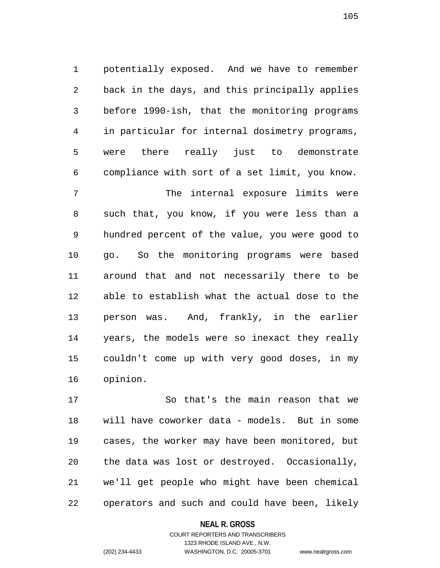1 potentially exposed. And we have to remember 2 back in the days, and this principally applies 3 before 1990-ish, that the monitoring programs 4 in particular for internal dosimetry programs, 5 were there really just to demonstrate 6 compliance with sort of a set limit, you know.

7 The internal exposure limits were 8 such that, you know, if you were less than a 9 hundred percent of the value, you were good to 10 go. So the monitoring programs were based 11 around that and not necessarily there to be 12 able to establish what the actual dose to the 13 person was. And, frankly, in the earlier 14 years, the models were so inexact they really 15 couldn't come up with very good doses, in my 16 opinion.

17 So that's the main reason that we 18 will have coworker data - models. But in some 19 cases, the worker may have been monitored, but 20 the data was lost or destroyed. Occasionally, 21 we'll get people who might have been chemical 22 operators and such and could have been, likely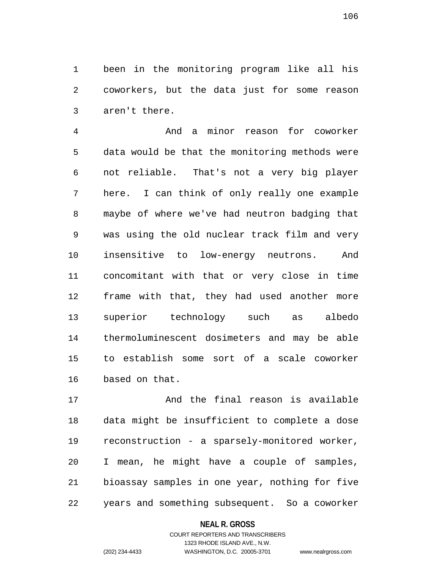1 been in the monitoring program like all his 2 coworkers, but the data just for some reason 3 aren't there.

4 And a minor reason for coworker 5 data would be that the monitoring methods were 6 not reliable. That's not a very big player 7 here. I can think of only really one example 8 maybe of where we've had neutron badging that 9 was using the old nuclear track film and very 10 insensitive to low-energy neutrons. And 11 concomitant with that or very close in time 12 frame with that, they had used another more 13 superior technology such as albedo 14 thermoluminescent dosimeters and may be able 15 to establish some sort of a scale coworker 16 based on that.

17 And the final reason is available 18 data might be insufficient to complete a dose 19 reconstruction - a sparsely-monitored worker, 20 I mean, he might have a couple of samples, 21 bioassay samples in one year, nothing for five 22 years and something subsequent. So a coworker

#### **NEAL R. GROSS**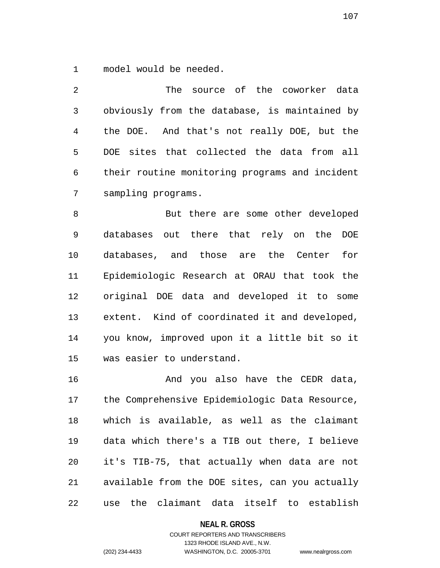1 model would be needed.

| 2  | The source of the coworker data                |
|----|------------------------------------------------|
| 3  | obviously from the database, is maintained by  |
| 4  | the DOE. And that's not really DOE, but the    |
| 5  | DOE sites that collected the data from all     |
| 6  | their routine monitoring programs and incident |
| 7  | sampling programs.                             |
| 8  | But there are some other developed             |
| 9  | databases out there that rely on the DOE       |
| 10 | databases, and those are the Center<br>for     |
|    |                                                |
| 11 | Epidemiologic Research at ORAU that took the   |
| 12 | original DOE data and developed it to some     |

14 you know, improved upon it a little bit so it 15 was easier to understand.

16 And you also have the CEDR data, 17 the Comprehensive Epidemiologic Data Resource, 18 which is available, as well as the claimant 19 data which there's a TIB out there, I believe 20 it's TIB-75, that actually when data are not 21 available from the DOE sites, can you actually 22 use the claimant data itself to establish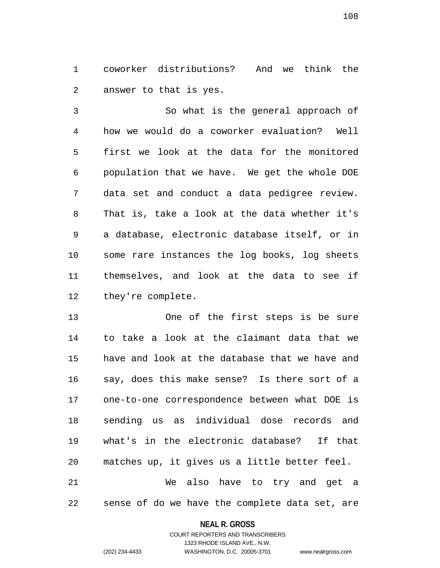1 coworker distributions? And we think the 2 answer to that is yes.

3 So what is the general approach of 4 how we would do a coworker evaluation? Well 5 first we look at the data for the monitored 6 population that we have. We get the whole DOE 7 data set and conduct a data pedigree review. 8 That is, take a look at the data whether it's 9 a database, electronic database itself, or in 10 some rare instances the log books, log sheets 11 themselves, and look at the data to see if 12 they're complete.

13 One of the first steps is be sure 14 to take a look at the claimant data that we 15 have and look at the database that we have and 16 say, does this make sense? Is there sort of a 17 one-to-one correspondence between what DOE is 18 sending us as individual dose records and 19 what's in the electronic database? If that 20 matches up, it gives us a little better feel. 21 We also have to try and get a

22 sense of do we have the complete data set, are

#### **NEAL R. GROSS**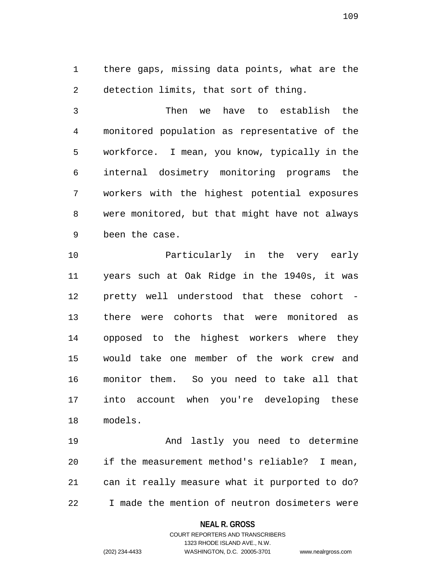1 there gaps, missing data points, what are the 2 detection limits, that sort of thing.

3 Then we have to establish the 4 monitored population as representative of the 5 workforce. I mean, you know, typically in the 6 internal dosimetry monitoring programs the 7 workers with the highest potential exposures 8 were monitored, but that might have not always 9 been the case.

10 Particularly in the very early 11 years such at Oak Ridge in the 1940s, it was 12 pretty well understood that these cohort - 13 there were cohorts that were monitored as 14 opposed to the highest workers where they 15 would take one member of the work crew and 16 monitor them. So you need to take all that 17 into account when you're developing these 18 models.

19 And lastly you need to determine 20 if the measurement method's reliable? I mean, 21 can it really measure what it purported to do? 22 I made the mention of neutron dosimeters were

### **NEAL R. GROSS**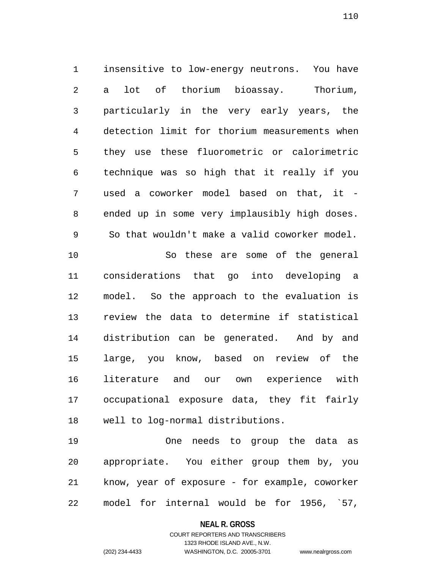1 insensitive to low-energy neutrons. You have 2 a lot of thorium bioassay. Thorium, 3 particularly in the very early years, the 4 detection limit for thorium measurements when 5 they use these fluorometric or calorimetric 6 technique was so high that it really if you 7 used a coworker model based on that, it - 8 ended up in some very implausibly high doses. 9 So that wouldn't make a valid coworker model. 10 So these are some of the general 11 considerations that go into developing a 12 model. So the approach to the evaluation is 13 review the data to determine if statistical 14 distribution can be generated. And by and 15 large, you know, based on review of the 16 literature and our own experience with 17 occupational exposure data, they fit fairly 18 well to log-normal distributions.

19 One needs to group the data as 20 appropriate. You either group them by, you 21 know, year of exposure - for example, coworker 22 model for internal would be for 1956, `57,

#### **NEAL R. GROSS**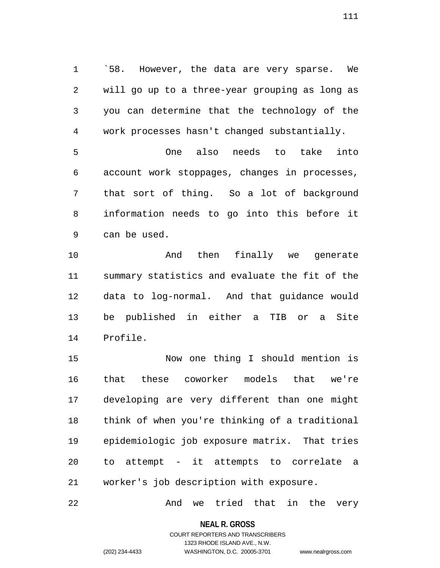1 <sup>58</sup>. However, the data are very sparse. We 2 will go up to a three-year grouping as long as 3 you can determine that the technology of the 4 work processes hasn't changed substantially.

5 One also needs to take into 6 account work stoppages, changes in processes, 7 that sort of thing. So a lot of background 8 information needs to go into this before it 9 can be used.

10 And then finally we generate 11 summary statistics and evaluate the fit of the 12 data to log-normal. And that guidance would 13 be published in either a TIB or a Site 14 Profile.

15 Now one thing I should mention is 16 that these coworker models that we're 17 developing are very different than one might 18 think of when you're thinking of a traditional 19 epidemiologic job exposure matrix. That tries 20 to attempt - it attempts to correlate a 21 worker's job description with exposure.

22 And we tried that in the very

**NEAL R. GROSS**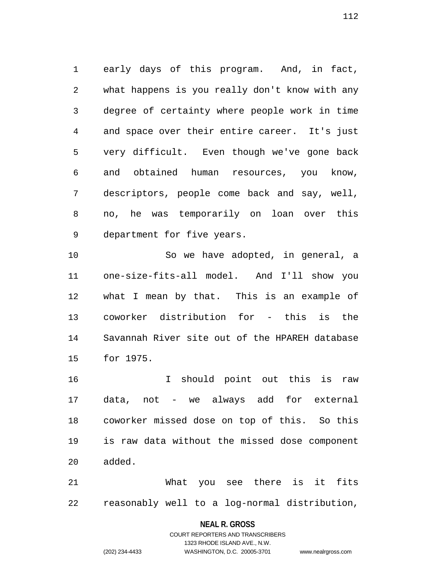1 early days of this program. And, in fact, 2 what happens is you really don't know with any 3 degree of certainty where people work in time 4 and space over their entire career. It's just 5 very difficult. Even though we've gone back 6 and obtained human resources, you know, 7 descriptors, people come back and say, well, 8 no, he was temporarily on loan over this 9 department for five years.

10 So we have adopted, in general, a 11 one-size-fits-all model. And I'll show you 12 what I mean by that. This is an example of 13 coworker distribution for - this is the 14 Savannah River site out of the HPAREH database 15 for 1975.

16 I should point out this is raw 17 data, not - we always add for external 18 coworker missed dose on top of this. So this 19 is raw data without the missed dose component 20 added.

21 What you see there is it fits 22 reasonably well to a log-normal distribution,

### **NEAL R. GROSS**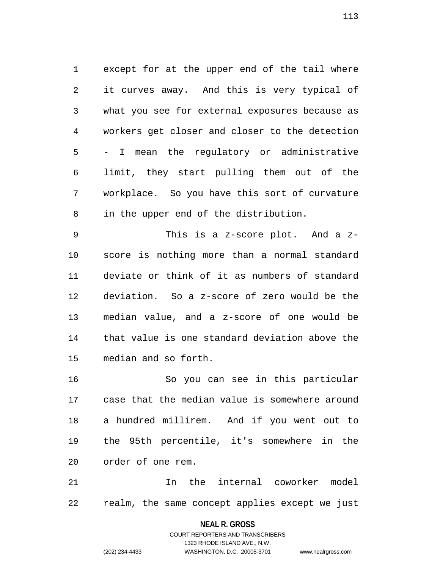1 except for at the upper end of the tail where 2 it curves away. And this is very typical of 3 what you see for external exposures because as 4 workers get closer and closer to the detection 5 - I mean the regulatory or administrative 6 limit, they start pulling them out of the 7 workplace. So you have this sort of curvature 8 in the upper end of the distribution.

9 This is a z-score plot. And a z-10 score is nothing more than a normal standard 11 deviate or think of it as numbers of standard 12 deviation. So a z-score of zero would be the 13 median value, and a z-score of one would be 14 that value is one standard deviation above the 15 median and so forth.

16 So you can see in this particular 17 case that the median value is somewhere around 18 a hundred millirem. And if you went out to 19 the 95th percentile, it's somewhere in the 20 order of one rem.

21 12 In the internal coworker model 22 realm, the same concept applies except we just

### **NEAL R. GROSS**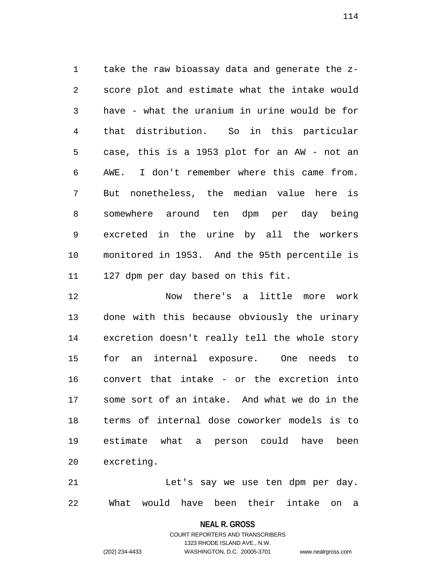1 take the raw bioassay data and generate the z-2 score plot and estimate what the intake would 3 have - what the uranium in urine would be for 4 that distribution. So in this particular 5 case, this is a 1953 plot for an AW - not an 6 AWE. I don't remember where this came from. 7 But nonetheless, the median value here is 8 somewhere around ten dpm per day being 9 excreted in the urine by all the workers 10 monitored in 1953. And the 95th percentile is 11 127 dpm per day based on this fit.

12 Now there's a little more work 13 done with this because obviously the urinary 14 excretion doesn't really tell the whole story 15 for an internal exposure. One needs to 16 convert that intake - or the excretion into 17 some sort of an intake. And what we do in the 18 terms of internal dose coworker models is to 19 estimate what a person could have been 20 excreting.

21 Let's say we use ten dpm per day. 22 What would have been their intake on a

**NEAL R. GROSS**

COURT REPORTERS AND TRANSCRIBERS 1323 RHODE ISLAND AVE., N.W. (202) 234-4433 WASHINGTON, D.C. 20005-3701 www.nealrgross.com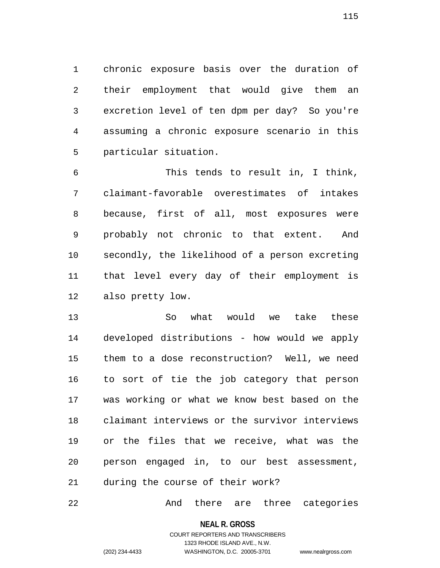1 chronic exposure basis over the duration of 2 their employment that would give them an 3 excretion level of ten dpm per day? So you're 4 assuming a chronic exposure scenario in this 5 particular situation.

6 This tends to result in, I think, 7 claimant-favorable overestimates of intakes 8 because, first of all, most exposures were 9 probably not chronic to that extent. And 10 secondly, the likelihood of a person excreting 11 that level every day of their employment is 12 also pretty low.

13 So what would we take these 14 developed distributions - how would we apply 15 them to a dose reconstruction? Well, we need 16 to sort of tie the job category that person 17 was working or what we know best based on the 18 claimant interviews or the survivor interviews 19 or the files that we receive, what was the 20 person engaged in, to our best assessment, 21 during the course of their work?

22 And there are three categories

**NEAL R. GROSS**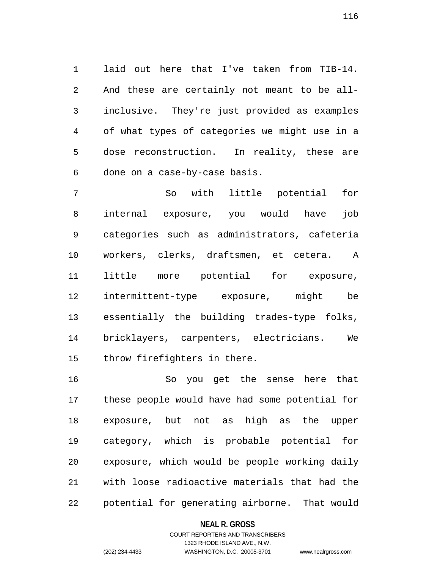1 laid out here that I've taken from TIB-14. 2 And these are certainly not meant to be all-3 inclusive. They're just provided as examples 4 of what types of categories we might use in a 5 dose reconstruction. In reality, these are 6 done on a case-by-case basis.

7 So with little potential for 8 internal exposure, you would have job 9 categories such as administrators, cafeteria 10 workers, clerks, draftsmen, et cetera. A 11 little more potential for exposure, 12 intermittent-type exposure, might be 13 essentially the building trades-type folks, 14 bricklayers, carpenters, electricians. We 15 throw firefighters in there.

16 So you get the sense here that 17 these people would have had some potential for 18 exposure, but not as high as the upper 19 category, which is probable potential for 20 exposure, which would be people working daily 21 with loose radioactive materials that had the 22 potential for generating airborne. That would

### **NEAL R. GROSS**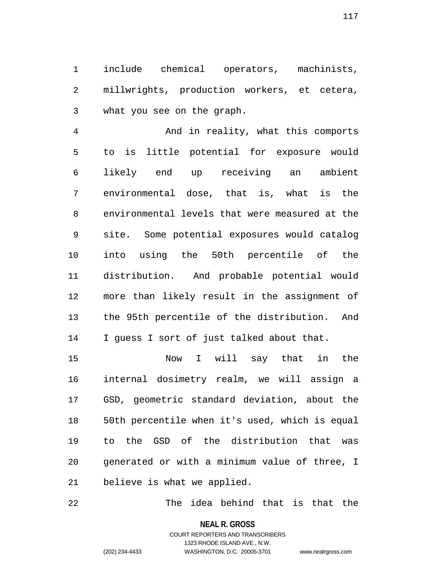1 include chemical operators, machinists, 2 millwrights, production workers, et cetera, 3 what you see on the graph.

4 And in reality, what this comports 5 to is little potential for exposure would 6 likely end up receiving an ambient 7 environmental dose, that is, what is the 8 environmental levels that were measured at the 9 site. Some potential exposures would catalog 10 into using the 50th percentile of the 11 distribution. And probable potential would 12 more than likely result in the assignment of 13 the 95th percentile of the distribution. And 14 I guess I sort of just talked about that.

15 Now I will say that in the 16 internal dosimetry realm, we will assign a 17 GSD, geometric standard deviation, about the 18 50th percentile when it's used, which is equal 19 to the GSD of the distribution that was 20 generated or with a minimum value of three, I 21 believe is what we applied.

22 The idea behind that is that the

**NEAL R. GROSS**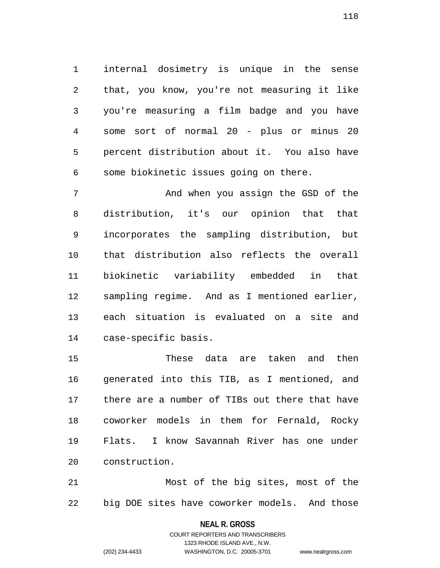1 internal dosimetry is unique in the sense 2 that, you know, you're not measuring it like 3 you're measuring a film badge and you have 4 some sort of normal 20 - plus or minus 20 5 percent distribution about it. You also have 6 some biokinetic issues going on there.

7 And when you assign the GSD of the 8 distribution, it's our opinion that that 9 incorporates the sampling distribution, but 10 that distribution also reflects the overall 11 biokinetic variability embedded in that 12 sampling regime. And as I mentioned earlier, 13 each situation is evaluated on a site and 14 case-specific basis.

15 These data are taken and then 16 generated into this TIB, as I mentioned, and 17 there are a number of TIBs out there that have 18 coworker models in them for Fernald, Rocky 19 Flats. I know Savannah River has one under 20 construction.

21 Most of the big sites, most of the 22 big DOE sites have coworker models. And those

> **NEAL R. GROSS** COURT REPORTERS AND TRANSCRIBERS

> > 1323 RHODE ISLAND AVE., N.W.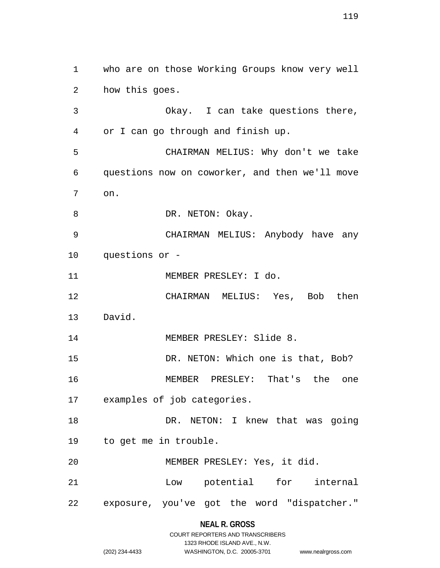1 who are on those Working Groups know very well 2 how this goes. 3 Okay. I can take questions there, 4 or I can go through and finish up. 5 CHAIRMAN MELIUS: Why don't we take 6 questions now on coworker, and then we'll move 7 on. 8 DR. NETON: Okay. 9 CHAIRMAN MELIUS: Anybody have any 10 questions or - 11 MEMBER PRESLEY: I do. 12 CHAIRMAN MELIUS: Yes, Bob then 13 David. 14 MEMBER PRESLEY: Slide 8. 15 DR. NETON: Which one is that, Bob? 16 MEMBER PRESLEY: That's the one 17 examples of job categories. 18 DR. NETON: I knew that was going 19 to get me in trouble. 20 MEMBER PRESLEY: Yes, it did. 21 Low potential for internal 22 exposure, you've got the word "dispatcher."

# **NEAL R. GROSS**

|                | COURT REPORTERS AND TRANSCRIBERS |                    |
|----------------|----------------------------------|--------------------|
|                | 1323 RHODE ISLAND AVE N.W.       |                    |
| (202) 234-4433 | WASHINGTON, D.C. 20005-3701      | www.nealrgross.com |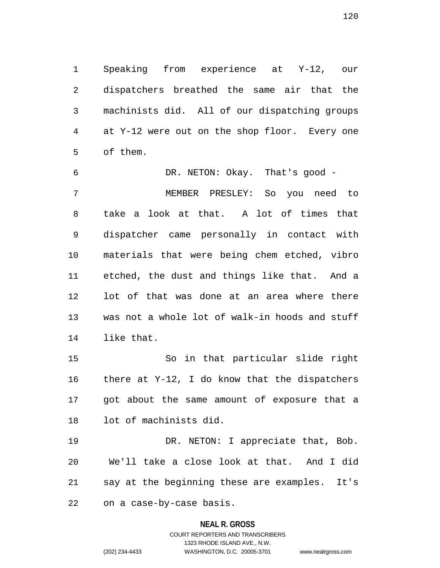1 Speaking from experience at Y-12, our 2 dispatchers breathed the same air that the 3 machinists did. All of our dispatching groups 4 at Y-12 were out on the shop floor. Every one 5 of them.

6 DR. NETON: Okay. That's good - 7 MEMBER PRESLEY: So you need to 8 take a look at that. A lot of times that 9 dispatcher came personally in contact with 10 materials that were being chem etched, vibro 11 etched, the dust and things like that. And a 12 lot of that was done at an area where there 13 was not a whole lot of walk-in hoods and stuff 14 like that.

15 So in that particular slide right 16 there at Y-12, I do know that the dispatchers 17 got about the same amount of exposure that a 18 lot of machinists did.

19 DR. NETON: I appreciate that, Bob. 20 We'll take a close look at that. And I did 21 say at the beginning these are examples. It's 22 on a case-by-case basis.

### **NEAL R. GROSS**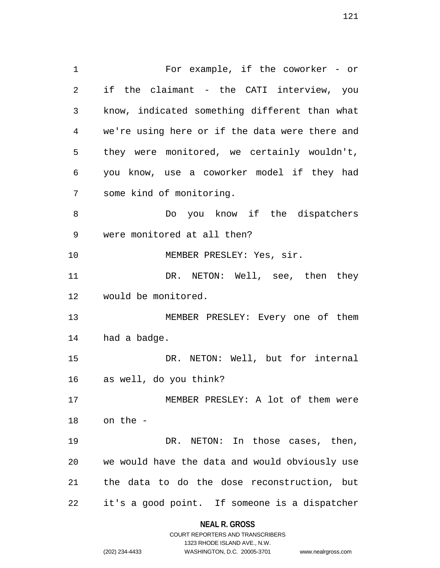1 For example, if the coworker - or 2 if the claimant - the CATI interview, you 3 know, indicated something different than what 4 we're using here or if the data were there and 5 they were monitored, we certainly wouldn't, 6 you know, use a coworker model if they had 7 some kind of monitoring. 8 Do you know if the dispatchers 9 were monitored at all then? 10 MEMBER PRESLEY: Yes, sir. 11 DR. NETON: Well, see, then they 12 would be monitored. 13 MEMBER PRESLEY: Every one of them 14 had a badge. 15 DR. NETON: Well, but for internal 16 as well, do you think? 17 MEMBER PRESLEY: A lot of them were 18 on the - 19 DR. NETON: In those cases, then, 20 we would have the data and would obviously use 21 the data to do the dose reconstruction, but 22 it's a good point. If someone is a dispatcher

## **NEAL R. GROSS** COURT REPORTERS AND TRANSCRIBERS

1323 RHODE ISLAND AVE., N.W.

(202) 234-4433 WASHINGTON, D.C. 20005-3701 www.nealrgross.com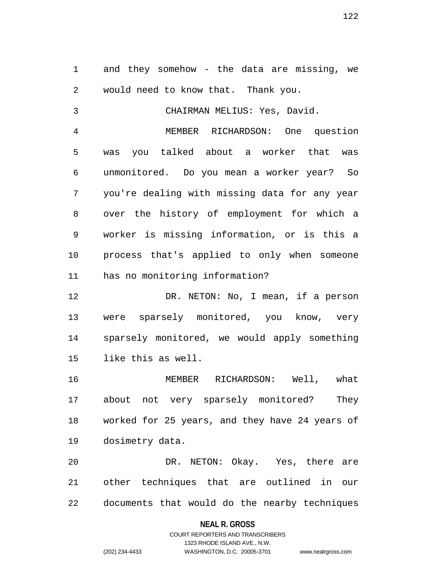1 and they somehow - the data are missing, we 2 would need to know that. Thank you.

3 CHAIRMAN MELIUS: Yes, David. 4 MEMBER RICHARDSON: One question 5 was you talked about a worker that was 6 unmonitored. Do you mean a worker year? So 7 you're dealing with missing data for any year 8 over the history of employment for which a 9 worker is missing information, or is this a 10 process that's applied to only when someone 11 has no monitoring information?

12 DR. NETON: No, I mean, if a person 13 were sparsely monitored, you know, very 14 sparsely monitored, we would apply something 15 like this as well.

16 MEMBER RICHARDSON: Well, what 17 about not very sparsely monitored? They 18 worked for 25 years, and they have 24 years of 19 dosimetry data.

20 DR. NETON: Okay. Yes, there are 21 other techniques that are outlined in our 22 documents that would do the nearby techniques

### **NEAL R. GROSS**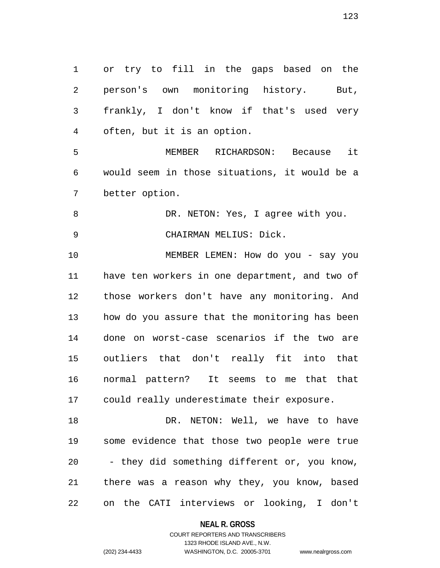1 or try to fill in the gaps based on the 2 person's own monitoring history. But, 3 frankly, I don't know if that's used very 4 often, but it is an option. 5 MEMBER RICHARDSON: Because it 6 would seem in those situations, it would be a 7 better option. 8 DR. NETON: Yes, I agree with you. 9 CHAIRMAN MELIUS: Dick. 10 MEMBER LEMEN: How do you - say you 11 have ten workers in one department, and two of 12 those workers don't have any monitoring. And 13 how do you assure that the monitoring has been 14 done on worst-case scenarios if the two are 15 outliers that don't really fit into that 16 normal pattern? It seems to me that that 17 could really underestimate their exposure. 18 DR. NETON: Well, we have to have 19 some evidence that those two people were true 20 - they did something different or, you know, 21 there was a reason why they, you know, based 22 on the CATI interviews or looking, I don't

> **NEAL R. GROSS** COURT REPORTERS AND TRANSCRIBERS

> > 1323 RHODE ISLAND AVE., N.W.

(202) 234-4433 WASHINGTON, D.C. 20005-3701 www.nealrgross.com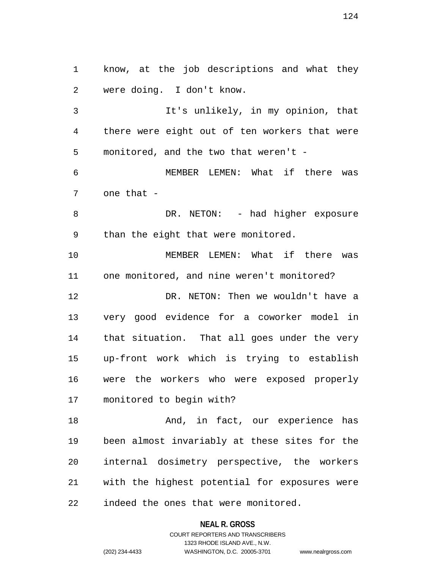1 know, at the job descriptions and what they 2 were doing. I don't know.

3 It's unlikely, in my opinion, that 4 there were eight out of ten workers that were 5 monitored, and the two that weren't -

6 MEMBER LEMEN: What if there was 7 one that -

8 DR. NETON: - had higher exposure 9 than the eight that were monitored.

10 MEMBER LEMEN: What if there was 11 one monitored, and nine weren't monitored? 12 DR. NETON: Then we wouldn't have a 13 very good evidence for a coworker model in 14 that situation. That all goes under the very 15 up-front work which is trying to establish 16 were the workers who were exposed properly 17 monitored to begin with?

18 And, in fact, our experience has 19 been almost invariably at these sites for the 20 internal dosimetry perspective, the workers 21 with the highest potential for exposures were 22 indeed the ones that were monitored.

#### **NEAL R. GROSS**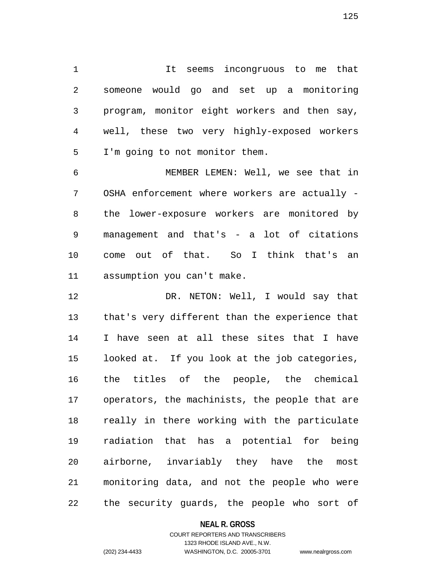1 It seems incongruous to me that 2 someone would go and set up a monitoring 3 program, monitor eight workers and then say, 4 well, these two very highly-exposed workers 5 I'm going to not monitor them.

6 MEMBER LEMEN: Well, we see that in 7 OSHA enforcement where workers are actually - 8 the lower-exposure workers are monitored by 9 management and that's - a lot of citations 10 come out of that. So I think that's an 11 assumption you can't make.

12 DR. NETON: Well, I would say that 13 that's very different than the experience that 14 I have seen at all these sites that I have 15 looked at. If you look at the job categories, 16 the titles of the people, the chemical 17 operators, the machinists, the people that are 18 really in there working with the particulate 19 radiation that has a potential for being 20 airborne, invariably they have the most 21 monitoring data, and not the people who were 22 the security guards, the people who sort of

### **NEAL R. GROSS**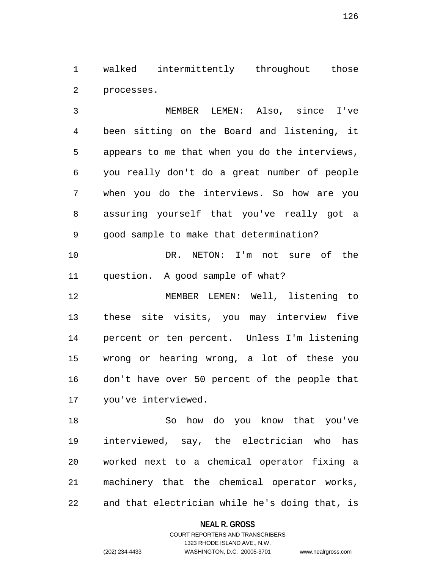1 walked intermittently throughout those 2 processes.

3 MEMBER LEMEN: Also, since I've 4 been sitting on the Board and listening, it 5 appears to me that when you do the interviews, 6 you really don't do a great number of people 7 when you do the interviews. So how are you 8 assuring yourself that you've really got a 9 good sample to make that determination?

10 DR. NETON: I'm not sure of the 11 question. A good sample of what?

12 MEMBER LEMEN: Well, listening to 13 these site visits, you may interview five 14 percent or ten percent. Unless I'm listening 15 wrong or hearing wrong, a lot of these you 16 don't have over 50 percent of the people that 17 you've interviewed.

18 So how do you know that you've 19 interviewed, say, the electrician who has 20 worked next to a chemical operator fixing a 21 machinery that the chemical operator works, 22 and that electrician while he's doing that, is

### **NEAL R. GROSS**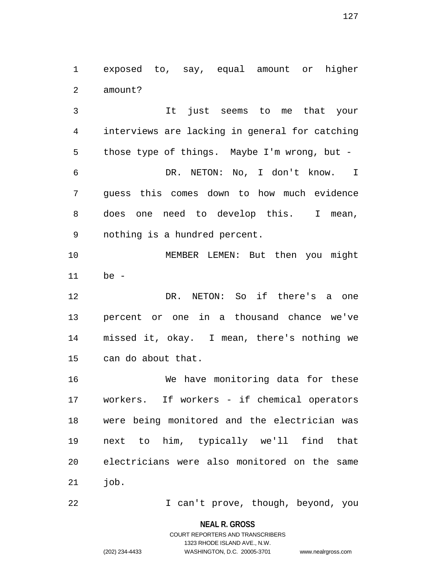1 exposed to, say, equal amount or higher 2 amount?

3 It just seems to me that your 4 interviews are lacking in general for catching 5 those type of things. Maybe I'm wrong, but - 6 DR. NETON: No, I don't know. I 7 guess this comes down to how much evidence 8 does one need to develop this. I mean, 9 nothing is a hundred percent.

10 MEMBER LEMEN: But then you might 11 be -

12 DR. NETON: So if there's a one 13 percent or one in a thousand chance we've 14 missed it, okay. I mean, there's nothing we 15 can do about that.

16 We have monitoring data for these 17 workers. If workers - if chemical operators 18 were being monitored and the electrician was 19 next to him, typically we'll find that 20 electricians were also monitored on the same 21 job.

22 I can't prove, though, beyond, you

**NEAL R. GROSS**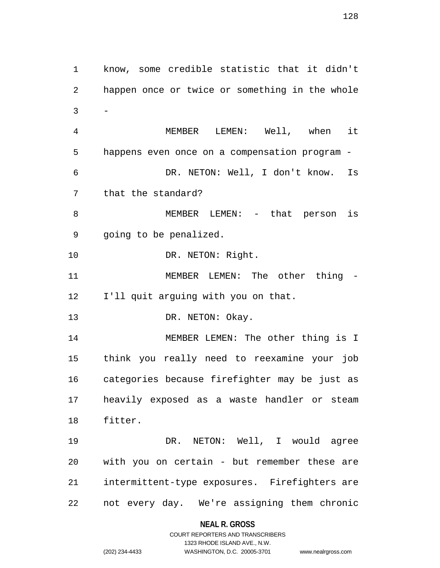1 know, some credible statistic that it didn't 2 happen once or twice or something in the whole  $3 -$ 4 MEMBER LEMEN: Well, when it 5 happens even once on a compensation program - 6 DR. NETON: Well, I don't know. Is 7 that the standard? 8 MEMBER LEMEN: - that person is 9 going to be penalized. 10 DR. NETON: Right. 11 MEMBER LEMEN: The other thing -12 I'll quit arguing with you on that. 13 DR. NETON: Okay. 14 MEMBER LEMEN: The other thing is I 15 think you really need to reexamine your job 16 categories because firefighter may be just as 17 heavily exposed as a waste handler or steam 18 fitter. 19 DR. NETON: Well, I would agree 20 with you on certain - but remember these are 21 intermittent-type exposures. Firefighters are 22 not every day. We're assigning them chronic

**NEAL R. GROSS**

## COURT REPORTERS AND TRANSCRIBERS 1323 RHODE ISLAND AVE., N.W. (202) 234-4433 WASHINGTON, D.C. 20005-3701 www.nealrgross.com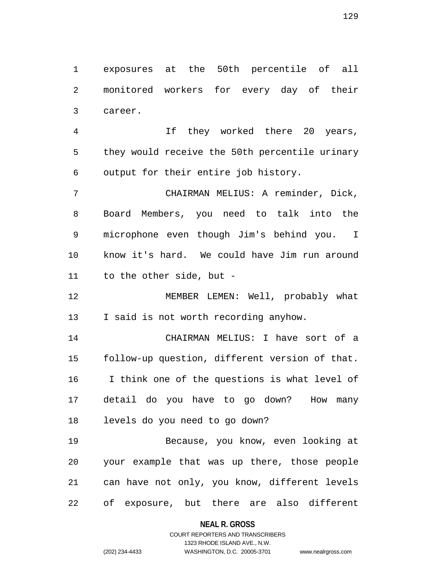1 exposures at the 50th percentile of all 2 monitored workers for every day of their 3 career.

4 If they worked there 20 years, 5 they would receive the 50th percentile urinary 6 output for their entire job history.

7 CHAIRMAN MELIUS: A reminder, Dick, 8 Board Members, you need to talk into the 9 microphone even though Jim's behind you. I 10 know it's hard. We could have Jim run around 11 to the other side, but -

12 MEMBER LEMEN: Well, probably what 13 I said is not worth recording anyhow.

14 CHAIRMAN MELIUS: I have sort of a 15 follow-up question, different version of that. 16 I think one of the questions is what level of 17 detail do you have to go down? How many 18 levels do you need to go down?

19 Because, you know, even looking at 20 your example that was up there, those people 21 can have not only, you know, different levels 22 of exposure, but there are also different

**NEAL R. GROSS**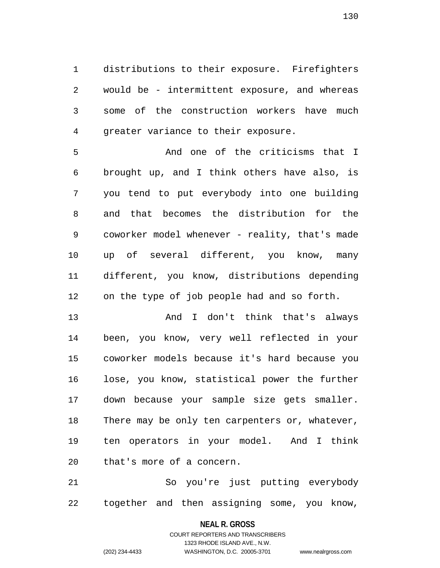1 distributions to their exposure. Firefighters 2 would be - intermittent exposure, and whereas 3 some of the construction workers have much 4 greater variance to their exposure.

5 And one of the criticisms that I 6 brought up, and I think others have also, is 7 you tend to put everybody into one building 8 and that becomes the distribution for the 9 coworker model whenever - reality, that's made 10 up of several different, you know, many 11 different, you know, distributions depending 12 on the type of job people had and so forth.

13 And I don't think that's always 14 been, you know, very well reflected in your 15 coworker models because it's hard because you 16 lose, you know, statistical power the further 17 down because your sample size gets smaller. 18 There may be only ten carpenters or, whatever, 19 ten operators in your model. And I think 20 that's more of a concern.

21 So you're just putting everybody 22 together and then assigning some, you know,

**NEAL R. GROSS**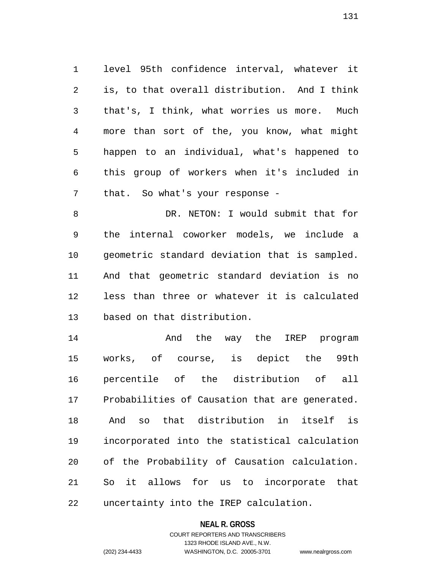1 level 95th confidence interval, whatever it 2 is, to that overall distribution. And I think 3 that's, I think, what worries us more. Much 4 more than sort of the, you know, what might 5 happen to an individual, what's happened to 6 this group of workers when it's included in 7 that. So what's your response -

8 DR. NETON: I would submit that for 9 the internal coworker models, we include a 10 geometric standard deviation that is sampled. 11 And that geometric standard deviation is no 12 less than three or whatever it is calculated 13 based on that distribution.

14 **And the way the IREP** program 15 works, of course, is depict the 99th 16 percentile of the distribution of all 17 Probabilities of Causation that are generated. 18 And so that distribution in itself is 19 incorporated into the statistical calculation 20 of the Probability of Causation calculation. 21 So it allows for us to incorporate that 22 uncertainty into the IREP calculation.

### **NEAL R. GROSS**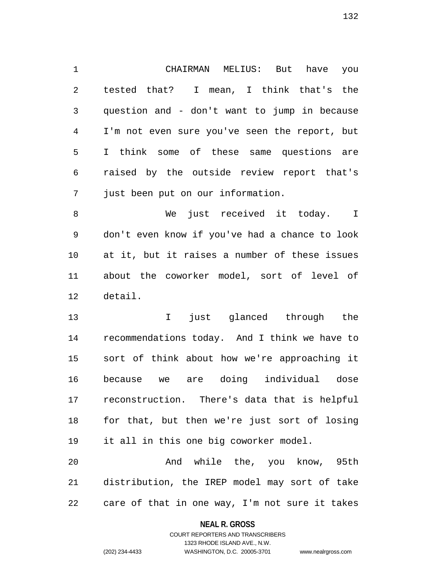1 CHAIRMAN MELIUS: But have you 2 tested that? I mean, I think that's the 3 question and - don't want to jump in because 4 I'm not even sure you've seen the report, but 5 I think some of these same questions are 6 raised by the outside review report that's 7 just been put on our information.

8 We just received it today. I 9 don't even know if you've had a chance to look 10 at it, but it raises a number of these issues 11 about the coworker model, sort of level of 12 detail.

13 I just glanced through the 14 recommendations today. And I think we have to 15 sort of think about how we're approaching it 16 because we are doing individual dose 17 reconstruction. There's data that is helpful 18 for that, but then we're just sort of losing 19 it all in this one big coworker model.

20 And while the, you know, 95th 21 distribution, the IREP model may sort of take 22 care of that in one way, I'm not sure it takes

### **NEAL R. GROSS**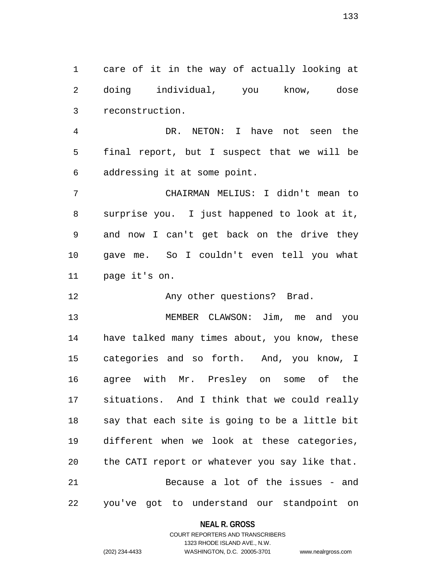1 care of it in the way of actually looking at 2 doing individual, you know, dose 3 reconstruction.

4 DR. NETON: I have not seen the 5 final report, but I suspect that we will be 6 addressing it at some point.

7 CHAIRMAN MELIUS: I didn't mean to 8 surprise you. I just happened to look at it, 9 and now I can't get back on the drive they 10 gave me. So I couldn't even tell you what 11 page it's on.

12 Any other questions? Brad.

13 MEMBER CLAWSON: Jim, me and you 14 have talked many times about, you know, these 15 categories and so forth. And, you know, I 16 agree with Mr. Presley on some of the 17 situations. And I think that we could really 18 say that each site is going to be a little bit 19 different when we look at these categories, 20 the CATI report or whatever you say like that. 21 Because a lot of the issues - and 22 you've got to understand our standpoint on

### **NEAL R. GROSS**

COURT REPORTERS AND TRANSCRIBERS 1323 RHODE ISLAND AVE., N.W. (202) 234-4433 WASHINGTON, D.C. 20005-3701 www.nealrgross.com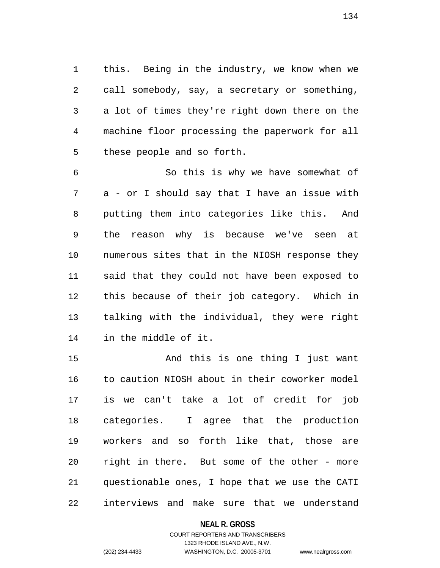1 this. Being in the industry, we know when we 2 call somebody, say, a secretary or something, 3 a lot of times they're right down there on the 4 machine floor processing the paperwork for all 5 these people and so forth.

6 So this is why we have somewhat of 7 a - or I should say that I have an issue with 8 putting them into categories like this. And 9 the reason why is because we've seen at 10 numerous sites that in the NIOSH response they 11 said that they could not have been exposed to 12 this because of their job category. Which in 13 talking with the individual, they were right 14 in the middle of it.

15 And this is one thing I just want 16 to caution NIOSH about in their coworker model 17 is we can't take a lot of credit for job 18 categories. I agree that the production 19 workers and so forth like that, those are 20 right in there. But some of the other - more 21 questionable ones, I hope that we use the CATI 22 interviews and make sure that we understand

### **NEAL R. GROSS**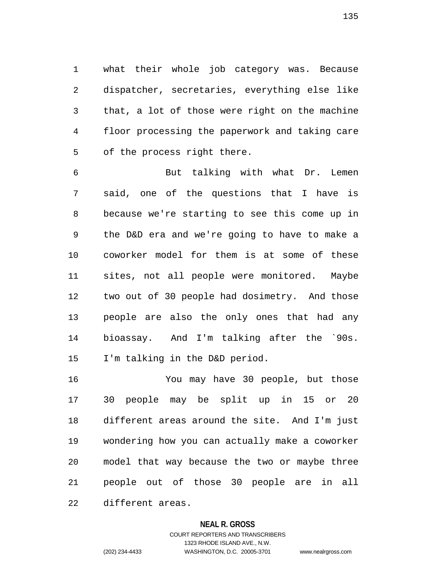1 what their whole job category was. Because 2 dispatcher, secretaries, everything else like 3 that, a lot of those were right on the machine 4 floor processing the paperwork and taking care 5 of the process right there.

6 But talking with what Dr. Lemen 7 said, one of the questions that I have is 8 because we're starting to see this come up in 9 the D&D era and we're going to have to make a 10 coworker model for them is at some of these 11 sites, not all people were monitored. Maybe 12 two out of 30 people had dosimetry. And those 13 people are also the only ones that had any 14 bioassay. And I'm talking after the `90s. 15 I'm talking in the D&D period.

16 You may have 30 people, but those 17 30 people may be split up in 15 or 20 18 different areas around the site. And I'm just 19 wondering how you can actually make a coworker 20 model that way because the two or maybe three 21 people out of those 30 people are in all 22 different areas.

### **NEAL R. GROSS**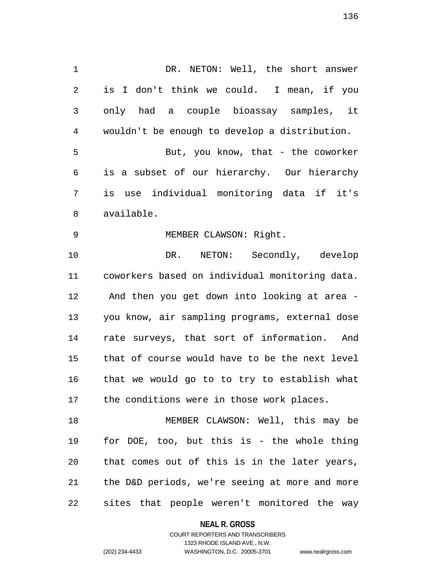1 DR. NETON: Well, the short answer 2 is I don't think we could. I mean, if you 3 only had a couple bioassay samples, it 4 wouldn't be enough to develop a distribution. 5 But, you know, that - the coworker 6 is a subset of our hierarchy. Our hierarchy 7 is use individual monitoring data if it's 8 available. 9 MEMBER CLAWSON: Right. 10 DR. NETON: Secondly, develop 11 coworkers based on individual monitoring data. 12 And then you get down into looking at area - 13 you know, air sampling programs, external dose 14 rate surveys, that sort of information. And 15 that of course would have to be the next level 16 that we would go to to try to establish what 17 the conditions were in those work places. 18 MEMBER CLAWSON: Well, this may be 19 for DOE, too, but this is - the whole thing 20 that comes out of this is in the later years, 21 the D&D periods, we're seeing at more and more

22 sites that people weren't monitored the way

**NEAL R. GROSS**

COURT REPORTERS AND TRANSCRIBERS 1323 RHODE ISLAND AVE., N.W. (202) 234-4433 WASHINGTON, D.C. 20005-3701 www.nealrgross.com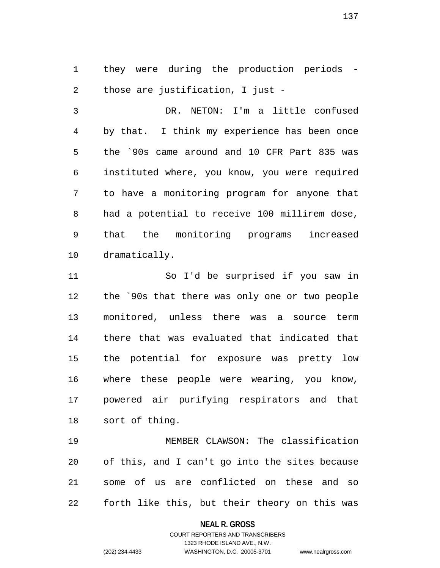1 they were during the production periods - 2 those are justification, I just -

3 DR. NETON: I'm a little confused 4 by that. I think my experience has been once 5 the `90s came around and 10 CFR Part 835 was 6 instituted where, you know, you were required 7 to have a monitoring program for anyone that 8 had a potential to receive 100 millirem dose, 9 that the monitoring programs increased 10 dramatically.

11 So I'd be surprised if you saw in 12 the `90s that there was only one or two people 13 monitored, unless there was a source term 14 there that was evaluated that indicated that 15 the potential for exposure was pretty low 16 where these people were wearing, you know, 17 powered air purifying respirators and that 18 sort of thing.

19 MEMBER CLAWSON: The classification 20 of this, and I can't go into the sites because 21 some of us are conflicted on these and so 22 forth like this, but their theory on this was

### **NEAL R. GROSS**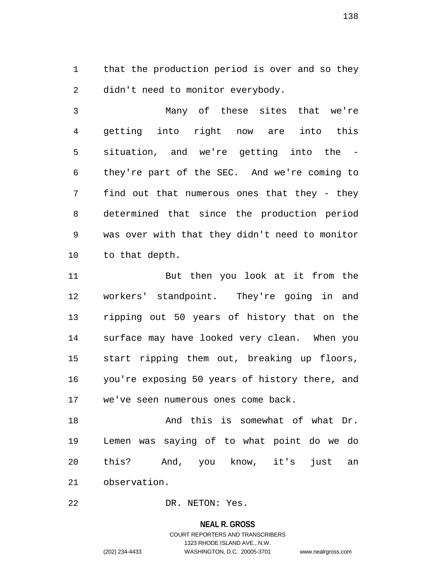1 that the production period is over and so they 2 didn't need to monitor everybody.

3 Many of these sites that we're 4 getting into right now are into this 5 situation, and we're getting into the - 6 they're part of the SEC. And we're coming to 7 find out that numerous ones that they - they 8 determined that since the production period 9 was over with that they didn't need to monitor 10 to that depth.

11 But then you look at it from the 12 workers' standpoint. They're going in and 13 ripping out 50 years of history that on the 14 surface may have looked very clean. When you 15 start ripping them out, breaking up floors, 16 you're exposing 50 years of history there, and 17 we've seen numerous ones come back.

18 And this is somewhat of what Dr. 19 Lemen was saying of to what point do we do 20 this? And, you know, it's just an 21 observation.

22 DR. NETON: Yes.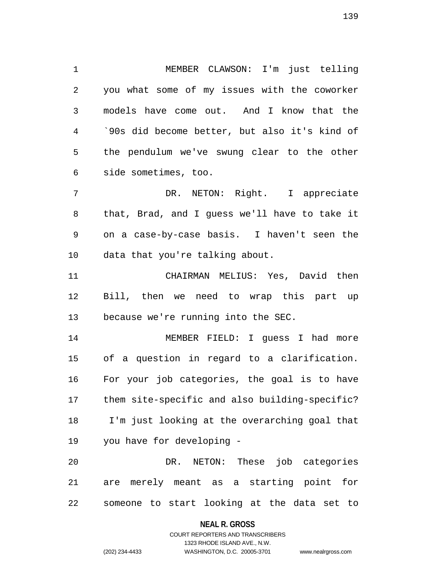1 MEMBER CLAWSON: I'm just telling 2 you what some of my issues with the coworker 3 models have come out. And I know that the 4 `90s did become better, but also it's kind of 5 the pendulum we've swung clear to the other 6 side sometimes, too.

7 DR. NETON: Right. I appreciate 8 that, Brad, and I guess we'll have to take it 9 on a case-by-case basis. I haven't seen the 10 data that you're talking about.

11 CHAIRMAN MELIUS: Yes, David then 12 Bill, then we need to wrap this part up 13 because we're running into the SEC.

14 MEMBER FIELD: I guess I had more 15 of a question in regard to a clarification. 16 For your job categories, the goal is to have 17 them site-specific and also building-specific? 18 I'm just looking at the overarching goal that 19 you have for developing -

20 DR. NETON: These job categories 21 are merely meant as a starting point for 22 someone to start looking at the data set to

### **NEAL R. GROSS**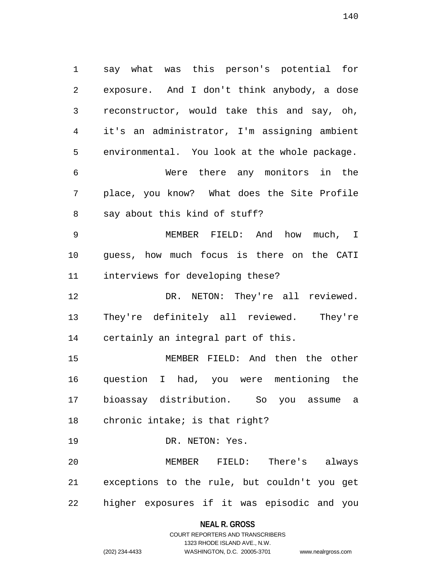1 say what was this person's potential for 2 exposure. And I don't think anybody, a dose 3 reconstructor, would take this and say, oh, 4 it's an administrator, I'm assigning ambient 5 environmental. You look at the whole package. 6 Were there any monitors in the 7 place, you know? What does the Site Profile 8 say about this kind of stuff? 9 MEMBER FIELD: And how much, I 10 guess, how much focus is there on the CATI 11 interviews for developing these? 12 DR. NETON: They're all reviewed. 13 They're definitely all reviewed. They're 14 certainly an integral part of this. 15 MEMBER FIELD: And then the other 16 question I had, you were mentioning the 17 bioassay distribution. So you assume a

18 chronic intake; is that right?

19 DR. NETON: Yes.

20 MEMBER FIELD: There's always 21 exceptions to the rule, but couldn't you get 22 higher exposures if it was episodic and you

**NEAL R. GROSS**

## COURT REPORTERS AND TRANSCRIBERS 1323 RHODE ISLAND AVE., N.W. (202) 234-4433 WASHINGTON, D.C. 20005-3701 www.nealrgross.com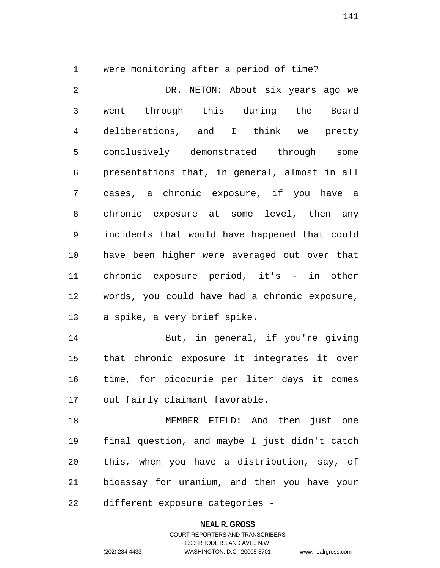1 were monitoring after a period of time?

2 DR. NETON: About six years ago we 3 went through this during the Board 4 deliberations, and I think we pretty 5 conclusively demonstrated through some 6 presentations that, in general, almost in all 7 cases, a chronic exposure, if you have a 8 chronic exposure at some level, then any 9 incidents that would have happened that could 10 have been higher were averaged out over that 11 chronic exposure period, it's - in other 12 words, you could have had a chronic exposure, 13 a spike, a very brief spike.

14 But, in general, if you're giving 15 that chronic exposure it integrates it over 16 time, for picocurie per liter days it comes 17 out fairly claimant favorable.

18 MEMBER FIELD: And then just one 19 final question, and maybe I just didn't catch 20 this, when you have a distribution, say, of 21 bioassay for uranium, and then you have your 22 different exposure categories -

#### **NEAL R. GROSS**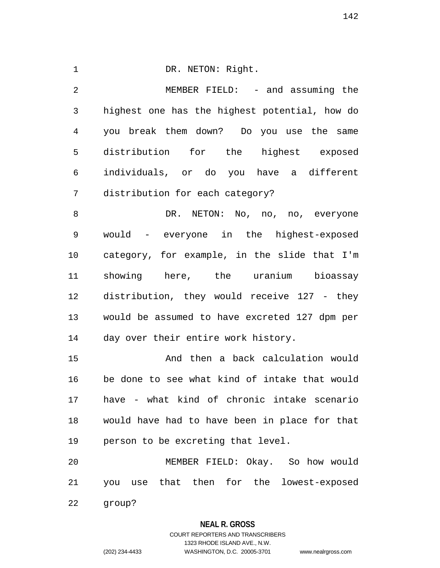## 1 DR. NETON: Right.

2 MEMBER FIELD: - and assuming the 3 highest one has the highest potential, how do 4 you break them down? Do you use the same 5 distribution for the highest exposed 6 individuals, or do you have a different 7 distribution for each category?

8 DR. NETON: No, no, no, everyone 9 would - everyone in the highest-exposed 10 category, for example, in the slide that I'm 11 showing here, the uranium bioassay 12 distribution, they would receive 127 - they 13 would be assumed to have excreted 127 dpm per 14 day over their entire work history.

15 And then a back calculation would 16 be done to see what kind of intake that would 17 have - what kind of chronic intake scenario 18 would have had to have been in place for that 19 person to be excreting that level.

20 MEMBER FIELD: Okay. So how would 21 you use that then for the lowest-exposed

22 group?

### **NEAL R. GROSS**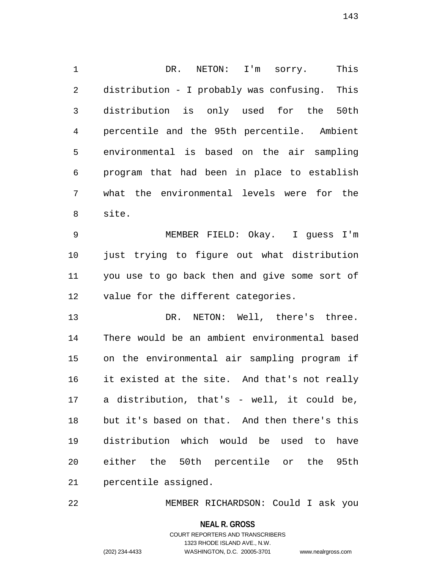1 DR. NETON: I'm sorry. This 2 distribution - I probably was confusing. This 3 distribution is only used for the 50th 4 percentile and the 95th percentile. Ambient 5 environmental is based on the air sampling 6 program that had been in place to establish 7 what the environmental levels were for the 8 site.

9 MEMBER FIELD: Okay. I guess I'm 10 just trying to figure out what distribution 11 you use to go back then and give some sort of 12 value for the different categories.

13 DR. NETON: Well, there's three. 14 There would be an ambient environmental based 15 on the environmental air sampling program if 16 it existed at the site. And that's not really 17 a distribution, that's - well, it could be, 18 but it's based on that. And then there's this 19 distribution which would be used to have 20 either the 50th percentile or the 95th 21 percentile assigned.

22 MEMBER RICHARDSON: Could I ask you

**NEAL R. GROSS** COURT REPORTERS AND TRANSCRIBERS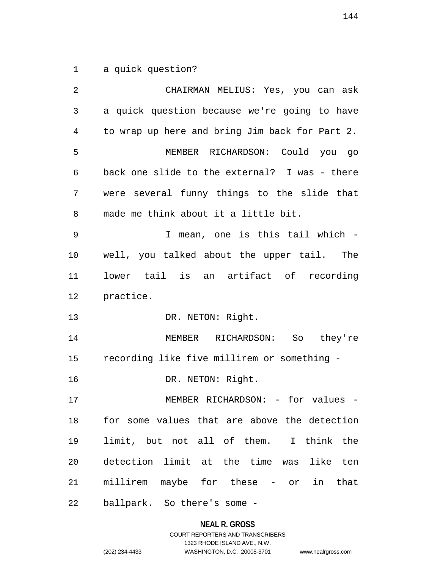1 a quick question?

2 CHAIRMAN MELIUS: Yes, you can ask 3 a quick question because we're going to have 4 to wrap up here and bring Jim back for Part 2. 5 MEMBER RICHARDSON: Could you go 6 back one slide to the external? I was - there 7 were several funny things to the slide that 8 made me think about it a little bit. 9 I mean, one is this tail which - 10 well, you talked about the upper tail. The 11 lower tail is an artifact of recording 12 practice. 13 DR. NETON: Right. 14 MEMBER RICHARDSON: So they're 15 recording like five millirem or something - 16 DR. NETON: Right. 17 MEMBER RICHARDSON: - for values -18 for some values that are above the detection 19 limit, but not all of them. I think the 20 detection limit at the time was like ten 21 millirem maybe for these - or in that 22 ballpark. So there's some -

#### **NEAL R. GROSS**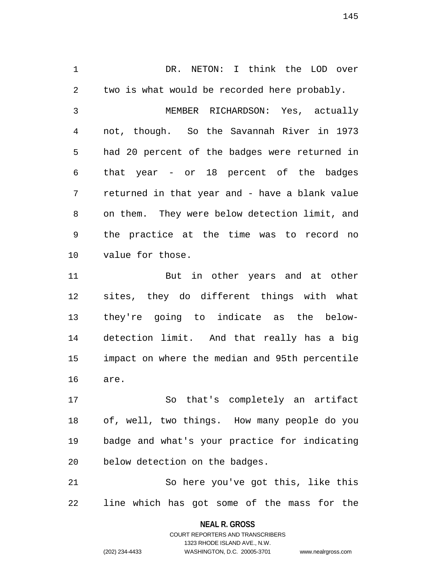1 DR. NETON: I think the LOD over 2 two is what would be recorded here probably. 3 MEMBER RICHARDSON: Yes, actually 4 not, though. So the Savannah River in 1973 5 had 20 percent of the badges were returned in 6 that year - or 18 percent of the badges 7 returned in that year and - have a blank value 8 on them. They were below detection limit, and 9 the practice at the time was to record no 10 value for those. 11 But in other years and at other

12 sites, they do different things with what 13 they're going to indicate as the below-14 detection limit. And that really has a big 15 impact on where the median and 95th percentile 16 are.

17 So that's completely an artifact 18 of, well, two things. How many people do you 19 badge and what's your practice for indicating 20 below detection on the badges.

21 So here you've got this, like this 22 line which has got some of the mass for the

> **NEAL R. GROSS** COURT REPORTERS AND TRANSCRIBERS

> > 1323 RHODE ISLAND AVE., N.W.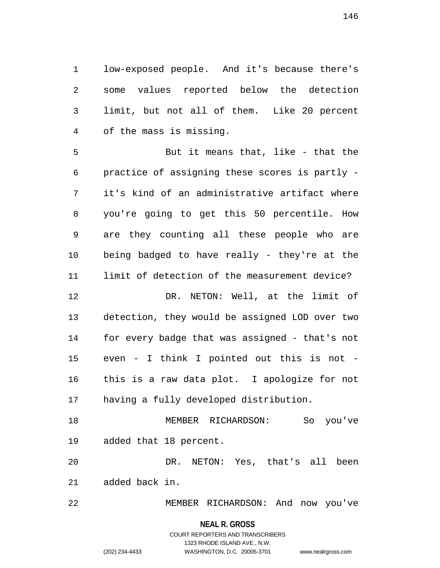1 low-exposed people. And it's because there's 2 some values reported below the detection 3 limit, but not all of them. Like 20 percent 4 of the mass is missing.

5 But it means that, like - that the 6 practice of assigning these scores is partly - 7 it's kind of an administrative artifact where 8 you're going to get this 50 percentile. How 9 are they counting all these people who are 10 being badged to have really - they're at the 11 limit of detection of the measurement device? 12 DR. NETON: Well, at the limit of 13 detection, they would be assigned LOD over two 14 for every badge that was assigned - that's not 15 even - I think I pointed out this is not - 16 this is a raw data plot. I apologize for not 17 having a fully developed distribution. 18 MEMBER RICHARDSON: So you've

19 added that 18 percent.

20 DR. NETON: Yes, that's all been 21 added back in.

22 MEMBER RICHARDSON: And now you've

### **NEAL R. GROSS**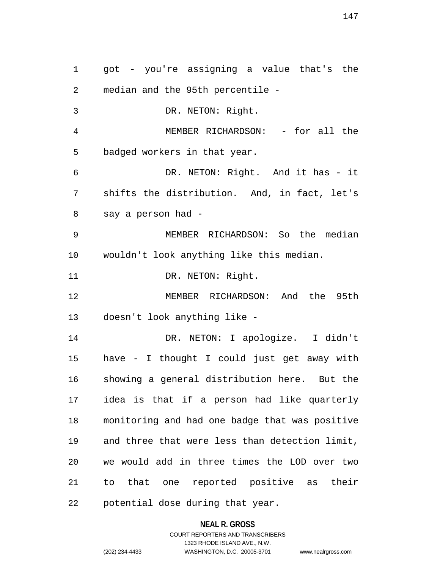1 got - you're assigning a value that's the 2 median and the 95th percentile - 3 DR. NETON: Right. 4 MEMBER RICHARDSON: - for all the 5 badged workers in that year. 6 DR. NETON: Right. And it has - it 7 shifts the distribution. And, in fact, let's 8 say a person had - 9 MEMBER RICHARDSON: So the median 10 wouldn't look anything like this median. 11 DR. NETON: Right. 12 MEMBER RICHARDSON: And the 95th 13 doesn't look anything like - 14 DR. NETON: I apologize. I didn't 15 have - I thought I could just get away with 16 showing a general distribution here. But the 17 idea is that if a person had like quarterly 18 monitoring and had one badge that was positive 19 and three that were less than detection limit, 20 we would add in three times the LOD over two 21 to that one reported positive as their 22 potential dose during that year.

#### **NEAL R. GROSS**

### COURT REPORTERS AND TRANSCRIBERS 1323 RHODE ISLAND AVE., N.W. (202) 234-4433 WASHINGTON, D.C. 20005-3701 www.nealrgross.com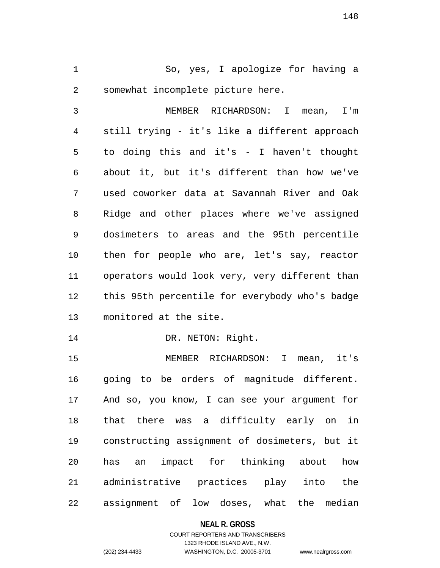1 So, yes, I apologize for having a 2 somewhat incomplete picture here.

3 MEMBER RICHARDSON: I mean, I'm 4 still trying - it's like a different approach 5 to doing this and it's - I haven't thought 6 about it, but it's different than how we've 7 used coworker data at Savannah River and Oak 8 Ridge and other places where we've assigned 9 dosimeters to areas and the 95th percentile 10 then for people who are, let's say, reactor 11 operators would look very, very different than 12 this 95th percentile for everybody who's badge 13 monitored at the site.

14 DR. NETON: Right.

15 MEMBER RICHARDSON: I mean, it's 16 going to be orders of magnitude different. 17 And so, you know, I can see your argument for 18 that there was a difficulty early on in 19 constructing assignment of dosimeters, but it 20 has an impact for thinking about how 21 administrative practices play into the 22 assignment of low doses, what the median

#### **NEAL R. GROSS**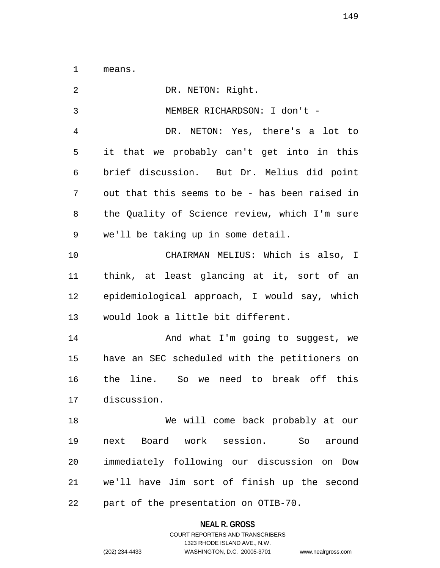1 means.

| $\overline{2}$ | DR. NETON: Right.                              |
|----------------|------------------------------------------------|
| 3              | MEMBER RICHARDSON: I don't -                   |
| 4              | DR. NETON: Yes, there's a lot to               |
| 5              | it that we probably can't get into in this     |
| 6              | brief discussion. But Dr. Melius did point     |
| 7              | out that this seems to be - has been raised in |
| 8              | the Quality of Science review, which I'm sure  |
| 9              | we'll be taking up in some detail.             |
| 10             | CHAIRMAN MELIUS: Which is also, I              |
| 11             | think, at least glancing at it, sort of an     |
| 12             | epidemiological approach, I would say, which   |
| 13             | would look a little bit different.             |
| 14             | And what I'm going to suggest, we              |
| 15             | have an SEC scheduled with the petitioners on  |
| 16             | the line. So we need to break off this         |
| 17             | discussion.                                    |
| 18             | We will come back probably at our              |
| 19             | next Board work session. So around             |
| 20             | immediately following our discussion on Dow    |
| 21             | we'll have Jim sort of finish up the second    |
| 22             | part of the presentation on OTIB-70.           |

**NEAL R. GROSS**

COURT REPORTERS AND TRANSCRIBERS 1323 RHODE ISLAND AVE., N.W. (202) 234-4433 WASHINGTON, D.C. 20005-3701 www.nealrgross.com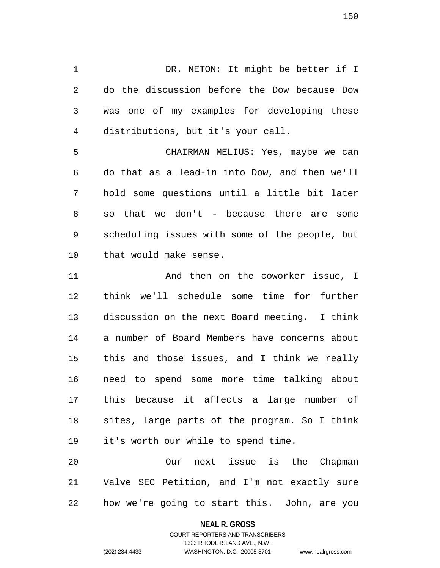1 DR. NETON: It might be better if I 2 do the discussion before the Dow because Dow 3 was one of my examples for developing these 4 distributions, but it's your call.

5 CHAIRMAN MELIUS: Yes, maybe we can 6 do that as a lead-in into Dow, and then we'll 7 hold some questions until a little bit later 8 so that we don't - because there are some 9 scheduling issues with some of the people, but 10 that would make sense.

11 **And then on the coworker issue, I** 12 think we'll schedule some time for further 13 discussion on the next Board meeting. I think 14 a number of Board Members have concerns about 15 this and those issues, and I think we really 16 need to spend some more time talking about 17 this because it affects a large number of 18 sites, large parts of the program. So I think 19 it's worth our while to spend time.

20 Our next issue is the Chapman 21 Valve SEC Petition, and I'm not exactly sure 22 how we're going to start this. John, are you

**NEAL R. GROSS**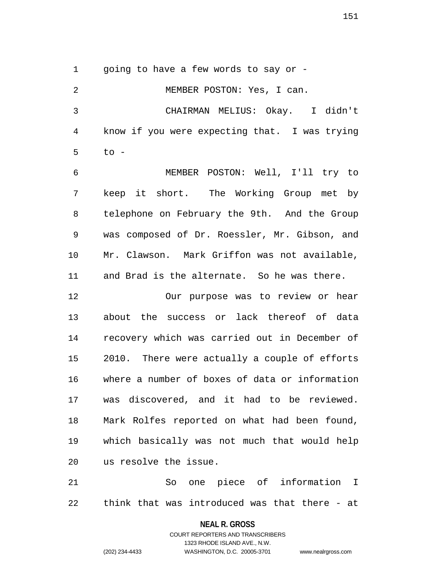1 going to have a few words to say or -

2 MEMBER POSTON: Yes, I can. 3 CHAIRMAN MELIUS: Okay. I didn't 4 know if you were expecting that. I was trying 5 to -

6 MEMBER POSTON: Well, I'll try to 7 keep it short. The Working Group met by 8 telephone on February the 9th. And the Group 9 was composed of Dr. Roessler, Mr. Gibson, and 10 Mr. Clawson. Mark Griffon was not available, 11 and Brad is the alternate. So he was there.

12 Our purpose was to review or hear 13 about the success or lack thereof of data 14 recovery which was carried out in December of 15 2010. There were actually a couple of efforts 16 where a number of boxes of data or information 17 was discovered, and it had to be reviewed. 18 Mark Rolfes reported on what had been found, 19 which basically was not much that would help 20 us resolve the issue.

21 So one piece of information I 22 think that was introduced was that there - at

### **NEAL R. GROSS**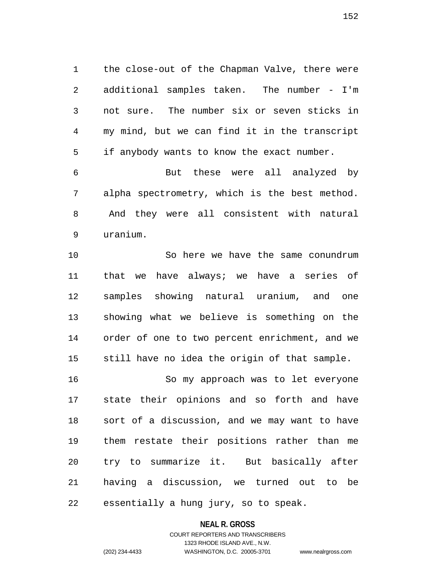1 the close-out of the Chapman Valve, there were 2 additional samples taken. The number - I'm 3 not sure. The number six or seven sticks in 4 my mind, but we can find it in the transcript 5 if anybody wants to know the exact number.

6 But these were all analyzed by 7 alpha spectrometry, which is the best method. 8 And they were all consistent with natural 9 uranium.

10 So here we have the same conundrum 11 that we have always; we have a series of 12 samples showing natural uranium, and one 13 showing what we believe is something on the 14 order of one to two percent enrichment, and we 15 still have no idea the origin of that sample.

16 So my approach was to let everyone 17 state their opinions and so forth and have 18 sort of a discussion, and we may want to have 19 them restate their positions rather than me 20 try to summarize it. But basically after 21 having a discussion, we turned out to be 22 essentially a hung jury, so to speak.

#### **NEAL R. GROSS**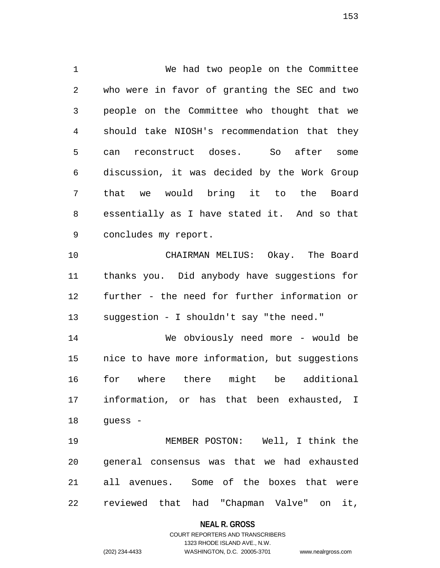1 We had two people on the Committee 2 who were in favor of granting the SEC and two 3 people on the Committee who thought that we 4 should take NIOSH's recommendation that they 5 can reconstruct doses. So after some 6 discussion, it was decided by the Work Group 7 that we would bring it to the Board 8 essentially as I have stated it. And so that 9 concludes my report. 10 CHAIRMAN MELIUS: Okay. The Board 11 thanks you. Did anybody have suggestions for 12 further - the need for further information or 13 suggestion - I shouldn't say "the need."

14 We obviously need more - would be 15 nice to have more information, but suggestions 16 for where there might be additional 17 information, or has that been exhausted, I 18 guess -

19 MEMBER POSTON: Well, I think the 20 general consensus was that we had exhausted 21 all avenues. Some of the boxes that were 22 reviewed that had "Chapman Valve" on it,

#### **NEAL R. GROSS**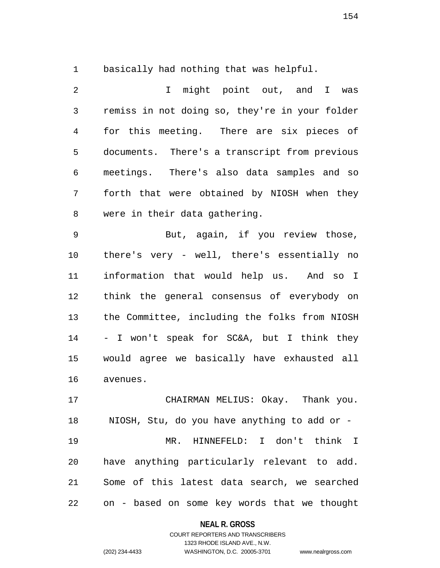1 basically had nothing that was helpful.

2 I might point out, and I was 3 remiss in not doing so, they're in your folder 4 for this meeting. There are six pieces of 5 documents. There's a transcript from previous 6 meetings. There's also data samples and so 7 forth that were obtained by NIOSH when they 8 were in their data gathering.

9 But, again, if you review those, 10 there's very - well, there's essentially no 11 information that would help us. And so I 12 think the general consensus of everybody on 13 the Committee, including the folks from NIOSH 14 - I won't speak for SC&A, but I think they 15 would agree we basically have exhausted all 16 avenues.

17 CHAIRMAN MELIUS: Okay. Thank you. 18 NIOSH, Stu, do you have anything to add or - 19 MR. HINNEFELD: I don't think I 20 have anything particularly relevant to add. 21 Some of this latest data search, we searched 22 on - based on some key words that we thought

#### **NEAL R. GROSS**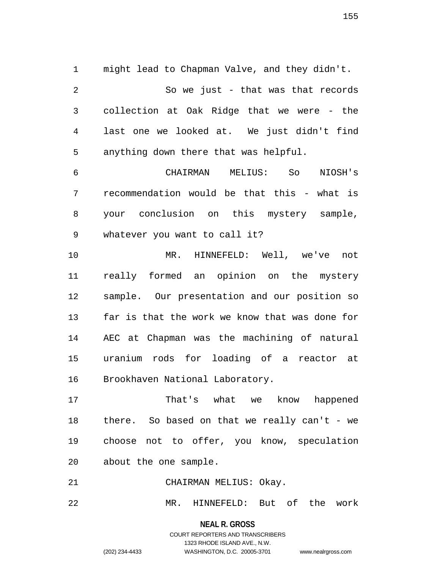1 might lead to Chapman Valve, and they didn't. 2 So we just - that was that records 3 collection at Oak Ridge that we were - the 4 last one we looked at. We just didn't find 5 anything down there that was helpful.

6 CHAIRMAN MELIUS: So NIOSH's 7 recommendation would be that this - what is 8 your conclusion on this mystery sample, 9 whatever you want to call it?

10 MR. HINNEFELD: Well, we've not 11 really formed an opinion on the mystery 12 sample. Our presentation and our position so 13 far is that the work we know that was done for 14 AEC at Chapman was the machining of natural 15 uranium rods for loading of a reactor at 16 Brookhaven National Laboratory.

17 That's what we know happened 18 there. So based on that we really can't - we 19 choose not to offer, you know, speculation 20 about the one sample.

21 CHAIRMAN MELIUS: Okay.

22 MR. HINNEFELD: But of the work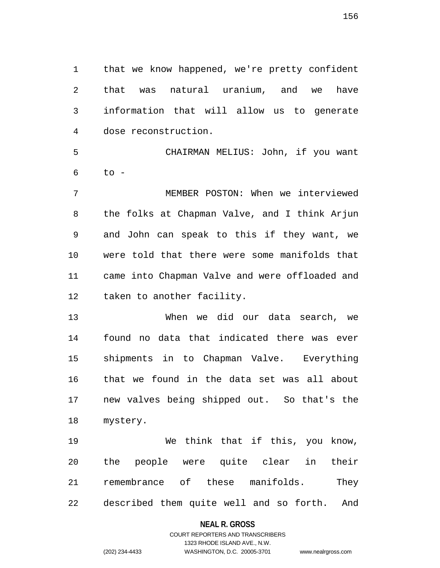1 that we know happened, we're pretty confident 2 that was natural uranium, and we have 3 information that will allow us to generate 4 dose reconstruction.

5 CHAIRMAN MELIUS: John, if you want  $6$  to -

7 MEMBER POSTON: When we interviewed 8 the folks at Chapman Valve, and I think Arjun 9 and John can speak to this if they want, we 10 were told that there were some manifolds that 11 came into Chapman Valve and were offloaded and 12 taken to another facility.

13 When we did our data search, we 14 found no data that indicated there was ever 15 shipments in to Chapman Valve. Everything 16 that we found in the data set was all about 17 new valves being shipped out. So that's the 18 mystery.

19 We think that if this, you know, 20 the people were quite clear in their 21 remembrance of these manifolds. They 22 described them quite well and so forth. And

#### **NEAL R. GROSS**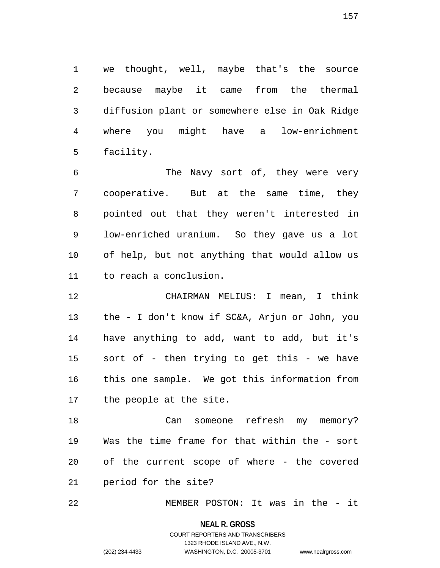1 we thought, well, maybe that's the source 2 because maybe it came from the thermal 3 diffusion plant or somewhere else in Oak Ridge 4 where you might have a low-enrichment 5 facility.

6 The Navy sort of, they were very 7 cooperative. But at the same time, they 8 pointed out that they weren't interested in 9 low-enriched uranium. So they gave us a lot 10 of help, but not anything that would allow us 11 to reach a conclusion.

12 CHAIRMAN MELIUS: I mean, I think 13 the - I don't know if SC&A, Arjun or John, you 14 have anything to add, want to add, but it's 15 sort of - then trying to get this - we have 16 this one sample. We got this information from 17 the people at the site.

18 Can someone refresh my memory? 19 Was the time frame for that within the - sort 20 of the current scope of where - the covered 21 period for the site?

22 MEMBER POSTON: It was in the - it

#### **NEAL R. GROSS**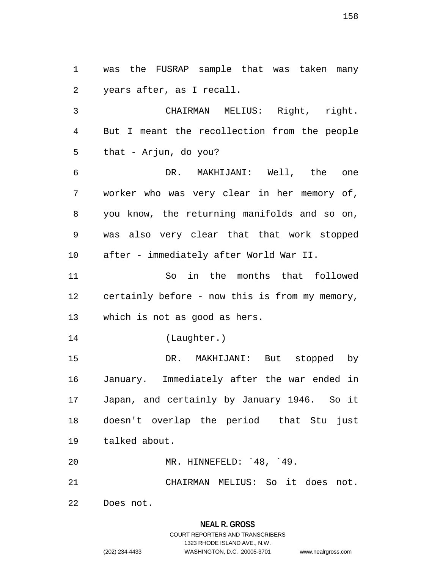1 was the FUSRAP sample that was taken many 2 years after, as I recall. 3 CHAIRMAN MELIUS: Right, right. 4 But I meant the recollection from the people 5 that - Arjun, do you? 6 DR. MAKHIJANI: Well, the one 7 worker who was very clear in her memory of, 8 you know, the returning manifolds and so on, 9 was also very clear that that work stopped 10 after - immediately after World War II. 11 So in the months that followed 12 certainly before - now this is from my memory, 13 which is not as good as hers. 14 (Laughter.) 15 DR. MAKHIJANI: But stopped by 16 January. Immediately after the war ended in 17 Japan, and certainly by January 1946. So it 18 doesn't overlap the period that Stu just 19 talked about. 20 MR. HINNEFELD: `48, `49. 21 CHAIRMAN MELIUS: So it does not. 22 Does not.

# **NEAL R. GROSS** COURT REPORTERS AND TRANSCRIBERS 1323 RHODE ISLAND AVE., N.W.

(202) 234-4433 WASHINGTON, D.C. 20005-3701 www.nealrgross.com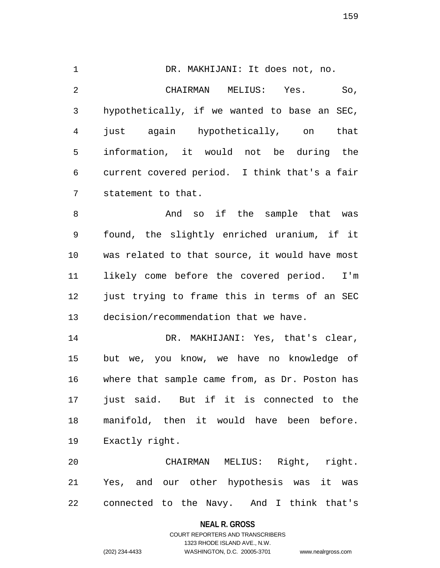1 DR. MAKHIJANI: It does not, no. 2 CHAIRMAN MELIUS: Yes. So, 3 hypothetically, if we wanted to base an SEC, 4 just again hypothetically, on that 5 information, it would not be during the 6 current covered period. I think that's a fair 7 statement to that.

8 And so if the sample that was 9 found, the slightly enriched uranium, if it 10 was related to that source, it would have most 11 likely come before the covered period. I'm 12 just trying to frame this in terms of an SEC 13 decision/recommendation that we have.

14 DR. MAKHIJANI: Yes, that's clear, 15 but we, you know, we have no knowledge of 16 where that sample came from, as Dr. Poston has 17 just said. But if it is connected to the 18 manifold, then it would have been before. 19 Exactly right.

20 CHAIRMAN MELIUS: Right, right. 21 Yes, and our other hypothesis was it was 22 connected to the Navy. And I think that's

**NEAL R. GROSS**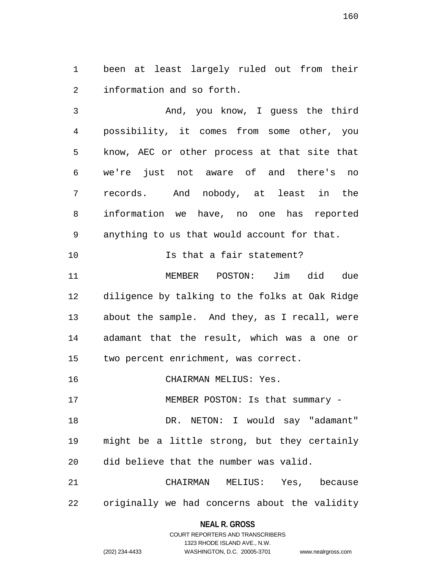1 been at least largely ruled out from their 2 information and so forth.

3 And, you know, I guess the third 4 possibility, it comes from some other, you 5 know, AEC or other process at that site that 6 we're just not aware of and there's no 7 records. And nobody, at least in the 8 information we have, no one has reported 9 anything to us that would account for that. 10 **Is that a fair statement?** 11 MEMBER POSTON: Jim did due 12 diligence by talking to the folks at Oak Ridge

13 about the sample. And they, as I recall, were 14 adamant that the result, which was a one or 15 two percent enrichment, was correct.

16 CHAIRMAN MELIUS: Yes.

17 MEMBER POSTON: Is that summary -

18 DR. NETON: I would say "adamant" 19 might be a little strong, but they certainly 20 did believe that the number was valid.

21 CHAIRMAN MELIUS: Yes, because 22 originally we had concerns about the validity

> **NEAL R. GROSS** COURT REPORTERS AND TRANSCRIBERS

> > 1323 RHODE ISLAND AVE., N.W.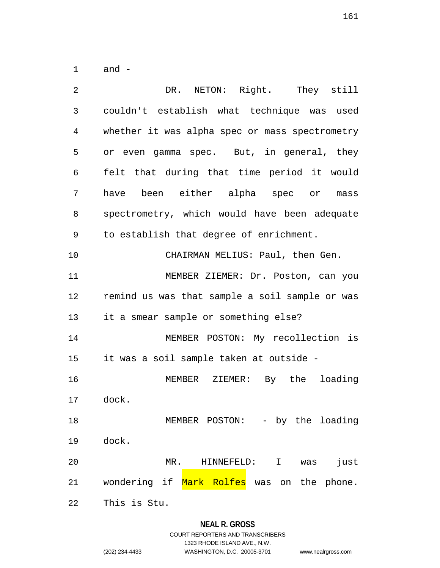1 and -

| $\overline{2}$ | DR. NETON: Right. They still                    |
|----------------|-------------------------------------------------|
| 3              | couldn't establish what technique was used      |
| 4              | whether it was alpha spec or mass spectrometry  |
| 5              | or even gamma spec. But, in general, they       |
| 6              | felt that during that time period it would      |
| 7              | have been either alpha spec or mass             |
| 8              | spectrometry, which would have been adequate    |
| 9              | to establish that degree of enrichment.         |
| 10             | CHAIRMAN MELIUS: Paul, then Gen.                |
| 11             | MEMBER ZIEMER: Dr. Poston, can you              |
| 12             | remind us was that sample a soil sample or was  |
| 13             | it a smear sample or something else?            |
| 14             | MEMBER POSTON: My recollection is               |
| 15             | it was a soil sample taken at outside -         |
| 16             | MEMBER ZIEMER: By the loading                   |
| 17             | dock.                                           |
| 18             | MEMBER POSTON: - by the loading                 |
| 19             | dock.                                           |
| 20             | MR.<br>$\mathbf I$<br>just<br>HINNEFELD:<br>was |
| 21             | wondering if Mark Rolfes was on the phone.      |
| 22             | This is Stu.                                    |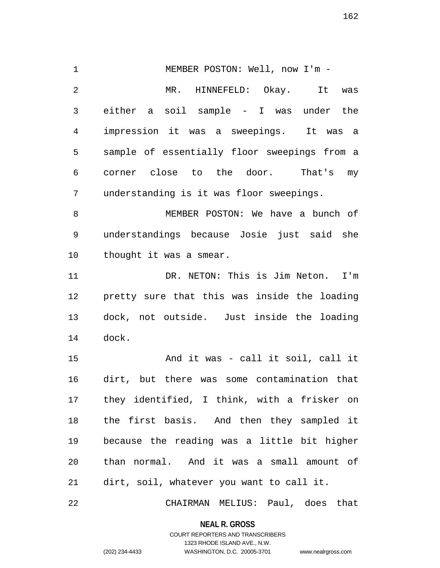1 MEMBER POSTON: Well, now I'm -2 MR. HINNEFELD: Okay. It was 3 either a soil sample - I was under the 4 impression it was a sweepings. It was a 5 sample of essentially floor sweepings from a 6 corner close to the door. That's my 7 understanding is it was floor sweepings. 8 MEMBER POSTON: We have a bunch of 9 understandings because Josie just said she 10 thought it was a smear. 11 DR. NETON: This is Jim Neton. I'm 12 pretty sure that this was inside the loading 13 dock, not outside. Just inside the loading 14 dock. 15 And it was - call it soil, call it 16 dirt, but there was some contamination that 17 they identified, I think, with a frisker on 18 the first basis. And then they sampled it 19 because the reading was a little bit higher 20 than normal. And it was a small amount of 21 dirt, soil, whatever you want to call it. 22 CHAIRMAN MELIUS: Paul, does that

> **NEAL R. GROSS** COURT REPORTERS AND TRANSCRIBERS

> > 1323 RHODE ISLAND AVE., N.W.

(202) 234-4433 WASHINGTON, D.C. 20005-3701 www.nealrgross.com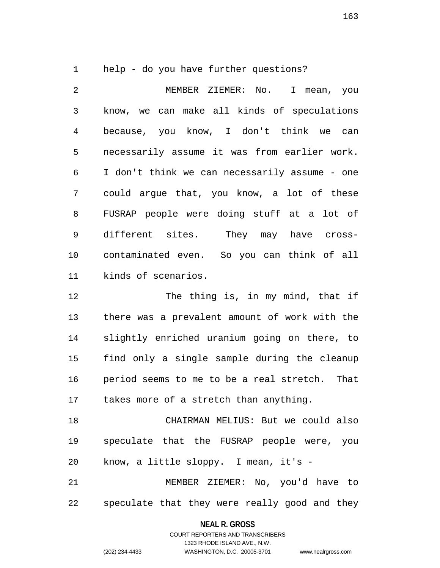1 help - do you have further questions?

2 MEMBER ZIEMER: No. I mean, you 3 know, we can make all kinds of speculations 4 because, you know, I don't think we can 5 necessarily assume it was from earlier work. 6 I don't think we can necessarily assume - one 7 could argue that, you know, a lot of these 8 FUSRAP people were doing stuff at a lot of 9 different sites. They may have cross-10 contaminated even. So you can think of all 11 kinds of scenarios.

12 The thing is, in my mind, that if 13 there was a prevalent amount of work with the 14 slightly enriched uranium going on there, to 15 find only a single sample during the cleanup 16 period seems to me to be a real stretch. That 17 takes more of a stretch than anything.

18 CHAIRMAN MELIUS: But we could also 19 speculate that the FUSRAP people were, you 20 know, a little sloppy. I mean, it's -

21 MEMBER ZIEMER: No, you'd have to 22 speculate that they were really good and they

#### **NEAL R. GROSS**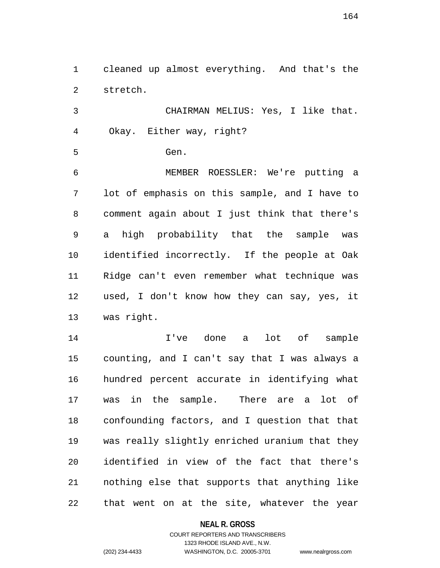1 cleaned up almost everything. And that's the 2 stretch.

3 CHAIRMAN MELIUS: Yes, I like that. 4 Okay. Either way, right?

5 Gen.

6 MEMBER ROESSLER: We're putting a 7 lot of emphasis on this sample, and I have to 8 comment again about I just think that there's 9 a high probability that the sample was 10 identified incorrectly. If the people at Oak 11 Ridge can't even remember what technique was 12 used, I don't know how they can say, yes, it 13 was right.

14 I've done a lot of sample 15 counting, and I can't say that I was always a 16 hundred percent accurate in identifying what 17 was in the sample. There are a lot of 18 confounding factors, and I question that that 19 was really slightly enriched uranium that they 20 identified in view of the fact that there's 21 nothing else that supports that anything like 22 that went on at the site, whatever the year

#### **NEAL R. GROSS**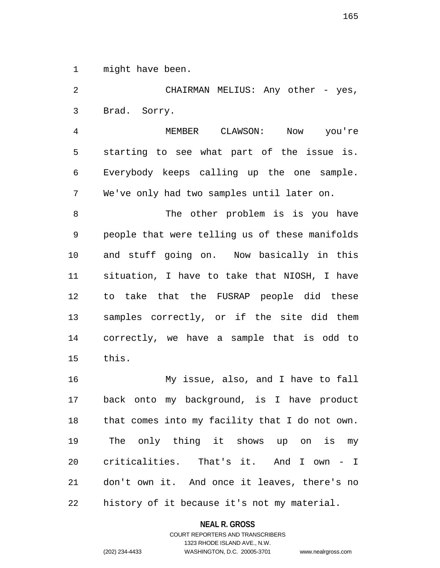1 might have been.

2 CHAIRMAN MELIUS: Any other - yes, 3 Brad. Sorry.

4 MEMBER CLAWSON: Now you're 5 starting to see what part of the issue is. 6 Everybody keeps calling up the one sample. 7 We've only had two samples until later on.

8 The other problem is is you have 9 people that were telling us of these manifolds 10 and stuff going on. Now basically in this 11 situation, I have to take that NIOSH, I have 12 to take that the FUSRAP people did these 13 samples correctly, or if the site did them 14 correctly, we have a sample that is odd to 15 this.

16 My issue, also, and I have to fall 17 back onto my background, is I have product 18 that comes into my facility that I do not own. 19 The only thing it shows up on is my 20 criticalities. That's it. And I own - I 21 don't own it. And once it leaves, there's no 22 history of it because it's not my material.

**NEAL R. GROSS**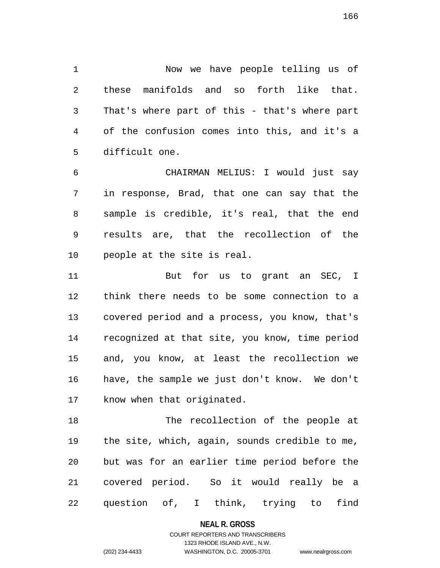1 Now we have people telling us of 2 these manifolds and so forth like that. 3 That's where part of this - that's where part 4 of the confusion comes into this, and it's a 5 difficult one.

6 CHAIRMAN MELIUS: I would just say 7 in response, Brad, that one can say that the 8 sample is credible, it's real, that the end 9 results are, that the recollection of the 10 people at the site is real.

11 But for us to grant an SEC, I 12 think there needs to be some connection to a 13 covered period and a process, you know, that's 14 recognized at that site, you know, time period 15 and, you know, at least the recollection we 16 have, the sample we just don't know. We don't 17 know when that originated.

18 The recollection of the people at 19 the site, which, again, sounds credible to me, 20 but was for an earlier time period before the 21 covered period. So it would really be a 22 question of, I think, trying to find

**NEAL R. GROSS**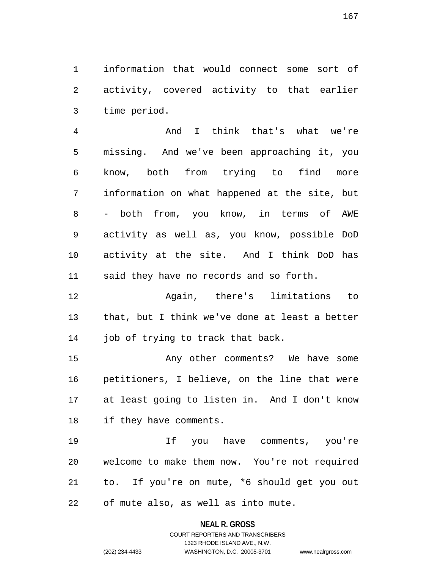1 information that would connect some sort of 2 activity, covered activity to that earlier 3 time period.

4 And I think that's what we're 5 missing. And we've been approaching it, you 6 know, both from trying to find more 7 information on what happened at the site, but 8 - both from, you know, in terms of AWE 9 activity as well as, you know, possible DoD 10 activity at the site. And I think DoD has 11 said they have no records and so forth.

12 Again, there's limitations to 13 that, but I think we've done at least a better 14 job of trying to track that back.

15 Any other comments? We have some 16 petitioners, I believe, on the line that were 17 at least going to listen in. And I don't know 18 if they have comments.

19 If you have comments, you're 20 welcome to make them now. You're not required 21 to. If you're on mute, \*6 should get you out 22 of mute also, as well as into mute.

**NEAL R. GROSS**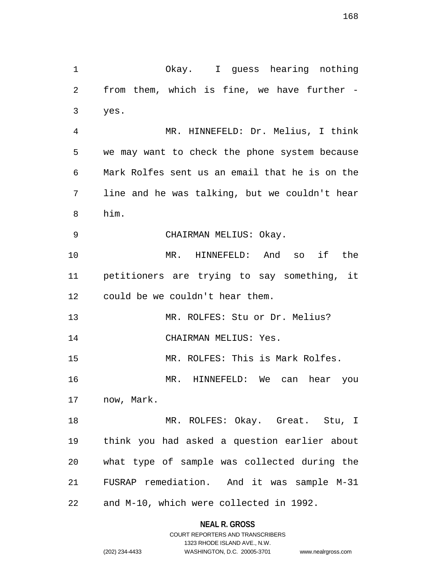168

1 Okay. I guess hearing nothing 2 from them, which is fine, we have further - 3 yes. 4 MR. HINNEFELD: Dr. Melius, I think 5 we may want to check the phone system because 6 Mark Rolfes sent us an email that he is on the 7 line and he was talking, but we couldn't hear 8 him. 9 CHAIRMAN MELIUS: Okay. 10 MR. HINNEFELD: And so if the 11 petitioners are trying to say something, it 12 could be we couldn't hear them. 13 MR. ROLFES: Stu or Dr. Melius? 14 CHAIRMAN MELIUS: Yes. 15 MR. ROLFES: This is Mark Rolfes. 16 MR. HINNEFELD: We can hear you 17 now, Mark. 18 MR. ROLFES: Okay. Great. Stu, I 19 think you had asked a question earlier about 20 what type of sample was collected during the 21 FUSRAP remediation. And it was sample M-31 22 and M-10, which were collected in 1992.

### **NEAL R. GROSS**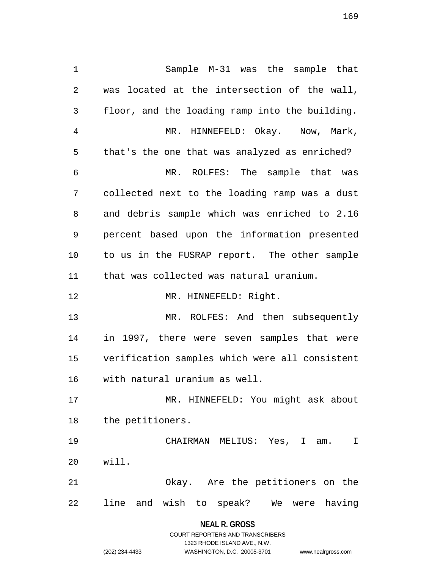1 Sample M-31 was the sample that 2 was located at the intersection of the wall, 3 floor, and the loading ramp into the building. 4 MR. HINNEFELD: Okay. Now, Mark, 5 that's the one that was analyzed as enriched? 6 MR. ROLFES: The sample that was 7 collected next to the loading ramp was a dust 8 and debris sample which was enriched to 2.16 9 percent based upon the information presented 10 to us in the FUSRAP report. The other sample 11 that was collected was natural uranium. 12 MR. HINNEFELD: Right. 13 MR. ROLFES: And then subsequently 14 in 1997, there were seven samples that were 15 verification samples which were all consistent 16 with natural uranium as well. 17 MR. HINNEFELD: You might ask about 18 the petitioners. 19 CHAIRMAN MELIUS: Yes, I am. I 20 will. 21 Okay. Are the petitioners on the 22 line and wish to speak? We were having

**NEAL R. GROSS**

COURT REPORTERS AND TRANSCRIBERS 1323 RHODE ISLAND AVE., N.W. (202) 234-4433 WASHINGTON, D.C. 20005-3701 www.nealrgross.com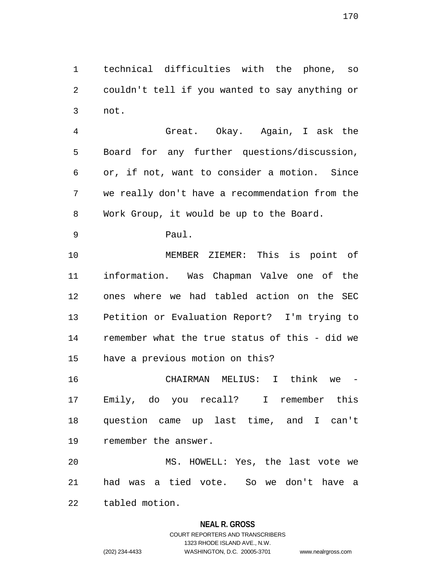1 technical difficulties with the phone, so 2 couldn't tell if you wanted to say anything or 3 not.

4 Great. Okay. Again, I ask the 5 Board for any further questions/discussion, 6 or, if not, want to consider a motion. Since 7 we really don't have a recommendation from the 8 Work Group, it would be up to the Board.

9 Paul.

10 MEMBER ZIEMER: This is point of 11 information. Was Chapman Valve one of the 12 ones where we had tabled action on the SEC 13 Petition or Evaluation Report? I'm trying to 14 remember what the true status of this - did we 15 have a previous motion on this?

16 CHAIRMAN MELIUS: I think we 17 Emily, do you recall? I remember this 18 question came up last time, and I can't 19 remember the answer.

20 MS. HOWELL: Yes, the last vote we 21 had was a tied vote. So we don't have a

22 tabled motion.

### **NEAL R. GROSS**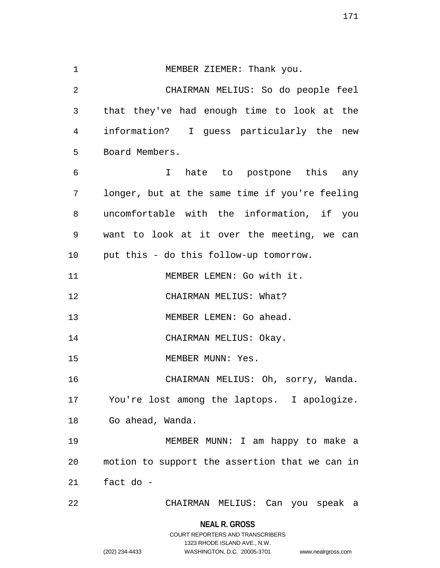1 MEMBER ZIEMER: Thank you. 2 CHAIRMAN MELIUS: So do people feel 3 that they've had enough time to look at the 4 information? I guess particularly the new 5 Board Members. 6 I hate to postpone this any 7 longer, but at the same time if you're feeling 8 uncomfortable with the information, if you 9 want to look at it over the meeting, we can 10 put this - do this follow-up tomorrow. 11 MEMBER LEMEN: Go with it. 12 CHAIRMAN MELIUS: What? 13 MEMBER LEMEN: Go ahead. 14 CHAIRMAN MELIUS: Okay. 15 MEMBER MUNN: Yes. 16 CHAIRMAN MELIUS: Oh, sorry, Wanda. 17 You're lost among the laptops. I apologize. 18 Go ahead, Wanda. 19 MEMBER MUNN: I am happy to make a 20 motion to support the assertion that we can in 21 fact do - 22 CHAIRMAN MELIUS: Can you speak a

> **NEAL R. GROSS** COURT REPORTERS AND TRANSCRIBERS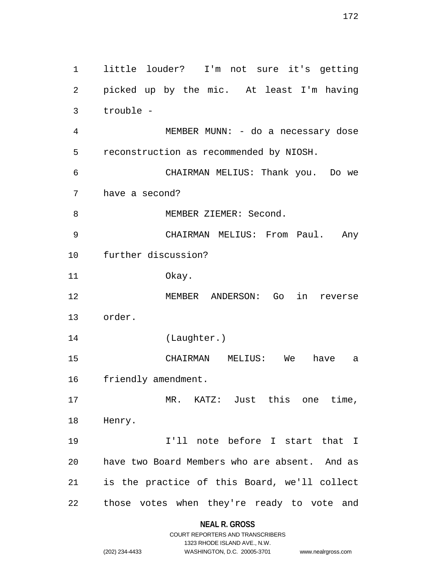1 little louder? I'm not sure it's getting 2 picked up by the mic. At least I'm having 3 trouble - 4 MEMBER MUNN: - do a necessary dose 5 reconstruction as recommended by NIOSH. 6 CHAIRMAN MELIUS: Thank you. Do we 7 have a second? 8 MEMBER ZIEMER: Second. 9 CHAIRMAN MELIUS: From Paul. Any 10 further discussion? 11 Okay. 12 MEMBER ANDERSON: Go in reverse 13 order. 14 (Laughter.) 15 CHAIRMAN MELIUS: We have a 16 friendly amendment. 17 MR. KATZ: Just this one time, 18 Henry. 19 I'll note before I start that I 20 have two Board Members who are absent. And as 21 is the practice of this Board, we'll collect

22 those votes when they're ready to vote and

# **NEAL R. GROSS**

COURT REPORTERS AND TRANSCRIBERS 1323 RHODE ISLAND AVE., N.W. (202) 234-4433 WASHINGTON, D.C. 20005-3701 www.nealrgross.com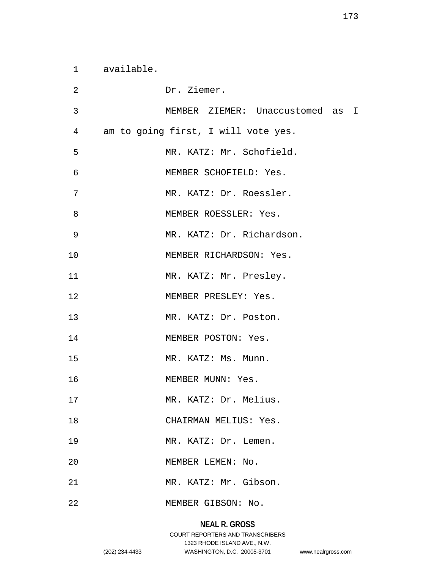1 available.

| 2               | Dr. Ziemer.                         |
|-----------------|-------------------------------------|
| 3               | MEMBER ZIEMER: Unaccustomed as I    |
| $4\overline{ }$ | am to going first, I will vote yes. |
| 5               | MR. KATZ: Mr. Schofield.            |
| 6               | MEMBER SCHOFIELD: Yes.              |
| 7               | MR. KATZ: Dr. Roessler.             |
| 8               | MEMBER ROESSLER: Yes.               |
| $\mathsf 9$     | MR. KATZ: Dr. Richardson.           |
| 10              | MEMBER RICHARDSON: Yes.             |
| 11              | MR. KATZ: Mr. Presley.              |
| 12              | MEMBER PRESLEY: Yes.                |
| 13              | MR. KATZ: Dr. Poston.               |
| 14              | MEMBER POSTON: Yes.                 |
| 15              | MR. KATZ: Ms. Munn.                 |
| 16              | MEMBER MUNN: Yes.                   |
| 17              | MR. KATZ: Dr. Melius.               |
| 18              | CHAIRMAN MELIUS: Yes.               |
| 19              | MR. KATZ: Dr. Lemen.                |
| 20              | MEMBER LEMEN: No.                   |
| 21              | MR. KATZ: Mr. Gibson.               |
| 22              | MEMBER GIBSON: No.                  |

# **NEAL R. GROSS**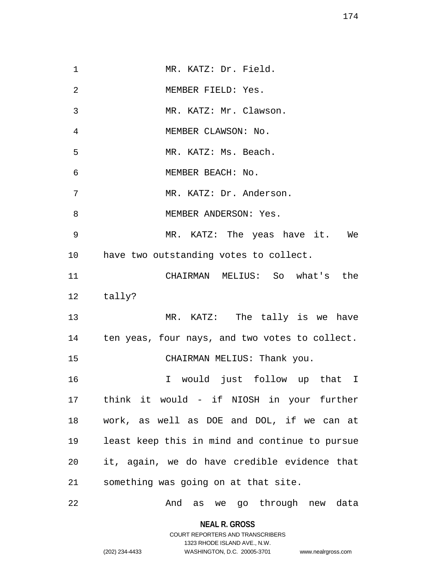1 MR. KATZ: Dr. Field. 2 MEMBER FIELD: Yes. 3 MR. KATZ: Mr. Clawson. 4 MEMBER CLAWSON: No. 5 MR. KATZ: Ms. Beach. 6 MEMBER BEACH: No. 7 MR. KATZ: Dr. Anderson. 8 MEMBER ANDERSON: Yes. 9 MR. KATZ: The yeas have it. We 10 have two outstanding votes to collect. 11 CHAIRMAN MELIUS: So what's the 12 tally? 13 MR. KATZ: The tally is we have 14 ten yeas, four nays, and two votes to collect. 15 CHAIRMAN MELIUS: Thank you. 16 I would just follow up that I 17 think it would - if NIOSH in your further 18 work, as well as DOE and DOL, if we can at 19 least keep this in mind and continue to pursue 20 it, again, we do have credible evidence that 21 something was going on at that site. 22 And as we go through new data

> **NEAL R. GROSS** COURT REPORTERS AND TRANSCRIBERS

> > 1323 RHODE ISLAND AVE., N.W.

(202) 234-4433 WASHINGTON, D.C. 20005-3701 www.nealrgross.com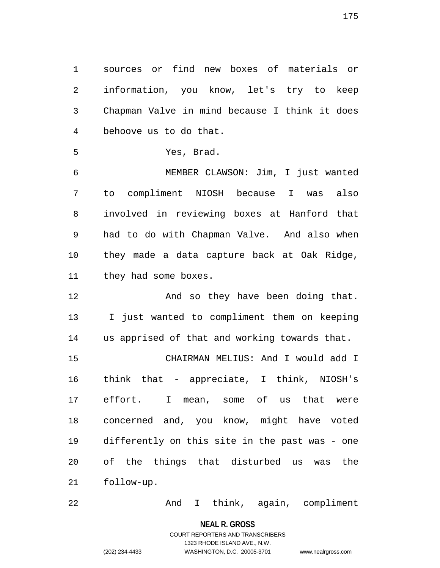1 sources or find new boxes of materials or 2 information, you know, let's try to keep 3 Chapman Valve in mind because I think it does 4 behoove us to do that.

```
5 Yes, Brad.
```
6 MEMBER CLAWSON: Jim, I just wanted 7 to compliment NIOSH because I was also 8 involved in reviewing boxes at Hanford that 9 had to do with Chapman Valve. And also when 10 they made a data capture back at Oak Ridge, 11 they had some boxes.

12 And so they have been doing that. 13 I just wanted to compliment them on keeping 14 us apprised of that and working towards that.

15 CHAIRMAN MELIUS: And I would add I 16 think that - appreciate, I think, NIOSH's 17 effort. I mean, some of us that were 18 concerned and, you know, might have voted 19 differently on this site in the past was - one 20 of the things that disturbed us was the 21 follow-up.

22 And I think, again, compliment

**NEAL R. GROSS**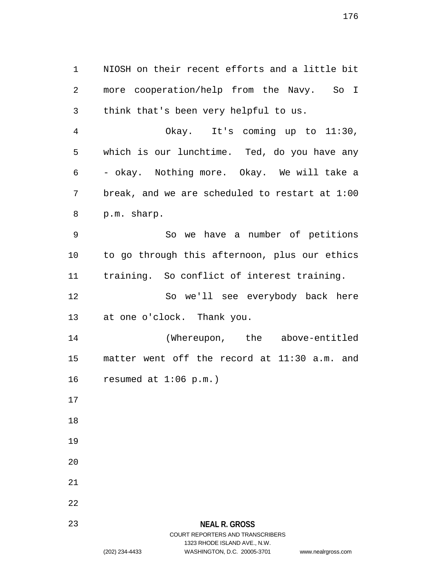1 NIOSH on their recent efforts and a little bit 2 more cooperation/help from the Navy. So I 3 think that's been very helpful to us.

4 Okay. It's coming up to 11:30, 5 which is our lunchtime. Ted, do you have any 6 - okay. Nothing more. Okay. We will take a 7 break, and we are scheduled to restart at 1:00 8 p.m. sharp.

9 So we have a number of petitions 10 to go through this afternoon, plus our ethics 11 training. So conflict of interest training.

12 So we'll see everybody back here 13 at one o'clock. Thank you.

14 (Whereupon, the above-entitled 15 matter went off the record at 11:30 a.m. and 16 resumed at 1:06 p.m.)

- 17
- 18
- 19
- 20
- 21
- 22

23

# **NEAL R. GROSS** COURT REPORTERS AND TRANSCRIBERS 1323 RHODE ISLAND AVE., N.W.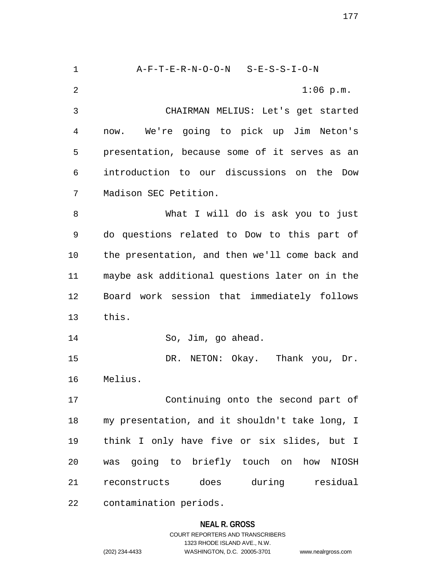1 A-F-T-E-R-N-O-O-N S-E-S-S-I-O-N 2 1:06 p.m. 3 CHAIRMAN MELIUS: Let's get started 4 now. We're going to pick up Jim Neton's 5 presentation, because some of it serves as an 6 introduction to our discussions on the Dow 7 Madison SEC Petition. 8 What I will do is ask you to just 9 do questions related to Dow to this part of 10 the presentation, and then we'll come back and 11 maybe ask additional questions later on in the 12 Board work session that immediately follows 13 this. 14 So, Jim, go ahead. 15 DR. NETON: Okay. Thank you, Dr. 16 Melius. 17 Continuing onto the second part of 18 my presentation, and it shouldn't take long, I 19 think I only have five or six slides, but I 20 was going to briefly touch on how NIOSH 21 reconstructs does during residual 22 contamination periods.

### **NEAL R. GROSS**

COURT REPORTERS AND TRANSCRIBERS 1323 RHODE ISLAND AVE., N.W. (202) 234-4433 WASHINGTON, D.C. 20005-3701 www.nealrgross.com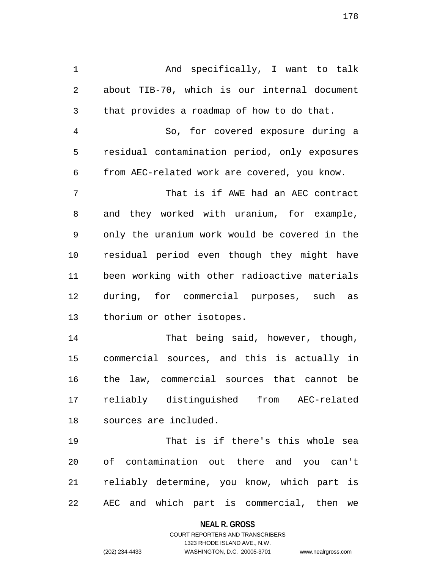1 And specifically, I want to talk 2 about TIB-70, which is our internal document 3 that provides a roadmap of how to do that.

4 So, for covered exposure during a 5 residual contamination period, only exposures 6 from AEC-related work are covered, you know.

7 That is if AWE had an AEC contract 8 and they worked with uranium, for example, 9 only the uranium work would be covered in the 10 residual period even though they might have 11 been working with other radioactive materials 12 during, for commercial purposes, such as 13 thorium or other isotopes.

14 That being said, however, though, 15 commercial sources, and this is actually in 16 the law, commercial sources that cannot be 17 reliably distinguished from AEC-related 18 sources are included.

19 That is if there's this whole sea 20 of contamination out there and you can't 21 reliably determine, you know, which part is 22 AEC and which part is commercial, then we

#### **NEAL R. GROSS**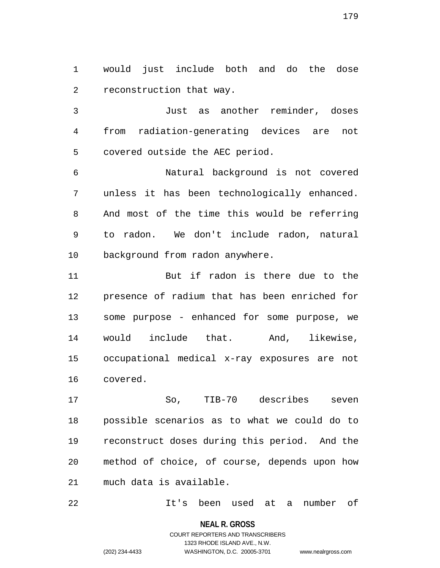1 would just include both and do the dose 2 reconstruction that way.

3 Just as another reminder, doses 4 from radiation-generating devices are not 5 covered outside the AEC period.

6 Natural background is not covered 7 unless it has been technologically enhanced. 8 And most of the time this would be referring 9 to radon. We don't include radon, natural 10 background from radon anywhere.

11 But if radon is there due to the 12 presence of radium that has been enriched for 13 some purpose - enhanced for some purpose, we 14 would include that. And, likewise, 15 occupational medical x-ray exposures are not 16 covered.

17 So, TIB-70 describes seven 18 possible scenarios as to what we could do to 19 reconstruct doses during this period. And the 20 method of choice, of course, depends upon how 21 much data is available.

22 It's been used at a number of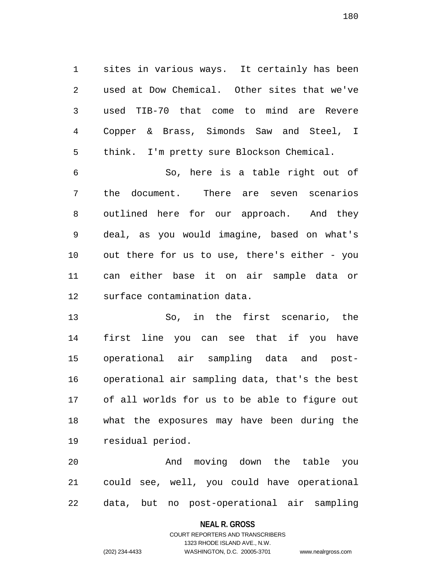1 sites in various ways. It certainly has been 2 used at Dow Chemical. Other sites that we've 3 used TIB-70 that come to mind are Revere 4 Copper & Brass, Simonds Saw and Steel, I 5 think. I'm pretty sure Blockson Chemical.

6 So, here is a table right out of 7 the document. There are seven scenarios 8 outlined here for our approach. And they 9 deal, as you would imagine, based on what's 10 out there for us to use, there's either - you 11 can either base it on air sample data or 12 surface contamination data.

13 So, in the first scenario, the 14 first line you can see that if you have 15 operational air sampling data and post-16 operational air sampling data, that's the best 17 of all worlds for us to be able to figure out 18 what the exposures may have been during the 19 residual period.

20 And moving down the table you 21 could see, well, you could have operational 22 data, but no post-operational air sampling

#### **NEAL R. GROSS**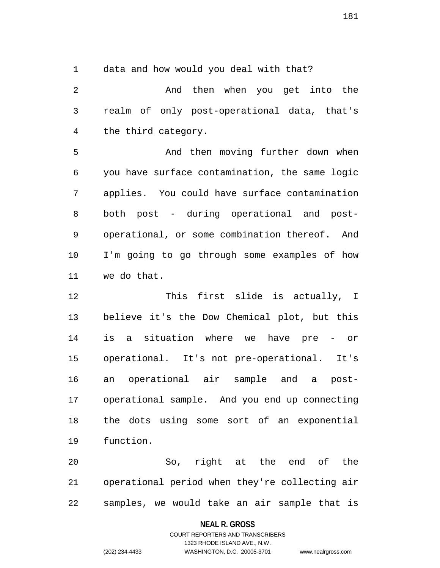1 data and how would you deal with that?

2 And then when you get into the 3 realm of only post-operational data, that's 4 the third category.

5 And then moving further down when 6 you have surface contamination, the same logic 7 applies. You could have surface contamination 8 both post - during operational and post-9 operational, or some combination thereof. And 10 I'm going to go through some examples of how 11 we do that.

12 This first slide is actually, I 13 believe it's the Dow Chemical plot, but this 14 is a situation where we have pre - or 15 operational. It's not pre-operational. It's 16 an operational air sample and a post-17 operational sample. And you end up connecting 18 the dots using some sort of an exponential 19 function.

20 So, right at the end of the 21 operational period when they're collecting air 22 samples, we would take an air sample that is

## **NEAL R. GROSS**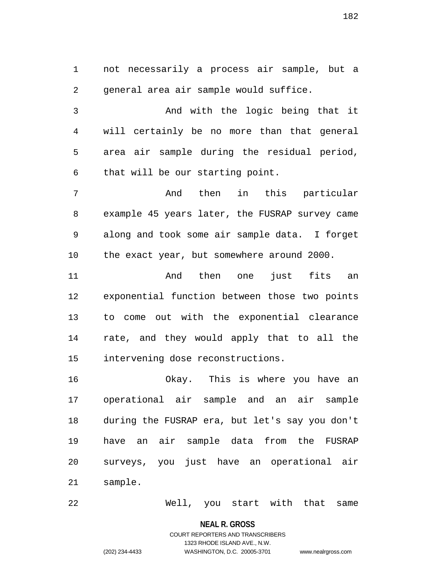1 not necessarily a process air sample, but a 2 general area air sample would suffice.

3 And with the logic being that it 4 will certainly be no more than that general 5 area air sample during the residual period, 6 that will be our starting point.

7 And then in this particular 8 example 45 years later, the FUSRAP survey came 9 along and took some air sample data. I forget 10 the exact year, but somewhere around 2000.

11 And then one just fits an 12 exponential function between those two points 13 to come out with the exponential clearance 14 rate, and they would apply that to all the 15 intervening dose reconstructions.

16 Okay. This is where you have an 17 operational air sample and an air sample 18 during the FUSRAP era, but let's say you don't 19 have an air sample data from the FUSRAP 20 surveys, you just have an operational air 21 sample.

22 Well, you start with that same

**NEAL R. GROSS**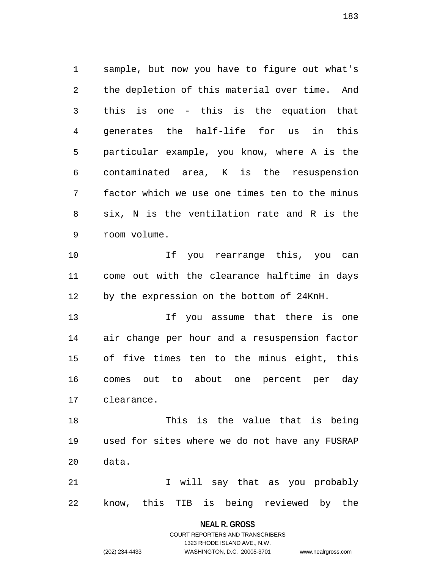1 sample, but now you have to figure out what's 2 the depletion of this material over time. And 3 this is one - this is the equation that 4 generates the half-life for us in this 5 particular example, you know, where A is the 6 contaminated area, K is the resuspension 7 factor which we use one times ten to the minus 8 six, N is the ventilation rate and R is the 9 room volume.

10 If you rearrange this, you can 11 come out with the clearance halftime in days 12 by the expression on the bottom of 24KnH.

13 If you assume that there is one 14 air change per hour and a resuspension factor 15 of five times ten to the minus eight, this 16 comes out to about one percent per day 17 clearance.

18 This is the value that is being 19 used for sites where we do not have any FUSRAP 20 data.

21 1 Vill say that as you probably 22 know, this TIB is being reviewed by the

## **NEAL R. GROSS**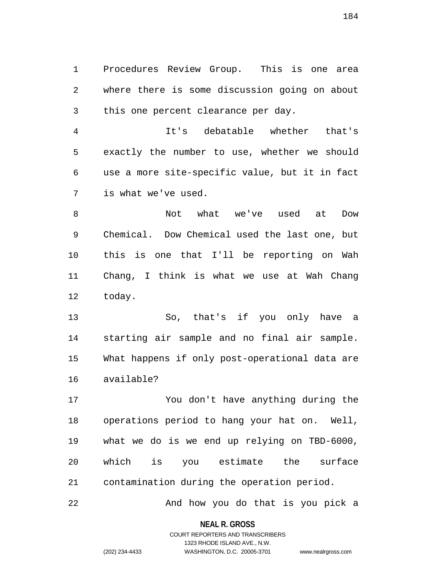1 Procedures Review Group. This is one area 2 where there is some discussion going on about 3 this one percent clearance per day.

4 It's debatable whether that's 5 exactly the number to use, whether we should 6 use a more site-specific value, but it in fact 7 is what we've used.

8 Not what we've used at Dow 9 Chemical. Dow Chemical used the last one, but 10 this is one that I'll be reporting on Wah 11 Chang, I think is what we use at Wah Chang 12 today.

13 So, that's if you only have a 14 starting air sample and no final air sample. 15 What happens if only post-operational data are 16 available?

17 You don't have anything during the 18 operations period to hang your hat on. Well, 19 what we do is we end up relying on TBD-6000, 20 which is you estimate the surface 21 contamination during the operation period.

22 And how you do that is you pick a

**NEAL R. GROSS** COURT REPORTERS AND TRANSCRIBERS

1323 RHODE ISLAND AVE., N.W.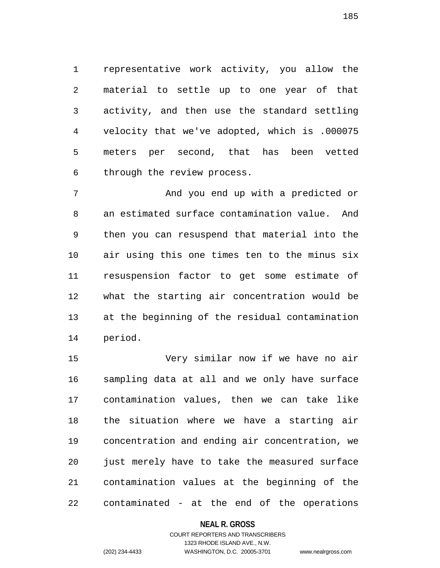1 representative work activity, you allow the 2 material to settle up to one year of that 3 activity, and then use the standard settling 4 velocity that we've adopted, which is .000075 5 meters per second, that has been vetted 6 through the review process.

7 And you end up with a predicted or 8 an estimated surface contamination value. And 9 then you can resuspend that material into the 10 air using this one times ten to the minus six 11 resuspension factor to get some estimate of 12 what the starting air concentration would be 13 at the beginning of the residual contamination 14 period.

15 Very similar now if we have no air 16 sampling data at all and we only have surface 17 contamination values, then we can take like 18 the situation where we have a starting air 19 concentration and ending air concentration, we 20 just merely have to take the measured surface 21 contamination values at the beginning of the 22 contaminated - at the end of the operations

## **NEAL R. GROSS**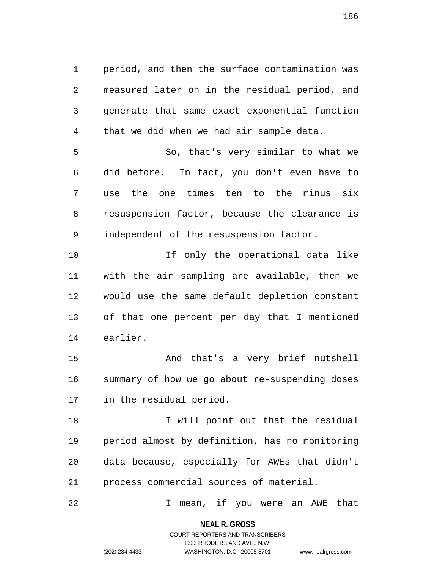1 period, and then the surface contamination was 2 measured later on in the residual period, and 3 generate that same exact exponential function 4 that we did when we had air sample data.

5 So, that's very similar to what we 6 did before. In fact, you don't even have to 7 use the one times ten to the minus six 8 resuspension factor, because the clearance is 9 independent of the resuspension factor.

10 If only the operational data like 11 with the air sampling are available, then we 12 would use the same default depletion constant 13 of that one percent per day that I mentioned 14 earlier.

15 And that's a very brief nutshell 16 summary of how we go about re-suspending doses 17 in the residual period.

18 I will point out that the residual 19 period almost by definition, has no monitoring 20 data because, especially for AWEs that didn't 21 process commercial sources of material.

22 I mean, if you were an AWE that

**NEAL R. GROSS** COURT REPORTERS AND TRANSCRIBERS

1323 RHODE ISLAND AVE., N.W.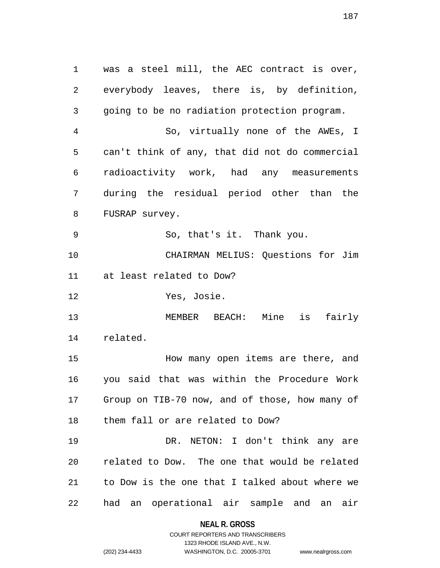1 was a steel mill, the AEC contract is over, 2 everybody leaves, there is, by definition, 3 going to be no radiation protection program. 4 So, virtually none of the AWEs, I 5 can't think of any, that did not do commercial 6 radioactivity work, had any measurements 7 during the residual period other than the 8 FUSRAP survey. 9 So, that's it. Thank you. 10 CHAIRMAN MELIUS: Questions for Jim 11 at least related to Dow? 12 Yes, Josie. 13 MEMBER BEACH: Mine is fairly 14 related. 15 How many open items are there, and 16 you said that was within the Procedure Work 17 Group on TIB-70 now, and of those, how many of 18 them fall or are related to Dow? 19 DR. NETON: I don't think any are 20 related to Dow. The one that would be related 21 to Dow is the one that I talked about where we 22 had an operational air sample and an air

#### **NEAL R. GROSS**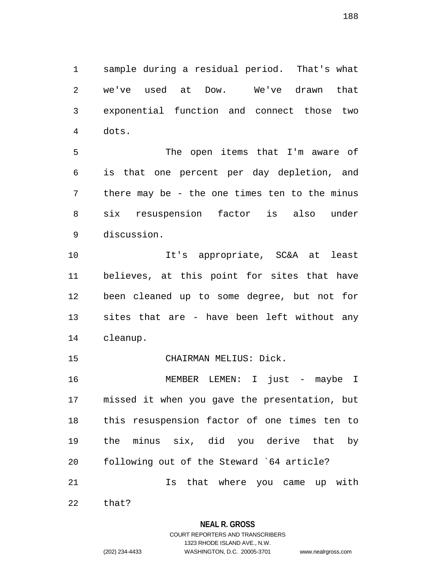1 sample during a residual period. That's what 2 we've used at Dow. We've drawn that 3 exponential function and connect those two 4 dots.

5 The open items that I'm aware of 6 is that one percent per day depletion, and 7 there may be - the one times ten to the minus 8 six resuspension factor is also under 9 discussion.

10 It's appropriate, SC&A at least 11 believes, at this point for sites that have 12 been cleaned up to some degree, but not for 13 sites that are - have been left without any 14 cleanup.

15 CHAIRMAN MELIUS: Dick.

16 MEMBER LEMEN: I just - maybe I 17 missed it when you gave the presentation, but 18 this resuspension factor of one times ten to 19 the minus six, did you derive that by 20 following out of the Steward `64 article? 21 Is that where you came up with

22 that?

# **NEAL R. GROSS**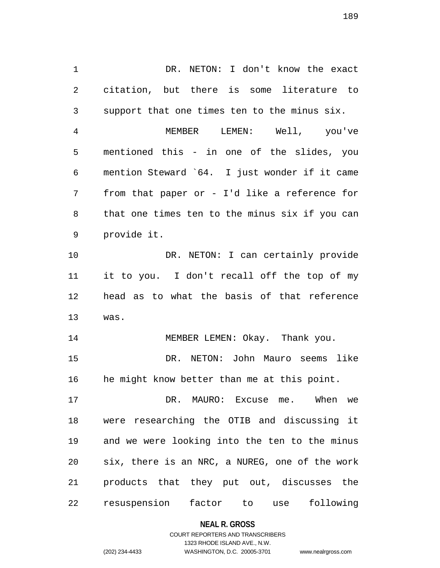1 DR. NETON: I don't know the exact 2 citation, but there is some literature to 3 support that one times ten to the minus six.

4 MEMBER LEMEN: Well, you've 5 mentioned this - in one of the slides, you 6 mention Steward `64. I just wonder if it came 7 from that paper or - I'd like a reference for 8 that one times ten to the minus six if you can 9 provide it.

10 DR. NETON: I can certainly provide 11 it to you. I don't recall off the top of my 12 head as to what the basis of that reference 13 was.

14 MEMBER LEMEN: Okay. Thank you. 15 DR. NETON: John Mauro seems like 16 he might know better than me at this point.

17 DR. MAURO: Excuse me. When we 18 were researching the OTIB and discussing it 19 and we were looking into the ten to the minus 20 six, there is an NRC, a NUREG, one of the work 21 products that they put out, discusses the 22 resuspension factor to use following

**NEAL R. GROSS**

# COURT REPORTERS AND TRANSCRIBERS 1323 RHODE ISLAND AVE., N.W. (202) 234-4433 WASHINGTON, D.C. 20005-3701 www.nealrgross.com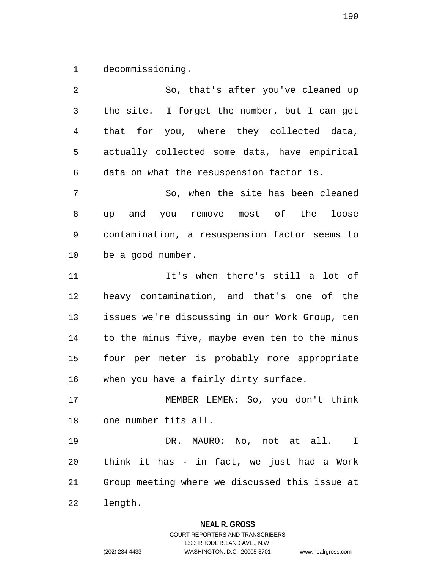1 decommissioning.

2 So, that's after you've cleaned up 3 the site. I forget the number, but I can get 4 that for you, where they collected data, 5 actually collected some data, have empirical 6 data on what the resuspension factor is. 7 So, when the site has been cleaned 8 up and you remove most of the loose 9 contamination, a resuspension factor seems to 10 be a good number. 11 It's when there's still a lot of 12 heavy contamination, and that's one of the 13 issues we're discussing in our Work Group, ten 14 to the minus five, maybe even ten to the minus 15 four per meter is probably more appropriate 16 when you have a fairly dirty surface. 17 MEMBER LEMEN: So, you don't think 18 one number fits all. 19 DR. MAURO: No, not at all. I 20 think it has - in fact, we just had a Work 21 Group meeting where we discussed this issue at 22 length.

## **NEAL R. GROSS**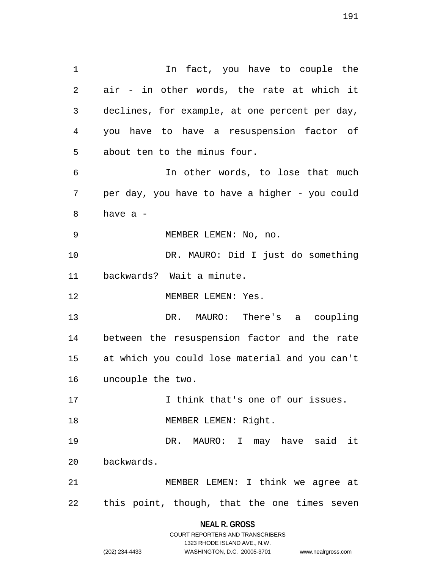1 1 In fact, you have to couple the 2 air - in other words, the rate at which it 3 declines, for example, at one percent per day, 4 you have to have a resuspension factor of 5 about ten to the minus four. 6 In other words, to lose that much 7 per day, you have to have a higher - you could 8 have a - 9 MEMBER LEMEN: No, no. 10 DR. MAURO: Did I just do something 11 backwards? Wait a minute. 12 MEMBER LEMEN: Yes. 13 DR. MAURO: There's a coupling 14 between the resuspension factor and the rate 15 at which you could lose material and you can't 16 uncouple the two. 17 I think that's one of our issues. 18 MEMBER LEMEN: Right. 19 DR. MAURO: I may have said it 20 backwards. 21 MEMBER LEMEN: I think we agree at 22 this point, though, that the one times seven

# **NEAL R. GROSS**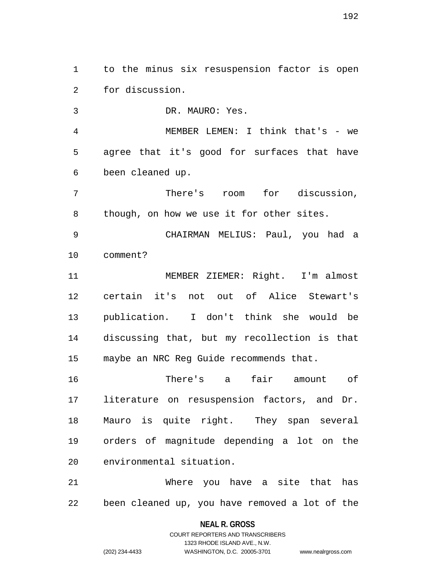1 to the minus six resuspension factor is open 2 for discussion.

3 DR. MAURO: Yes.

4 MEMBER LEMEN: I think that's - we 5 agree that it's good for surfaces that have 6 been cleaned up.

7 There's room for discussion, 8 though, on how we use it for other sites.

9 CHAIRMAN MELIUS: Paul, you had a 10 comment?

11 MEMBER ZIEMER: Right. I'm almost 12 certain it's not out of Alice Stewart's 13 publication. I don't think she would be 14 discussing that, but my recollection is that 15 maybe an NRC Reg Guide recommends that.

16 There's a fair amount of 17 literature on resuspension factors, and Dr. 18 Mauro is quite right. They span several 19 orders of magnitude depending a lot on the 20 environmental situation.

21 Where you have a site that has 22 been cleaned up, you have removed a lot of the

# **NEAL R. GROSS** COURT REPORTERS AND TRANSCRIBERS

1323 RHODE ISLAND AVE., N.W.

(202) 234-4433 WASHINGTON, D.C. 20005-3701 www.nealrgross.com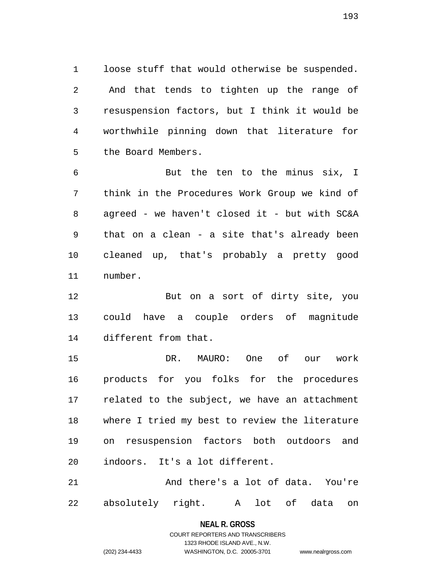1 loose stuff that would otherwise be suspended. 2 And that tends to tighten up the range of 3 resuspension factors, but I think it would be 4 worthwhile pinning down that literature for 5 the Board Members.

6 But the ten to the minus six, I 7 think in the Procedures Work Group we kind of 8 agreed - we haven't closed it - but with SC&A 9 that on a clean - a site that's already been 10 cleaned up, that's probably a pretty good 11 number.

12 But on a sort of dirty site, you 13 could have a couple orders of magnitude 14 different from that.

15 DR. MAURO: One of our work 16 products for you folks for the procedures 17 related to the subject, we have an attachment 18 where I tried my best to review the literature 19 on resuspension factors both outdoors and 20 indoors. It's a lot different.

21 And there's a lot of data. You're 22 absolutely right. A lot of data on

# **NEAL R. GROSS** COURT REPORTERS AND TRANSCRIBERS 1323 RHODE ISLAND AVE., N.W.

(202) 234-4433 WASHINGTON, D.C. 20005-3701 www.nealrgross.com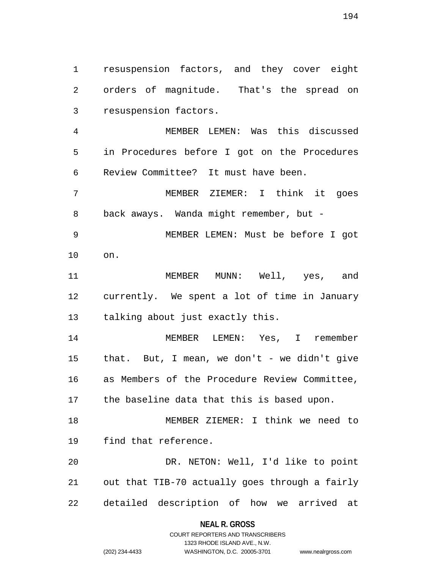1 resuspension factors, and they cover eight 2 orders of magnitude. That's the spread on 3 resuspension factors.

4 MEMBER LEMEN: Was this discussed 5 in Procedures before I got on the Procedures 6 Review Committee? It must have been.

7 MEMBER ZIEMER: I think it goes 8 back aways. Wanda might remember, but -

9 MEMBER LEMEN: Must be before I got 10 on.

11 MEMBER MUNN: Well, yes, and 12 currently. We spent a lot of time in January 13 talking about just exactly this.

14 MEMBER LEMEN: Yes, I remember 15 that. But, I mean, we don't - we didn't give 16 as Members of the Procedure Review Committee, 17 the baseline data that this is based upon.

18 MEMBER ZIEMER: I think we need to 19 find that reference.

20 DR. NETON: Well, I'd like to point 21 out that TIB-70 actually goes through a fairly 22 detailed description of how we arrived at

## **NEAL R. GROSS**

# COURT REPORTERS AND TRANSCRIBERS 1323 RHODE ISLAND AVE., N.W. (202) 234-4433 WASHINGTON, D.C. 20005-3701 www.nealrgross.com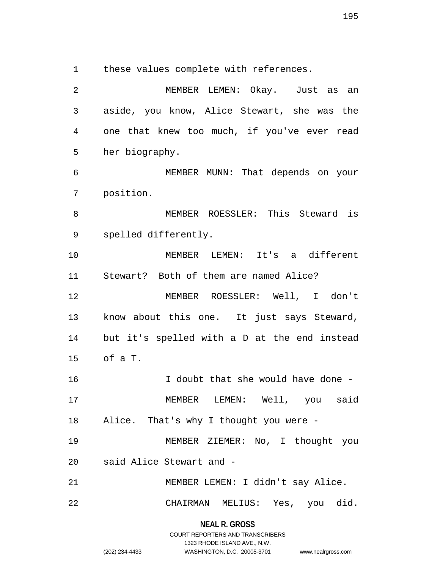1 these values complete with references.

2 MEMBER LEMEN: Okay. Just as an 3 aside, you know, Alice Stewart, she was the 4 one that knew too much, if you've ever read 5 her biography. 6 MEMBER MUNN: That depends on your 7 position. 8 MEMBER ROESSLER: This Steward is 9 spelled differently. 10 MEMBER LEMEN: It's a different 11 Stewart? Both of them are named Alice? 12 MEMBER ROESSLER: Well, I don't 13 know about this one. It just says Steward, 14 but it's spelled with a D at the end instead 15 of a T. 16 I doubt that she would have done - 17 MEMBER LEMEN: Well, you said 18 Alice. That's why I thought you were - 19 MEMBER ZIEMER: No, I thought you 20 said Alice Stewart and - 21 MEMBER LEMEN: I didn't say Alice. 22 CHAIRMAN MELIUS: Yes, you did.

> **NEAL R. GROSS** COURT REPORTERS AND TRANSCRIBERS

> > 1323 RHODE ISLAND AVE., N.W.

(202) 234-4433 WASHINGTON, D.C. 20005-3701 www.nealrgross.com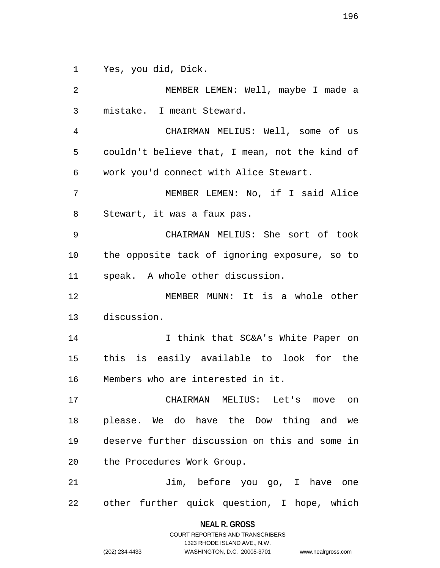1 Yes, you did, Dick.

2 MEMBER LEMEN: Well, maybe I made a 3 mistake. I meant Steward. 4 CHAIRMAN MELIUS: Well, some of us 5 couldn't believe that, I mean, not the kind of 6 work you'd connect with Alice Stewart. 7 MEMBER LEMEN: No, if I said Alice 8 Stewart, it was a faux pas. 9 CHAIRMAN MELIUS: She sort of took 10 the opposite tack of ignoring exposure, so to 11 speak. A whole other discussion. 12 MEMBER MUNN: It is a whole other 13 discussion. 14 14 I think that SC&A's White Paper on 15 this is easily available to look for the 16 Members who are interested in it. 17 CHAIRMAN MELIUS: Let's move on 18 please. We do have the Dow thing and we 19 deserve further discussion on this and some in 20 the Procedures Work Group. 21 Jim, before you go, I have one 22 other further quick question, I hope, which

> **NEAL R. GROSS** COURT REPORTERS AND TRANSCRIBERS

> > 1323 RHODE ISLAND AVE., N.W.

(202) 234-4433 WASHINGTON, D.C. 20005-3701 www.nealrgross.com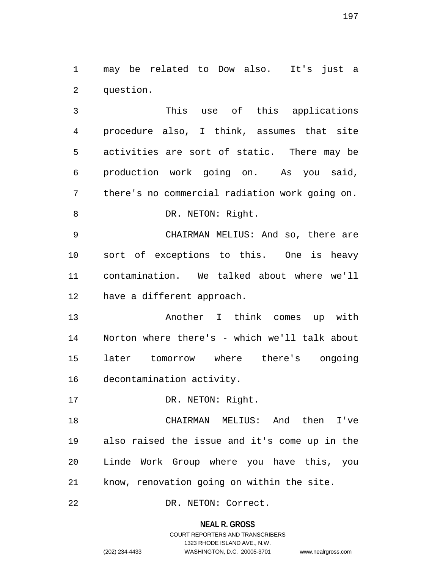1 may be related to Dow also. It's just a 2 question.

3 This use of this applications 4 procedure also, I think, assumes that site 5 activities are sort of static. There may be 6 production work going on. As you said, 7 there's no commercial radiation work going on. 8 DR. NETON: Right.

9 CHAIRMAN MELIUS: And so, there are 10 sort of exceptions to this. One is heavy 11 contamination. We talked about where we'll 12 have a different approach.

13 Another I think comes up with 14 Norton where there's - which we'll talk about 15 later tomorrow where there's ongoing 16 decontamination activity.

17 DR. NETON: Right.

18 CHAIRMAN MELIUS: And then I've 19 also raised the issue and it's come up in the 20 Linde Work Group where you have this, you 21 know, renovation going on within the site.

22 DR. NETON: Correct.

## **NEAL R. GROSS**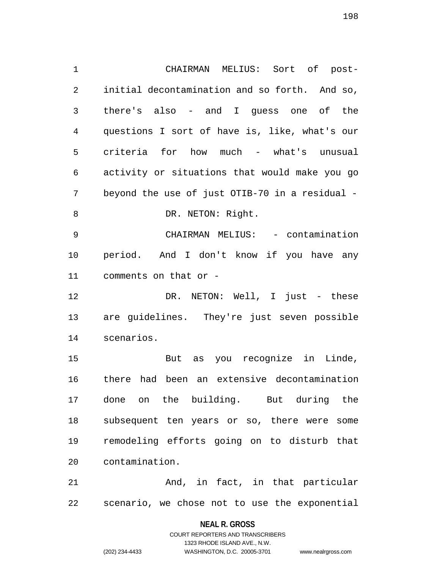1 CHAIRMAN MELIUS: Sort of post-2 initial decontamination and so forth. And so, 3 there's also - and I guess one of the 4 questions I sort of have is, like, what's our 5 criteria for how much - what's unusual 6 activity or situations that would make you go 7 beyond the use of just OTIB-70 in a residual - 8 DR. NETON: Right. 9 CHAIRMAN MELIUS: - contamination 10 period. And I don't know if you have any 11 comments on that or - 12 DR. NETON: Well, I just - these 13 are guidelines. They're just seven possible 14 scenarios. 15 But as you recognize in Linde, 16 there had been an extensive decontamination 17 done on the building. But during the 18 subsequent ten years or so, there were some 19 remodeling efforts going on to disturb that

21 And, in fact, in that particular 22 scenario, we chose not to use the exponential

> **NEAL R. GROSS** COURT REPORTERS AND TRANSCRIBERS 1323 RHODE ISLAND AVE., N.W. (202) 234-4433 WASHINGTON, D.C. 20005-3701 www.nealrgross.com

20 contamination.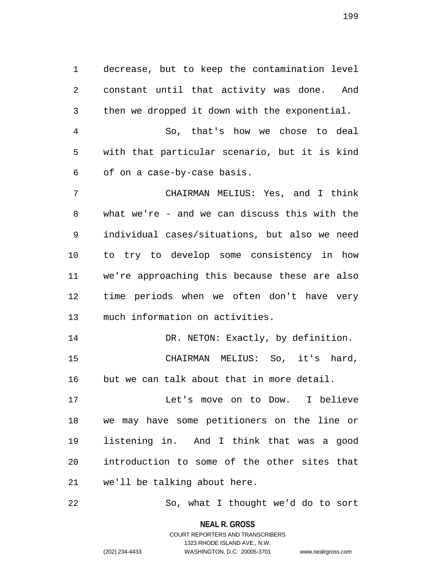1 decrease, but to keep the contamination level 2 constant until that activity was done. And 3 then we dropped it down with the exponential.

4 So, that's how we chose to deal 5 with that particular scenario, but it is kind 6 of on a case-by-case basis.

7 CHAIRMAN MELIUS: Yes, and I think 8 what we're - and we can discuss this with the 9 individual cases/situations, but also we need 10 to try to develop some consistency in how 11 we're approaching this because these are also 12 time periods when we often don't have very 13 much information on activities.

14 DR. NETON: Exactly, by definition. 15 CHAIRMAN MELIUS: So, it's hard, 16 but we can talk about that in more detail.

17 Let's move on to Dow. I believe 18 we may have some petitioners on the line or 19 listening in. And I think that was a good 20 introduction to some of the other sites that 21 we'll be talking about here.

22 So, what I thought we'd do to sort

**NEAL R. GROSS**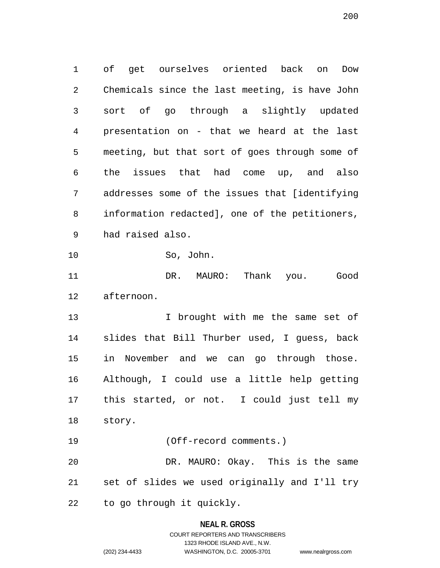1 of get ourselves oriented back on Dow 2 Chemicals since the last meeting, is have John 3 sort of go through a slightly updated 4 presentation on - that we heard at the last 5 meeting, but that sort of goes through some of 6 the issues that had come up, and also 7 addresses some of the issues that [identifying 8 information redacted], one of the petitioners, 9 had raised also. 10 So, John. 11 DR. MAURO: Thank you. Good 12 afternoon. 13 I brought with me the same set of 14 slides that Bill Thurber used, I guess, back 15 in November and we can go through those. 16 Although, I could use a little help getting 17 this started, or not. I could just tell my 18 story. 19 (Off-record comments.) 20 DR. MAURO: Okay. This is the same 21 set of slides we used originally and I'll try

22 to go through it quickly.

# **NEAL R. GROSS**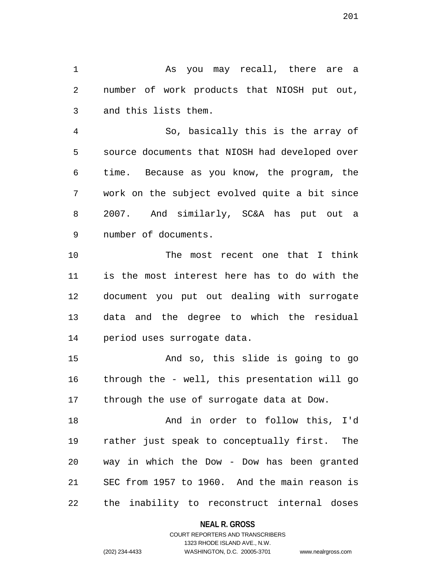1 As you may recall, there are a 2 number of work products that NIOSH put out, 3 and this lists them.

4 So, basically this is the array of 5 source documents that NIOSH had developed over 6 time. Because as you know, the program, the 7 work on the subject evolved quite a bit since 8 2007. And similarly, SC&A has put out a 9 number of documents.

10 The most recent one that I think 11 is the most interest here has to do with the 12 document you put out dealing with surrogate 13 data and the degree to which the residual 14 period uses surrogate data.

15 And so, this slide is going to go 16 through the - well, this presentation will go 17 through the use of surrogate data at Dow.

18 And in order to follow this, I'd 19 rather just speak to conceptually first. The 20 way in which the Dow - Dow has been granted 21 SEC from 1957 to 1960. And the main reason is 22 the inability to reconstruct internal doses

## **NEAL R. GROSS**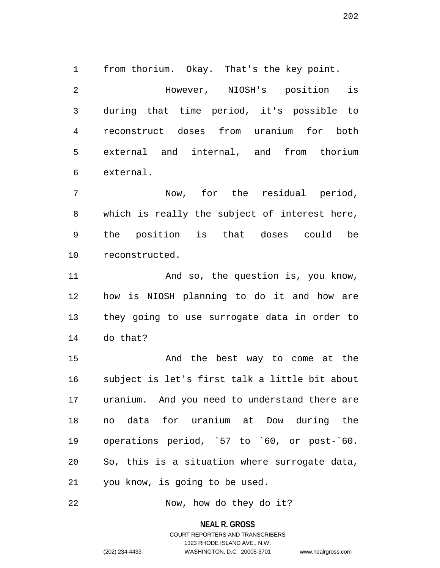1 from thorium. Okay. That's the key point. 2 However, NIOSH's position is 3 during that time period, it's possible to 4 reconstruct doses from uranium for both 5 external and internal, and from thorium 6 external.

7 Now, for the residual period, 8 which is really the subject of interest here, 9 the position is that doses could be 10 reconstructed.

11 And so, the question is, you know, 12 how is NIOSH planning to do it and how are 13 they going to use surrogate data in order to 14 do that?

15 And the best way to come at the 16 subject is let's first talk a little bit about 17 uranium. And you need to understand there are 18 no data for uranium at Dow during the 19 operations period, `57 to `60, or post-`60. 20 So, this is a situation where surrogate data, 21 you know, is going to be used.

22 Now, how do they do it?

**NEAL R. GROSS**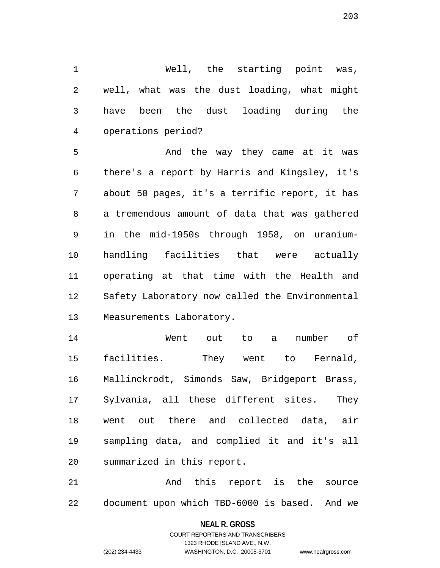1 Well, the starting point was, 2 well, what was the dust loading, what might 3 have been the dust loading during the 4 operations period?

5 And the way they came at it was 6 there's a report by Harris and Kingsley, it's 7 about 50 pages, it's a terrific report, it has 8 a tremendous amount of data that was gathered 9 in the mid-1950s through 1958, on uranium-10 handling facilities that were actually 11 operating at that time with the Health and 12 Safety Laboratory now called the Environmental 13 Measurements Laboratory.

14 Went out to a number of 15 facilities. They went to Fernald, 16 Mallinckrodt, Simonds Saw, Bridgeport Brass, 17 Sylvania, all these different sites. They 18 went out there and collected data, air 19 sampling data, and complied it and it's all 20 summarized in this report.

21 And this report is the source 22 document upon which TBD-6000 is based. And we

## **NEAL R. GROSS**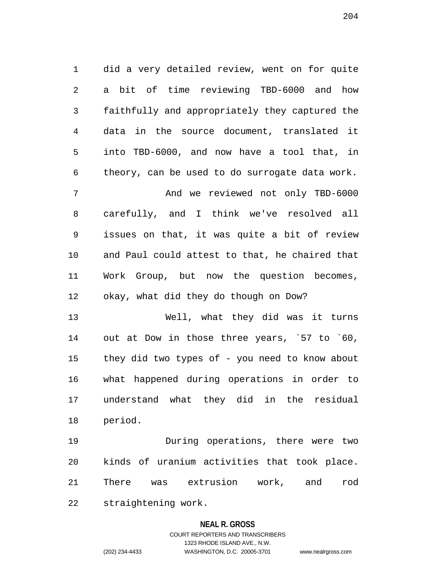1 did a very detailed review, went on for quite 2 a bit of time reviewing TBD-6000 and how 3 faithfully and appropriately they captured the 4 data in the source document, translated it 5 into TBD-6000, and now have a tool that, in 6 theory, can be used to do surrogate data work. 7 And we reviewed not only TBD-6000 8 carefully, and I think we've resolved all 9 issues on that, it was quite a bit of review 10 and Paul could attest to that, he chaired that 11 Work Group, but now the question becomes, 12 okay, what did they do though on Dow?

13 Well, what they did was it turns 14 out at Dow in those three years, `57 to `60, 15 they did two types of - you need to know about 16 what happened during operations in order to 17 understand what they did in the residual 18 period.

19 During operations, there were two 20 kinds of uranium activities that took place. 21 There was extrusion work, and rod 22 straightening work.

## **NEAL R. GROSS**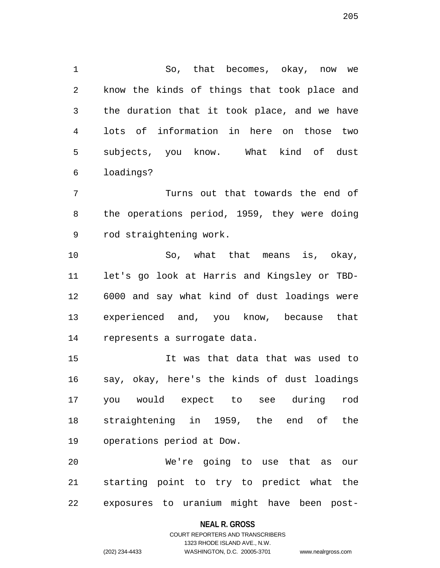1 So, that becomes, okay, now we 2 know the kinds of things that took place and 3 the duration that it took place, and we have 4 lots of information in here on those two 5 subjects, you know. What kind of dust 6 loadings?

7 Turns out that towards the end of 8 the operations period, 1959, they were doing 9 rod straightening work.

10 So, what that means is, okay, 11 let's go look at Harris and Kingsley or TBD-12 6000 and say what kind of dust loadings were 13 experienced and, you know, because that 14 represents a surrogate data.

15 It was that data that was used to 16 say, okay, here's the kinds of dust loadings 17 you would expect to see during rod 18 straightening in 1959, the end of the 19 operations period at Dow.

20 We're going to use that as our 21 starting point to try to predict what the 22 exposures to uranium might have been post-

## **NEAL R. GROSS**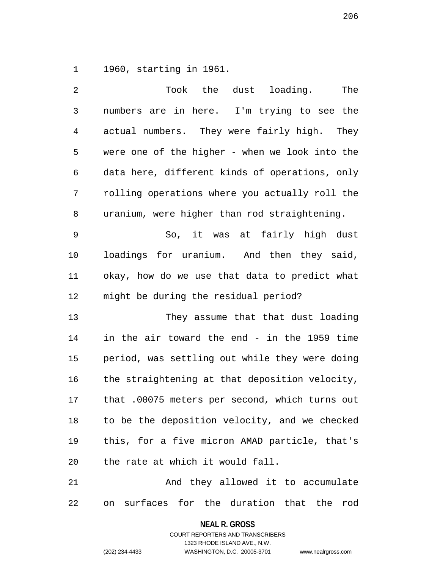1 1960, starting in 1961.

| 2              | Took the dust loading.<br>The                   |
|----------------|-------------------------------------------------|
| $\mathfrak{Z}$ | numbers are in here. I'm trying to see the      |
| $\overline{4}$ | actual numbers. They were fairly high. They     |
| 5              | were one of the higher - when we look into the  |
| 6              | data here, different kinds of operations, only  |
| 7              | rolling operations where you actually roll the  |
| 8              | uranium, were higher than rod straightening.    |
| 9              | So, it was at fairly high dust                  |
| 10             | loadings for uranium. And then they said,       |
| 11             | okay, how do we use that data to predict what   |
| 12             | might be during the residual period?            |
| 13             | They assume that that dust loading              |
| 14             | in the air toward the end - in the 1959 time    |
| 15             | period, was settling out while they were doing  |
| 16             | the straightening at that deposition velocity,  |
| 17             | that .00075 meters per second, which turns out  |
| 18             | to be the deposition velocity, and we checked   |
| 19             | this, for a five micron AMAD particle, that's   |
| 20             | the rate at which it would fall.                |
| 21             | And they allowed it to accumulate               |
| 22             | surfaces for the duration that the<br>rod<br>on |

**NEAL R. GROSS** COURT REPORTERS AND TRANSCRIBERS

1323 RHODE ISLAND AVE., N.W.

(202) 234-4433 WASHINGTON, D.C. 20005-3701 www.nealrgross.com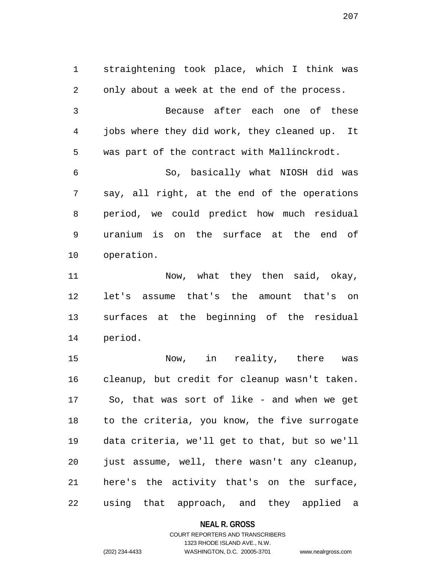1 straightening took place, which I think was 2 only about a week at the end of the process. 3 Because after each one of these 4 jobs where they did work, they cleaned up. It 5 was part of the contract with Mallinckrodt. 6 So, basically what NIOSH did was 7 say, all right, at the end of the operations 8 period, we could predict how much residual 9 uranium is on the surface at the end of 10 operation. 11 Now, what they then said, okay,

12 let's assume that's the amount that's on 13 surfaces at the beginning of the residual 14 period.

15 Now, in reality, there was 16 cleanup, but credit for cleanup wasn't taken. 17 So, that was sort of like - and when we get 18 to the criteria, you know, the five surrogate 19 data criteria, we'll get to that, but so we'll 20 just assume, well, there wasn't any cleanup, 21 here's the activity that's on the surface, 22 using that approach, and they applied a

**NEAL R. GROSS**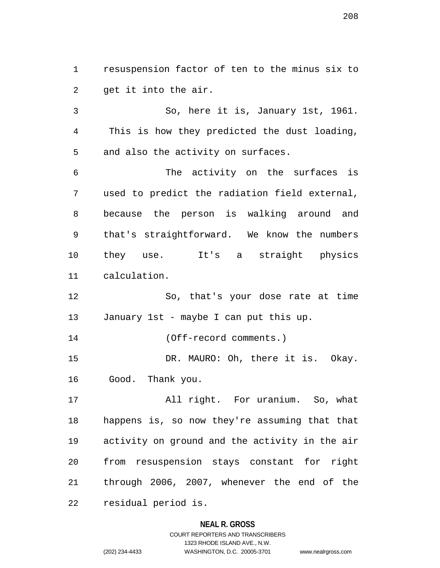1 resuspension factor of ten to the minus six to 2 get it into the air.

3 So, here it is, January 1st, 1961. 4 This is how they predicted the dust loading, 5 and also the activity on surfaces.

6 The activity on the surfaces is 7 used to predict the radiation field external, 8 because the person is walking around and 9 that's straightforward. We know the numbers 10 they use. It's a straight physics 11 calculation.

12 So, that's your dose rate at time 13 January 1st - maybe I can put this up.

14 (Off-record comments.)

15 DR. MAURO: Oh, there it is. Okay. 16 Good. Thank you.

17 All right. For uranium. So, what 18 happens is, so now they're assuming that that 19 activity on ground and the activity in the air 20 from resuspension stays constant for right 21 through 2006, 2007, whenever the end of the 22 residual period is.

# **NEAL R. GROSS**

COURT REPORTERS AND TRANSCRIBERS 1323 RHODE ISLAND AVE., N.W. (202) 234-4433 WASHINGTON, D.C. 20005-3701 www.nealrgross.com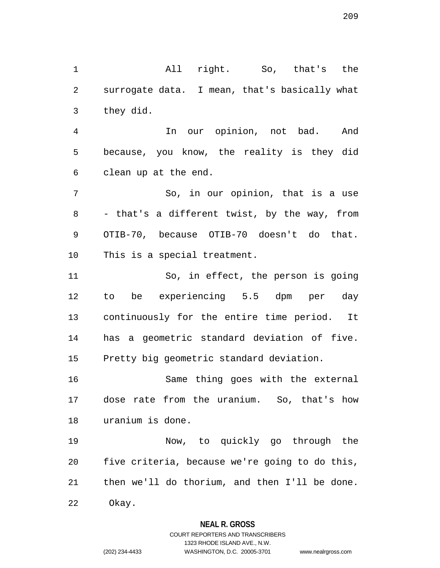1 All right. So, that's the 2 surrogate data. I mean, that's basically what 3 they did. 4 In our opinion, not bad. And

5 because, you know, the reality is they did 6 clean up at the end.

7 So, in our opinion, that is a use 8 - that's a different twist, by the way, from 9 OTIB-70, because OTIB-70 doesn't do that. 10 This is a special treatment.

11 So, in effect, the person is going 12 to be experiencing 5.5 dpm per day 13 continuously for the entire time period. It 14 has a geometric standard deviation of five. 15 Pretty big geometric standard deviation.

16 Same thing goes with the external 17 dose rate from the uranium. So, that's how 18 uranium is done.

19 Now, to quickly go through the 20 five criteria, because we're going to do this, 21 then we'll do thorium, and then I'll be done. 22 Okay.

**NEAL R. GROSS**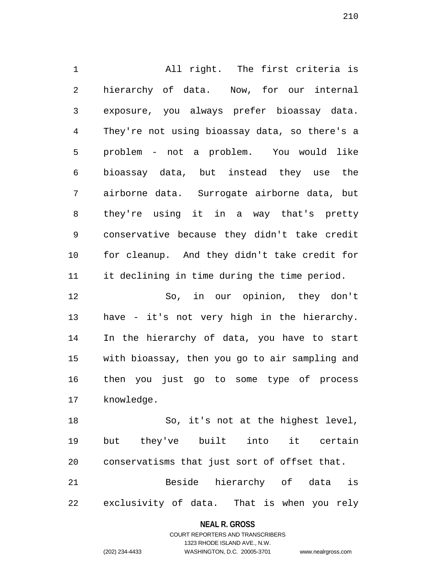1 All right. The first criteria is 2 hierarchy of data. Now, for our internal 3 exposure, you always prefer bioassay data. 4 They're not using bioassay data, so there's a 5 problem - not a problem. You would like 6 bioassay data, but instead they use the 7 airborne data. Surrogate airborne data, but 8 they're using it in a way that's pretty 9 conservative because they didn't take credit 10 for cleanup. And they didn't take credit for 11 it declining in time during the time period. 12 So, in our opinion, they don't 13 have - it's not very high in the hierarchy. 14 In the hierarchy of data, you have to start 15 with bioassay, then you go to air sampling and 16 then you just go to some type of process 17 knowledge.

18 So, it's not at the highest level, 19 but they've built into it certain 20 conservatisms that just sort of offset that. 21 Beside hierarchy of data is

22 exclusivity of data. That is when you rely

# **NEAL R. GROSS** COURT REPORTERS AND TRANSCRIBERS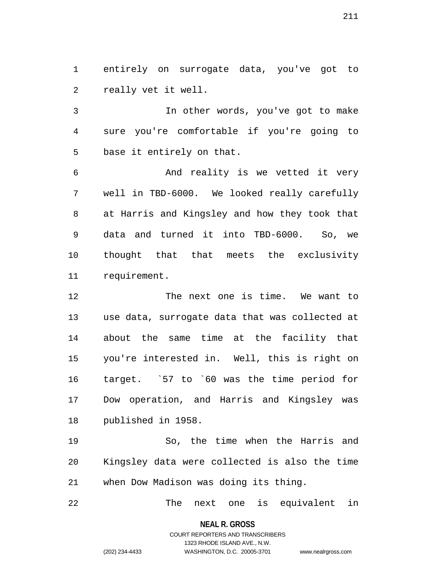1 entirely on surrogate data, you've got to 2 really vet it well.

3 In other words, you've got to make 4 sure you're comfortable if you're going to 5 base it entirely on that.

6 And reality is we vetted it very 7 well in TBD-6000. We looked really carefully 8 at Harris and Kingsley and how they took that 9 data and turned it into TBD-6000. So, we 10 thought that that meets the exclusivity 11 requirement.

12 The next one is time. We want to 13 use data, surrogate data that was collected at 14 about the same time at the facility that 15 you're interested in. Well, this is right on 16 target. `57 to `60 was the time period for 17 Dow operation, and Harris and Kingsley was 18 published in 1958.

19 So, the time when the Harris and 20 Kingsley data were collected is also the time 21 when Dow Madison was doing its thing.

22 The next one is equivalent in

**NEAL R. GROSS** COURT REPORTERS AND TRANSCRIBERS

1323 RHODE ISLAND AVE., N.W.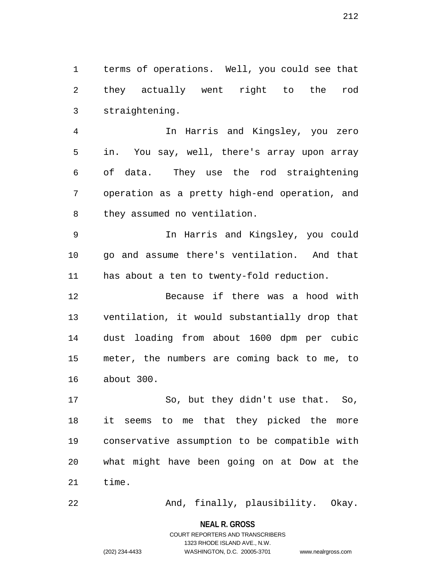1 terms of operations. Well, you could see that 2 they actually went right to the rod 3 straightening.

4 In Harris and Kingsley, you zero 5 in. You say, well, there's array upon array 6 of data. They use the rod straightening 7 operation as a pretty high-end operation, and 8 they assumed no ventilation.

9 In Harris and Kingsley, you could 10 go and assume there's ventilation. And that 11 has about a ten to twenty-fold reduction.

12 Because if there was a hood with 13 ventilation, it would substantially drop that 14 dust loading from about 1600 dpm per cubic 15 meter, the numbers are coming back to me, to 16 about 300.

17 So, but they didn't use that. So, 18 it seems to me that they picked the more 19 conservative assumption to be compatible with 20 what might have been going on at Dow at the 21 time.

22 And, finally, plausibility. Okay.

**NEAL R. GROSS** COURT REPORTERS AND TRANSCRIBERS

1323 RHODE ISLAND AVE., N.W.

(202) 234-4433 WASHINGTON, D.C. 20005-3701 www.nealrgross.com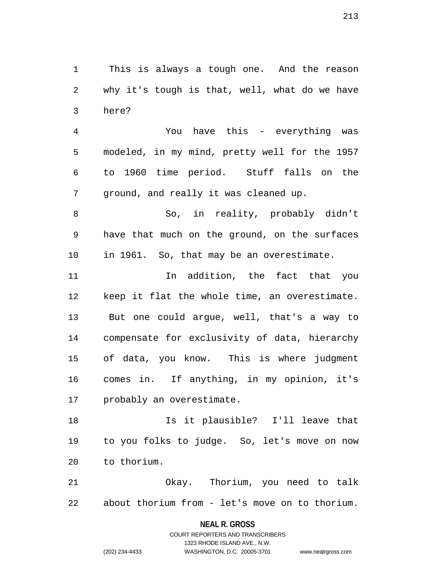1 This is always a tough one. And the reason 2 why it's tough is that, well, what do we have 3 here?

4 You have this - everything was 5 modeled, in my mind, pretty well for the 1957 6 to 1960 time period. Stuff falls on the 7 ground, and really it was cleaned up.

8 So, in reality, probably didn't 9 have that much on the ground, on the surfaces 10 in 1961. So, that may be an overestimate.

11 In addition, the fact that you 12 keep it flat the whole time, an overestimate. 13 But one could argue, well, that's a way to 14 compensate for exclusivity of data, hierarchy 15 of data, you know. This is where judgment 16 comes in. If anything, in my opinion, it's 17 probably an overestimate.

18 Is it plausible? I'll leave that 19 to you folks to judge. So, let's move on now 20 to thorium.

21 Okay. Thorium, you need to talk 22 about thorium from - let's move on to thorium.

> **NEAL R. GROSS** COURT REPORTERS AND TRANSCRIBERS

> > 1323 RHODE ISLAND AVE., N.W.

(202) 234-4433 WASHINGTON, D.C. 20005-3701 www.nealrgross.com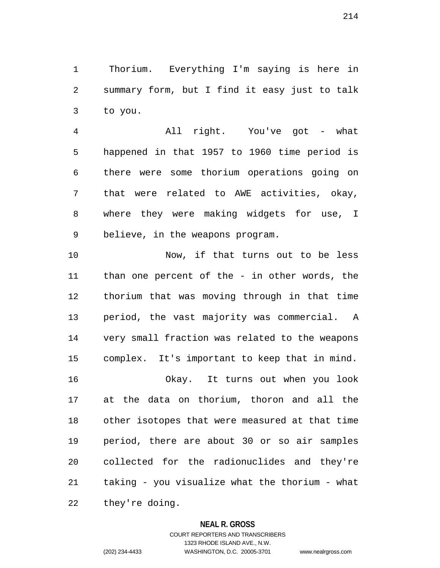1 Thorium. Everything I'm saying is here in 2 summary form, but I find it easy just to talk 3 to you.

4 All right. You've got - what 5 happened in that 1957 to 1960 time period is 6 there were some thorium operations going on 7 that were related to AWE activities, okay, 8 where they were making widgets for use, I 9 believe, in the weapons program.

10 Now, if that turns out to be less 11 than one percent of the - in other words, the 12 thorium that was moving through in that time 13 period, the vast majority was commercial. A 14 very small fraction was related to the weapons 15 complex. It's important to keep that in mind. 16 Okay. It turns out when you look 17 at the data on thorium, thoron and all the 18 other isotopes that were measured at that time 19 period, there are about 30 or so air samples 20 collected for the radionuclides and they're

21 taking - you visualize what the thorium - what

22 they're doing.

# **NEAL R. GROSS**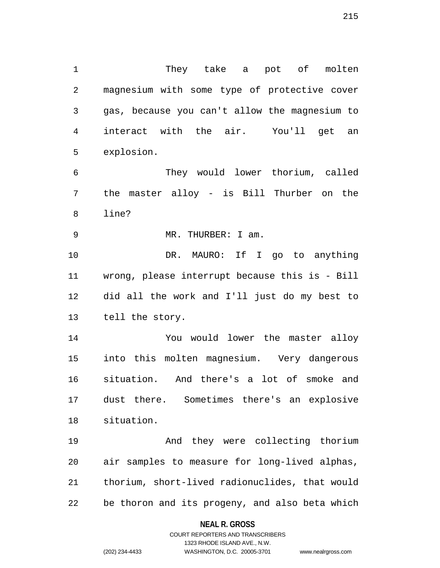2 magnesium with some type of protective cover 3 gas, because you can't allow the magnesium to 4 interact with the air. You'll get an 5 explosion. 6 They would lower thorium, called 7 the master alloy - is Bill Thurber on the 8 line? 9 MR. THURBER: I am. 10 DR. MAURO: If I go to anything 11 wrong, please interrupt because this is - Bill 12 did all the work and I'll just do my best to 13 tell the story.

1 They take a pot of molten

14 You would lower the master alloy 15 into this molten magnesium. Very dangerous 16 situation. And there's a lot of smoke and 17 dust there. Sometimes there's an explosive 18 situation.

19 And they were collecting thorium 20 air samples to measure for long-lived alphas, 21 thorium, short-lived radionuclides, that would 22 be thoron and its progeny, and also beta which

## **NEAL R. GROSS**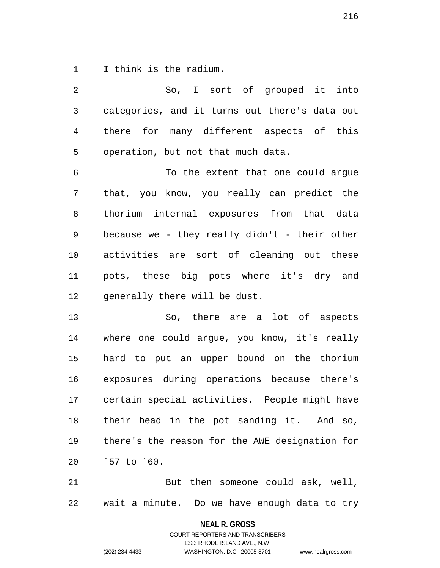1 I think is the radium.

| So, I sort of grouped it into                  |
|------------------------------------------------|
| categories, and it turns out there's data out  |
| there for many different aspects of this       |
| operation, but not that much data.             |
| To the extent that one could argue             |
| that, you know, you really can predict the     |
| thorium internal exposures from that data      |
| because we - they really didn't - their other  |
| activities are sort of cleaning out these      |
| pots, these big pots where it's dry and        |
| generally there will be dust.                  |
| So, there are a lot of aspects                 |
| where one could argue, you know, it's really   |
| hard to put an upper bound on the thorium      |
| exposures during operations because there's    |
| certain special activities. People might have  |
| their head in the pot sanding it. And so,      |
| there's the reason for the AWE designation for |
| `57 to `60.                                    |
|                                                |

21 But then someone could ask, well, 22 wait a minute. Do we have enough data to try

**NEAL R. GROSS**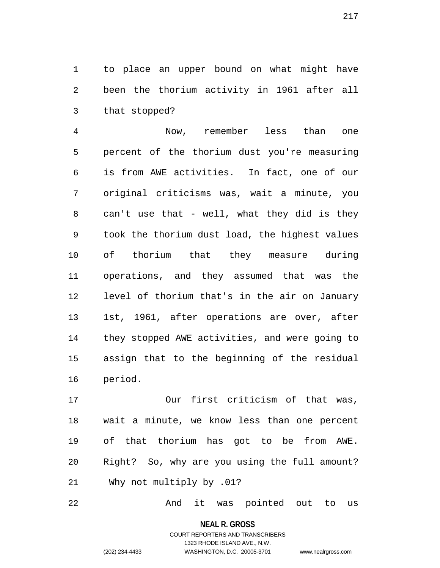1 to place an upper bound on what might have 2 been the thorium activity in 1961 after all 3 that stopped?

4 Now, remember less than one 5 percent of the thorium dust you're measuring 6 is from AWE activities. In fact, one of our 7 original criticisms was, wait a minute, you 8 can't use that - well, what they did is they 9 took the thorium dust load, the highest values 10 of thorium that they measure during 11 operations, and they assumed that was the 12 level of thorium that's in the air on January 13 1st, 1961, after operations are over, after 14 they stopped AWE activities, and were going to 15 assign that to the beginning of the residual 16 period.

17 Our first criticism of that was, 18 wait a minute, we know less than one percent 19 of that thorium has got to be from AWE. 20 Right? So, why are you using the full amount? 21 Why not multiply by .01?

22 And it was pointed out to us

**NEAL R. GROSS** COURT REPORTERS AND TRANSCRIBERS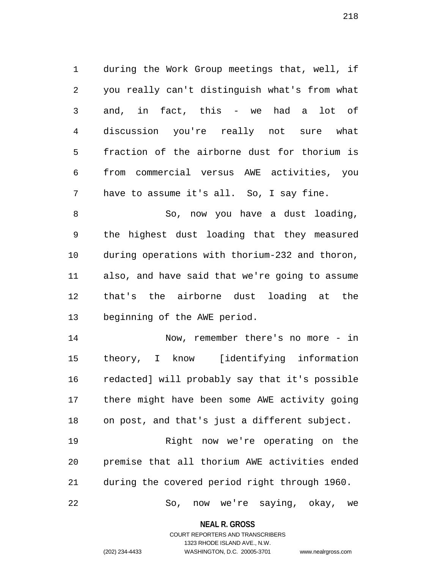1 during the Work Group meetings that, well, if 2 you really can't distinguish what's from what 3 and, in fact, this - we had a lot of 4 discussion you're really not sure what 5 fraction of the airborne dust for thorium is 6 from commercial versus AWE activities, you 7 have to assume it's all. So, I say fine.

8 So, now you have a dust loading, 9 the highest dust loading that they measured 10 during operations with thorium-232 and thoron, 11 also, and have said that we're going to assume 12 that's the airborne dust loading at the 13 beginning of the AWE period.

14 Now, remember there's no more - in 15 theory, I know [identifying information 16 redacted] will probably say that it's possible 17 there might have been some AWE activity going 18 on post, and that's just a different subject.

19 Right now we're operating on the 20 premise that all thorium AWE activities ended 21 during the covered period right through 1960.

22 So, now we're saying, okay, we

**NEAL R. GROSS** COURT REPORTERS AND TRANSCRIBERS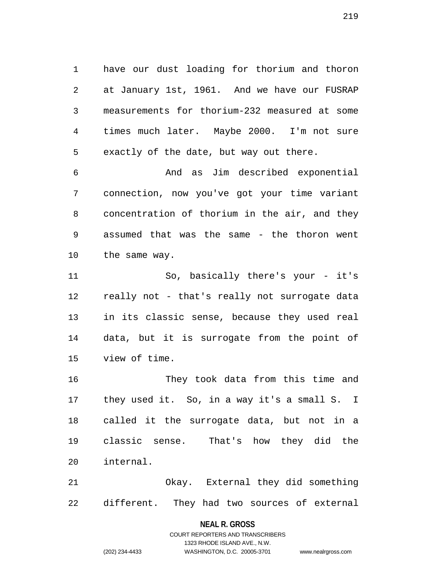1 have our dust loading for thorium and thoron 2 at January 1st, 1961. And we have our FUSRAP 3 measurements for thorium-232 measured at some 4 times much later. Maybe 2000. I'm not sure 5 exactly of the date, but way out there.

6 And as Jim described exponential 7 connection, now you've got your time variant 8 concentration of thorium in the air, and they 9 assumed that was the same - the thoron went 10 the same way.

11 So, basically there's your - it's 12 really not - that's really not surrogate data 13 in its classic sense, because they used real 14 data, but it is surrogate from the point of 15 view of time.

16 They took data from this time and 17 they used it. So, in a way it's a small S. I 18 called it the surrogate data, but not in a 19 classic sense. That's how they did the 20 internal.

21 Okay. External they did something 22 different. They had two sources of external

#### **NEAL R. GROSS**

COURT REPORTERS AND TRANSCRIBERS 1323 RHODE ISLAND AVE., N.W. (202) 234-4433 WASHINGTON, D.C. 20005-3701 www.nealrgross.com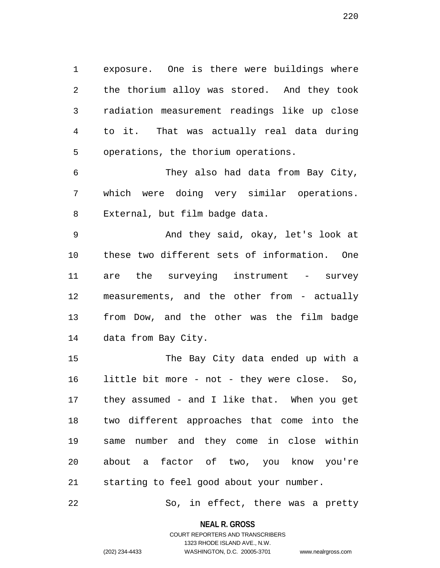1 exposure. One is there were buildings where 2 the thorium alloy was stored. And they took 3 radiation measurement readings like up close 4 to it. That was actually real data during 5 operations, the thorium operations.

6 They also had data from Bay City, 7 which were doing very similar operations. 8 External, but film badge data.

9 And they said, okay, let's look at 10 these two different sets of information. One 11 are the surveying instrument - survey 12 measurements, and the other from - actually 13 from Dow, and the other was the film badge 14 data from Bay City.

15 The Bay City data ended up with a 16 little bit more - not - they were close. So, 17 they assumed - and I like that. When you get 18 two different approaches that come into the 19 same number and they come in close within 20 about a factor of two, you know you're 21 starting to feel good about your number.

22 So, in effect, there was a pretty

**NEAL R. GROSS** COURT REPORTERS AND TRANSCRIBERS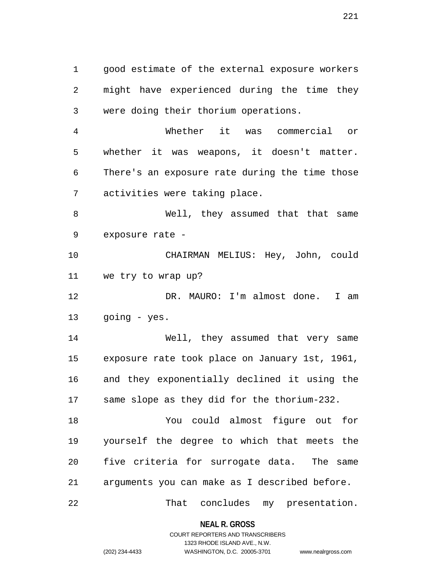1 good estimate of the external exposure workers 2 might have experienced during the time they 3 were doing their thorium operations.

4 Whether it was commercial or 5 whether it was weapons, it doesn't matter. 6 There's an exposure rate during the time those 7 activities were taking place.

8 Well, they assumed that that same 9 exposure rate -

10 CHAIRMAN MELIUS: Hey, John, could 11 we try to wrap up?

12 DR. MAURO: I'm almost done. I am 13 going - yes.

14 Well, they assumed that very same 15 exposure rate took place on January 1st, 1961, 16 and they exponentially declined it using the 17 same slope as they did for the thorium-232.

18 You could almost figure out for 19 yourself the degree to which that meets the 20 five criteria for surrogate data. The same 21 arguments you can make as I described before.

22 That concludes my presentation.

**NEAL R. GROSS** COURT REPORTERS AND TRANSCRIBERS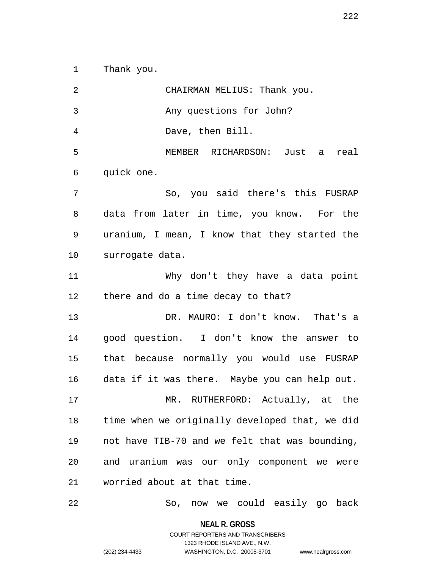1 Thank you.

2 CHAIRMAN MELIUS: Thank you. 3 Any questions for John? 4 Dave, then Bill. 5 MEMBER RICHARDSON: Just a real 6 quick one. 7 So, you said there's this FUSRAP 8 data from later in time, you know. For the 9 uranium, I mean, I know that they started the 10 surrogate data. 11 Why don't they have a data point 12 there and do a time decay to that? 13 DR. MAURO: I don't know. That's a 14 good question. I don't know the answer to 15 that because normally you would use FUSRAP 16 data if it was there. Maybe you can help out. 17 MR. RUTHERFORD: Actually, at the 18 time when we originally developed that, we did 19 not have TIB-70 and we felt that was bounding, 20 and uranium was our only component we were 21 worried about at that time.

22 So, now we could easily go back

**NEAL R. GROSS**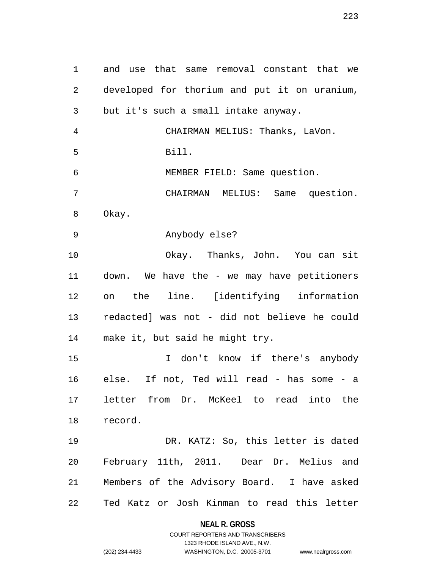1 and use that same removal constant that we 2 developed for thorium and put it on uranium, 3 but it's such a small intake anyway. 4 CHAIRMAN MELIUS: Thanks, LaVon. 5 Bill. 6 MEMBER FIELD: Same question. 7 CHAIRMAN MELIUS: Same question. 8 Okay. 9 Anybody else? 10 Okay. Thanks, John. You can sit 11 down. We have the - we may have petitioners 12 on the line. [identifying information 13 redacted] was not - did not believe he could 14 make it, but said he might try. 15 I don't know if there's anybody 16 else. If not, Ted will read - has some - a 17 letter from Dr. McKeel to read into the 18 record. 19 DR. KATZ: So, this letter is dated 20 February 11th, 2011. Dear Dr. Melius and 21 Members of the Advisory Board. I have asked 22 Ted Katz or Josh Kinman to read this letter

**NEAL R. GROSS**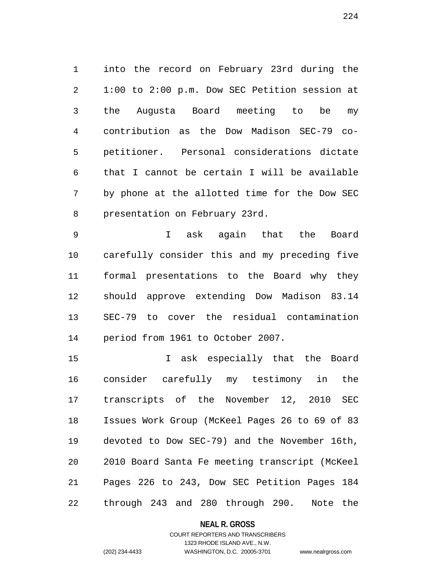1 into the record on February 23rd during the 2 1:00 to 2:00 p.m. Dow SEC Petition session at 3 the Augusta Board meeting to be my 4 contribution as the Dow Madison SEC-79 co-5 petitioner. Personal considerations dictate 6 that I cannot be certain I will be available 7 by phone at the allotted time for the Dow SEC 8 presentation on February 23rd.

9 I ask again that the Board 10 carefully consider this and my preceding five 11 formal presentations to the Board why they 12 should approve extending Dow Madison 83.14 13 SEC-79 to cover the residual contamination 14 period from 1961 to October 2007.

15 I ask especially that the Board 16 consider carefully my testimony in the 17 transcripts of the November 12, 2010 SEC 18 Issues Work Group (McKeel Pages 26 to 69 of 83 19 devoted to Dow SEC-79) and the November 16th, 20 2010 Board Santa Fe meeting transcript (McKeel 21 Pages 226 to 243, Dow SEC Petition Pages 184 22 through 243 and 280 through 290. Note the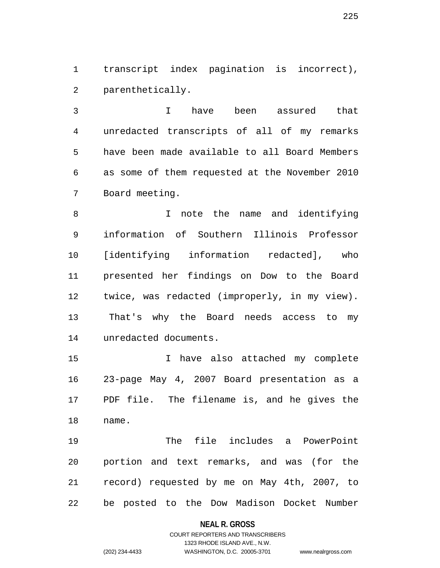1 transcript index pagination is incorrect), 2 parenthetically.

3 I have been assured that 4 unredacted transcripts of all of my remarks 5 have been made available to all Board Members 6 as some of them requested at the November 2010 7 Board meeting.

8 I note the name and identifying 9 information of Southern Illinois Professor 10 [identifying information redacted], who 11 presented her findings on Dow to the Board 12 twice, was redacted (improperly, in my view). 13 That's why the Board needs access to my 14 unredacted documents.

15 I have also attached my complete 16 23-page May 4, 2007 Board presentation as a 17 PDF file. The filename is, and he gives the 18 name.

19 The file includes a PowerPoint 20 portion and text remarks, and was (for the 21 record) requested by me on May 4th, 2007, to 22 be posted to the Dow Madison Docket Number

#### **NEAL R. GROSS**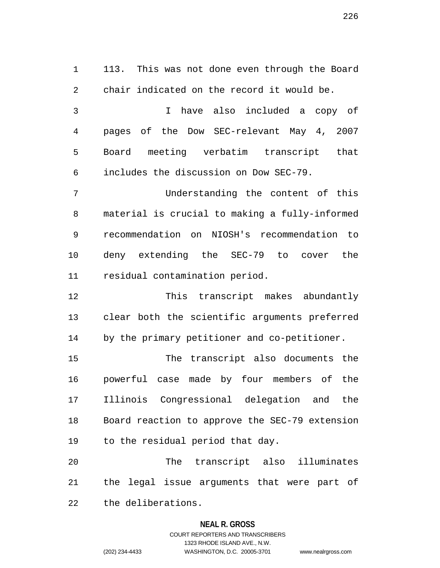1 113. This was not done even through the Board 2 chair indicated on the record it would be. 3 I have also included a copy of 4 pages of the Dow SEC-relevant May 4, 2007 5 Board meeting verbatim transcript that 6 includes the discussion on Dow SEC-79. 7 Understanding the content of this 8 material is crucial to making a fully-informed 9 recommendation on NIOSH's recommendation to 10 deny extending the SEC-79 to cover the 11 residual contamination period. 12 This transcript makes abundantly 13 clear both the scientific arguments preferred 14 by the primary petitioner and co-petitioner. 15 The transcript also documents the 16 powerful case made by four members of the 17 Illinois Congressional delegation and the 18 Board reaction to approve the SEC-79 extension

19 to the residual period that day.

20 The transcript also illuminates 21 the legal issue arguments that were part of 22 the deliberations.

## **NEAL R. GROSS**

## COURT REPORTERS AND TRANSCRIBERS 1323 RHODE ISLAND AVE., N.W. (202) 234-4433 WASHINGTON, D.C. 20005-3701 www.nealrgross.com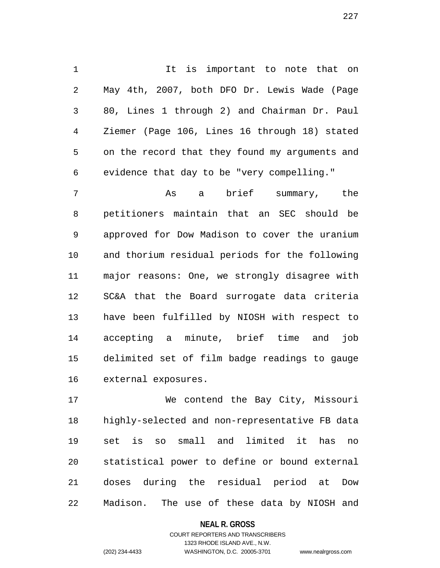1 1 It is important to note that on 2 May 4th, 2007, both DFO Dr. Lewis Wade (Page 3 80, Lines 1 through 2) and Chairman Dr. Paul 4 Ziemer (Page 106, Lines 16 through 18) stated 5 on the record that they found my arguments and 6 evidence that day to be "very compelling."

7 As a brief summary, the 8 petitioners maintain that an SEC should be 9 approved for Dow Madison to cover the uranium 10 and thorium residual periods for the following 11 major reasons: One, we strongly disagree with 12 SC&A that the Board surrogate data criteria 13 have been fulfilled by NIOSH with respect to 14 accepting a minute, brief time and job 15 delimited set of film badge readings to gauge 16 external exposures.

17 We contend the Bay City, Missouri 18 highly-selected and non-representative FB data 19 set is so small and limited it has no 20 statistical power to define or bound external 21 doses during the residual period at Dow 22 Madison. The use of these data by NIOSH and

#### **NEAL R. GROSS**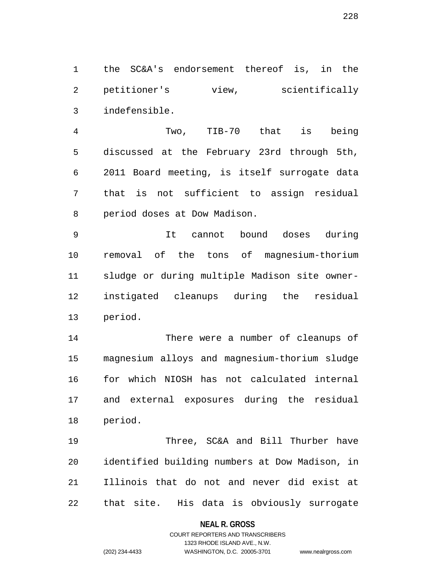1 the SC&A's endorsement thereof is, in the 2 petitioner's view, scientifically 3 indefensible.

4 Two, TIB-70 that is being 5 discussed at the February 23rd through 5th, 6 2011 Board meeting, is itself surrogate data 7 that is not sufficient to assign residual 8 period doses at Dow Madison.

9 It cannot bound doses during 10 removal of the tons of magnesium-thorium 11 sludge or during multiple Madison site owner-12 instigated cleanups during the residual 13 period.

14 There were a number of cleanups of 15 magnesium alloys and magnesium-thorium sludge 16 for which NIOSH has not calculated internal 17 and external exposures during the residual 18 period.

19 Three, SC&A and Bill Thurber have 20 identified building numbers at Dow Madison, in 21 Illinois that do not and never did exist at 22 that site. His data is obviously surrogate

#### **NEAL R. GROSS**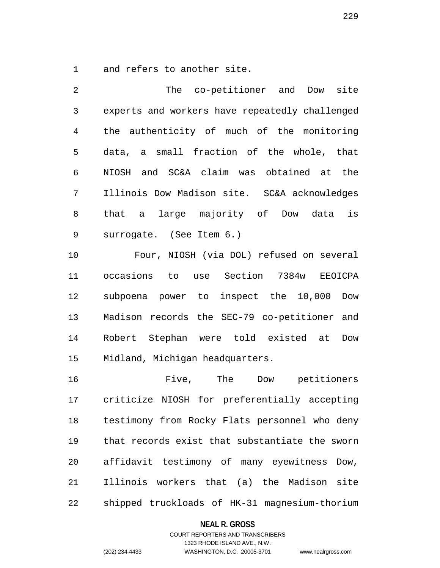1 and refers to another site.

2 The co-petitioner and Dow site 3 experts and workers have repeatedly challenged 4 the authenticity of much of the monitoring 5 data, a small fraction of the whole, that 6 NIOSH and SC&A claim was obtained at the 7 Illinois Dow Madison site. SC&A acknowledges 8 that a large majority of Dow data is 9 surrogate. (See Item 6.)

10 Four, NIOSH (via DOL) refused on several 11 occasions to use Section 7384w EEOICPA 12 subpoena power to inspect the 10,000 Dow 13 Madison records the SEC-79 co-petitioner and 14 Robert Stephan were told existed at Dow 15 Midland, Michigan headquarters.

16 Five, The Dow petitioners 17 criticize NIOSH for preferentially accepting 18 testimony from Rocky Flats personnel who deny 19 that records exist that substantiate the sworn 20 affidavit testimony of many eyewitness Dow, 21 Illinois workers that (a) the Madison site 22 shipped truckloads of HK-31 magnesium-thorium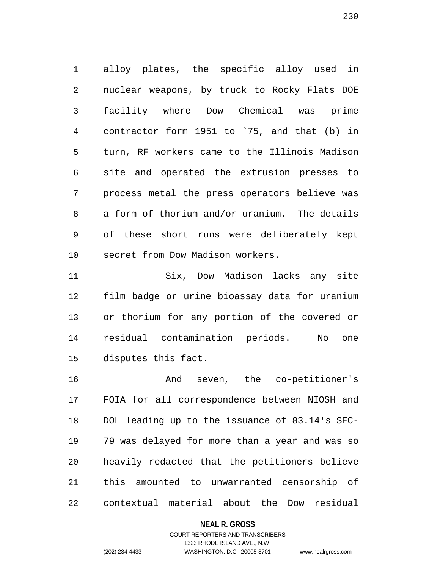1 alloy plates, the specific alloy used in 2 nuclear weapons, by truck to Rocky Flats DOE 3 facility where Dow Chemical was prime 4 contractor form 1951 to `75, and that (b) in 5 turn, RF workers came to the Illinois Madison 6 site and operated the extrusion presses to 7 process metal the press operators believe was 8 a form of thorium and/or uranium. The details 9 of these short runs were deliberately kept 10 secret from Dow Madison workers.

11 Six, Dow Madison lacks any site 12 film badge or urine bioassay data for uranium 13 or thorium for any portion of the covered or 14 residual contamination periods. No one 15 disputes this fact.

16 And seven, the co-petitioner's 17 FOIA for all correspondence between NIOSH and 18 DOL leading up to the issuance of 83.14's SEC-19 79 was delayed for more than a year and was so 20 heavily redacted that the petitioners believe 21 this amounted to unwarranted censorship of 22 contextual material about the Dow residual

#### **NEAL R. GROSS**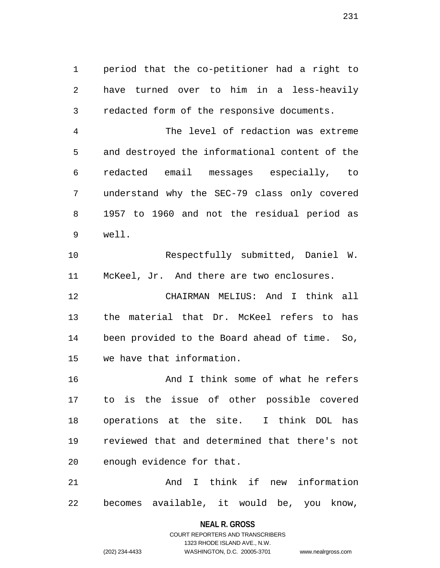1 period that the co-petitioner had a right to 2 have turned over to him in a less-heavily 3 redacted form of the responsive documents.

4 The level of redaction was extreme 5 and destroyed the informational content of the 6 redacted email messages especially, to 7 understand why the SEC-79 class only covered 8 1957 to 1960 and not the residual period as 9 well.

10 Respectfully submitted, Daniel W. 11 McKeel, Jr. And there are two enclosures.

12 CHAIRMAN MELIUS: And I think all 13 the material that Dr. McKeel refers to has 14 been provided to the Board ahead of time. So, 15 we have that information.

16 And I think some of what he refers 17 to is the issue of other possible covered 18 operations at the site. I think DOL has 19 reviewed that and determined that there's not 20 enough evidence for that.

21 And I think if new information 22 becomes available, it would be, you know,

## **NEAL R. GROSS** COURT REPORTERS AND TRANSCRIBERS

1323 RHODE ISLAND AVE., N.W.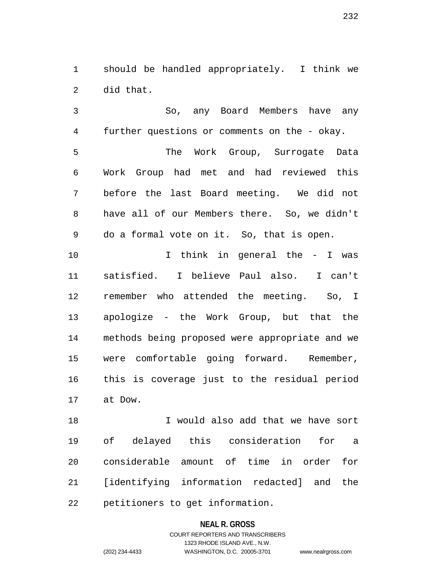1 should be handled appropriately. I think we 2 did that.

3 So, any Board Members have any 4 further questions or comments on the - okay. 5 The Work Group, Surrogate Data 6 Work Group had met and had reviewed this 7 before the last Board meeting. We did not 8 have all of our Members there. So, we didn't 9 do a formal vote on it. So, that is open.

10 I think in general the - I was 11 satisfied. I believe Paul also. I can't 12 remember who attended the meeting. So, I 13 apologize - the Work Group, but that the 14 methods being proposed were appropriate and we 15 were comfortable going forward. Remember, 16 this is coverage just to the residual period 17 at Dow.

18 I would also add that we have sort 19 of delayed this consideration for a 20 considerable amount of time in order for 21 [identifying information redacted] and the 22 petitioners to get information.

# **NEAL R. GROSS** COURT REPORTERS AND TRANSCRIBERS 1323 RHODE ISLAND AVE., N.W.

(202) 234-4433 WASHINGTON, D.C. 20005-3701 www.nealrgross.com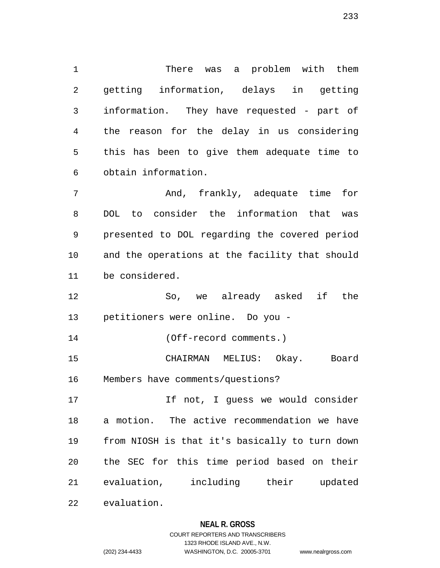1 There was a problem with them 2 getting information, delays in getting 3 information. They have requested - part of 4 the reason for the delay in us considering 5 this has been to give them adequate time to 6 obtain information.

7 And, frankly, adequate time for 8 DOL to consider the information that was 9 presented to DOL regarding the covered period 10 and the operations at the facility that should 11 be considered.

12 So, we already asked if the 13 petitioners were online. Do you -

14 (Off-record comments.)

15 CHAIRMAN MELIUS: Okay. Board 16 Members have comments/questions?

17 17 If not, I quess we would consider 18 a motion. The active recommendation we have 19 from NIOSH is that it's basically to turn down 20 the SEC for this time period based on their 21 evaluation, including their updated 22 evaluation.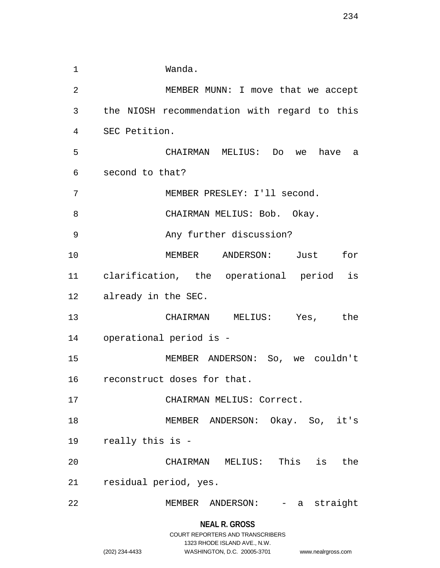| 1              | Wanda.                                       |
|----------------|----------------------------------------------|
| $\overline{2}$ | MEMBER MUNN: I move that we accept           |
| 3              | the NIOSH recommendation with regard to this |
| 4              | SEC Petition.                                |
| 5              | CHAIRMAN MELIUS: Do we<br>have a             |
| 6              | second to that?                              |
| 7              | MEMBER PRESLEY: I'll second.                 |
| 8              | CHAIRMAN MELIUS: Bob. Okay.                  |
| 9              | Any further discussion?                      |
| 10             | MEMBER ANDERSON: Just<br>for                 |
| 11             | clarification, the operational period is     |
| 12             | already in the SEC.                          |
| 13             | CHAIRMAN MELIUS:<br>Yes, the                 |
| 14             | operational period is -                      |
| 15             | MEMBER ANDERSON: So, we couldn't             |
| 16             | reconstruct doses for that.                  |
| 17             | CHAIRMAN MELIUS: Correct.                    |
| 18             | MEMBER ANDERSON: Okay. So, it's              |
| 19             | really this is -                             |
| 20             | CHAIRMAN MELIUS: This is<br>the              |
| 21             | residual period, yes.                        |
| 22             | MEMBER ANDERSON: - a straight                |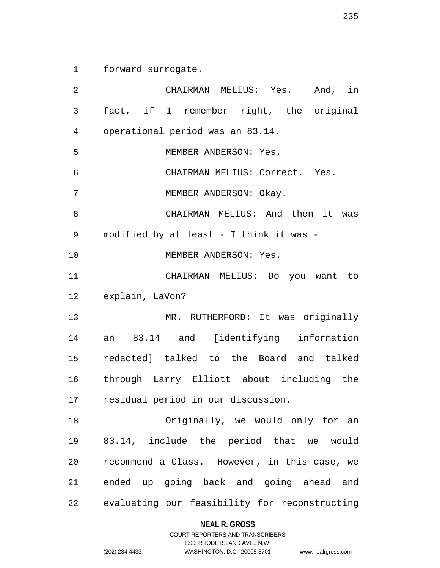1 forward surrogate.

2 CHAIRMAN MELIUS: Yes. And, in 3 fact, if I remember right, the original 4 operational period was an 83.14. 5 MEMBER ANDERSON: Yes. 6 CHAIRMAN MELIUS: Correct. Yes. 7 MEMBER ANDERSON: Okay. 8 CHAIRMAN MELIUS: And then it was 9 modified by at least - I think it was - 10 MEMBER ANDERSON: Yes. 11 CHAIRMAN MELIUS: Do you want to 12 explain, LaVon? 13 MR. RUTHERFORD: It was originally 14 an 83.14 and [identifying information 15 redacted] talked to the Board and talked 16 through Larry Elliott about including the 17 residual period in our discussion. 18 Originally, we would only for an 19 83.14, include the period that we would 20 recommend a Class. However, in this case, we 21 ended up going back and going ahead and 22 evaluating our feasibility for reconstructing

**NEAL R. GROSS**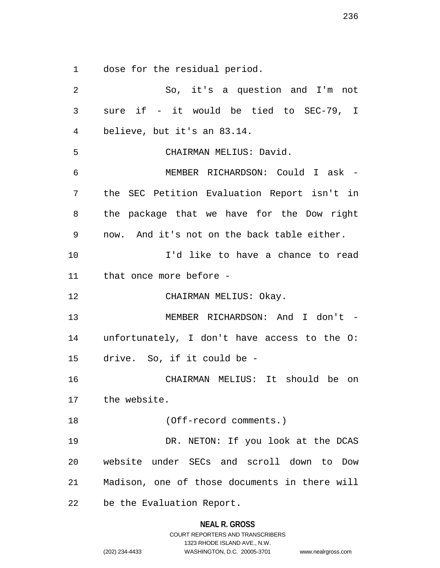1 dose for the residual period.

2 So, it's a question and I'm not 3 sure if - it would be tied to SEC-79, I 4 believe, but it's an 83.14. 5 CHAIRMAN MELIUS: David. 6 MEMBER RICHARDSON: Could I ask - 7 the SEC Petition Evaluation Report isn't in 8 the package that we have for the Dow right 9 now. And it's not on the back table either. 10 I'd like to have a chance to read 11 that once more before - 12 CHAIRMAN MELIUS: Okay. 13 MEMBER RICHARDSON: And I don't -14 unfortunately, I don't have access to the O: 15 drive. So, if it could be - 16 CHAIRMAN MELIUS: It should be on 17 the website. 18 (Off-record comments.) 19 DR. NETON: If you look at the DCAS 20 website under SECs and scroll down to Dow 21 Madison, one of those documents in there will 22 be the Evaluation Report.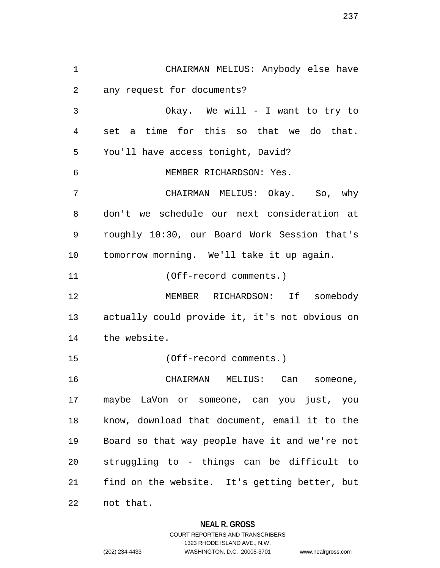1 CHAIRMAN MELIUS: Anybody else have 2 any request for documents? 3 Okay. We will - I want to try to 4 set a time for this so that we do that. 5 You'll have access tonight, David? 6 MEMBER RICHARDSON: Yes. 7 CHAIRMAN MELIUS: Okay. So, why 8 don't we schedule our next consideration at 9 roughly 10:30, our Board Work Session that's 10 tomorrow morning. We'll take it up again. 11 (Off-record comments.) 12 MEMBER RICHARDSON: If somebody 13 actually could provide it, it's not obvious on 14 the website. 15 (Off-record comments.) 16 CHAIRMAN MELIUS: Can someone, 17 maybe LaVon or someone, can you just, you 18 know, download that document, email it to the 19 Board so that way people have it and we're not 20 struggling to - things can be difficult to 21 find on the website. It's getting better, but 22 not that.

#### **NEAL R. GROSS**

COURT REPORTERS AND TRANSCRIBERS 1323 RHODE ISLAND AVE., N.W. (202) 234-4433 WASHINGTON, D.C. 20005-3701 www.nealrgross.com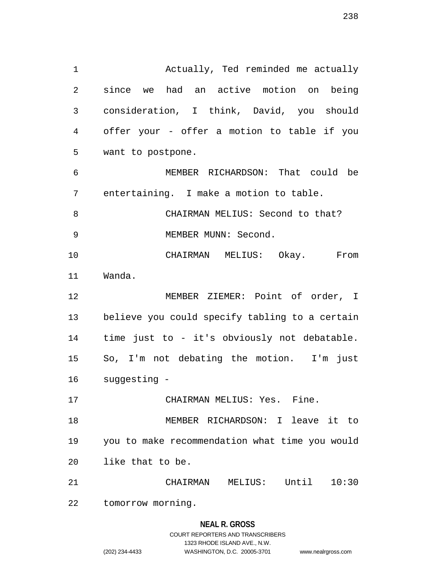1 Actually, Ted reminded me actually 2 since we had an active motion on being 3 consideration, I think, David, you should 4 offer your - offer a motion to table if you 5 want to postpone. 6 MEMBER RICHARDSON: That could be 7 entertaining. I make a motion to table. 8 CHAIRMAN MELIUS: Second to that? 9 MEMBER MUNN: Second. 10 CHAIRMAN MELIUS: Okay. From 11 Wanda. 12 MEMBER ZIEMER: Point of order, I 13 believe you could specify tabling to a certain 14 time just to - it's obviously not debatable. 15 So, I'm not debating the motion. I'm just

- 16 suggesting -
- 17 CHAIRMAN MELIUS: Yes. Fine.

18 MEMBER RICHARDSON: I leave it to 19 you to make recommendation what time you would 20 like that to be.

21 CHAIRMAN MELIUS: Until 10:30

22 tomorrow morning.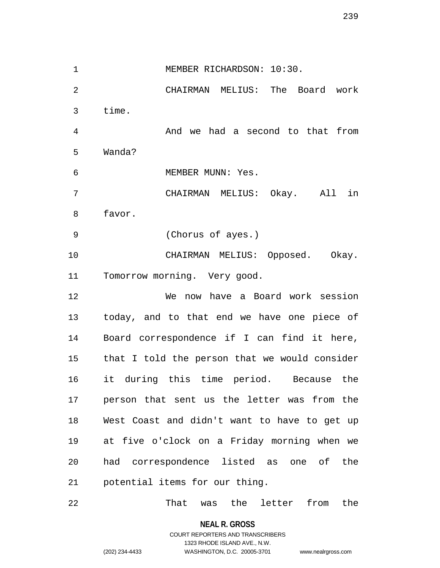1 MEMBER RICHARDSON: 10:30. 2 CHAIRMAN MELIUS: The Board work 3 time. 4 And we had a second to that from 5 Wanda? 6 MEMBER MUNN: Yes. 7 CHAIRMAN MELIUS: Okay. All in 8 favor. 9 (Chorus of ayes.) 10 CHAIRMAN MELIUS: Opposed. Okay. 11 Tomorrow morning. Very good. 12 We now have a Board work session 13 today, and to that end we have one piece of 14 Board correspondence if I can find it here, 15 that I told the person that we would consider 16 it during this time period. Because the 17 person that sent us the letter was from the 18 West Coast and didn't want to have to get up 19 at five o'clock on a Friday morning when we 20 had correspondence listed as one of the 21 potential items for our thing.

22 That was the letter from the

**NEAL R. GROSS**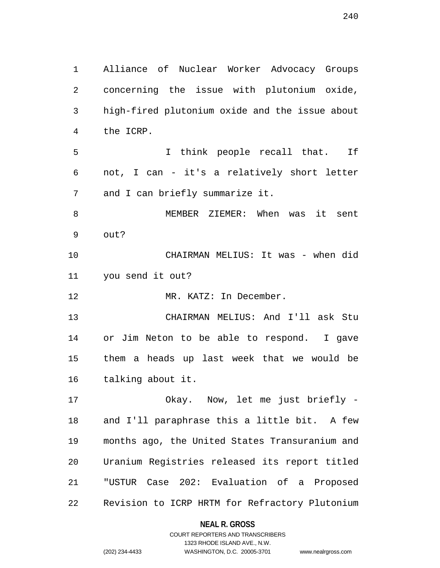1 Alliance of Nuclear Worker Advocacy Groups 2 concerning the issue with plutonium oxide, 3 high-fired plutonium oxide and the issue about 4 the ICRP. 5 I think people recall that. If 6 not, I can - it's a relatively short letter 7 and I can briefly summarize it. 8 MEMBER ZIEMER: When was it sent 9 out? 10 CHAIRMAN MELIUS: It was - when did 11 you send it out? 12 MR. KATZ: In December. 13 CHAIRMAN MELIUS: And I'll ask Stu 14 or Jim Neton to be able to respond. I gave 15 them a heads up last week that we would be 16 talking about it. 17 Okay. Now, let me just briefly - 18 and I'll paraphrase this a little bit. A few 19 months ago, the United States Transuranium and 20 Uranium Registries released its report titled 21 "USTUR Case 202: Evaluation of a Proposed

> **NEAL R. GROSS** COURT REPORTERS AND TRANSCRIBERS

22 Revision to ICRP HRTM for Refractory Plutonium

1323 RHODE ISLAND AVE., N.W. (202) 234-4433 WASHINGTON, D.C. 20005-3701 www.nealrgross.com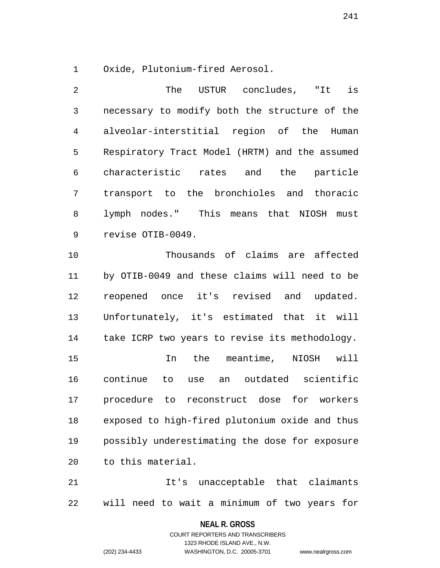1 Oxide, Plutonium-fired Aerosol.

2 The USTUR concludes, "It is 3 necessary to modify both the structure of the 4 alveolar-interstitial region of the Human 5 Respiratory Tract Model (HRTM) and the assumed 6 characteristic rates and the particle 7 transport to the bronchioles and thoracic 8 lymph nodes." This means that NIOSH must 9 revise OTIB-0049. 10 Thousands of claims are affected 11 by OTIB-0049 and these claims will need to be 12 reopened once it's revised and updated. 13 Unfortunately, it's estimated that it will 14 take ICRP two years to revise its methodology. 15 In the meantime, NIOSH will 16 continue to use an outdated scientific 17 procedure to reconstruct dose for workers 18 exposed to high-fired plutonium oxide and thus 19 possibly underestimating the dose for exposure 20 to this material. 21 It's unacceptable that claimants

22 will need to wait a minimum of two years for

**NEAL R. GROSS**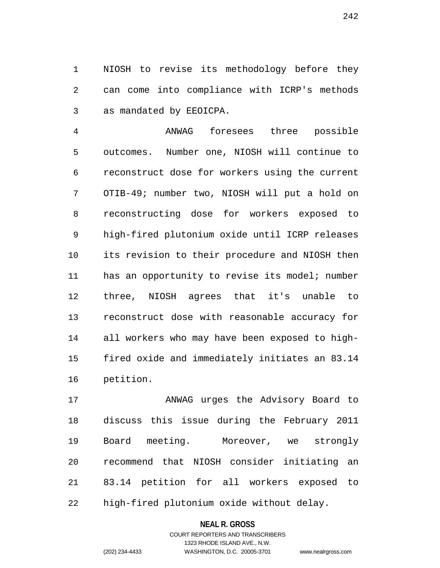1 NIOSH to revise its methodology before they 2 can come into compliance with ICRP's methods 3 as mandated by EEOICPA.

4 ANWAG foresees three possible 5 outcomes. Number one, NIOSH will continue to 6 reconstruct dose for workers using the current 7 OTIB-49; number two, NIOSH will put a hold on 8 reconstructing dose for workers exposed to 9 high-fired plutonium oxide until ICRP releases 10 its revision to their procedure and NIOSH then 11 has an opportunity to revise its model; number 12 three, NIOSH agrees that it's unable to 13 reconstruct dose with reasonable accuracy for 14 all workers who may have been exposed to high-15 fired oxide and immediately initiates an 83.14 16 petition.

17 ANWAG urges the Advisory Board to 18 discuss this issue during the February 2011 19 Board meeting. Moreover, we strongly 20 recommend that NIOSH consider initiating an 21 83.14 petition for all workers exposed to 22 high-fired plutonium oxide without delay.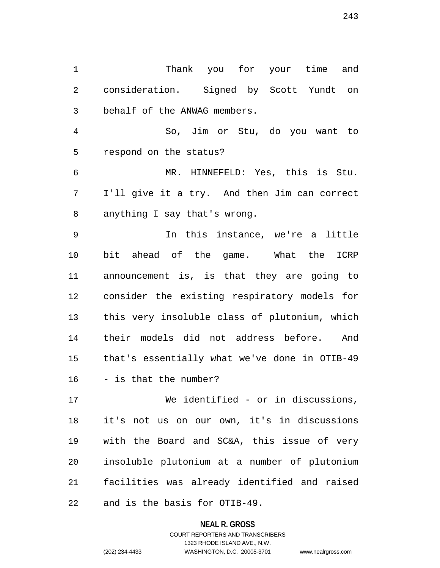1 Thank you for your time and 2 consideration. Signed by Scott Yundt on 3 behalf of the ANWAG members.

4 So, Jim or Stu, do you want to 5 respond on the status?

6 MR. HINNEFELD: Yes, this is Stu. 7 I'll give it a try. And then Jim can correct 8 anything I say that's wrong.

9 In this instance, we're a little 10 bit ahead of the game. What the ICRP 11 announcement is, is that they are going to 12 consider the existing respiratory models for 13 this very insoluble class of plutonium, which 14 their models did not address before. And 15 that's essentially what we've done in OTIB-49 16 - is that the number?

17 We identified - or in discussions, 18 it's not us on our own, it's in discussions 19 with the Board and SC&A, this issue of very 20 insoluble plutonium at a number of plutonium 21 facilities was already identified and raised 22 and is the basis for OTIB-49.

#### **NEAL R. GROSS**

## COURT REPORTERS AND TRANSCRIBERS 1323 RHODE ISLAND AVE., N.W. (202) 234-4433 WASHINGTON, D.C. 20005-3701 www.nealrgross.com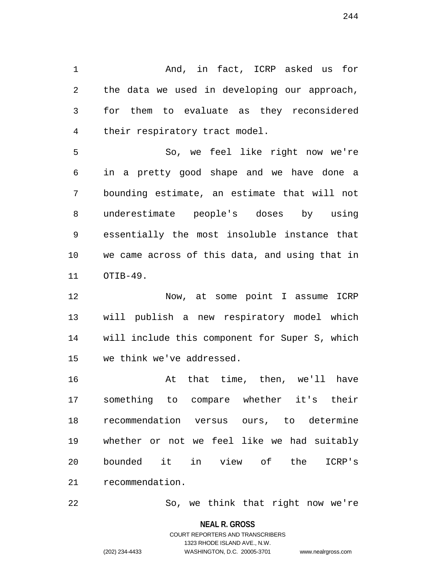1 And, in fact, ICRP asked us for 2 the data we used in developing our approach, 3 for them to evaluate as they reconsidered 4 their respiratory tract model.

5 So, we feel like right now we're 6 in a pretty good shape and we have done a 7 bounding estimate, an estimate that will not 8 underestimate people's doses by using 9 essentially the most insoluble instance that 10 we came across of this data, and using that in 11 OTIB-49.

12 Now, at some point I assume ICRP 13 will publish a new respiratory model which 14 will include this component for Super S, which 15 we think we've addressed.

16 at that time, then, we'll have 17 something to compare whether it's their 18 recommendation versus ours, to determine 19 whether or not we feel like we had suitably 20 bounded it in view of the ICRP's 21 recommendation.

22 So, we think that right now we're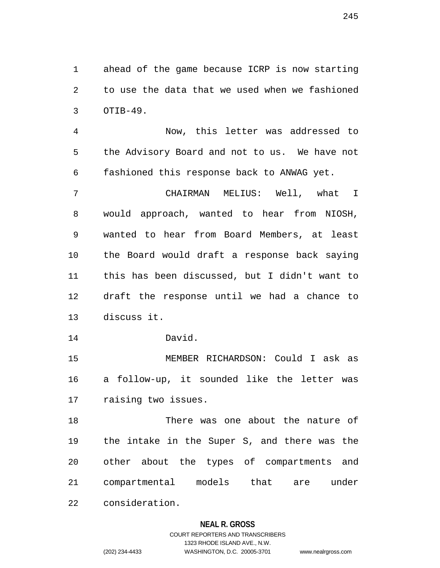1 ahead of the game because ICRP is now starting 2 to use the data that we used when we fashioned 3 OTIB-49.

4 Now, this letter was addressed to 5 the Advisory Board and not to us. We have not 6 fashioned this response back to ANWAG yet.

7 CHAIRMAN MELIUS: Well, what I 8 would approach, wanted to hear from NIOSH, 9 wanted to hear from Board Members, at least 10 the Board would draft a response back saying 11 this has been discussed, but I didn't want to 12 draft the response until we had a chance to 13 discuss it.

14 David.

15 MEMBER RICHARDSON: Could I ask as 16 a follow-up, it sounded like the letter was 17 raising two issues.

18 There was one about the nature of 19 the intake in the Super S, and there was the 20 other about the types of compartments and 21 compartmental models that are under 22 consideration.

#### **NEAL R. GROSS**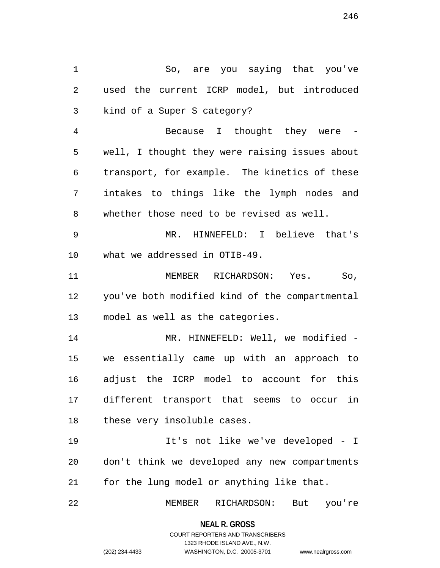1 So, are you saying that you've 2 used the current ICRP model, but introduced 3 kind of a Super S category? 4 Because I thought they were - 5 well, I thought they were raising issues about 6 transport, for example. The kinetics of these 7 intakes to things like the lymph nodes and 8 whether those need to be revised as well. 9 MR. HINNEFELD: I believe that's 10 what we addressed in OTIB-49. 11 MEMBER RICHARDSON: Yes. So, 12 you've both modified kind of the compartmental 13 model as well as the categories. 14 MR. HINNEFELD: Well, we modified -15 we essentially came up with an approach to 16 adjust the ICRP model to account for this 17 different transport that seems to occur in 18 these very insoluble cases. 19 It's not like we've developed - I 20 don't think we developed any new compartments 21 for the lung model or anything like that. 22 MEMBER RICHARDSON: But you're

> **NEAL R. GROSS** COURT REPORTERS AND TRANSCRIBERS

> > 1323 RHODE ISLAND AVE., N.W.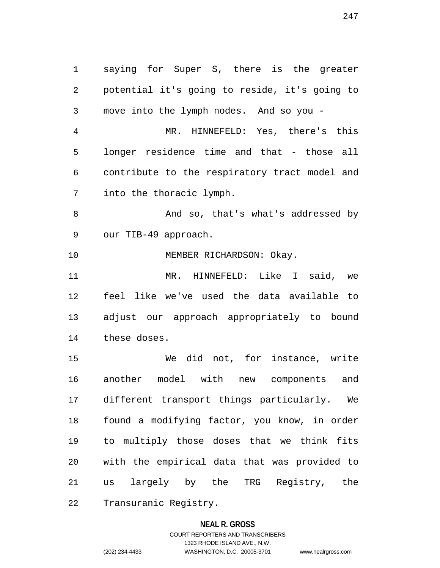1 saying for Super S, there is the greater 2 potential it's going to reside, it's going to 3 move into the lymph nodes. And so you - 4 MR. HINNEFELD: Yes, there's this 5 longer residence time and that - those all 6 contribute to the respiratory tract model and 7 into the thoracic lymph. 8 And so, that's what's addressed by 9 our TIB-49 approach. 10 MEMBER RICHARDSON: Okay. 11 MR. HINNEFELD: Like I said, we 12 feel like we've used the data available to 13 adjust our approach appropriately to bound 14 these doses. 15 We did not, for instance, write 16 another model with new components and 17 different transport things particularly. We 18 found a modifying factor, you know, in order 19 to multiply those doses that we think fits 20 with the empirical data that was provided to 21 us largely by the TRG Registry, the 22 Transuranic Registry.

#### **NEAL R. GROSS**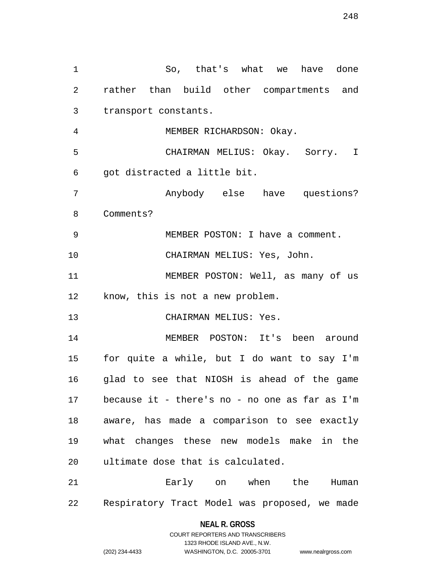1 So, that's what we have done 2 rather than build other compartments and 3 transport constants. 4 MEMBER RICHARDSON: Okay. 5 CHAIRMAN MELIUS: Okay. Sorry. I 6 got distracted a little bit. 7 Anybody else have questions? 8 Comments? 9 MEMBER POSTON: I have a comment. 10 CHAIRMAN MELIUS: Yes, John. 11 MEMBER POSTON: Well, as many of us 12 know, this is not a new problem. 13 CHAIRMAN MELIUS: Yes. 14 MEMBER POSTON: It's been around 15 for quite a while, but I do want to say I'm 16 glad to see that NIOSH is ahead of the game 17 because it - there's no - no one as far as I'm 18 aware, has made a comparison to see exactly 19 what changes these new models make in the 20 ultimate dose that is calculated. 21 Early on when the Human 22 Respiratory Tract Model was proposed, we made

> **NEAL R. GROSS** COURT REPORTERS AND TRANSCRIBERS 1323 RHODE ISLAND AVE., N.W. (202) 234-4433 WASHINGTON, D.C. 20005-3701 www.nealrgross.com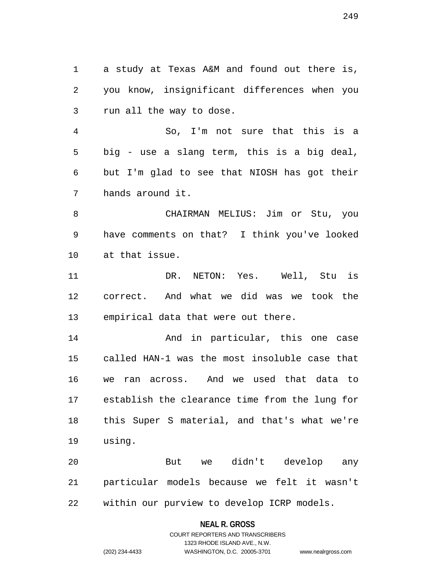1 a study at Texas A&M and found out there is, 2 you know, insignificant differences when you 3 run all the way to dose.

4 So, I'm not sure that this is a 5 big - use a slang term, this is a big deal, 6 but I'm glad to see that NIOSH has got their 7 hands around it.

8 CHAIRMAN MELIUS: Jim or Stu, you 9 have comments on that? I think you've looked 10 at that issue.

11 DR. NETON: Yes. Well, Stu is 12 correct. And what we did was we took the 13 empirical data that were out there.

14 And in particular, this one case 15 called HAN-1 was the most insoluble case that 16 we ran across. And we used that data to 17 establish the clearance time from the lung for 18 this Super S material, and that's what we're 19 using.

20 But we didn't develop any 21 particular models because we felt it wasn't 22 within our purview to develop ICRP models.

#### **NEAL R. GROSS**

## COURT REPORTERS AND TRANSCRIBERS 1323 RHODE ISLAND AVE., N.W. (202) 234-4433 WASHINGTON, D.C. 20005-3701 www.nealrgross.com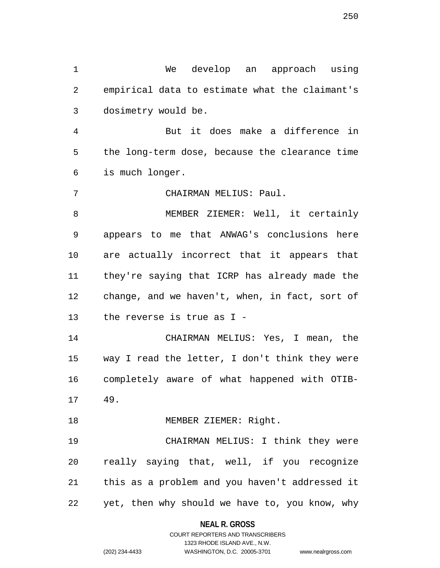1 We develop an approach using 2 empirical data to estimate what the claimant's 3 dosimetry would be.

4 But it does make a difference in 5 the long-term dose, because the clearance time 6 is much longer.

7 CHAIRMAN MELIUS: Paul.

8 MEMBER ZIEMER: Well, it certainly 9 appears to me that ANWAG's conclusions here 10 are actually incorrect that it appears that 11 they're saying that ICRP has already made the 12 change, and we haven't, when, in fact, sort of 13 the reverse is true as I -

14 CHAIRMAN MELIUS: Yes, I mean, the 15 way I read the letter, I don't think they were 16 completely aware of what happened with OTIB-

17 49.

18 MEMBER ZIEMER: Right.

19 CHAIRMAN MELIUS: I think they were 20 really saying that, well, if you recognize 21 this as a problem and you haven't addressed it 22 yet, then why should we have to, you know, why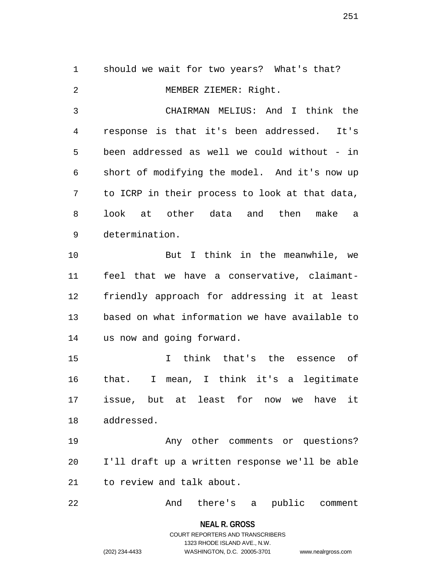1 should we wait for two years? What's that? 2 MEMBER ZIEMER: Right. 3 CHAIRMAN MELIUS: And I think the 4 response is that it's been addressed. It's 5 been addressed as well we could without - in 6 short of modifying the model. And it's now up 7 to ICRP in their process to look at that data, 8 look at other data and then make a 9 determination. 10 But I think in the meanwhile, we 11 feel that we have a conservative, claimant-12 friendly approach for addressing it at least 13 based on what information we have available to 14 us now and going forward. 15 I think that's the essence of 16 that. I mean, I think it's a legitimate 17 issue, but at least for now we have it 18 addressed. 19 Any other comments or questions? 20 I'll draft up a written response we'll be able 21 to review and talk about. 22 And there's a public comment

**NEAL R. GROSS**

## COURT REPORTERS AND TRANSCRIBERS 1323 RHODE ISLAND AVE., N.W. (202) 234-4433 WASHINGTON, D.C. 20005-3701 www.nealrgross.com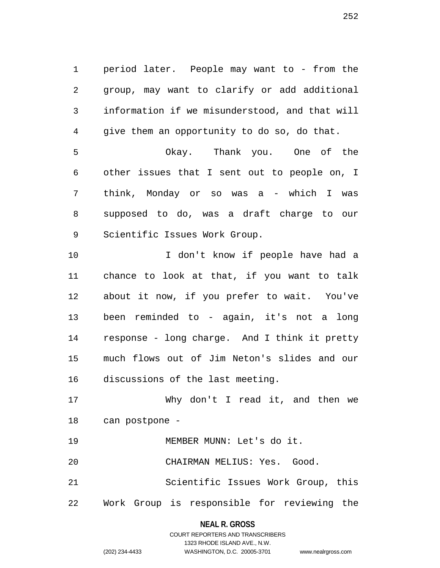1 period later. People may want to - from the 2 group, may want to clarify or add additional 3 information if we misunderstood, and that will 4 give them an opportunity to do so, do that. 5 Okay. Thank you. One of the 6 other issues that I sent out to people on, I 7 think, Monday or so was a - which I was 8 supposed to do, was a draft charge to our 9 Scientific Issues Work Group. 10 10 I don't know if people have had a 11 chance to look at that, if you want to talk 12 about it now, if you prefer to wait. You've 13 been reminded to - again, it's not a long 14 response - long charge. And I think it pretty 15 much flows out of Jim Neton's slides and our 16 discussions of the last meeting.

17 Why don't I read it, and then we 18 can postpone -

19 MEMBER MUNN: Let's do it.

20 CHAIRMAN MELIUS: Yes. Good.

21 Scientific Issues Work Group, this 22 Work Group is responsible for reviewing the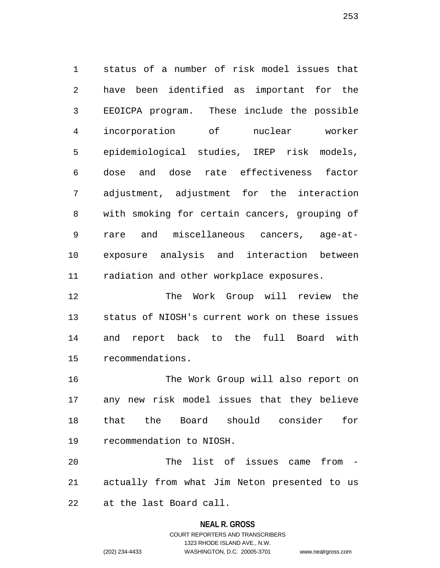1 status of a number of risk model issues that 2 have been identified as important for the 3 EEOICPA program. These include the possible 4 incorporation of nuclear worker 5 epidemiological studies, IREP risk models, 6 dose and dose rate effectiveness factor 7 adjustment, adjustment for the interaction 8 with smoking for certain cancers, grouping of 9 rare and miscellaneous cancers, age-at-10 exposure analysis and interaction between 11 radiation and other workplace exposures.

12 The Work Group will review the 13 status of NIOSH's current work on these issues 14 and report back to the full Board with 15 recommendations.

16 The Work Group will also report on 17 any new risk model issues that they believe 18 that the Board should consider for 19 recommendation to NIOSH.

20 The list of issues came from - 21 actually from what Jim Neton presented to us 22 at the last Board call.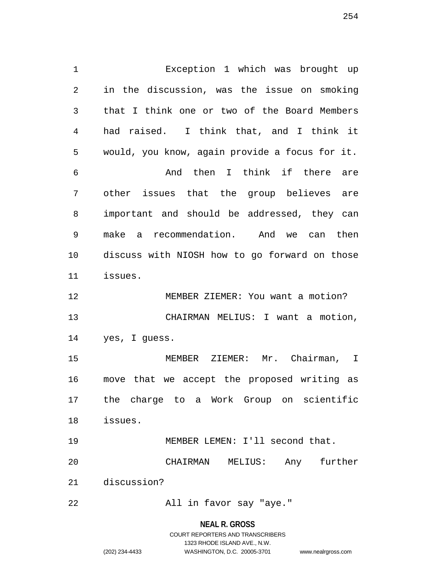1 Exception 1 which was brought up 2 in the discussion, was the issue on smoking 3 that I think one or two of the Board Members 4 had raised. I think that, and I think it 5 would, you know, again provide a focus for it. 6 And then I think if there are 7 other issues that the group believes are 8 important and should be addressed, they can 9 make a recommendation. And we can then 10 discuss with NIOSH how to go forward on those 11 issues. 12 MEMBER ZIEMER: You want a motion? 13 CHAIRMAN MELIUS: I want a motion, 14 yes, I guess. 15 MEMBER ZIEMER: Mr. Chairman, I 16 move that we accept the proposed writing as 17 the charge to a Work Group on scientific 18 issues. 19 MEMBER LEMEN: I'll second that. 20 CHAIRMAN MELIUS: Any further 21 discussion? 22 All in favor say "aye."

**NEAL R. GROSS**

254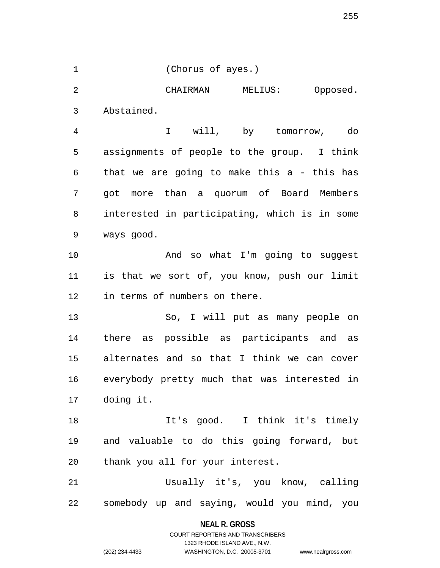1 (Chorus of ayes.)

2 CHAIRMAN MELIUS: Opposed. 3 Abstained.

4 I will, by tomorrow, do 5 assignments of people to the group. I think 6 that we are going to make this a - this has 7 got more than a quorum of Board Members 8 interested in participating, which is in some 9 ways good.

10 And so what I'm going to suggest 11 is that we sort of, you know, push our limit 12 in terms of numbers on there.

13 So, I will put as many people on 14 there as possible as participants and as 15 alternates and so that I think we can cover 16 everybody pretty much that was interested in 17 doing it.

18 It's good. I think it's timely 19 and valuable to do this going forward, but 20 thank you all for your interest.

21 Usually it's, you know, calling 22 somebody up and saying, would you mind, you

> **NEAL R. GROSS** COURT REPORTERS AND TRANSCRIBERS

> > 1323 RHODE ISLAND AVE., N.W.

(202) 234-4433 WASHINGTON, D.C. 20005-3701 www.nealrgross.com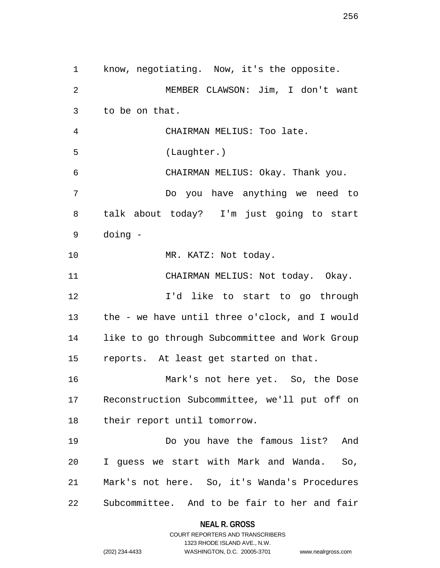1 know, negotiating. Now, it's the opposite. 2 MEMBER CLAWSON: Jim, I don't want 3 to be on that. 4 CHAIRMAN MELIUS: Too late. 5 (Laughter.) 6 CHAIRMAN MELIUS: Okay. Thank you. 7 Do you have anything we need to 8 talk about today? I'm just going to start 9 doing - 10 MR. KATZ: Not today. 11 CHAIRMAN MELIUS: Not today. Okay. 12 I'd like to start to go through 13 the - we have until three o'clock, and I would 14 like to go through Subcommittee and Work Group 15 reports. At least get started on that. 16 Mark's not here yet. So, the Dose 17 Reconstruction Subcommittee, we'll put off on 18 their report until tomorrow. 19 Do you have the famous list? And 20 I guess we start with Mark and Wanda. So, 21 Mark's not here. So, it's Wanda's Procedures 22 Subcommittee. And to be fair to her and fair

> **NEAL R. GROSS** COURT REPORTERS AND TRANSCRIBERS

> > 1323 RHODE ISLAND AVE., N.W.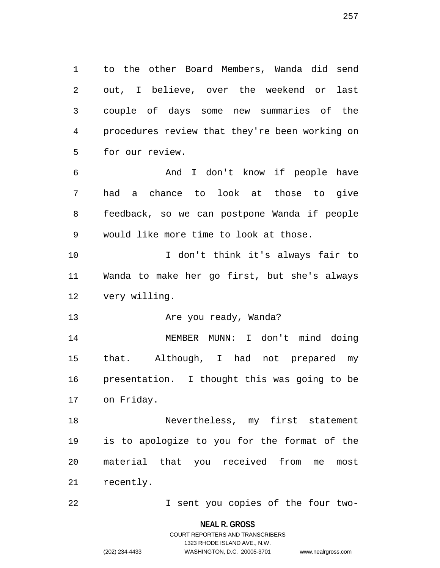1 to the other Board Members, Wanda did send 2 out, I believe, over the weekend or last 3 couple of days some new summaries of the 4 procedures review that they're been working on 5 for our review.

6 And I don't know if people have 7 had a chance to look at those to give 8 feedback, so we can postpone Wanda if people 9 would like more time to look at those.

10 I don't think it's always fair to 11 Wanda to make her go first, but she's always 12 very willing.

13 Are you ready, Wanda?

14 MEMBER MUNN: I don't mind doing 15 that. Although, I had not prepared my 16 presentation. I thought this was going to be 17 on Friday.

18 Nevertheless, my first statement 19 is to apologize to you for the format of the 20 material that you received from me most 21 recently.

22 I sent you copies of the four two-

**NEAL R. GROSS**

257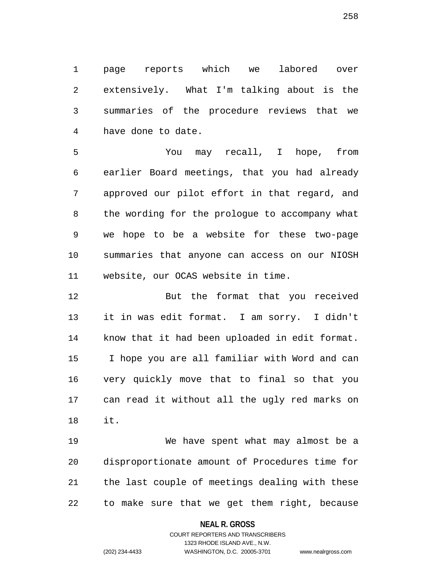1 page reports which we labored over 2 extensively. What I'm talking about is the 3 summaries of the procedure reviews that we 4 have done to date.

5 You may recall, I hope, from 6 earlier Board meetings, that you had already 7 approved our pilot effort in that regard, and 8 the wording for the prologue to accompany what 9 we hope to be a website for these two-page 10 summaries that anyone can access on our NIOSH 11 website, our OCAS website in time.

12 But the format that you received 13 it in was edit format. I am sorry. I didn't 14 know that it had been uploaded in edit format. 15 I hope you are all familiar with Word and can 16 very quickly move that to final so that you 17 can read it without all the ugly red marks on 18 it.

19 We have spent what may almost be a 20 disproportionate amount of Procedures time for 21 the last couple of meetings dealing with these 22 to make sure that we get them right, because

### **NEAL R. GROSS**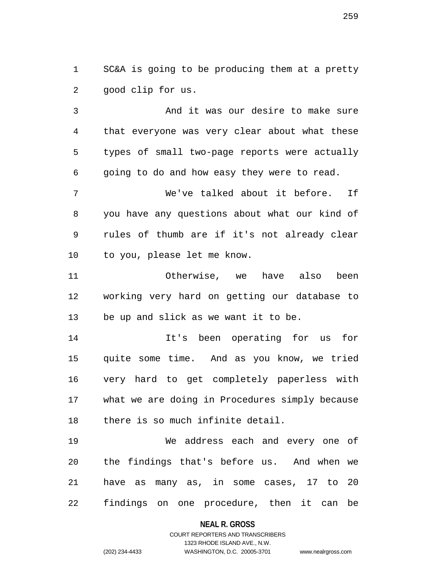1 SC&A is going to be producing them at a pretty 2 good clip for us.

3 And it was our desire to make sure 4 that everyone was very clear about what these 5 types of small two-page reports were actually 6 going to do and how easy they were to read.

7 We've talked about it before. If 8 you have any questions about what our kind of 9 rules of thumb are if it's not already clear 10 to you, please let me know.

11 Otherwise, we have also been 12 working very hard on getting our database to 13 be up and slick as we want it to be.

14 It's been operating for us for 15 quite some time. And as you know, we tried 16 very hard to get completely paperless with 17 what we are doing in Procedures simply because 18 there is so much infinite detail.

19 We address each and every one of 20 the findings that's before us. And when we 21 have as many as, in some cases, 17 to 20 22 findings on one procedure, then it can be

### **NEAL R. GROSS**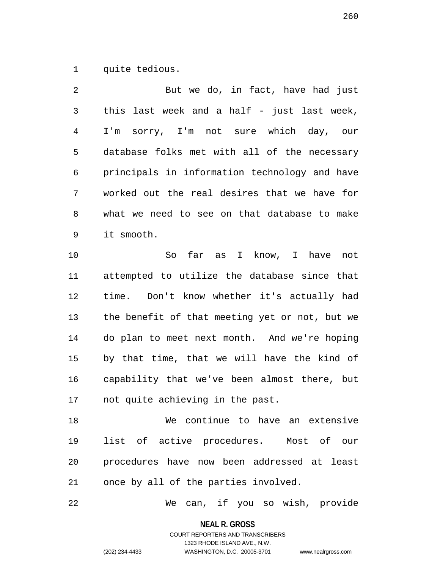1 quite tedious.

2 But we do, in fact, have had just 3 this last week and a half - just last week, 4 I'm sorry, I'm not sure which day, our 5 database folks met with all of the necessary 6 principals in information technology and have 7 worked out the real desires that we have for 8 what we need to see on that database to make 9 it smooth.

10 So far as I know, I have not 11 attempted to utilize the database since that 12 time. Don't know whether it's actually had 13 the benefit of that meeting yet or not, but we 14 do plan to meet next month. And we're hoping 15 by that time, that we will have the kind of 16 capability that we've been almost there, but 17 not quite achieving in the past.

18 We continue to have an extensive 19 list of active procedures. Most of our 20 procedures have now been addressed at least 21 once by all of the parties involved.

22 We can, if you so wish, provide

**NEAL R. GROSS**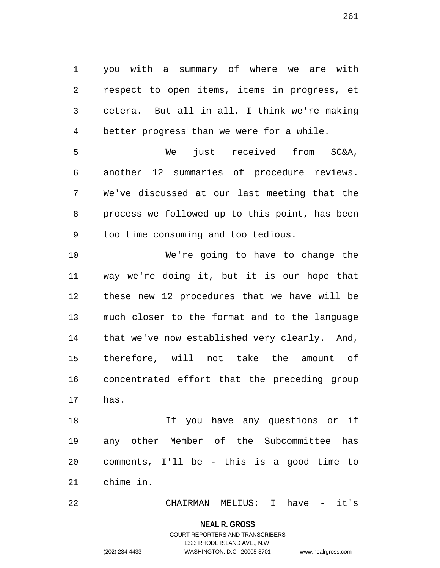1 you with a summary of where we are with 2 respect to open items, items in progress, et 3 cetera. But all in all, I think we're making 4 better progress than we were for a while.

5 We just received from SC&A, 6 another 12 summaries of procedure reviews. 7 We've discussed at our last meeting that the 8 process we followed up to this point, has been 9 too time consuming and too tedious.

10 We're going to have to change the 11 way we're doing it, but it is our hope that 12 these new 12 procedures that we have will be 13 much closer to the format and to the language 14 that we've now established very clearly. And, 15 therefore, will not take the amount of 16 concentrated effort that the preceding group 17 has.

18 If you have any questions or if 19 any other Member of the Subcommittee has 20 comments, I'll be - this is a good time to 21 chime in.

22 CHAIRMAN MELIUS: I have - it's

#### **NEAL R. GROSS**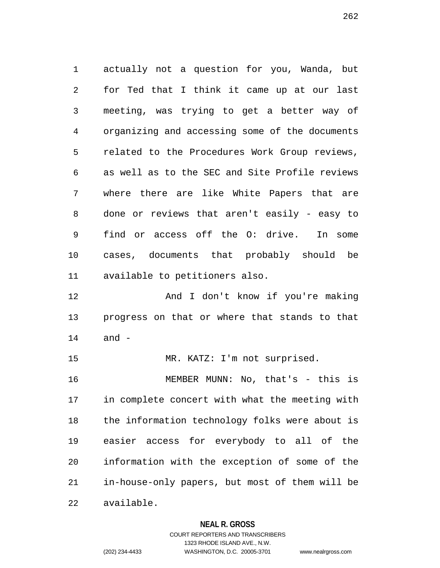1 actually not a question for you, Wanda, but 2 for Ted that I think it came up at our last 3 meeting, was trying to get a better way of 4 organizing and accessing some of the documents 5 related to the Procedures Work Group reviews, 6 as well as to the SEC and Site Profile reviews 7 where there are like White Papers that are 8 done or reviews that aren't easily - easy to 9 find or access off the O: drive. In some 10 cases, documents that probably should be 11 available to petitioners also.

12 And I don't know if you're making 13 progress on that or where that stands to that 14 and -

15 MR. KATZ: I'm not surprised.

16 MEMBER MUNN: No, that's - this is 17 in complete concert with what the meeting with 18 the information technology folks were about is 19 easier access for everybody to all of the 20 information with the exception of some of the 21 in-house-only papers, but most of them will be 22 available.

**NEAL R. GROSS**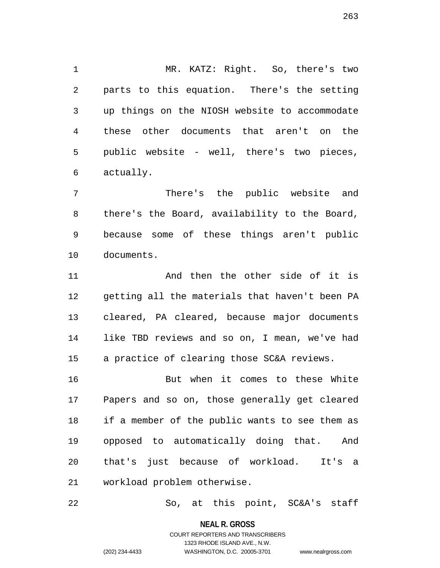1 MR. KATZ: Right. So, there's two 2 parts to this equation. There's the setting 3 up things on the NIOSH website to accommodate 4 these other documents that aren't on the 5 public website - well, there's two pieces, 6 actually.

7 There's the public website and 8 there's the Board, availability to the Board, 9 because some of these things aren't public 10 documents.

11 and then the other side of it is 12 getting all the materials that haven't been PA 13 cleared, PA cleared, because major documents 14 like TBD reviews and so on, I mean, we've had 15 a practice of clearing those SC&A reviews.

16 But when it comes to these White 17 Papers and so on, those generally get cleared 18 if a member of the public wants to see them as 19 opposed to automatically doing that. And 20 that's just because of workload. It's a 21 workload problem otherwise.

22 So, at this point, SC&A's staff

**NEAL R. GROSS**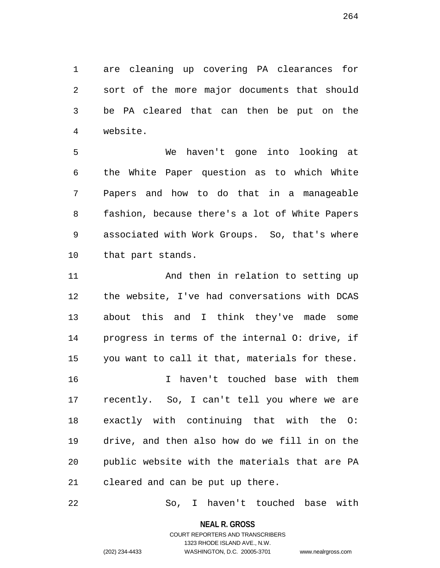1 are cleaning up covering PA clearances for 2 sort of the more major documents that should 3 be PA cleared that can then be put on the 4 website.

5 We haven't gone into looking at 6 the White Paper question as to which White 7 Papers and how to do that in a manageable 8 fashion, because there's a lot of White Papers 9 associated with Work Groups. So, that's where 10 that part stands.

11 And then in relation to setting up 12 the website, I've had conversations with DCAS 13 about this and I think they've made some 14 progress in terms of the internal O: drive, if 15 you want to call it that, materials for these. 16 I haven't touched base with them 17 recently. So, I can't tell you where we are 18 exactly with continuing that with the O: 19 drive, and then also how do we fill in on the 20 public website with the materials that are PA

21 cleared and can be put up there.

22 So, I haven't touched base with

**NEAL R. GROSS**

COURT REPORTERS AND TRANSCRIBERS 1323 RHODE ISLAND AVE., N.W. (202) 234-4433 WASHINGTON, D.C. 20005-3701 www.nealrgross.com

264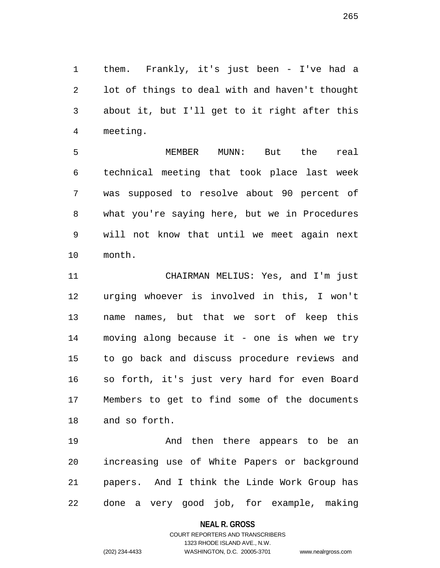1 them. Frankly, it's just been - I've had a 2 lot of things to deal with and haven't thought 3 about it, but I'll get to it right after this 4 meeting.

5 MEMBER MUNN: But the real 6 technical meeting that took place last week 7 was supposed to resolve about 90 percent of 8 what you're saying here, but we in Procedures 9 will not know that until we meet again next 10 month.

11 CHAIRMAN MELIUS: Yes, and I'm just 12 urging whoever is involved in this, I won't 13 name names, but that we sort of keep this 14 moving along because it - one is when we try 15 to go back and discuss procedure reviews and 16 so forth, it's just very hard for even Board 17 Members to get to find some of the documents 18 and so forth.

19 And then there appears to be an 20 increasing use of White Papers or background 21 papers. And I think the Linde Work Group has 22 done a very good job, for example, making

#### **NEAL R. GROSS**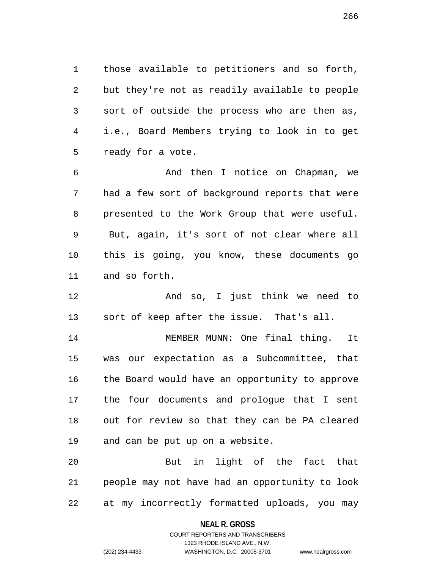1 those available to petitioners and so forth, 2 but they're not as readily available to people 3 sort of outside the process who are then as, 4 i.e., Board Members trying to look in to get 5 ready for a vote.

6 And then I notice on Chapman, we 7 had a few sort of background reports that were 8 presented to the Work Group that were useful. 9 But, again, it's sort of not clear where all 10 this is going, you know, these documents go 11 and so forth.

12 And so, I just think we need to 13 sort of keep after the issue. That's all.

14 MEMBER MUNN: One final thing. It 15 was our expectation as a Subcommittee, that 16 the Board would have an opportunity to approve 17 the four documents and prologue that I sent 18 out for review so that they can be PA cleared 19 and can be put up on a website.

20 But in light of the fact that 21 people may not have had an opportunity to look 22 at my incorrectly formatted uploads, you may

#### **NEAL R. GROSS**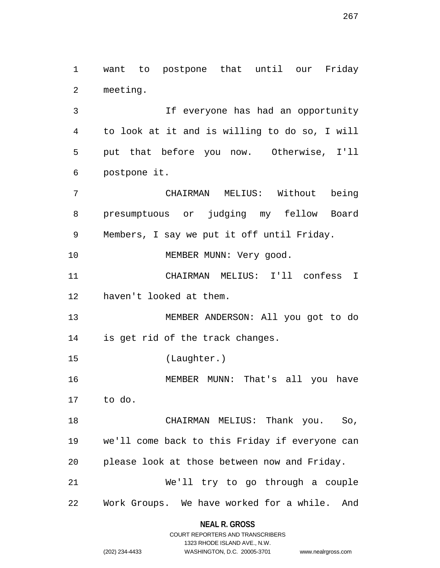1 want to postpone that until our Friday 2 meeting.

3 If everyone has had an opportunity 4 to look at it and is willing to do so, I will 5 put that before you now. Otherwise, I'll 6 postpone it.

7 CHAIRMAN MELIUS: Without being 8 presumptuous or judging my fellow Board 9 Members, I say we put it off until Friday.

10 MEMBER MUNN: Very good.

11 CHAIRMAN MELIUS: I'll confess I 12 haven't looked at them.

13 MEMBER ANDERSON: All you got to do 14 is get rid of the track changes.

15 (Laughter.)

16 MEMBER MUNN: That's all you have 17 to do.

18 CHAIRMAN MELIUS: Thank you. So, 19 we'll come back to this Friday if everyone can 20 please look at those between now and Friday. 21 We'll try to go through a couple

22 Work Groups. We have worked for a while. And

## **NEAL R. GROSS** COURT REPORTERS AND TRANSCRIBERS

1323 RHODE ISLAND AVE., N.W.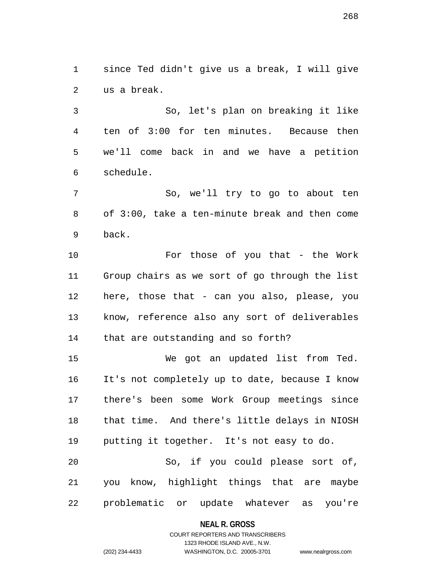1 since Ted didn't give us a break, I will give 2 us a break.

3 So, let's plan on breaking it like 4 ten of 3:00 for ten minutes. Because then 5 we'll come back in and we have a petition 6 schedule.

7 So, we'll try to go to about ten 8 of 3:00, take a ten-minute break and then come 9 back.

10 For those of you that - the Work 11 Group chairs as we sort of go through the list 12 here, those that - can you also, please, you 13 know, reference also any sort of deliverables 14 that are outstanding and so forth?

15 We got an updated list from Ted. 16 It's not completely up to date, because I know 17 there's been some Work Group meetings since 18 that time. And there's little delays in NIOSH 19 putting it together. It's not easy to do. 20 So, if you could please sort of, 21 you know, highlight things that are maybe

22 problematic or update whatever as you're

**NEAL R. GROSS**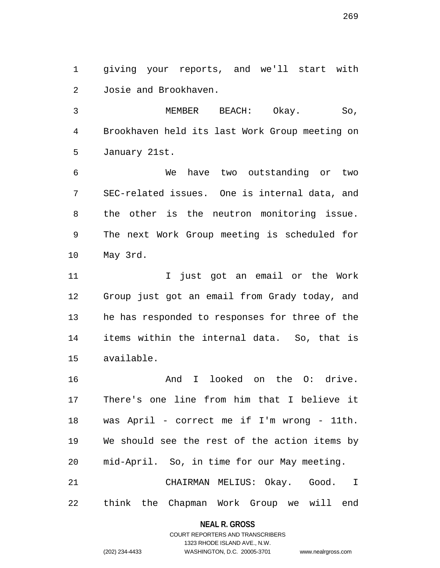1 giving your reports, and we'll start with 2 Josie and Brookhaven.

3 MEMBER BEACH: Okay. So, 4 Brookhaven held its last Work Group meeting on 5 January 21st.

6 We have two outstanding or two 7 SEC-related issues. One is internal data, and 8 the other is the neutron monitoring issue. 9 The next Work Group meeting is scheduled for 10 May 3rd.

11 11 I just got an email or the Work 12 Group just got an email from Grady today, and 13 he has responded to responses for three of the 14 items within the internal data. So, that is 15 available.

16 And I looked on the 0: drive. 17 There's one line from him that I believe it 18 was April - correct me if I'm wrong - 11th. 19 We should see the rest of the action items by 20 mid-April. So, in time for our May meeting.

21 CHAIRMAN MELIUS: Okay. Good. I 22 think the Chapman Work Group we will end

> **NEAL R. GROSS** COURT REPORTERS AND TRANSCRIBERS

> > 1323 RHODE ISLAND AVE., N.W.

(202) 234-4433 WASHINGTON, D.C. 20005-3701 www.nealrgross.com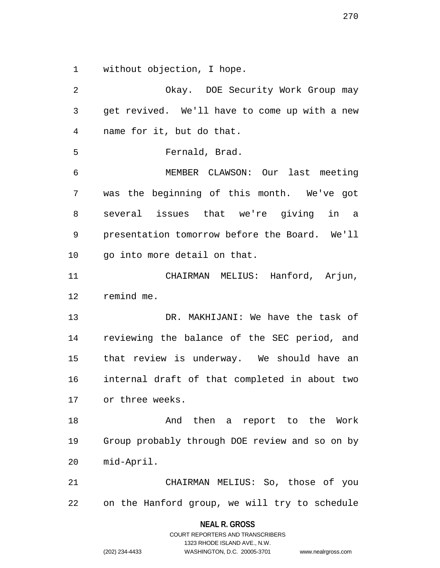1 without objection, I hope.

2 Okay. DOE Security Work Group may 3 get revived. We'll have to come up with a new 4 name for it, but do that. 5 Fernald, Brad. 6 MEMBER CLAWSON: Our last meeting 7 was the beginning of this month. We've got 8 several issues that we're giving in a 9 presentation tomorrow before the Board. We'll 10 go into more detail on that. 11 CHAIRMAN MELIUS: Hanford, Arjun, 12 remind me. 13 DR. MAKHIJANI: We have the task of 14 reviewing the balance of the SEC period, and 15 that review is underway. We should have an 16 internal draft of that completed in about two 17 or three weeks. 18 And then a report to the Work 19 Group probably through DOE review and so on by 20 mid-April. 21 CHAIRMAN MELIUS: So, those of you 22 on the Hanford group, we will try to schedule

> **NEAL R. GROSS** COURT REPORTERS AND TRANSCRIBERS

> > 1323 RHODE ISLAND AVE., N.W.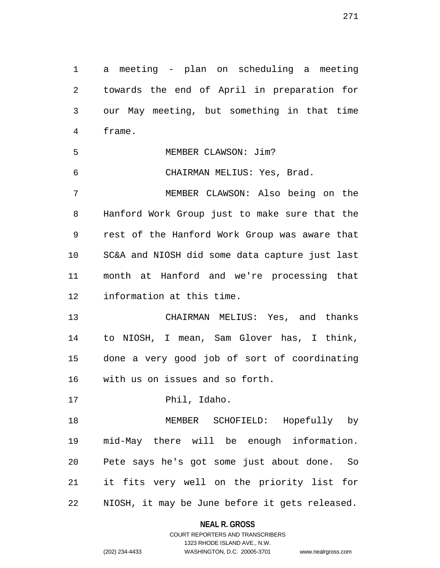1 a meeting - plan on scheduling a meeting 2 towards the end of April in preparation for 3 our May meeting, but something in that time 4 frame. 5 MEMBER CLAWSON: Jim? 6 CHAIRMAN MELIUS: Yes, Brad. 7 MEMBER CLAWSON: Also being on the 8 Hanford Work Group just to make sure that the 9 rest of the Hanford Work Group was aware that 10 SC&A and NIOSH did some data capture just last 11 month at Hanford and we're processing that 12 information at this time. 13 CHAIRMAN MELIUS: Yes, and thanks 14 to NIOSH, I mean, Sam Glover has, I think, 15 done a very good job of sort of coordinating 16 with us on issues and so forth. 17 Phil, Idaho. 18 MEMBER SCHOFIELD: Hopefully by 19 mid-May there will be enough information. 20 Pete says he's got some just about done. So 21 it fits very well on the priority list for 22 NIOSH, it may be June before it gets released.

> **NEAL R. GROSS** COURT REPORTERS AND TRANSCRIBERS

> > 1323 RHODE ISLAND AVE., N.W.

271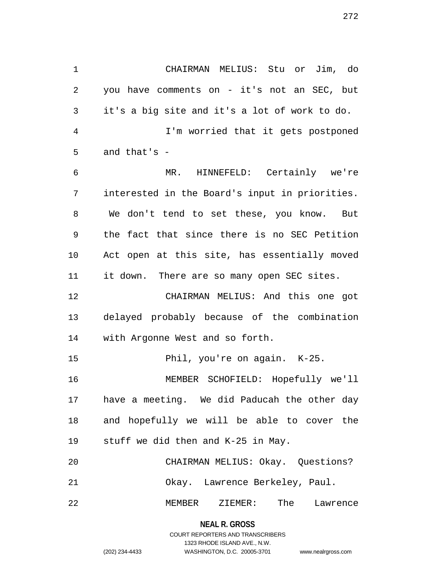1 CHAIRMAN MELIUS: Stu or Jim, do 2 you have comments on - it's not an SEC, but 3 it's a big site and it's a lot of work to do. 4 I'm worried that it gets postponed 5 and that's -

6 MR. HINNEFELD: Certainly we're 7 interested in the Board's input in priorities. 8 We don't tend to set these, you know. But 9 the fact that since there is no SEC Petition 10 Act open at this site, has essentially moved 11 it down. There are so many open SEC sites.

12 CHAIRMAN MELIUS: And this one got 13 delayed probably because of the combination 14 with Argonne West and so forth.

15 Phil, you're on again. K-25.

16 MEMBER SCHOFIELD: Hopefully we'll 17 have a meeting. We did Paducah the other day 18 and hopefully we will be able to cover the 19 stuff we did then and K-25 in May.

| 20   |                                |     | CHAIRMAN MELIUS: Okay. Questions? |
|------|--------------------------------|-----|-----------------------------------|
| 21   | Okay. Lawrence Berkeley, Paul. |     |                                   |
| 2.2. | MEMBER ZIEMER:                 | The | Lawrence                          |

**NEAL R. GROSS** COURT REPORTERS AND TRANSCRIBERS

1323 RHODE ISLAND AVE., N.W.

(202) 234-4433 WASHINGTON, D.C. 20005-3701 www.nealrgross.com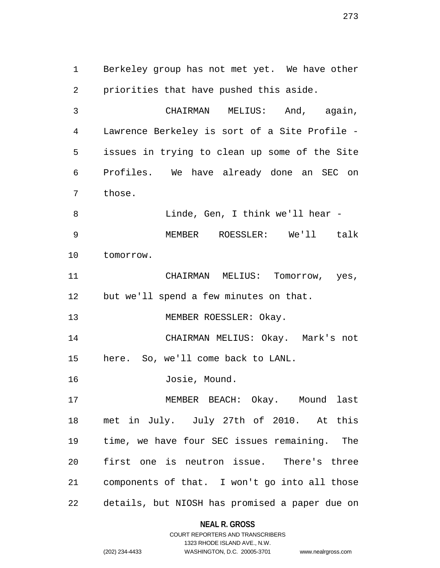1 Berkeley group has not met yet. We have other 2 priorities that have pushed this aside.

3 CHAIRMAN MELIUS: And, again, 4 Lawrence Berkeley is sort of a Site Profile - 5 issues in trying to clean up some of the Site 6 Profiles. We have already done an SEC on 7 those.

8 Linde, Gen, I think we'll hear - 9 MEMBER ROESSLER: We'll talk 10 tomorrow.

11 CHAIRMAN MELIUS: Tomorrow, yes, 12 but we'll spend a few minutes on that.

13 MEMBER ROESSLER: Okay.

14 CHAIRMAN MELIUS: Okay. Mark's not 15 here. So, we'll come back to LANL.

16 Josie, Mound.

17 MEMBER BEACH: Okay. Mound last 18 met in July. July 27th of 2010. At this 19 time, we have four SEC issues remaining. The 20 first one is neutron issue. There's three 21 components of that. I won't go into all those 22 details, but NIOSH has promised a paper due on

> **NEAL R. GROSS** COURT REPORTERS AND TRANSCRIBERS

> > 1323 RHODE ISLAND AVE., N.W.

```
(202) 234-4433 WASHINGTON, D.C. 20005-3701 www.nealrgross.com
```
273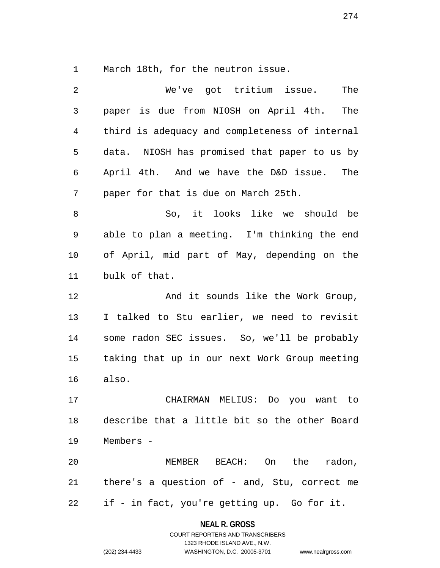1 March 18th, for the neutron issue.

| 2  | We've got tritium issue.<br>The                |
|----|------------------------------------------------|
| 3  | paper is due from NIOSH on April 4th.<br>The   |
| 4  | third is adequacy and completeness of internal |
| 5  | data. NIOSH has promised that paper to us by   |
| 6  | April 4th. And we have the D&D issue. The      |
| 7  | paper for that is due on March 25th.           |
| 8  | So, it looks like we should be                 |
| 9  | able to plan a meeting. I'm thinking the end   |
| 10 | of April, mid part of May, depending on the    |
| 11 | bulk of that.                                  |
| 12 | And it sounds like the Work Group,             |
| 13 | I talked to Stu earlier, we need to revisit    |
| 14 | some radon SEC issues. So, we'll be probably   |
| 15 | taking that up in our next Work Group meeting  |
| 16 | also.                                          |
| 17 | CHAIRMAN MELIUS: Do you want to                |
| 18 | describe that a little bit so the other Board  |
| 19 | Members -                                      |
| 20 | MEMBER BEACH: On the radon,                    |
| 21 | there's a question of - and, Stu, correct me   |
| 22 | if - in fact, you're getting up. Go for it.    |

**NEAL R. GROSS**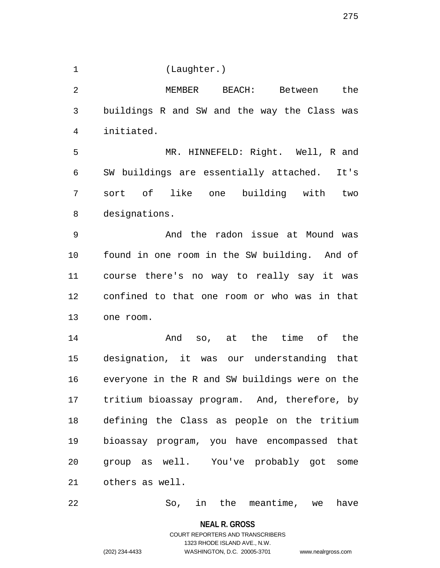1 (Laughter.)

2 MEMBER BEACH: Between the 3 buildings R and SW and the way the Class was 4 initiated. 5 MR. HINNEFELD: Right. Well, R and 6 SW buildings are essentially attached. It's 7 sort of like one building with two 8 designations. 9 And the radon issue at Mound was 10 found in one room in the SW building. And of 11 course there's no way to really say it was 12 confined to that one room or who was in that 13 one room. 14 And so, at the time of the 15 designation, it was our understanding that 16 everyone in the R and SW buildings were on the

17 tritium bioassay program. And, therefore, by 18 defining the Class as people on the tritium 19 bioassay program, you have encompassed that 20 group as well. You've probably got some 21 others as well.

22 So, in the meantime, we have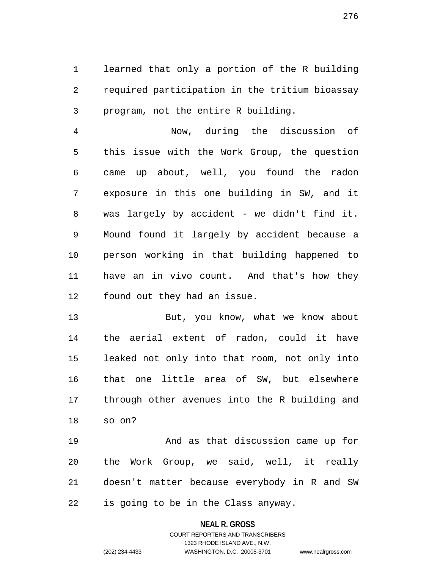1 learned that only a portion of the R building 2 required participation in the tritium bioassay 3 program, not the entire R building.

4 Now, during the discussion of 5 this issue with the Work Group, the question 6 came up about, well, you found the radon 7 exposure in this one building in SW, and it 8 was largely by accident - we didn't find it. 9 Mound found it largely by accident because a 10 person working in that building happened to 11 have an in vivo count. And that's how they 12 found out they had an issue.

13 But, you know, what we know about 14 the aerial extent of radon, could it have 15 leaked not only into that room, not only into 16 that one little area of SW, but elsewhere 17 through other avenues into the R building and 18 so on?

19 And as that discussion came up for 20 the Work Group, we said, well, it really 21 doesn't matter because everybody in R and SW 22 is going to be in the Class anyway.

### **NEAL R. GROSS**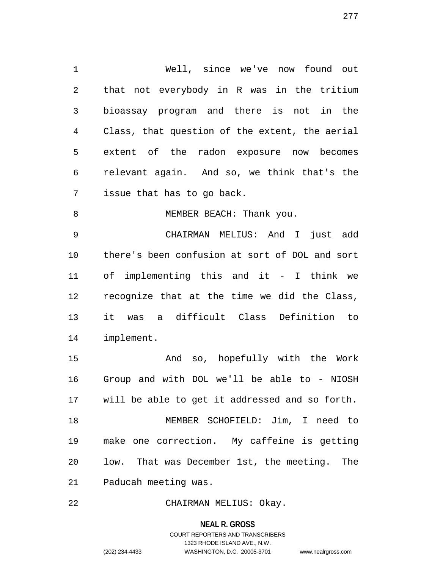1 Well, since we've now found out 2 that not everybody in R was in the tritium 3 bioassay program and there is not in the 4 Class, that question of the extent, the aerial 5 extent of the radon exposure now becomes 6 relevant again. And so, we think that's the 7 issue that has to go back. 8 MEMBER BEACH: Thank you. 9 CHAIRMAN MELIUS: And I just add 10 there's been confusion at sort of DOL and sort 11 of implementing this and it - I think we 12 recognize that at the time we did the Class, 13 it was a difficult Class Definition to 14 implement. 15 And so, hopefully with the Work 16 Group and with DOL we'll be able to - NIOSH 17 will be able to get it addressed and so forth. 18 MEMBER SCHOFIELD: Jim, I need to

19 make one correction. My caffeine is getting 20 low. That was December 1st, the meeting. The 21 Paducah meeting was.

22 CHAIRMAN MELIUS: Okay.

**NEAL R. GROSS**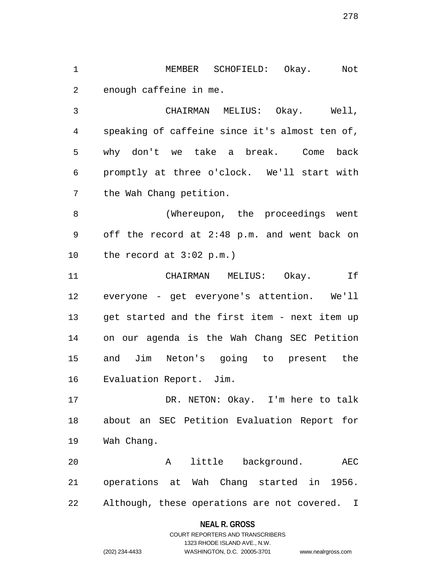1 MEMBER SCHOFIELD: Okay. Not 2 enough caffeine in me.

3 CHAIRMAN MELIUS: Okay. Well, 4 speaking of caffeine since it's almost ten of, 5 why don't we take a break. Come back 6 promptly at three o'clock. We'll start with 7 the Wah Chang petition.

8 (Whereupon, the proceedings went 9 off the record at 2:48 p.m. and went back on 10 the record at 3:02 p.m.)

11 CHAIRMAN MELIUS: Okay. If 12 everyone - get everyone's attention. We'll 13 get started and the first item - next item up 14 on our agenda is the Wah Chang SEC Petition 15 and Jim Neton's going to present the 16 Evaluation Report. Jim.

17 DR. NETON: Okay. I'm here to talk 18 about an SEC Petition Evaluation Report for 19 Wah Chang.

20 A little background. AEC 21 operations at Wah Chang started in 1956. 22 Although, these operations are not covered. I

### **NEAL R. GROSS**

COURT REPORTERS AND TRANSCRIBERS 1323 RHODE ISLAND AVE., N.W. (202) 234-4433 WASHINGTON, D.C. 20005-3701 www.nealrgross.com

278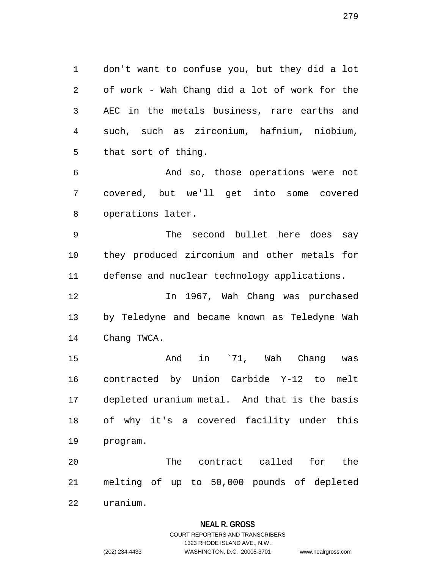1 don't want to confuse you, but they did a lot 2 of work - Wah Chang did a lot of work for the 3 AEC in the metals business, rare earths and 4 such, such as zirconium, hafnium, niobium, 5 that sort of thing.

6 And so, those operations were not 7 covered, but we'll get into some covered 8 operations later.

9 The second bullet here does say 10 they produced zirconium and other metals for 11 defense and nuclear technology applications.

12 In 1967, Wah Chang was purchased 13 by Teledyne and became known as Teledyne Wah 14 Chang TWCA.

15 And in `71, Wah Chang was 16 contracted by Union Carbide Y-12 to melt 17 depleted uranium metal. And that is the basis 18 of why it's a covered facility under this 19 program.

20 The contract called for the 21 melting of up to 50,000 pounds of depleted 22 uranium.

## **NEAL R. GROSS**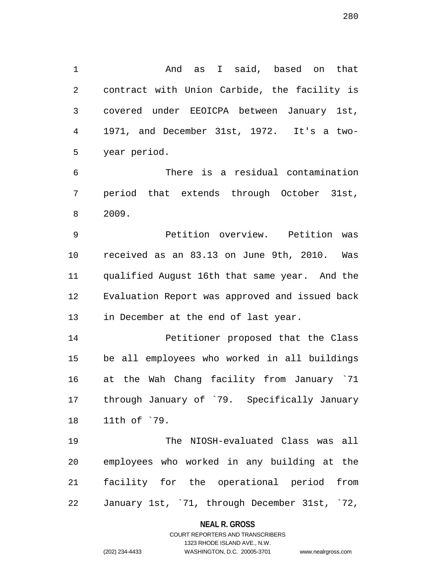1 And as I said, based on that 2 contract with Union Carbide, the facility is 3 covered under EEOICPA between January 1st, 4 1971, and December 31st, 1972. It's a two-5 year period.

6 There is a residual contamination 7 period that extends through October 31st, 8 2009.

9 Petition overview. Petition was 10 received as an 83.13 on June 9th, 2010. Was 11 qualified August 16th that same year. And the 12 Evaluation Report was approved and issued back 13 in December at the end of last year.

14 Petitioner proposed that the Class 15 be all employees who worked in all buildings 16 at the Wah Chang facility from January `71 17 through January of `79. Specifically January 18 11th of `79.

19 The NIOSH-evaluated Class was all 20 employees who worked in any building at the 21 facility for the operational period from 22 January 1st, `71, through December 31st, `72,

#### **NEAL R. GROSS**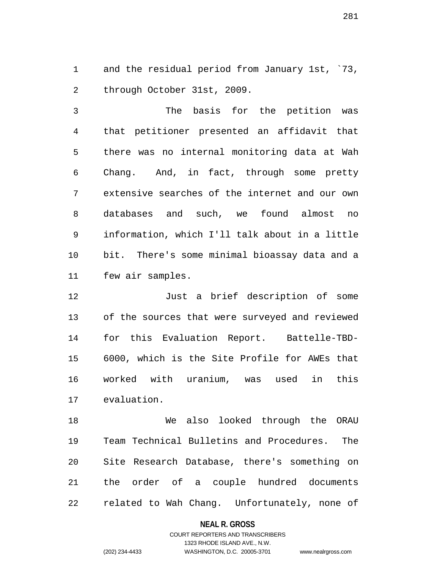1 and the residual period from January 1st, `73, 2 through October 31st, 2009.

3 The basis for the petition was 4 that petitioner presented an affidavit that 5 there was no internal monitoring data at Wah 6 Chang. And, in fact, through some pretty 7 extensive searches of the internet and our own 8 databases and such, we found almost no 9 information, which I'll talk about in a little 10 bit. There's some minimal bioassay data and a 11 few air samples.

12 Just a brief description of some 13 of the sources that were surveyed and reviewed 14 for this Evaluation Report. Battelle-TBD-15 6000, which is the Site Profile for AWEs that 16 worked with uranium, was used in this 17 evaluation.

18 We also looked through the ORAU 19 Team Technical Bulletins and Procedures. The 20 Site Research Database, there's something on 21 the order of a couple hundred documents 22 related to Wah Chang. Unfortunately, none of

### **NEAL R. GROSS**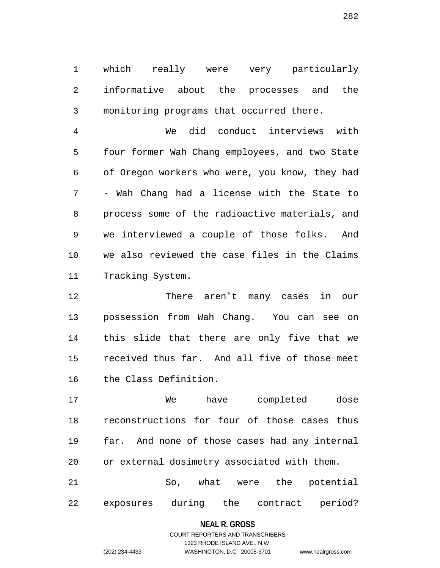1 which really were very particularly 2 informative about the processes and the 3 monitoring programs that occurred there.

4 We did conduct interviews with 5 four former Wah Chang employees, and two State 6 of Oregon workers who were, you know, they had 7 - Wah Chang had a license with the State to 8 process some of the radioactive materials, and 9 we interviewed a couple of those folks. And 10 we also reviewed the case files in the Claims 11 Tracking System.

12 There aren't many cases in our 13 possession from Wah Chang. You can see on 14 this slide that there are only five that we 15 received thus far. And all five of those meet 16 the Class Definition.

17 We have completed dose 18 reconstructions for four of those cases thus 19 far. And none of those cases had any internal 20 or external dosimetry associated with them. 21 So, what were the potential

22 exposures during the contract period?

#### **NEAL R. GROSS**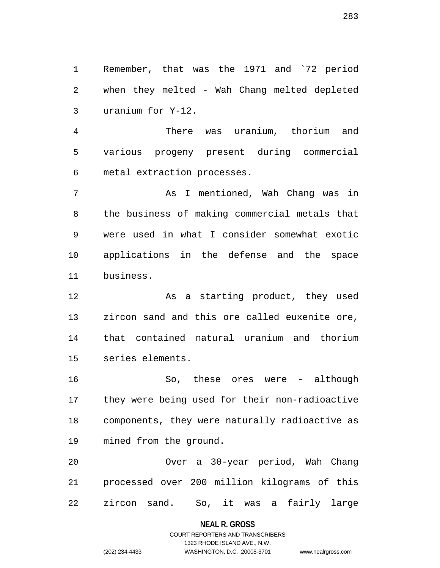1 Remember, that was the 1971 and `72 period 2 when they melted - Wah Chang melted depleted 3 uranium for Y-12.

4 There was uranium, thorium and 5 various progeny present during commercial 6 metal extraction processes.

7 As I mentioned, Wah Chang was in 8 the business of making commercial metals that 9 were used in what I consider somewhat exotic 10 applications in the defense and the space 11 business.

12 As a starting product, they used 13 zircon sand and this ore called euxenite ore, 14 that contained natural uranium and thorium 15 series elements.

16 So, these ores were - although 17 they were being used for their non-radioactive 18 components, they were naturally radioactive as 19 mined from the ground.

20 Over a 30-year period, Wah Chang 21 processed over 200 million kilograms of this 22 zircon sand. So, it was a fairly large

**NEAL R. GROSS**

## COURT REPORTERS AND TRANSCRIBERS 1323 RHODE ISLAND AVE., N.W. (202) 234-4433 WASHINGTON, D.C. 20005-3701 www.nealrgross.com

283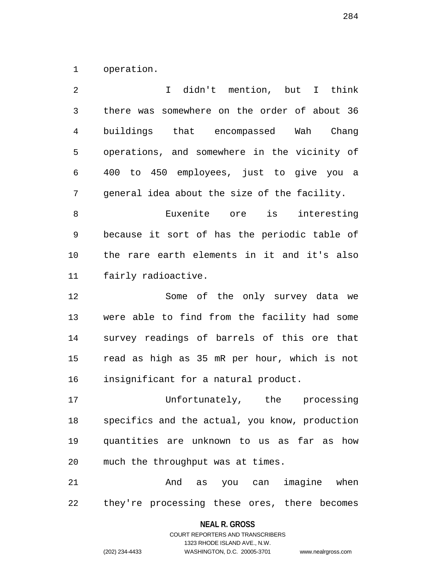1 operation.

| 2  | I didn't mention, but I think                  |
|----|------------------------------------------------|
| 3  | there was somewhere on the order of about 36   |
| 4  | buildings that encompassed Wah Chang           |
| 5  | operations, and somewhere in the vicinity of   |
| 6  | to 450 employees, just to give you a<br>400    |
| 7  | general idea about the size of the facility.   |
| 8  | Euxenite ore is<br>interesting                 |
| 9  | because it sort of has the periodic table of   |
| 10 | the rare earth elements in it and it's also    |
| 11 | fairly radioactive.                            |
| 12 | Some of the only survey data we                |
| 13 | were able to find from the facility had some   |
| 14 | survey readings of barrels of this ore that    |
| 15 | read as high as 35 mR per hour, which is not   |
| 16 | insignificant for a natural product.           |
| 17 | Unfortunately, the processing                  |
| 18 | specifics and the actual, you know, production |
| 19 | quantities are unknown to us as far as how     |
| 20 | much the throughput was at times.              |
| 21 | imagine when<br>And<br>as you can              |
|    |                                                |

22 they're processing these ores, there becomes

**NEAL R. GROSS** COURT REPORTERS AND TRANSCRIBERS

1323 RHODE ISLAND AVE., N.W.

(202) 234-4433 WASHINGTON, D.C. 20005-3701 www.nealrgross.com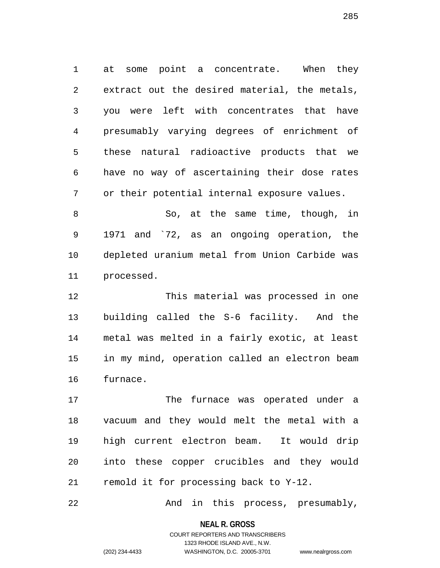1 at some point a concentrate. When they 2 extract out the desired material, the metals, 3 you were left with concentrates that have 4 presumably varying degrees of enrichment of 5 these natural radioactive products that we 6 have no way of ascertaining their dose rates 7 or their potential internal exposure values.

8 So, at the same time, though, in 9 1971 and `72, as an ongoing operation, the 10 depleted uranium metal from Union Carbide was 11 processed.

12 This material was processed in one 13 building called the S-6 facility. And the 14 metal was melted in a fairly exotic, at least 15 in my mind, operation called an electron beam 16 furnace.

17 The furnace was operated under a 18 vacuum and they would melt the metal with a 19 high current electron beam. It would drip 20 into these copper crucibles and they would 21 remold it for processing back to Y-12.

22 And in this process, presumably,

**NEAL R. GROSS**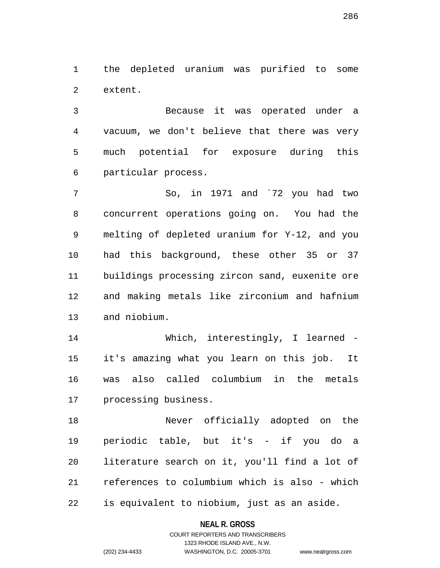1 the depleted uranium was purified to some 2 extent.

3 Because it was operated under a 4 vacuum, we don't believe that there was very 5 much potential for exposure during this 6 particular process.

7 So, in 1971 and `72 you had two 8 concurrent operations going on. You had the 9 melting of depleted uranium for Y-12, and you 10 had this background, these other 35 or 37 11 buildings processing zircon sand, euxenite ore 12 and making metals like zirconium and hafnium 13 and niobium.

14 Which, interestingly, I learned -15 it's amazing what you learn on this job. It 16 was also called columbium in the metals 17 processing business.

18 Never officially adopted on the 19 periodic table, but it's - if you do a 20 literature search on it, you'll find a lot of 21 references to columbium which is also - which 22 is equivalent to niobium, just as an aside.

**NEAL R. GROSS**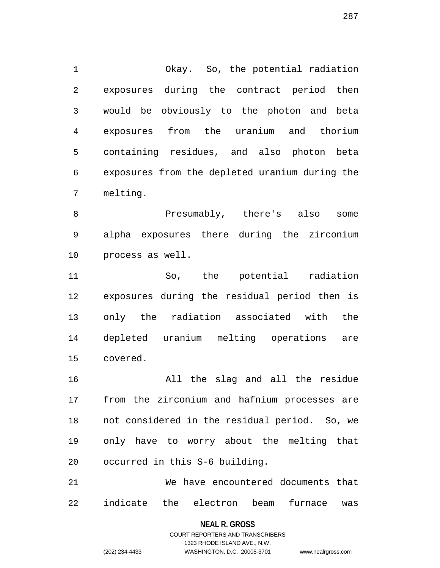1 Okay. So, the potential radiation 2 exposures during the contract period then 3 would be obviously to the photon and beta 4 exposures from the uranium and thorium 5 containing residues, and also photon beta 6 exposures from the depleted uranium during the 7 melting.

8 Presumably, there's also some 9 alpha exposures there during the zirconium 10 process as well.

11 So, the potential radiation 12 exposures during the residual period then is 13 only the radiation associated with the 14 depleted uranium melting operations are 15 covered.

16 All the slag and all the residue 17 from the zirconium and hafnium processes are 18 not considered in the residual period. So, we 19 only have to worry about the melting that 20 occurred in this S-6 building.

21 We have encountered documents that 22 indicate the electron beam furnace was

#### **NEAL R. GROSS**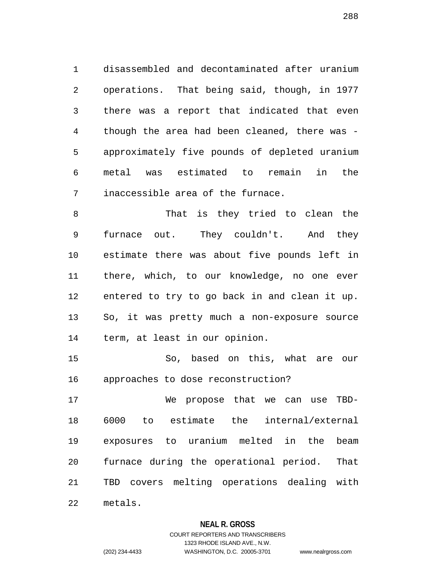1 disassembled and decontaminated after uranium 2 operations. That being said, though, in 1977 3 there was a report that indicated that even 4 though the area had been cleaned, there was - 5 approximately five pounds of depleted uranium 6 metal was estimated to remain in the 7 inaccessible area of the furnace.

8 That is they tried to clean the 9 furnace out. They couldn't. And they 10 estimate there was about five pounds left in 11 there, which, to our knowledge, no one ever 12 entered to try to go back in and clean it up. 13 So, it was pretty much a non-exposure source 14 term, at least in our opinion.

15 So, based on this, what are our 16 approaches to dose reconstruction?

17 We propose that we can use TBD-18 6000 to estimate the internal/external 19 exposures to uranium melted in the beam 20 furnace during the operational period. That 21 TBD covers melting operations dealing with 22 metals.

### **NEAL R. GROSS**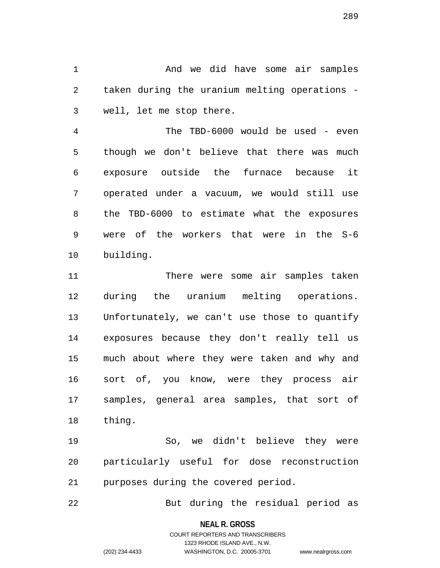1 And we did have some air samples 2 taken during the uranium melting operations - 3 well, let me stop there.

4 The TBD-6000 would be used - even 5 though we don't believe that there was much 6 exposure outside the furnace because it 7 operated under a vacuum, we would still use 8 the TBD-6000 to estimate what the exposures 9 were of the workers that were in the S-6 10 building.

11 There were some air samples taken 12 during the uranium melting operations. 13 Unfortunately, we can't use those to quantify 14 exposures because they don't really tell us 15 much about where they were taken and why and 16 sort of, you know, were they process air 17 samples, general area samples, that sort of 18 thing.

19 So, we didn't believe they were 20 particularly useful for dose reconstruction 21 purposes during the covered period.

22 But during the residual period as

**NEAL R. GROSS**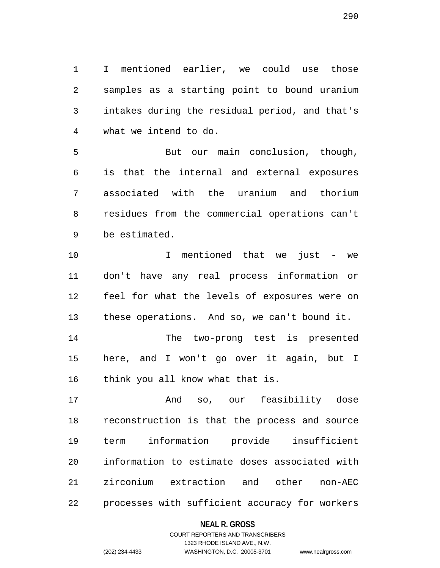1 I mentioned earlier, we could use those 2 samples as a starting point to bound uranium 3 intakes during the residual period, and that's 4 what we intend to do.

5 But our main conclusion, though, 6 is that the internal and external exposures 7 associated with the uranium and thorium 8 residues from the commercial operations can't 9 be estimated.

10 I mentioned that we just - we 11 don't have any real process information or 12 feel for what the levels of exposures were on 13 these operations. And so, we can't bound it.

14 The two-prong test is presented 15 here, and I won't go over it again, but I 16 think you all know what that is.

17 And so, our feasibility dose 18 reconstruction is that the process and source 19 term information provide insufficient 20 information to estimate doses associated with 21 zirconium extraction and other non-AEC 22 processes with sufficient accuracy for workers

#### **NEAL R. GROSS**

# COURT REPORTERS AND TRANSCRIBERS 1323 RHODE ISLAND AVE., N.W. (202) 234-4433 WASHINGTON, D.C. 20005-3701 www.nealrgross.com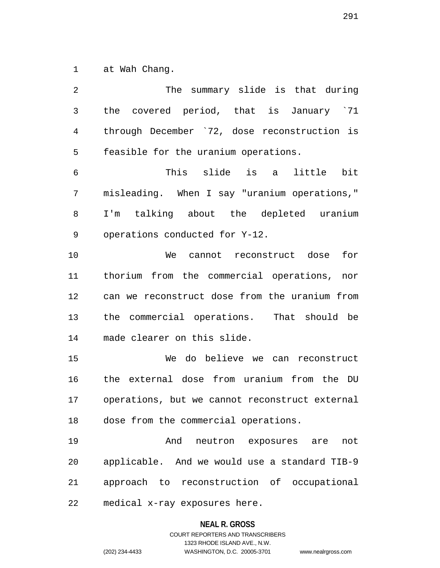1 at Wah Chang.

| 2  | The summary slide is that during               |
|----|------------------------------------------------|
| 3  | the covered period, that is January `71        |
| 4  | through December `72, dose reconstruction is   |
| 5  | feasible for the uranium operations.           |
| 6  | This slide is a<br>little bit                  |
| 7  | misleading. When I say "uranium operations,"   |
| 8  | I'm talking about the depleted uranium         |
| 9  | operations conducted for Y-12.                 |
| 10 | We cannot reconstruct dose<br>for              |
| 11 | thorium from the commercial operations, nor    |
| 12 | can we reconstruct dose from the uranium from  |
| 13 | the commercial operations. That should be      |
| 14 | made clearer on this slide.                    |
| 15 | We do believe we can reconstruct               |
| 16 | the external dose from uranium from the DU     |
| 17 | operations, but we cannot reconstruct external |
| 18 | dose from the commercial operations.           |
| 19 | And neutron exposures are<br>not               |
| 20 | applicable. And we would use a standard TIB-9  |
| 21 | approach to reconstruction of occupational     |
| 22 | medical x-ray exposures here.                  |

# **NEAL R. GROSS**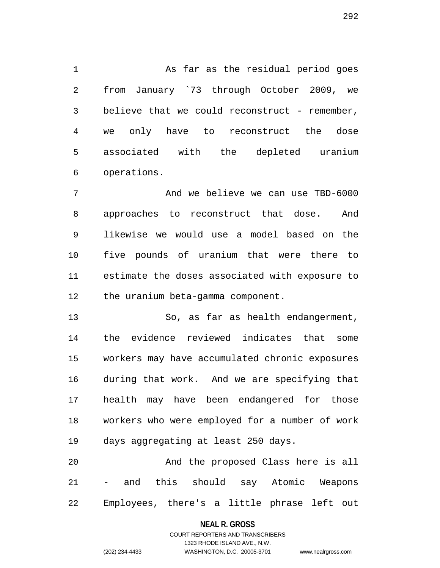1 As far as the residual period goes 2 from January `73 through October 2009, we 3 believe that we could reconstruct - remember, 4 we only have to reconstruct the dose 5 associated with the depleted uranium 6 operations.

7 And we believe we can use TBD-6000 8 approaches to reconstruct that dose. And 9 likewise we would use a model based on the 10 five pounds of uranium that were there to 11 estimate the doses associated with exposure to 12 the uranium beta-gamma component.

13 So, as far as health endangerment, 14 the evidence reviewed indicates that some 15 workers may have accumulated chronic exposures 16 during that work. And we are specifying that 17 health may have been endangered for those 18 workers who were employed for a number of work 19 days aggregating at least 250 days.

20 And the proposed Class here is all 21 - and this should say Atomic Weapons 22 Employees, there's a little phrase left out

#### **NEAL R. GROSS**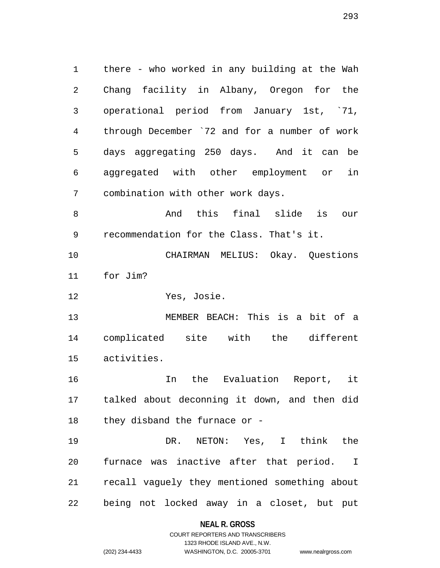1 there - who worked in any building at the Wah 2 Chang facility in Albany, Oregon for the 3 operational period from January 1st, `71, 4 through December `72 and for a number of work 5 days aggregating 250 days. And it can be 6 aggregated with other employment or in 7 combination with other work days.

8 And this final slide is our 9 recommendation for the Class. That's it.

10 CHAIRMAN MELIUS: Okay. Questions 11 for Jim?

12 Yes, Josie.

13 MEMBER BEACH: This is a bit of a 14 complicated site with the different 15 activities.

16 In the Evaluation Report, it 17 talked about deconning it down, and then did 18 they disband the furnace or -

19 DR. NETON: Yes, I think the 20 furnace was inactive after that period. I 21 recall vaguely they mentioned something about 22 being not locked away in a closet, but put

# **NEAL R. GROSS** COURT REPORTERS AND TRANSCRIBERS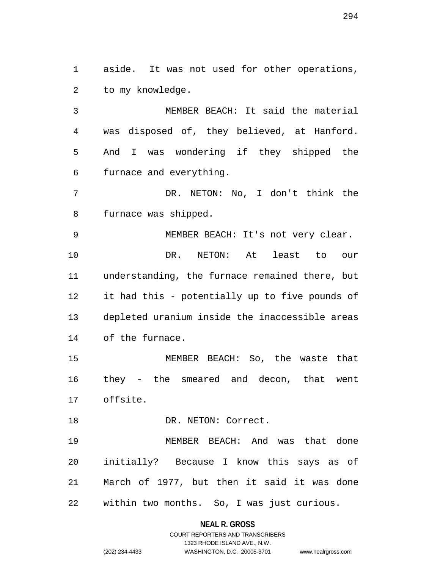1 aside. It was not used for other operations, 2 to my knowledge.

3 MEMBER BEACH: It said the material 4 was disposed of, they believed, at Hanford. 5 And I was wondering if they shipped the 6 furnace and everything.

7 DR. NETON: No, I don't think the 8 furnace was shipped.

9 MEMBER BEACH: It's not very clear. 10 DR. NETON: At least to our 11 understanding, the furnace remained there, but 12 it had this - potentially up to five pounds of 13 depleted uranium inside the inaccessible areas 14 of the furnace.

15 MEMBER BEACH: So, the waste that 16 they - the smeared and decon, that went 17 offsite.

18 DR. NETON: Correct.

19 MEMBER BEACH: And was that done 20 initially? Because I know this says as of 21 March of 1977, but then it said it was done 22 within two months. So, I was just curious.

#### **NEAL R. GROSS**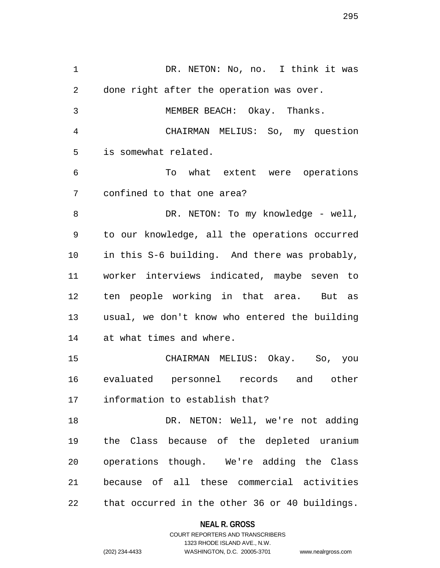1 DR. NETON: No, no. I think it was 2 done right after the operation was over. 3 MEMBER BEACH: Okay. Thanks. 4 CHAIRMAN MELIUS: So, my question 5 is somewhat related. 6 To what extent were operations 7 confined to that one area? 8 DR. NETON: To my knowledge - well, 9 to our knowledge, all the operations occurred 10 in this S-6 building. And there was probably, 11 worker interviews indicated, maybe seven to 12 ten people working in that area. But as 13 usual, we don't know who entered the building 14 at what times and where. 15 CHAIRMAN MELIUS: Okay. So, you 16 evaluated personnel records and other 17 information to establish that? 18 DR. NETON: Well, we're not adding 19 the Class because of the depleted uranium 20 operations though. We're adding the Class 21 because of all these commercial activities 22 that occurred in the other 36 or 40 buildings.

#### **NEAL R. GROSS**

### COURT REPORTERS AND TRANSCRIBERS 1323 RHODE ISLAND AVE., N.W. (202) 234-4433 WASHINGTON, D.C. 20005-3701 www.nealrgross.com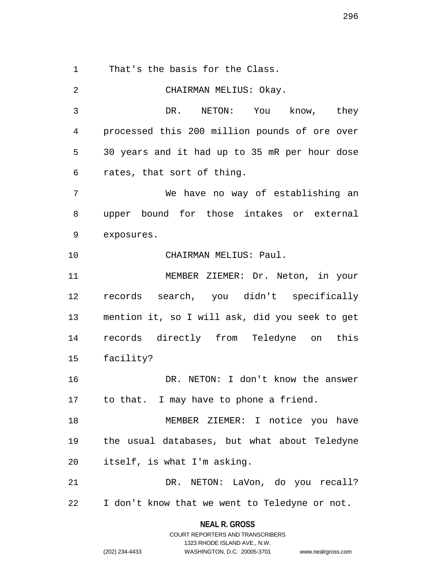1 That's the basis for the Class.

2 CHAIRMAN MELIUS: Okay. 3 DR. NETON: You know, they 4 processed this 200 million pounds of ore over 5 30 years and it had up to 35 mR per hour dose 6 rates, that sort of thing. 7 We have no way of establishing an 8 upper bound for those intakes or external 9 exposures. 10 CHAIRMAN MELIUS: Paul. 11 MEMBER ZIEMER: Dr. Neton, in your 12 records search, you didn't specifically 13 mention it, so I will ask, did you seek to get 14 records directly from Teledyne on this 15 facility? 16 DR. NETON: I don't know the answer 17 to that. I may have to phone a friend. 18 MEMBER ZIEMER: I notice you have 19 the usual databases, but what about Teledyne 20 itself, is what I'm asking. 21 DR. NETON: LaVon, do you recall? 22 I don't know that we went to Teledyne or not.

> **NEAL R. GROSS** COURT REPORTERS AND TRANSCRIBERS

> > 1323 RHODE ISLAND AVE., N.W.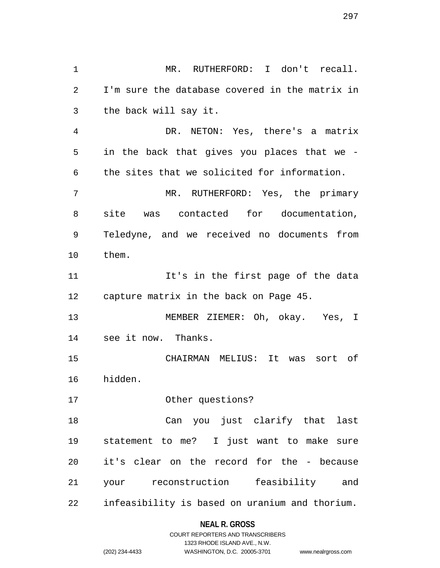1 MR. RUTHERFORD: I don't recall. 2 I'm sure the database covered in the matrix in 3 the back will say it. 4 DR. NETON: Yes, there's a matrix 5 in the back that gives you places that we - 6 the sites that we solicited for information. 7 MR. RUTHERFORD: Yes, the primary 8 site was contacted for documentation, 9 Teledyne, and we received no documents from 10 them. 11 It's in the first page of the data 12 capture matrix in the back on Page 45. 13 MEMBER ZIEMER: Oh, okay. Yes, I 14 see it now. Thanks. 15 CHAIRMAN MELIUS: It was sort of 16 hidden. 17 Other questions? 18 Can you just clarify that last 19 statement to me? I just want to make sure 20 it's clear on the record for the - because 21 your reconstruction feasibility and 22 infeasibility is based on uranium and thorium.

# **NEAL R. GROSS**

|                | COURT REPORTERS AND TRANSCRIBERS |                    |
|----------------|----------------------------------|--------------------|
|                | 1323 RHODE ISLAND AVE., N.W.     |                    |
| (202) 234-4433 | WASHINGTON, D.C. 20005-3701      | www.nealrgross.com |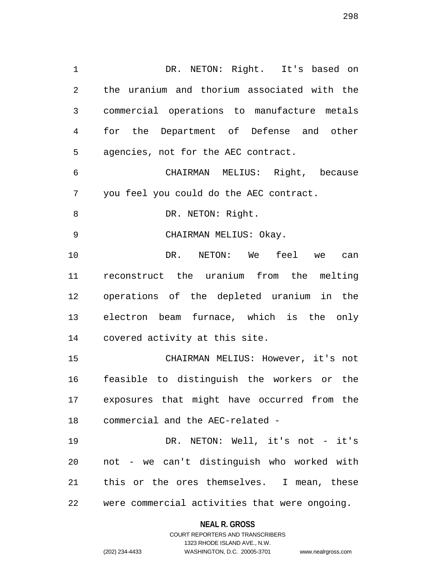1 DR. NETON: Right. It's based on 2 the uranium and thorium associated with the 3 commercial operations to manufacture metals 4 for the Department of Defense and other 5 agencies, not for the AEC contract. 6 CHAIRMAN MELIUS: Right, because 7 you feel you could do the AEC contract. 8 DR. NETON: Right. 9 CHAIRMAN MELIUS: Okay. 10 DR. NETON: We feel we can 11 reconstruct the uranium from the melting 12 operations of the depleted uranium in the 13 electron beam furnace, which is the only 14 covered activity at this site. 15 CHAIRMAN MELIUS: However, it's not 16 feasible to distinguish the workers or the 17 exposures that might have occurred from the

22 were commercial activities that were ongoing.

19 DR. NETON: Well, it's not - it's

20 not - we can't distinguish who worked with

21 this or the ores themselves. I mean, these

18 commercial and the AEC-related -

#### **NEAL R. GROSS**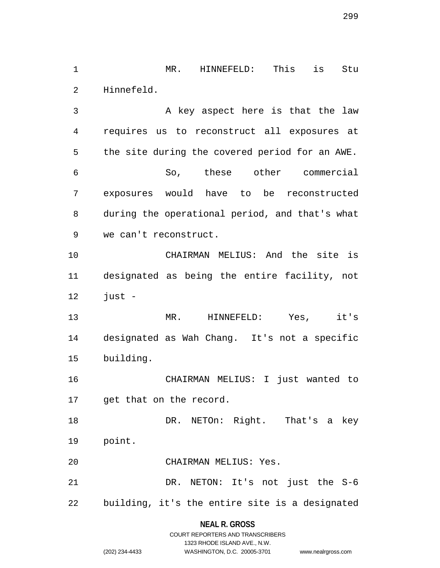1 MR. HINNEFELD: This is Stu 2 Hinnefeld.

3 A key aspect here is that the law 4 requires us to reconstruct all exposures at 5 the site during the covered period for an AWE. 6 So, these other commercial 7 exposures would have to be reconstructed 8 during the operational period, and that's what 9 we can't reconstruct.

10 CHAIRMAN MELIUS: And the site is 11 designated as being the entire facility, not 12 just -

13 MR. HINNEFELD: Yes, it's 14 designated as Wah Chang. It's not a specific 15 building.

16 CHAIRMAN MELIUS: I just wanted to 17 get that on the record.

18 DR. NETOn: Right. That's a key 19 point.

20 CHAIRMAN MELIUS: Yes.

21 DR. NETON: It's not just the S-6 22 building, it's the entire site is a designated

#### **NEAL R. GROSS**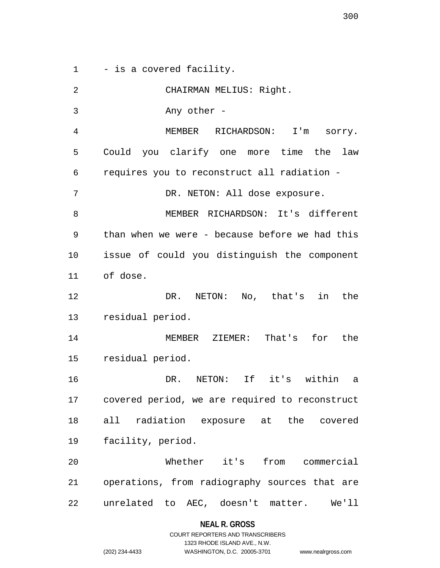1 - is a covered facility.

| 2  | CHAIRMAN MELIUS: Right.                        |
|----|------------------------------------------------|
| 3  | Any other -                                    |
| 4  | MEMBER RICHARDSON: I'm sorry.                  |
| 5  | Could you clarify one more time the<br>law     |
| 6  | requires you to reconstruct all radiation -    |
| 7  | DR. NETON: All dose exposure.                  |
| 8  | MEMBER RICHARDSON: It's different              |
| 9  | than when we were - because before we had this |
| 10 | issue of could you distinguish the component   |
| 11 | of dose.                                       |
| 12 | NETON: No, that's in<br>the<br>DR.             |
| 13 | residual period.                               |
| 14 | MEMBER ZIEMER: That's for<br>the               |
| 15 | residual period.                               |
| 16 | DR. NETON: If it's within<br>a                 |
| 17 | covered period, we are required to reconstruct |
| 18 | all radiation exposure at the covered          |
| 19 | facility, period.                              |
| 20 | Whether it's from commercial                   |
| 21 | operations, from radiography sources that are  |
| 22 | unrelated to AEC, doesn't matter. We'll        |

**NEAL R. GROSS**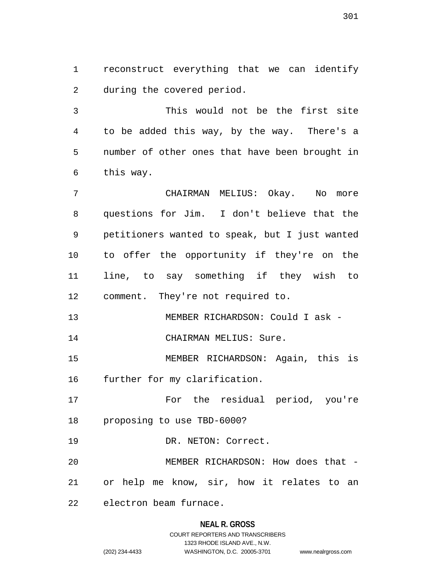1 reconstruct everything that we can identify 2 during the covered period.

3 This would not be the first site 4 to be added this way, by the way. There's a 5 number of other ones that have been brought in 6 this way.

7 CHAIRMAN MELIUS: Okay. No more 8 questions for Jim. I don't believe that the 9 petitioners wanted to speak, but I just wanted 10 to offer the opportunity if they're on the 11 line, to say something if they wish to 12 comment. They're not required to.

13 MEMBER RICHARDSON: Could I ask -

14 CHAIRMAN MELIUS: Sure.

15 MEMBER RICHARDSON: Again, this is 16 further for my clarification.

17 For the residual period, you're 18 proposing to use TBD-6000?

19 DR. NETON: Correct.

20 MEMBER RICHARDSON: How does that - 21 or help me know, sir, how it relates to an

22 electron beam furnace.

#### **NEAL R. GROSS**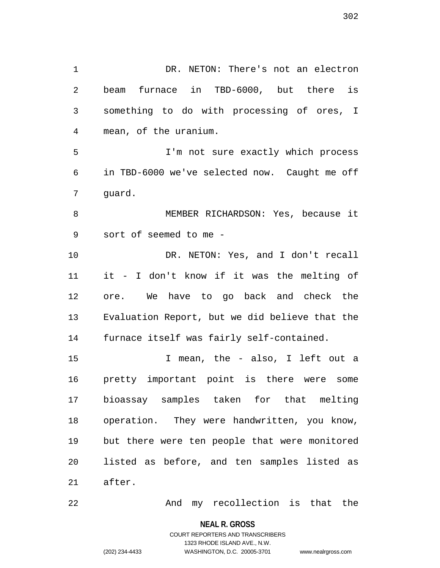1 DR. NETON: There's not an electron 2 beam furnace in TBD-6000, but there is 3 something to do with processing of ores, I 4 mean, of the uranium. 5 I'm not sure exactly which process 6 in TBD-6000 we've selected now. Caught me off 8 MEMBER RICHARDSON: Yes, because it 9 sort of seemed to me - 10 DR. NETON: Yes, and I don't recall 11 it - I don't know if it was the melting of

12 ore. We have to go back and check the 13 Evaluation Report, but we did believe that the 14 furnace itself was fairly self-contained.

15 I mean, the - also, I left out a 16 pretty important point is there were some 17 bioassay samples taken for that melting 18 operation. They were handwritten, you know, 19 but there were ten people that were monitored 20 listed as before, and ten samples listed as 21 after.

22 And my recollection is that the

**NEAL R. GROSS**

COURT REPORTERS AND TRANSCRIBERS 1323 RHODE ISLAND AVE., N.W. (202) 234-4433 WASHINGTON, D.C. 20005-3701 www.nealrgross.com

7 guard.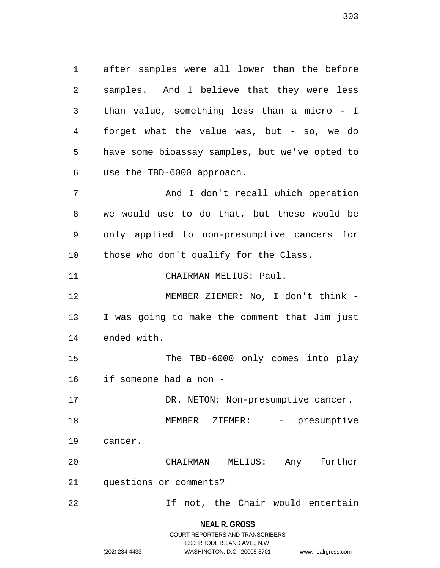1 after samples were all lower than the before 2 samples. And I believe that they were less 3 than value, something less than a micro - I 4 forget what the value was, but - so, we do 5 have some bioassay samples, but we've opted to 6 use the TBD-6000 approach. 7 And I don't recall which operation

8 we would use to do that, but these would be 9 only applied to non-presumptive cancers for 10 those who don't qualify for the Class.

11 CHAIRMAN MELIUS: Paul.

12 MEMBER ZIEMER: No, I don't think - 13 I was going to make the comment that Jim just 14 ended with.

15 The TBD-6000 only comes into play 16 if someone had a non -

17 DR. NETON: Non-presumptive cancer.

18 MEMBER ZIEMER: - presumptive 19 cancer.

20 CHAIRMAN MELIUS: Any further 21 questions or comments?

22 If not, the Chair would entertain

**NEAL R. GROSS**

|                | COURT REPORTERS AND TRANSCRIBERS |                    |
|----------------|----------------------------------|--------------------|
|                | 1323 RHODE ISLAND AVE N.W.       |                    |
| (202) 234-4433 | WASHINGTON, D.C. 20005-3701      | www.nealrgross.com |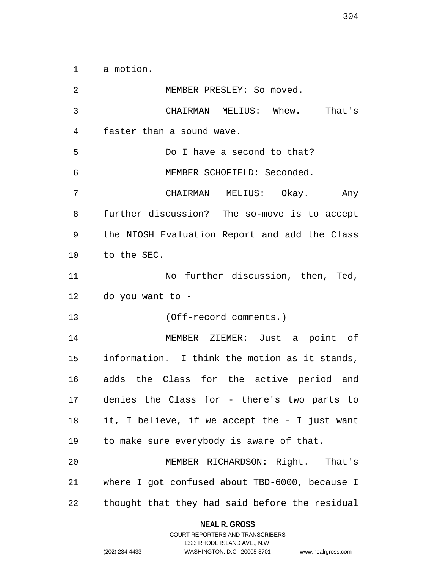1 a motion.

2 MEMBER PRESLEY: So moved. 3 CHAIRMAN MELIUS: Whew. That's 4 faster than a sound wave. 5 Do I have a second to that? 6 MEMBER SCHOFIELD: Seconded. 7 CHAIRMAN MELIUS: Okay. Any 8 further discussion? The so-move is to accept 9 the NIOSH Evaluation Report and add the Class 10 to the SEC. 11 No further discussion, then, Ted, 12 do you want to - 13 (Off-record comments.) 14 MEMBER ZIEMER: Just a point of 15 information. I think the motion as it stands, 16 adds the Class for the active period and 17 denies the Class for - there's two parts to 18 it, I believe, if we accept the - I just want 19 to make sure everybody is aware of that. 20 MEMBER RICHARDSON: Right. That's 21 where I got confused about TBD-6000, because I 22 thought that they had said before the residual

> **NEAL R. GROSS** COURT REPORTERS AND TRANSCRIBERS

> > 1323 RHODE ISLAND AVE., N.W.

(202) 234-4433 WASHINGTON, D.C. 20005-3701 www.nealrgross.com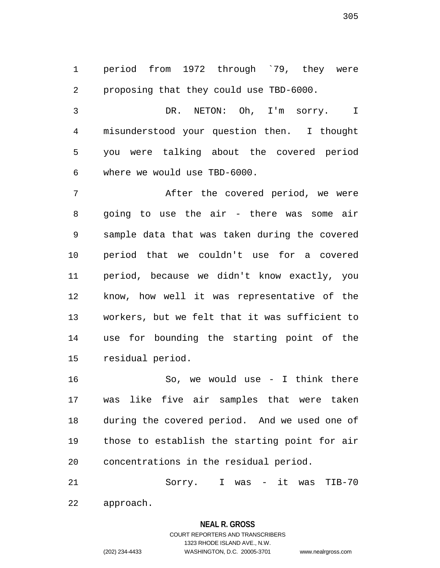1 period from 1972 through `79, they were 2 proposing that they could use TBD-6000.

3 DR. NETON: Oh, I'm sorry. I 4 misunderstood your question then. I thought 5 you were talking about the covered period 6 where we would use TBD-6000.

7 After the covered period, we were 8 going to use the air - there was some air 9 sample data that was taken during the covered 10 period that we couldn't use for a covered 11 period, because we didn't know exactly, you 12 know, how well it was representative of the 13 workers, but we felt that it was sufficient to 14 use for bounding the starting point of the 15 residual period.

16 So, we would use - I think there 17 was like five air samples that were taken 18 during the covered period. And we used one of 19 those to establish the starting point for air 20 concentrations in the residual period.

21 Sorry. I was - it was TIB-70 22 approach.

#### **NEAL R. GROSS**

COURT REPORTERS AND TRANSCRIBERS 1323 RHODE ISLAND AVE., N.W. (202) 234-4433 WASHINGTON, D.C. 20005-3701 www.nealrgross.com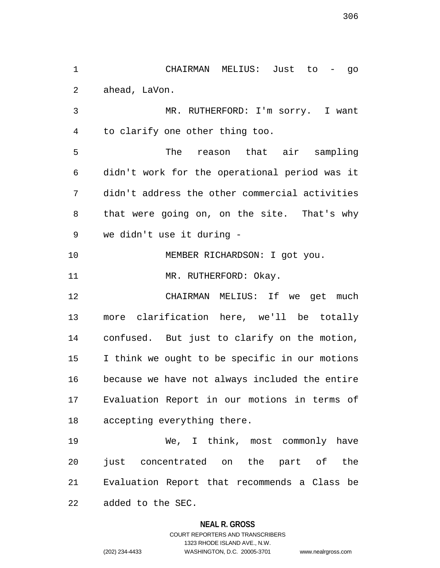2 ahead, LaVon. 3 MR. RUTHERFORD: I'm sorry. I want 4 to clarify one other thing too. 5 The reason that air sampling 6 didn't work for the operational period was it 7 didn't address the other commercial activities 8 that were going on, on the site. That's why 9 we didn't use it during - 10 MEMBER RICHARDSON: I got you. 11 MR. RUTHERFORD: Okay. 12 CHAIRMAN MELIUS: If we get much 13 more clarification here, we'll be totally 14 confused. But just to clarify on the motion, 15 I think we ought to be specific in our motions 16 because we have not always included the entire 17 Evaluation Report in our motions in terms of 18 accepting everything there. 19 We, I think, most commonly have 20 just concentrated on the part of the 21 Evaluation Report that recommends a Class be

1 CHAIRMAN MELIUS: Just to - go

22 added to the SEC.

#### **NEAL R. GROSS**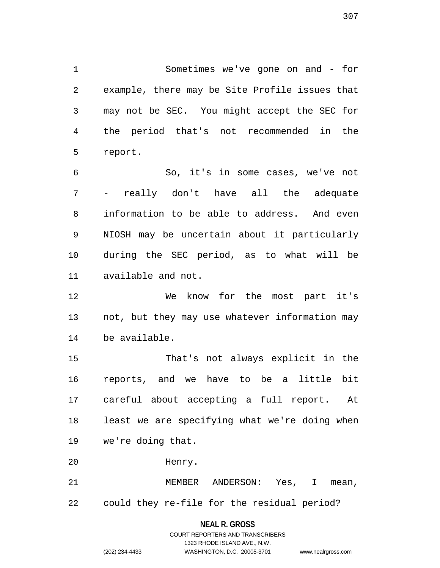1 Sometimes we've gone on and - for 2 example, there may be Site Profile issues that 3 may not be SEC. You might accept the SEC for 4 the period that's not recommended in the 5 report.

6 So, it's in some cases, we've not 7 - really don't have all the adequate 8 information to be able to address. And even 9 NIOSH may be uncertain about it particularly 10 during the SEC period, as to what will be 11 available and not.

12 We know for the most part it's 13 not, but they may use whatever information may 14 be available.

15 That's not always explicit in the 16 reports, and we have to be a little bit 17 careful about accepting a full report. At 18 least we are specifying what we're doing when 19 we're doing that.

20 Henry.

21 MEMBER ANDERSON: Yes, I mean, 22 could they re-file for the residual period?

#### **NEAL R. GROSS**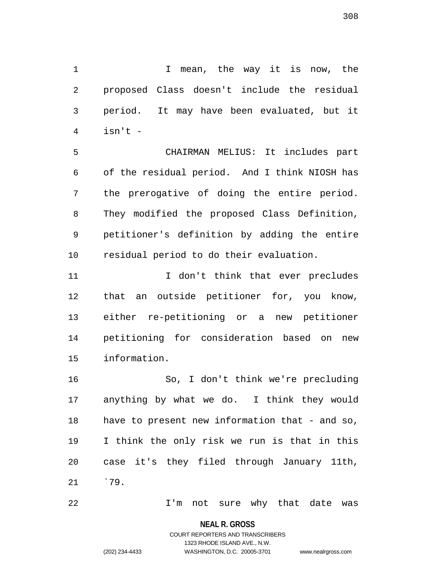1 1 I mean, the way it is now, the 2 proposed Class doesn't include the residual 3 period. It may have been evaluated, but it 4 isn't -

5 CHAIRMAN MELIUS: It includes part 6 of the residual period. And I think NIOSH has 7 the prerogative of doing the entire period. 8 They modified the proposed Class Definition, 9 petitioner's definition by adding the entire 10 residual period to do their evaluation.

11 11 I don't think that ever precludes 12 that an outside petitioner for, you know, 13 either re-petitioning or a new petitioner 14 petitioning for consideration based on new 15 information.

16 So, I don't think we're precluding 17 anything by what we do. I think they would 18 have to present new information that - and so, 19 I think the only risk we run is that in this 20 case it's they filed through January 11th, 21 `79.

22 I'm not sure why that date was

**NEAL R. GROSS** COURT REPORTERS AND TRANSCRIBERS

1323 RHODE ISLAND AVE., N.W.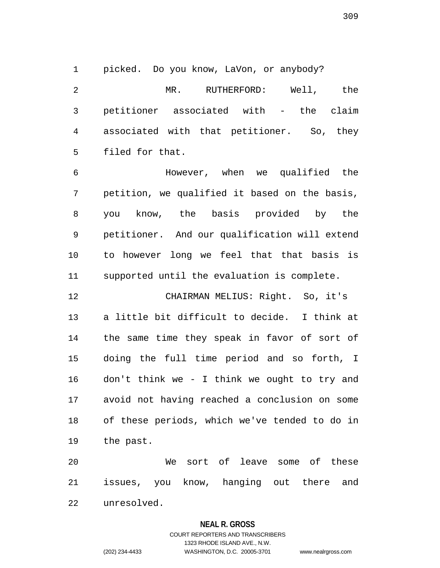1 picked. Do you know, LaVon, or anybody?

2 MR. RUTHERFORD: Well, the 3 petitioner associated with - the claim 4 associated with that petitioner. So, they 5 filed for that.

6 However, when we qualified the 7 petition, we qualified it based on the basis, 8 you know, the basis provided by the 9 petitioner. And our qualification will extend 10 to however long we feel that that basis is 11 supported until the evaluation is complete.

12 CHAIRMAN MELIUS: Right. So, it's 13 a little bit difficult to decide. I think at 14 the same time they speak in favor of sort of 15 doing the full time period and so forth, I 16 don't think we - I think we ought to try and 17 avoid not having reached a conclusion on some 18 of these periods, which we've tended to do in 19 the past.

20 We sort of leave some of these 21 issues, you know, hanging out there and 22 unresolved.

#### **NEAL R. GROSS**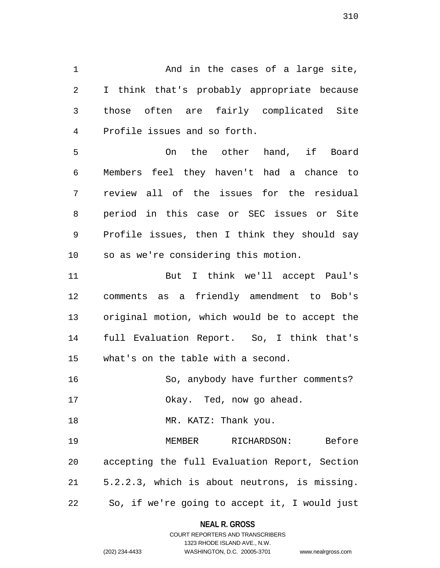1 And in the cases of a large site, 2 I think that's probably appropriate because 3 those often are fairly complicated Site 4 Profile issues and so forth.

5 On the other hand, if Board 6 Members feel they haven't had a chance to 7 review all of the issues for the residual 8 period in this case or SEC issues or Site 9 Profile issues, then I think they should say 10 so as we're considering this motion.

11 But I think we'll accept Paul's 12 comments as a friendly amendment to Bob's 13 original motion, which would be to accept the 14 full Evaluation Report. So, I think that's 15 what's on the table with a second.

16 So, anybody have further comments?

17 Okay. Ted, now go ahead.

18 MR. KATZ: Thank you.

19 MEMBER RICHARDSON: Before 20 accepting the full Evaluation Report, Section 21 5.2.2.3, which is about neutrons, is missing. 22 So, if we're going to accept it, I would just

# **NEAL R. GROSS**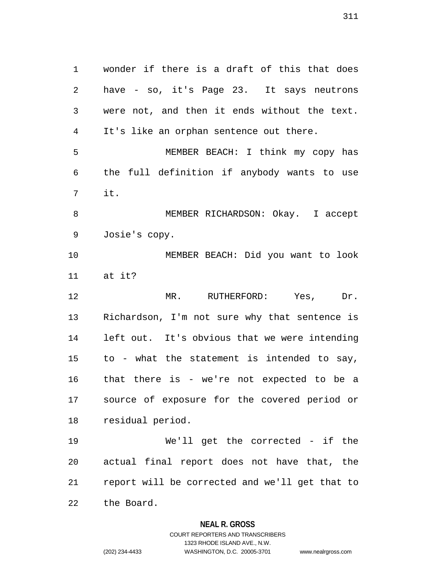1 wonder if there is a draft of this that does 2 have - so, it's Page 23. It says neutrons 3 were not, and then it ends without the text. 4 It's like an orphan sentence out there. 5 MEMBER BEACH: I think my copy has 6 the full definition if anybody wants to use 7 it. 8 MEMBER RICHARDSON: Okay. I accept 9 Josie's copy. 10 MEMBER BEACH: Did you want to look 11 at it? 12 MR. RUTHERFORD: Yes, Dr. 13 Richardson, I'm not sure why that sentence is 14 left out. It's obvious that we were intending 15 to - what the statement is intended to say, 16 that there is - we're not expected to be a 17 source of exposure for the covered period or 18 residual period. 19 We'll get the corrected - if the 20 actual final report does not have that, the 21 report will be corrected and we'll get that to 22 the Board.

**NEAL R. GROSS**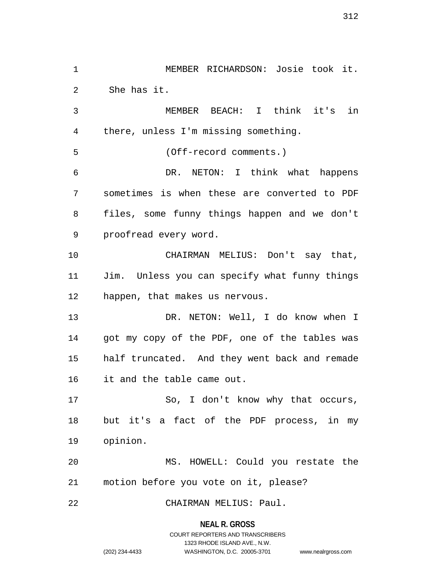1 MEMBER RICHARDSON: Josie took it. 2 She has it. 3 MEMBER BEACH: I think it's in 4 there, unless I'm missing something. 5 (Off-record comments.) 6 DR. NETON: I think what happens 7 sometimes is when these are converted to PDF 8 files, some funny things happen and we don't 9 proofread every word. 10 CHAIRMAN MELIUS: Don't say that, 11 Jim. Unless you can specify what funny things 12 happen, that makes us nervous. 13 DR. NETON: Well, I do know when I 14 got my copy of the PDF, one of the tables was 15 half truncated. And they went back and remade 16 it and the table came out. 17 So, I don't know why that occurs, 18 but it's a fact of the PDF process, in my 19 opinion. 20 MS. HOWELL: Could you restate the 21 motion before you vote on it, please? 22 CHAIRMAN MELIUS: Paul.

**NEAL R. GROSS**

COURT REPORTERS AND TRANSCRIBERS 1323 RHODE ISLAND AVE., N.W. (202) 234-4433 WASHINGTON, D.C. 20005-3701 www.nealrgross.com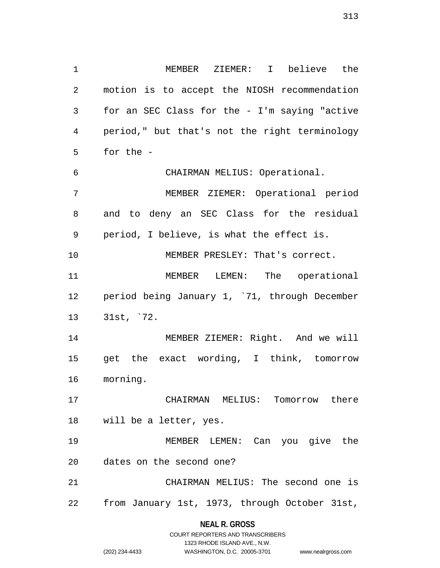1 MEMBER ZIEMER: I believe the 2 motion is to accept the NIOSH recommendation 3 for an SEC Class for the - I'm saying "active 4 period," but that's not the right terminology 5 for the - 6 CHAIRMAN MELIUS: Operational. 7 MEMBER ZIEMER: Operational period 8 and to deny an SEC Class for the residual 9 period, I believe, is what the effect is. 10 MEMBER PRESLEY: That's correct. 11 MEMBER LEMEN: The operational 12 period being January 1, `71, through December 13 31st, `72. 14 MEMBER ZIEMER: Right. And we will 15 get the exact wording, I think, tomorrow 16 morning. 17 CHAIRMAN MELIUS: Tomorrow there 18 will be a letter, yes. 19 MEMBER LEMEN: Can you give the 20 dates on the second one?

21 CHAIRMAN MELIUS: The second one is 22 from January 1st, 1973, through October 31st,

> **NEAL R. GROSS** COURT REPORTERS AND TRANSCRIBERS

> > 1323 RHODE ISLAND AVE., N.W.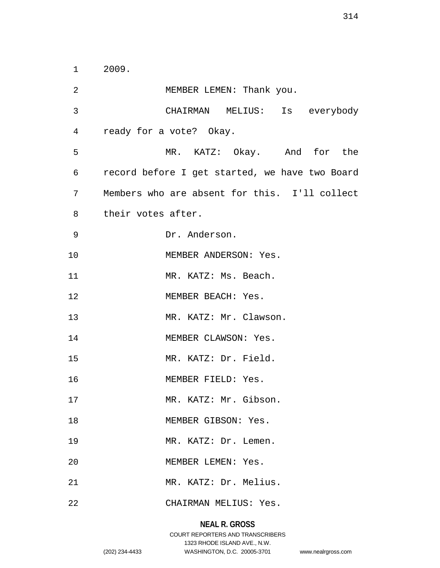1 2009.

2 MEMBER LEMEN: Thank you. 3 CHAIRMAN MELIUS: Is everybody 4 ready for a vote? Okay. 5 MR. KATZ: Okay. And for the 6 record before I get started, we have two Board 7 Members who are absent for this. I'll collect 8 their votes after. 9 Dr. Anderson. 10 MEMBER ANDERSON: Yes. 11 MR. KATZ: Ms. Beach. 12 MEMBER BEACH: Yes. 13 MR. KATZ: Mr. Clawson. 14 MEMBER CLAWSON: Yes. 15 MR. KATZ: Dr. Field. 16 MEMBER FIELD: Yes. 17 MR. KATZ: Mr. Gibson. 18 MEMBER GIBSON: Yes. 19 MR. KATZ: Dr. Lemen. 20 MEMBER LEMEN: Yes. 21 MR. KATZ: Dr. Melius. 22 CHAIRMAN MELIUS: Yes.

#### **NEAL R. GROSS**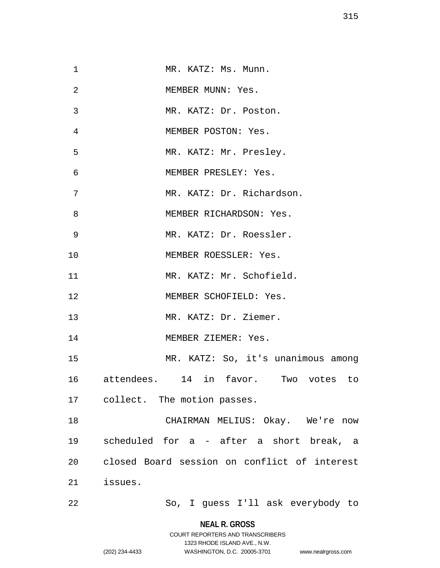| $\mathbf{1}$   | MR. KATZ: Ms. Munn.                          |
|----------------|----------------------------------------------|
| $\overline{2}$ | MEMBER MUNN: Yes.                            |
| 3              | MR. KATZ: Dr. Poston.                        |
| 4              | MEMBER POSTON: Yes.                          |
| 5              | MR. KATZ: Mr. Presley.                       |
| 6              | MEMBER PRESLEY: Yes.                         |
| 7              | MR. KATZ: Dr. Richardson.                    |
| 8              | MEMBER RICHARDSON: Yes.                      |
| 9              | MR. KATZ: Dr. Roessler.                      |
| 10             | MEMBER ROESSLER: Yes.                        |
| 11             | MR. KATZ: Mr. Schofield.                     |
| 12             | MEMBER SCHOFIELD: Yes.                       |
| 13             | MR. KATZ: Dr. Ziemer.                        |
| 14             | MEMBER ZIEMER: Yes.                          |
| 15             | MR. KATZ: So, it's unanimous among           |
| 16             | attendees. 14 in favor. Two votes to         |
|                | 17 collect. The motion passes.               |
| 18             | CHAIRMAN MELIUS: Okay. We're now             |
| 19             | scheduled for a - after a short break, a     |
| 20             | closed Board session on conflict of interest |
| 21             | issues.                                      |
| 22             | So, I guess I'll ask everybody to            |

**NEAL R. GROSS** COURT REPORTERS AND TRANSCRIBERS

1323 RHODE ISLAND AVE., N.W.

(202) 234-4433 WASHINGTON, D.C. 20005-3701 www.nealrgross.com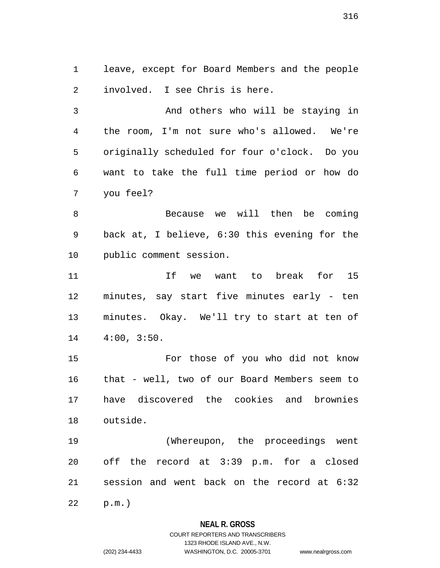1 leave, except for Board Members and the people 2 involved. I see Chris is here.

3 And others who will be staying in 4 the room, I'm not sure who's allowed. We're 5 originally scheduled for four o'clock. Do you 6 want to take the full time period or how do 7 you feel?

8 Because we will then be coming 9 back at, I believe, 6:30 this evening for the 10 public comment session.

11 If we want to break for 15 12 minutes, say start five minutes early - ten 13 minutes. Okay. We'll try to start at ten of 14 4:00, 3:50.

15 For those of you who did not know 16 that - well, two of our Board Members seem to 17 have discovered the cookies and brownies 18 outside.

19 (Whereupon, the proceedings went 20 off the record at 3:39 p.m. for a closed 21 session and went back on the record at 6:32

22 p.m.)

# **NEAL R. GROSS**

# COURT REPORTERS AND TRANSCRIBERS 1323 RHODE ISLAND AVE., N.W. (202) 234-4433 WASHINGTON, D.C. 20005-3701 www.nealrgross.com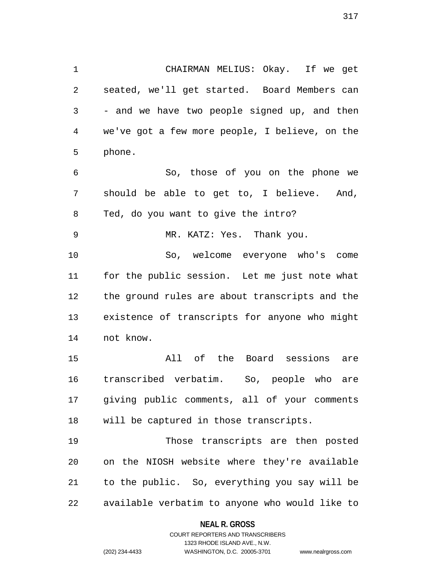1 CHAIRMAN MELIUS: Okay. If we get 2 seated, we'll get started. Board Members can 3 - and we have two people signed up, and then 4 we've got a few more people, I believe, on the 5 phone.

6 So, those of you on the phone we 7 should be able to get to, I believe. And, 8 Ted, do you want to give the intro? 9 MR. KATZ: Yes. Thank you.

10 So, welcome everyone who's come 11 for the public session. Let me just note what 12 the ground rules are about transcripts and the 13 existence of transcripts for anyone who might 14 not know.

15 All of the Board sessions are 16 transcribed verbatim. So, people who are 17 giving public comments, all of your comments 18 will be captured in those transcripts.

19 Those transcripts are then posted 20 on the NIOSH website where they're available 21 to the public. So, everything you say will be 22 available verbatim to anyone who would like to

#### **NEAL R. GROSS**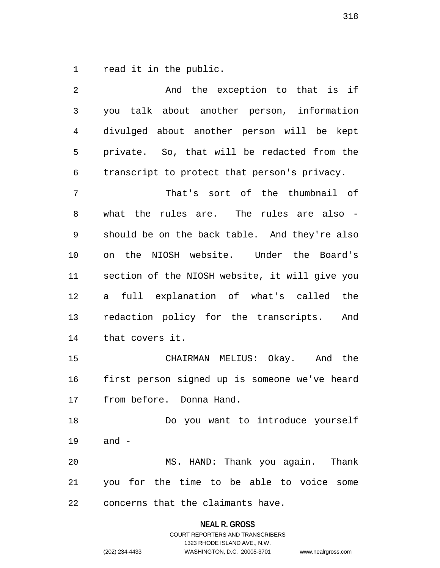1 read it in the public.

| 2  | And the exception to that is if                |
|----|------------------------------------------------|
| 3  | you talk about another person, information     |
| 4  | divulged about another person will be kept     |
| 5  | private. So, that will be redacted from the    |
| 6  | transcript to protect that person's privacy.   |
| 7  | That's sort of the thumbnail of                |
| 8  | what the rules are. The rules are also -       |
| 9  | should be on the back table. And they're also  |
| 10 | on the NIOSH website. Under the Board's        |
| 11 | section of the NIOSH website, it will give you |
| 12 | full explanation of what's called the<br>a     |
| 13 | redaction policy for the transcripts. And      |
| 14 | that covers it.                                |
| 15 | CHAIRMAN MELIUS: Okay. And the                 |
| 16 | first person signed up is someone we've heard  |
| 17 | from before. Donna Hand.                       |
| 18 | Do you want to introduce yourself              |
| 19 | and –                                          |
| 20 | MS. HAND: Thank you again. Thank               |
| 21 | you for the time to be able to voice some      |
| 22 | concerns that the claimants have.              |

**NEAL R. GROSS**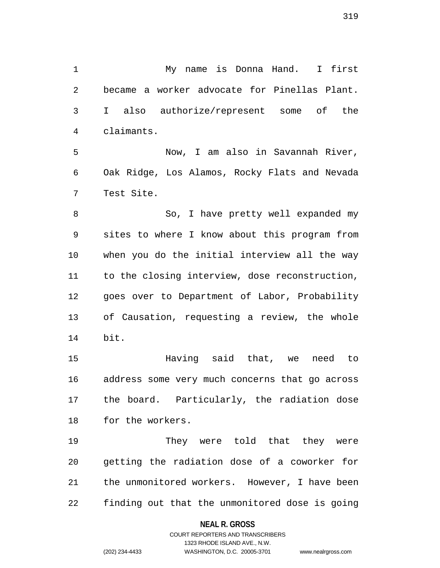1 My name is Donna Hand. I first 2 became a worker advocate for Pinellas Plant. 3 I also authorize/represent some of the 4 claimants.

5 Now, I am also in Savannah River, 6 Oak Ridge, Los Alamos, Rocky Flats and Nevada 7 Test Site.

8 So, I have pretty well expanded my 9 sites to where I know about this program from 10 when you do the initial interview all the way 11 to the closing interview, dose reconstruction, 12 goes over to Department of Labor, Probability 13 of Causation, requesting a review, the whole 14 bit.

15 Having said that, we need to 16 address some very much concerns that go across 17 the board. Particularly, the radiation dose 18 for the workers.

19 They were told that they were 20 getting the radiation dose of a coworker for 21 the unmonitored workers. However, I have been 22 finding out that the unmonitored dose is going

#### **NEAL R. GROSS**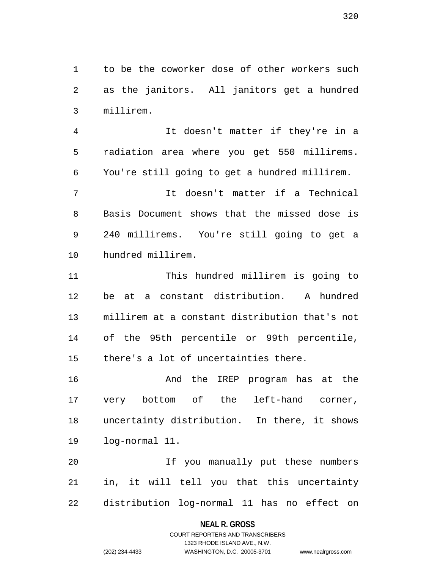1 to be the coworker dose of other workers such 2 as the janitors. All janitors get a hundred 3 millirem.

4 It doesn't matter if they're in a 5 radiation area where you get 550 millirems. 6 You're still going to get a hundred millirem.

7 It doesn't matter if a Technical 8 Basis Document shows that the missed dose is 9 240 millirems. You're still going to get a 10 hundred millirem.

11 This hundred millirem is going to 12 be at a constant distribution. A hundred 13 millirem at a constant distribution that's not 14 of the 95th percentile or 99th percentile, 15 there's a lot of uncertainties there.

16 And the IREP program has at the 17 very bottom of the left-hand corner, 18 uncertainty distribution. In there, it shows 19 log-normal 11.

20 If you manually put these numbers 21 in, it will tell you that this uncertainty 22 distribution log-normal 11 has no effect on

#### **NEAL R. GROSS**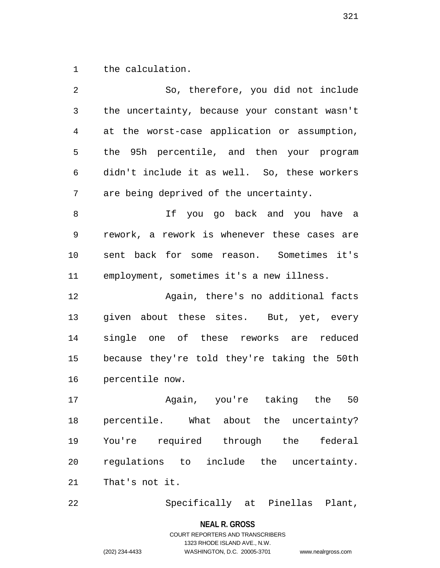1 the calculation.

| 2  | So, therefore, you did not include            |
|----|-----------------------------------------------|
| 3  | the uncertainty, because your constant wasn't |
| 4  | at the worst-case application or assumption,  |
| 5  | the 95h percentile, and then your program     |
| 6  | didn't include it as well. So, these workers  |
| 7  | are being deprived of the uncertainty.        |
| 8  | If you go back and you have a                 |
| 9  | rework, a rework is whenever these cases are  |
| 10 | sent back for some reason. Sometimes it's     |
| 11 | employment, sometimes it's a new illness.     |
| 12 | Again, there's no additional facts            |
| 13 | given about these sites. But, yet, every      |
| 14 | single one of these reworks are reduced       |
| 15 | because they're told they're taking the 50th  |
| 16 | percentile now.                               |
| 17 | Again, you're taking the 50                   |
| 18 | percentile. What about the uncertainty?       |
| 19 | You're required through the<br>federal        |
| 20 | regulations to include the uncertainty.       |
| 21 | That's not it.                                |

22 Specifically at Pinellas Plant,

**NEAL R. GROSS**

COURT REPORTERS AND TRANSCRIBERS 1323 RHODE ISLAND AVE., N.W. (202) 234-4433 WASHINGTON, D.C. 20005-3701 www.nealrgross.com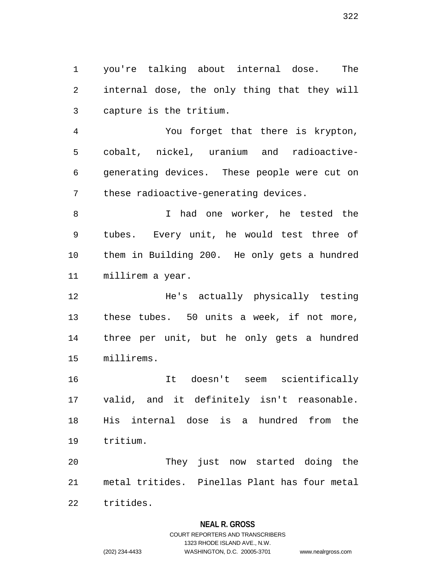1 you're talking about internal dose. The 2 internal dose, the only thing that they will 3 capture is the tritium.

4 You forget that there is krypton, 5 cobalt, nickel, uranium and radioactive-6 generating devices. These people were cut on 7 these radioactive-generating devices.

8 I had one worker, he tested the 9 tubes. Every unit, he would test three of 10 them in Building 200. He only gets a hundred 11 millirem a year.

12 He's actually physically testing 13 these tubes. 50 units a week, if not more, 14 three per unit, but he only gets a hundred 15 millirems.

16 It doesn't seem scientifically 17 valid, and it definitely isn't reasonable. 18 His internal dose is a hundred from the 19 tritium.

20 They just now started doing the 21 metal tritides. Pinellas Plant has four metal 22 tritides.

**NEAL R. GROSS**

# COURT REPORTERS AND TRANSCRIBERS 1323 RHODE ISLAND AVE., N.W. (202) 234-4433 WASHINGTON, D.C. 20005-3701 www.nealrgross.com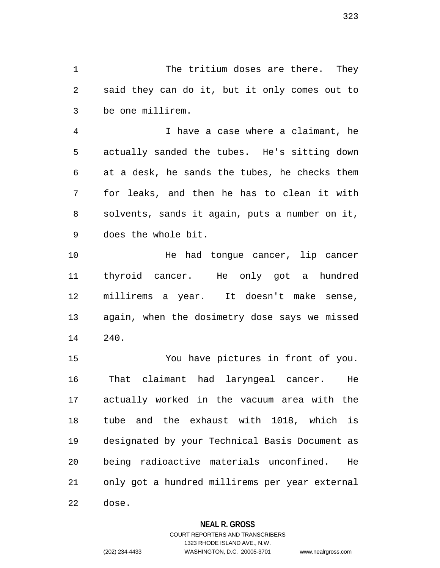1 The tritium doses are there. They 2 said they can do it, but it only comes out to 3 be one millirem.

4 I have a case where a claimant, he 5 actually sanded the tubes. He's sitting down 6 at a desk, he sands the tubes, he checks them 7 for leaks, and then he has to clean it with 8 solvents, sands it again, puts a number on it, 9 does the whole bit.

10 He had tongue cancer, lip cancer 11 thyroid cancer. He only got a hundred 12 millirems a year. It doesn't make sense, 13 again, when the dosimetry dose says we missed 14 240.

15 You have pictures in front of you. 16 That claimant had laryngeal cancer. He 17 actually worked in the vacuum area with the 18 tube and the exhaust with 1018, which is 19 designated by your Technical Basis Document as 20 being radioactive materials unconfined. He 21 only got a hundred millirems per year external 22 dose.

# **NEAL R. GROSS**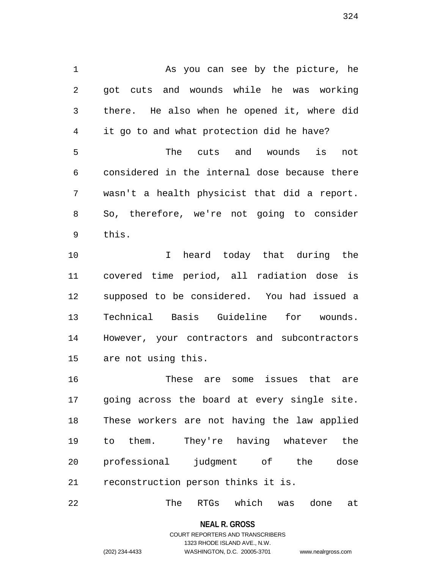1 As you can see by the picture, he 2 got cuts and wounds while he was working 3 there. He also when he opened it, where did 4 it go to and what protection did he have? 5 The cuts and wounds is not 6 considered in the internal dose because there 7 wasn't a health physicist that did a report. 8 So, therefore, we're not going to consider 9 this. 10 I heard today that during the 11 covered time period, all radiation dose is 12 supposed to be considered. You had issued a

13 Technical Basis Guideline for wounds. 14 However, your contractors and subcontractors 15 are not using this.

16 These are some issues that are 17 going across the board at every single site. 18 These workers are not having the law applied 19 to them. They're having whatever the 20 professional judgment of the dose 21 reconstruction person thinks it is.

22 The RTGs which was done at

**NEAL R. GROSS**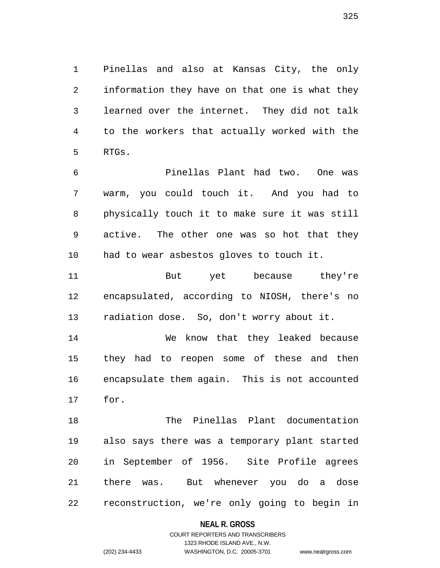1 Pinellas and also at Kansas City, the only 2 information they have on that one is what they 3 learned over the internet. They did not talk 4 to the workers that actually worked with the 5 RTGs.

6 Pinellas Plant had two. One was 7 warm, you could touch it. And you had to 8 physically touch it to make sure it was still 9 active. The other one was so hot that they 10 had to wear asbestos gloves to touch it.

11 But yet because they're 12 encapsulated, according to NIOSH, there's no 13 radiation dose. So, don't worry about it.

14 We know that they leaked because 15 they had to reopen some of these and then 16 encapsulate them again. This is not accounted 17 for.

18 The Pinellas Plant documentation 19 also says there was a temporary plant started 20 in September of 1956. Site Profile agrees 21 there was. But whenever you do a dose 22 reconstruction, we're only going to begin in

**NEAL R. GROSS**

# COURT REPORTERS AND TRANSCRIBERS 1323 RHODE ISLAND AVE., N.W. (202) 234-4433 WASHINGTON, D.C. 20005-3701 www.nealrgross.com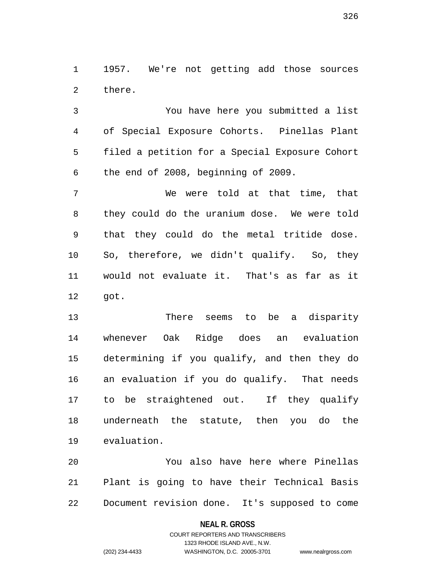1 1957. We're not getting add those sources 2 there.

3 You have here you submitted a list 4 of Special Exposure Cohorts. Pinellas Plant 5 filed a petition for a Special Exposure Cohort 6 the end of 2008, beginning of 2009.

7 We were told at that time, that 8 they could do the uranium dose. We were told 9 that they could do the metal tritide dose. 10 So, therefore, we didn't qualify. So, they 11 would not evaluate it. That's as far as it 12 got.

13 There seems to be a disparity 14 whenever Oak Ridge does an evaluation 15 determining if you qualify, and then they do 16 an evaluation if you do qualify. That needs 17 to be straightened out. If they qualify 18 underneath the statute, then you do the 19 evaluation.

20 You also have here where Pinellas 21 Plant is going to have their Technical Basis 22 Document revision done. It's supposed to come

## **NEAL R. GROSS**

# COURT REPORTERS AND TRANSCRIBERS 1323 RHODE ISLAND AVE., N.W. (202) 234-4433 WASHINGTON, D.C. 20005-3701 www.nealrgross.com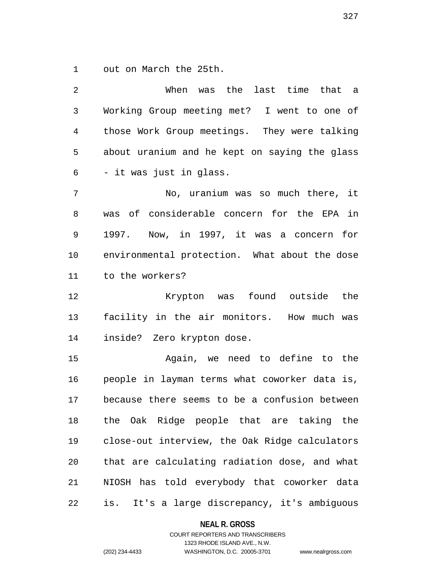1 out on March the 25th.

3 Working Group meeting met? I went to one of 4 those Work Group meetings. They were talking 5 about uranium and he kept on saying the glass 6 - it was just in glass. 7 No, uranium was so much there, it 8 was of considerable concern for the EPA in 9 1997. Now, in 1997, it was a concern for 10 environmental protection. What about the dose 11 to the workers? 12 Krypton was found outside the 13 facility in the air monitors. How much was 14 inside? Zero krypton dose. 15 Again, we need to define to the 16 people in layman terms what coworker data is, 17 because there seems to be a confusion between 18 the Oak Ridge people that are taking the 19 close-out interview, the Oak Ridge calculators 20 that are calculating radiation dose, and what

2 When was the last time that a

21 NIOSH has told everybody that coworker data 22 is. It's a large discrepancy, it's ambiguous

## **NEAL R. GROSS**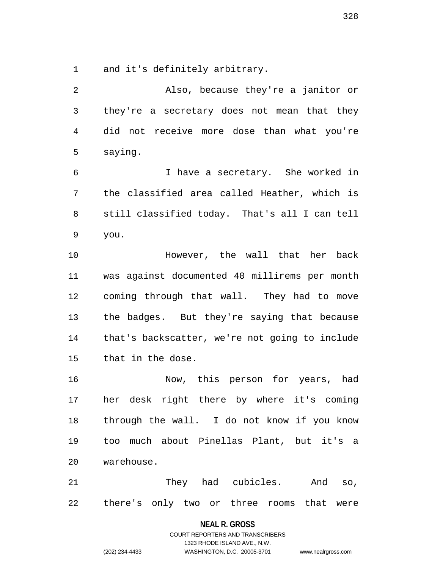1 and it's definitely arbitrary.

2 Also, because they're a janitor or 3 they're a secretary does not mean that they 4 did not receive more dose than what you're 5 saying. 6 I have a secretary. She worked in 7 the classified area called Heather, which is 8 still classified today. That's all I can tell 9 you. 10 However, the wall that her back 11 was against documented 40 millirems per month 12 coming through that wall. They had to move 13 the badges. But they're saying that because 14 that's backscatter, we're not going to include 15 that in the dose. 16 Now, this person for years, had 17 her desk right there by where it's coming

18 through the wall. I do not know if you know 19 too much about Pinellas Plant, but it's a 20 warehouse.

21 They had cubicles. And so, 22 there's only two or three rooms that were

## **NEAL R. GROSS**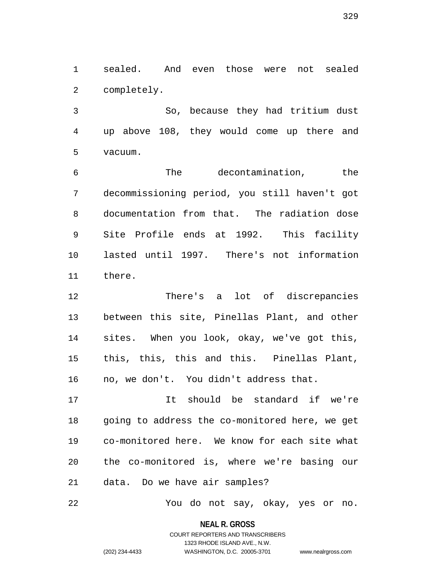1 sealed. And even those were not sealed 2 completely.

3 So, because they had tritium dust 4 up above 108, they would come up there and 5 vacuum.

6 The decontamination, the 7 decommissioning period, you still haven't got 8 documentation from that. The radiation dose 9 Site Profile ends at 1992. This facility 10 lasted until 1997. There's not information 11 there.

12 There's a lot of discrepancies 13 between this site, Pinellas Plant, and other 14 sites. When you look, okay, we've got this, 15 this, this, this and this. Pinellas Plant, 16 no, we don't. You didn't address that.

17 It should be standard if we're 18 going to address the co-monitored here, we get 19 co-monitored here. We know for each site what 20 the co-monitored is, where we're basing our 21 data. Do we have air samples?

22 You do not say, okay, yes or no.

**NEAL R. GROSS**

# COURT REPORTERS AND TRANSCRIBERS 1323 RHODE ISLAND AVE., N.W. (202) 234-4433 WASHINGTON, D.C. 20005-3701 www.nealrgross.com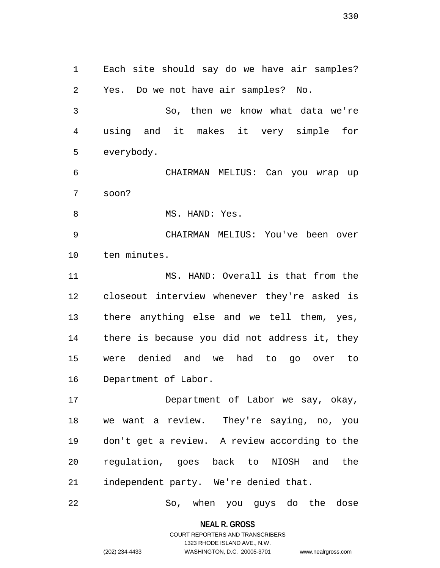1 Each site should say do we have air samples? 2 Yes. Do we not have air samples? No. 3 So, then we know what data we're 4 using and it makes it very simple for 5 everybody. 6 CHAIRMAN MELIUS: Can you wrap up 7 soon? 8 MS. HAND: Yes. 9 CHAIRMAN MELIUS: You've been over 10 ten minutes. 11 MS. HAND: Overall is that from the 12 closeout interview whenever they're asked is 13 there anything else and we tell them, yes, 14 there is because you did not address it, they 15 were denied and we had to go over to 16 Department of Labor. 17 Department of Labor we say, okay,

18 we want a review. They're saying, no, you 19 don't get a review. A review according to the 20 regulation, goes back to NIOSH and the 21 independent party. We're denied that.

22 So, when you guys do the dose

**NEAL R. GROSS** COURT REPORTERS AND TRANSCRIBERS

1323 RHODE ISLAND AVE., N.W.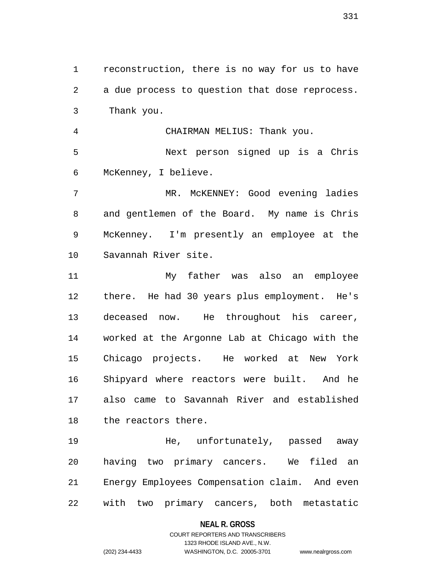1 reconstruction, there is no way for us to have 2 a due process to question that dose reprocess. 3 Thank you.

4 CHAIRMAN MELIUS: Thank you. 5 Next person signed up is a Chris 6 McKenney, I believe.

7 MR. McKENNEY: Good evening ladies 8 and gentlemen of the Board. My name is Chris 9 McKenney. I'm presently an employee at the 10 Savannah River site.

11 My father was also an employee 12 there. He had 30 years plus employment. He's 13 deceased now. He throughout his career, 14 worked at the Argonne Lab at Chicago with the 15 Chicago projects. He worked at New York 16 Shipyard where reactors were built. And he 17 also came to Savannah River and established 18 the reactors there.

19 He, unfortunately, passed away 20 having two primary cancers. We filed an 21 Energy Employees Compensation claim. And even 22 with two primary cancers, both metastatic

## **NEAL R. GROSS**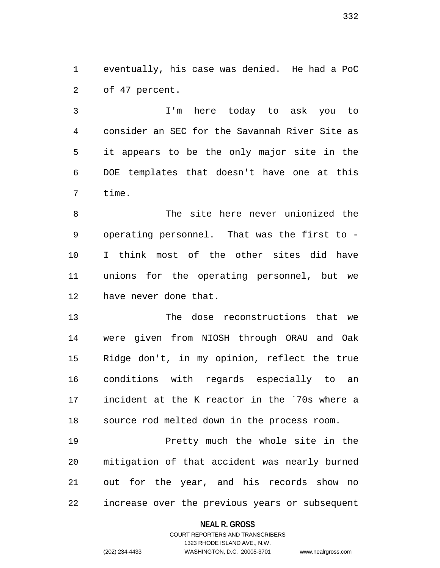1 eventually, his case was denied. He had a PoC 2 of 47 percent.

3 I'm here today to ask you to 4 consider an SEC for the Savannah River Site as 5 it appears to be the only major site in the 6 DOE templates that doesn't have one at this 7 time.

8 The site here never unionized the 9 operating personnel. That was the first to - 10 I think most of the other sites did have 11 unions for the operating personnel, but we 12 have never done that.

13 The dose reconstructions that we 14 were given from NIOSH through ORAU and Oak 15 Ridge don't, in my opinion, reflect the true 16 conditions with regards especially to an 17 incident at the K reactor in the `70s where a 18 source rod melted down in the process room.

19 Pretty much the whole site in the 20 mitigation of that accident was nearly burned 21 out for the year, and his records show no 22 increase over the previous years or subsequent

## **NEAL R. GROSS**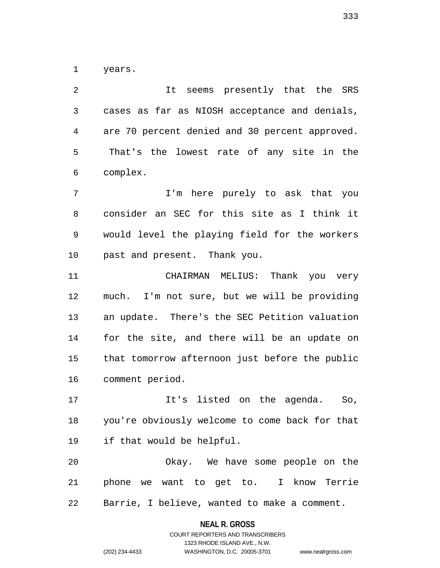1 years.

2 It seems presently that the SRS 3 cases as far as NIOSH acceptance and denials, 4 are 70 percent denied and 30 percent approved. 5 That's the lowest rate of any site in the 6 complex.

7 I'm here purely to ask that you 8 consider an SEC for this site as I think it 9 would level the playing field for the workers 10 past and present. Thank you.

11 CHAIRMAN MELIUS: Thank you very 12 much. I'm not sure, but we will be providing 13 an update. There's the SEC Petition valuation 14 for the site, and there will be an update on 15 that tomorrow afternoon just before the public 16 comment period.

17 It's listed on the agenda. So, 18 you're obviously welcome to come back for that 19 if that would be helpful.

20 Okay. We have some people on the 21 phone we want to get to. I know Terrie 22 Barrie, I believe, wanted to make a comment.

> **NEAL R. GROSS** COURT REPORTERS AND TRANSCRIBERS

> > 1323 RHODE ISLAND AVE., N.W.

(202) 234-4433 WASHINGTON, D.C. 20005-3701 www.nealrgross.com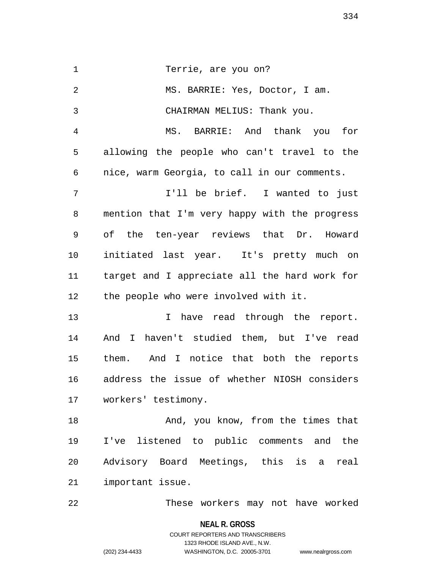1 Terrie, are you on? 2 MS. BARRIE: Yes, Doctor, I am. 3 CHAIRMAN MELIUS: Thank you. 4 MS. BARRIE: And thank you for 5 allowing the people who can't travel to the 6 nice, warm Georgia, to call in our comments. 7 **I'll be brief.** I wanted to just 8 mention that I'm very happy with the progress 9 of the ten-year reviews that Dr. Howard 10 initiated last year. It's pretty much on 11 target and I appreciate all the hard work for 12 the people who were involved with it. 13 13 I have read through the report. 14 And I haven't studied them, but I've read 15 them. And I notice that both the reports 16 address the issue of whether NIOSH considers 17 workers' testimony. 18 And, you know, from the times that 19 I've listened to public comments and the 20 Advisory Board Meetings, this is a real 21 important issue. 22 These workers may not have worked

> **NEAL R. GROSS** COURT REPORTERS AND TRANSCRIBERS 1323 RHODE ISLAND AVE., N.W. (202) 234-4433 WASHINGTON, D.C. 20005-3701 www.nealrgross.com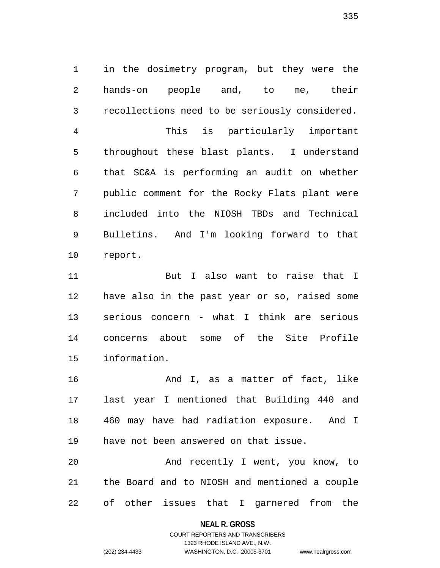1 in the dosimetry program, but they were the 2 hands-on people and, to me, their 3 recollections need to be seriously considered. 4 This is particularly important 5 throughout these blast plants. I understand 6 that SC&A is performing an audit on whether 7 public comment for the Rocky Flats plant were 8 included into the NIOSH TBDs and Technical 9 Bulletins. And I'm looking forward to that 10 report.

11 But I also want to raise that I 12 have also in the past year or so, raised some 13 serious concern - what I think are serious 14 concerns about some of the Site Profile 15 information.

16 And I, as a matter of fact, like 17 last year I mentioned that Building 440 and 18 460 may have had radiation exposure. And I 19 have not been answered on that issue.

20 And recently I went, you know, to 21 the Board and to NIOSH and mentioned a couple 22 of other issues that I garnered from the

## **NEAL R. GROSS**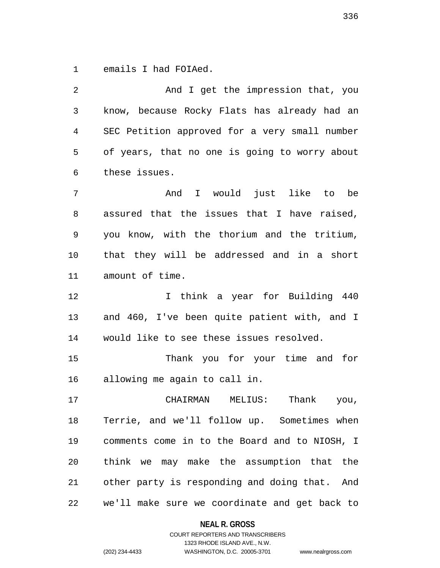1 emails I had FOIAed.

2 And I get the impression that, you 3 know, because Rocky Flats has already had an 4 SEC Petition approved for a very small number 5 of years, that no one is going to worry about 6 these issues. 7 And I would just like to be 8 assured that the issues that I have raised, 9 you know, with the thorium and the tritium, 10 that they will be addressed and in a short 11 amount of time. 12 12 I think a year for Building 440 13 and 460, I've been quite patient with, and I 14 would like to see these issues resolved. 15 Thank you for your time and for 16 allowing me again to call in. 17 CHAIRMAN MELIUS: Thank you, 18 Terrie, and we'll follow up. Sometimes when 19 comments come in to the Board and to NIOSH, I 20 think we may make the assumption that the 21 other party is responding and doing that. And 22 we'll make sure we coordinate and get back to

**NEAL R. GROSS**

COURT REPORTERS AND TRANSCRIBERS 1323 RHODE ISLAND AVE., N.W. (202) 234-4433 WASHINGTON, D.C. 20005-3701 www.nealrgross.com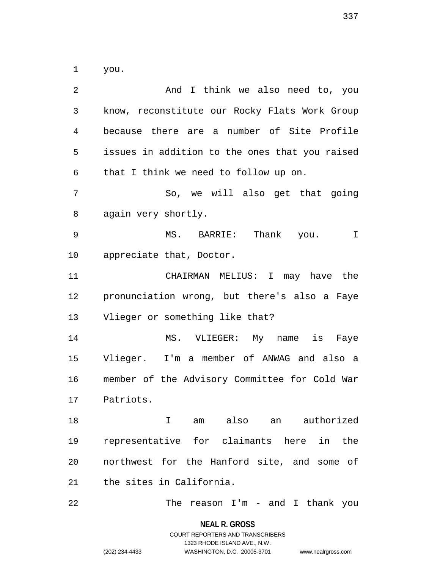1 you.

2 And I think we also need to, you 3 know, reconstitute our Rocky Flats Work Group 4 because there are a number of Site Profile 5 issues in addition to the ones that you raised 6 that I think we need to follow up on. 7 So, we will also get that going 8 again very shortly. 9 MS. BARRIE: Thank you. I 10 appreciate that, Doctor. 11 CHAIRMAN MELIUS: I may have the 12 pronunciation wrong, but there's also a Faye 13 Vlieger or something like that? 14 MS. VLIEGER: My name is Faye 15 Vlieger. I'm a member of ANWAG and also a 16 member of the Advisory Committee for Cold War 17 Patriots. 18 I am also an authorized 19 representative for claimants here in the 20 northwest for the Hanford site, and some of 21 the sites in California. 22 The reason I'm - and I thank you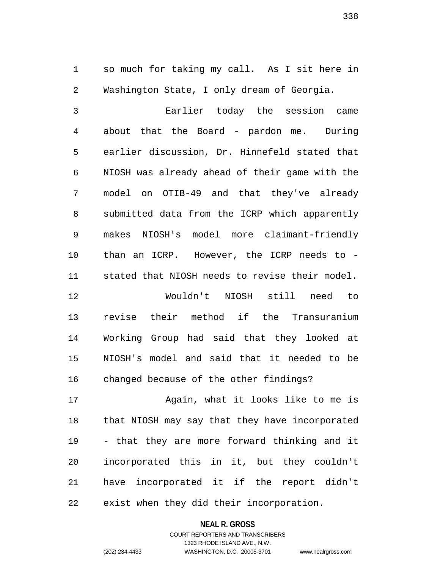1 so much for taking my call. As I sit here in 2 Washington State, I only dream of Georgia.

3 Earlier today the session came 4 about that the Board - pardon me. During 5 earlier discussion, Dr. Hinnefeld stated that 6 NIOSH was already ahead of their game with the 7 model on OTIB-49 and that they've already 8 submitted data from the ICRP which apparently 9 makes NIOSH's model more claimant-friendly 10 than an ICRP. However, the ICRP needs to - 11 stated that NIOSH needs to revise their model.

12 Wouldn't NIOSH still need to 13 revise their method if the Transuranium 14 Working Group had said that they looked at 15 NIOSH's model and said that it needed to be 16 changed because of the other findings?

17 Again, what it looks like to me is 18 that NIOSH may say that they have incorporated 19 - that they are more forward thinking and it 20 incorporated this in it, but they couldn't 21 have incorporated it if the report didn't 22 exist when they did their incorporation.

> **NEAL R. GROSS** COURT REPORTERS AND TRANSCRIBERS

> > 1323 RHODE ISLAND AVE., N.W.

(202) 234-4433 WASHINGTON, D.C. 20005-3701 www.nealrgross.com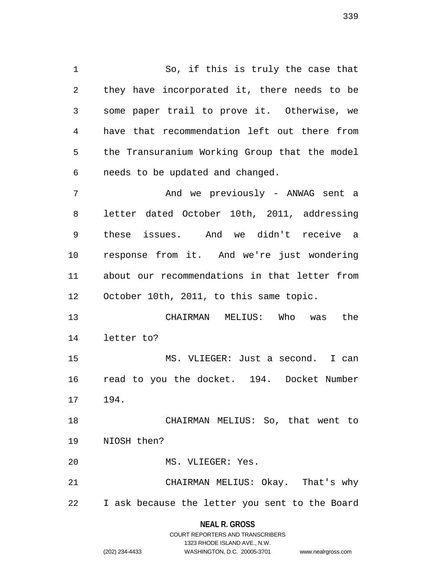1 So, if this is truly the case that 2 they have incorporated it, there needs to be 3 some paper trail to prove it. Otherwise, we 4 have that recommendation left out there from 5 the Transuranium Working Group that the model 6 needs to be updated and changed. 7 And we previously - ANWAG sent a

8 letter dated October 10th, 2011, addressing 9 these issues. And we didn't receive a 10 response from it. And we're just wondering 11 about our recommendations in that letter from 12 October 10th, 2011, to this same topic.

13 CHAIRMAN MELIUS: Who was the 14 letter to?

15 MS. VLIEGER: Just a second. I can 16 read to you the docket. 194. Docket Number 17 194.

18 CHAIRMAN MELIUS: So, that went to 19 NIOSH then?

20 MS. VLIEGER: Yes.

21 CHAIRMAN MELIUS: Okay. That's why 22 I ask because the letter you sent to the Board

> **NEAL R. GROSS** COURT REPORTERS AND TRANSCRIBERS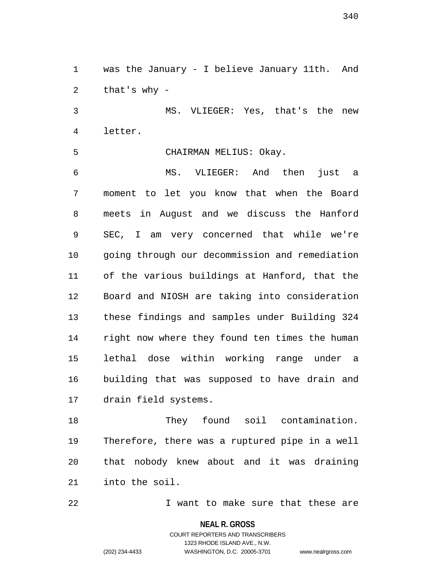1 was the January - I believe January 11th. And 2 that's why -

3 MS. VLIEGER: Yes, that's the new 4 letter.

5 CHAIRMAN MELIUS: Okay.

6 MS. VLIEGER: And then just a 7 moment to let you know that when the Board 8 meets in August and we discuss the Hanford 9 SEC, I am very concerned that while we're 10 going through our decommission and remediation 11 of the various buildings at Hanford, that the 12 Board and NIOSH are taking into consideration 13 these findings and samples under Building 324 14 right now where they found ten times the human 15 lethal dose within working range under a 16 building that was supposed to have drain and 17 drain field systems.

18 They found soil contamination. 19 Therefore, there was a ruptured pipe in a well 20 that nobody knew about and it was draining 21 into the soil.

22 I want to make sure that these are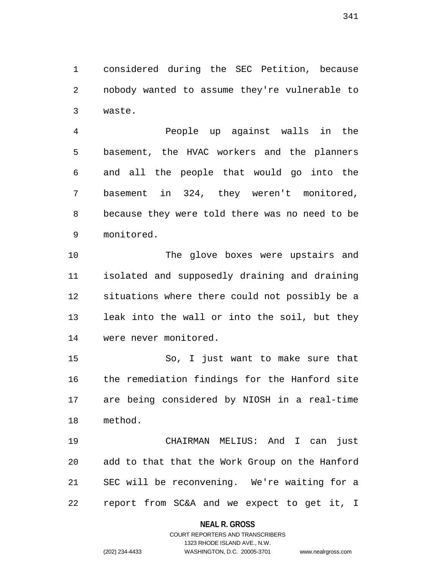1 considered during the SEC Petition, because 2 nobody wanted to assume they're vulnerable to 3 waste.

4 People up against walls in the 5 basement, the HVAC workers and the planners 6 and all the people that would go into the 7 basement in 324, they weren't monitored, 8 because they were told there was no need to be 9 monitored.

10 The glove boxes were upstairs and 11 isolated and supposedly draining and draining 12 situations where there could not possibly be a 13 leak into the wall or into the soil, but they 14 were never monitored.

15 So, I just want to make sure that 16 the remediation findings for the Hanford site 17 are being considered by NIOSH in a real-time 18 method.

19 CHAIRMAN MELIUS: And I can just 20 add to that that the Work Group on the Hanford 21 SEC will be reconvening. We're waiting for a 22 report from SC&A and we expect to get it, I

## **NEAL R. GROSS**

# COURT REPORTERS AND TRANSCRIBERS 1323 RHODE ISLAND AVE., N.W. (202) 234-4433 WASHINGTON, D.C. 20005-3701 www.nealrgross.com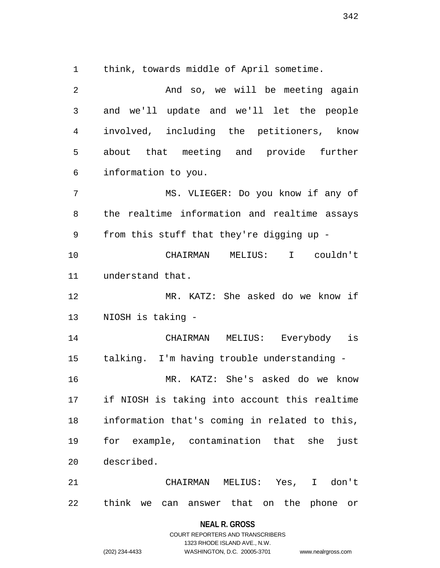1 think, towards middle of April sometime.

| 2              | And so, we will be meeting again              |
|----------------|-----------------------------------------------|
| $\mathfrak{Z}$ | and we'll update and we'll let the people     |
| 4              | involved, including the petitioners, know     |
| 5              | about that meeting and provide further        |
| 6              | information to you.                           |
| 7              | MS. VLIEGER: Do you know if any of            |
| 8              | the realtime information and realtime assays  |
| 9              | from this stuff that they're digging up -     |
| 10             | CHAIRMAN MELIUS: I couldn't                   |
| 11             | understand that.                              |
| 12             | MR. KATZ: She asked do we know if             |
| 13             | NIOSH is taking -                             |
| 14             | MELIUS: Everybody is<br>CHAIRMAN              |
| 15             | talking. I'm having trouble understanding -   |
| 16             | MR. KATZ: She's asked do we know              |
| 17             | if NIOSH is taking into account this realtime |
| 18             | information that's coming in related to this, |
| 19             | for example, contamination that she<br>just   |
| 20             | described.                                    |
| 21             | CHAIRMAN MELIUS: Yes, I don't                 |
| 22             | think we can answer that on the phone or      |

**NEAL R. GROSS** COURT REPORTERS AND TRANSCRIBERS

1323 RHODE ISLAND AVE., N.W.

(202) 234-4433 WASHINGTON, D.C. 20005-3701 www.nealrgross.com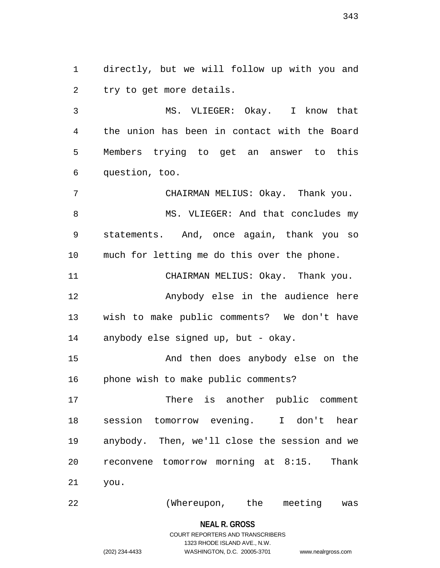1 directly, but we will follow up with you and 2 try to get more details.

3 MS. VLIEGER: Okay. I know that 4 the union has been in contact with the Board 5 Members trying to get an answer to this 6 question, too.

7 CHAIRMAN MELIUS: Okay. Thank you. 8 MS. VLIEGER: And that concludes my 9 statements. And, once again, thank you so 10 much for letting me do this over the phone.

12 Anybody else in the audience here 13 wish to make public comments? We don't have 14 anybody else signed up, but - okay.

11 CHAIRMAN MELIUS: Okay. Thank you.

15 And then does anybody else on the 16 phone wish to make public comments?

17 There is another public comment 18 session tomorrow evening. I don't hear 19 anybody. Then, we'll close the session and we 20 reconvene tomorrow morning at 8:15. Thank 21 you.

22 (Whereupon, the meeting was

**NEAL R. GROSS** COURT REPORTERS AND TRANSCRIBERS

1323 RHODE ISLAND AVE., N.W.